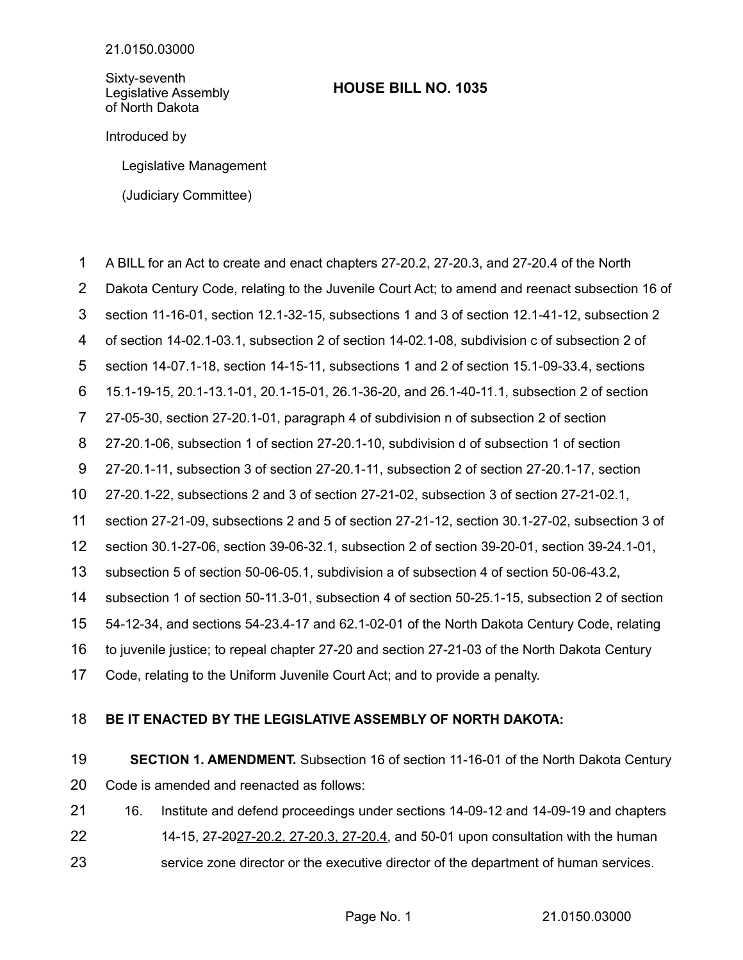Sixty-seventh Legislative Assembly of North Dakota

## **HOUSE BILL NO. 1035**

Introduced by

Legislative Management

(Judiciary Committee)

- A BILL for an Act to create and enact chapters 27-20.2, 27-20.3, and 27-20.4 of the North 1
- Dakota Century Code, relating to the Juvenile Court Act; to amend and reenact subsection 16 of 2
- section 11-16-01, section 12.1-32-15, subsections 1 and 3 of section 12.1-41-12, subsection 2 3
- of section 14-02.1-03.1, subsection 2 of section 14-02.1-08, subdivision c of subsection 2 of 4
- section 14-07.1-18, section 14-15-11, subsections 1 and 2 of section 15.1-09-33.4, sections 5
- 15.1-19-15, 20.1-13.1-01, 20.1-15-01, 26.1-36-20, and 26.1-40-11.1, subsection 2 of section 6
- 27-05-30, section 27-20.1-01, paragraph 4 of subdivision n of subsection 2 of section 7
- 27-20.1-06, subsection 1 of section 27-20.1-10, subdivision d of subsection 1 of section 8
- 27-20.1-11, subsection 3 of section 27-20.1-11, subsection 2 of section 27-20.1-17, section 9
- 27-20.1-22, subsections 2 and 3 of section 27-21-02, subsection 3 of section 27-21-02.1, 10
- section 27-21-09, subsections 2 and 5 of section 27-21-12, section 30.1-27-02, subsection 3 of 11
- section 30.1-27-06, section 39-06-32.1, subsection 2 of section 39-20-01, section 39-24.1-01, 12
- subsection 5 of section 50-06-05.1, subdivision a of subsection 4 of section 50-06-43.2, 13
- subsection 1 of section 50-11.3-01, subsection 4 of section 50-25.1-15, subsection 2 of section 14
- 54-12-34, and sections 54-23.4-17 and 62.1-02-01 of the North Dakota Century Code, relating 15
- to juvenile justice; to repeal chapter 27-20 and section 27-21-03 of the North Dakota Century 16
- Code, relating to the Uniform Juvenile Court Act; and to provide a penalty. 17

## **BE IT ENACTED BY THE LEGISLATIVE ASSEMBLY OF NORTH DAKOTA:** 18

- **SECTION 1. AMENDMENT.** Subsection 16 of section 11-16-01 of the North Dakota Century Code is amended and reenacted as follows: 19 20
- 16. Institute and defend proceedings under sections 14-09-12 and 14-09-19 and chapters 21
- 14-15, 27-2027-20.2, 27-20.3, 27-20.4, and 50-01 upon consultation with the human 22
- service zone director or the executive director of the department of human services. 23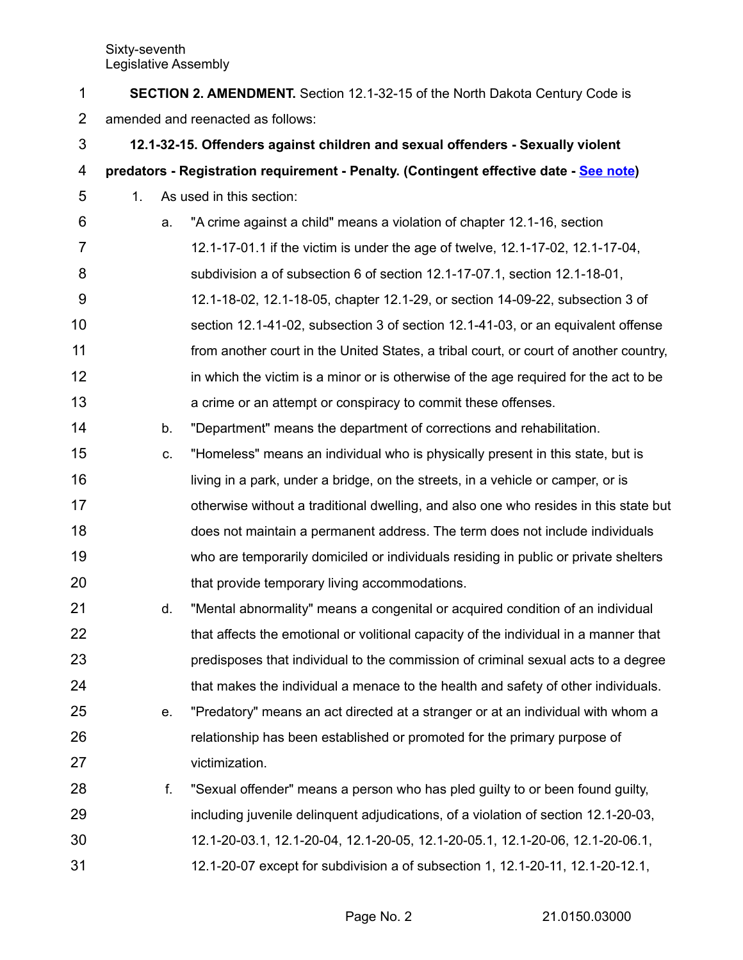| 1              | <b>SECTION 2. AMENDMENT.</b> Section 12.1-32-15 of the North Dakota Century Code is |                                                                                        |  |  |  |
|----------------|-------------------------------------------------------------------------------------|----------------------------------------------------------------------------------------|--|--|--|
| $\overline{2}$ | amended and reenacted as follows:                                                   |                                                                                        |  |  |  |
| 3              | 12.1-32-15. Offenders against children and sexual offenders - Sexually violent      |                                                                                        |  |  |  |
| 4              |                                                                                     | predators - Registration requirement - Penalty. (Contingent effective date - See note) |  |  |  |
| 5              | 1.                                                                                  | As used in this section:                                                               |  |  |  |
| 6              | a.                                                                                  | "A crime against a child" means a violation of chapter 12.1-16, section                |  |  |  |
| 7              |                                                                                     | 12.1-17-01.1 if the victim is under the age of twelve, 12.1-17-02, 12.1-17-04,         |  |  |  |
| 8              |                                                                                     | subdivision a of subsection 6 of section 12.1-17-07.1, section 12.1-18-01,             |  |  |  |
| 9              |                                                                                     | 12.1-18-02, 12.1-18-05, chapter 12.1-29, or section 14-09-22, subsection 3 of          |  |  |  |
| 10             |                                                                                     | section 12.1-41-02, subsection 3 of section 12.1-41-03, or an equivalent offense       |  |  |  |
| 11             |                                                                                     | from another court in the United States, a tribal court, or court of another country,  |  |  |  |
| 12             |                                                                                     | in which the victim is a minor or is otherwise of the age required for the act to be   |  |  |  |
| 13             |                                                                                     | a crime or an attempt or conspiracy to commit these offenses.                          |  |  |  |
| 14             | b.                                                                                  | "Department" means the department of corrections and rehabilitation.                   |  |  |  |
| 15             | C.                                                                                  | "Homeless" means an individual who is physically present in this state, but is         |  |  |  |
| 16             |                                                                                     | living in a park, under a bridge, on the streets, in a vehicle or camper, or is        |  |  |  |
| 17             |                                                                                     | otherwise without a traditional dwelling, and also one who resides in this state but   |  |  |  |
| 18             |                                                                                     | does not maintain a permanent address. The term does not include individuals           |  |  |  |
| 19             |                                                                                     | who are temporarily domiciled or individuals residing in public or private shelters    |  |  |  |
| 20             |                                                                                     | that provide temporary living accommodations.                                          |  |  |  |
| 21             | d.                                                                                  | "Mental abnormality" means a congenital or acquired condition of an individual         |  |  |  |
| 22             |                                                                                     | that affects the emotional or volitional capacity of the individual in a manner that   |  |  |  |
| 23             |                                                                                     | predisposes that individual to the commission of criminal sexual acts to a degree      |  |  |  |
| 24             |                                                                                     | that makes the individual a menace to the health and safety of other individuals.      |  |  |  |
| 25             | е.                                                                                  | "Predatory" means an act directed at a stranger or at an individual with whom a        |  |  |  |
| 26             |                                                                                     | relationship has been established or promoted for the primary purpose of               |  |  |  |
| 27             |                                                                                     | victimization.                                                                         |  |  |  |
| 28             | f.                                                                                  | "Sexual offender" means a person who has pled guilty to or been found guilty,          |  |  |  |
| 29             |                                                                                     | including juvenile delinguent adjudications, of a violation of section 12.1-20-03,     |  |  |  |
| 30             |                                                                                     | 12.1-20-03.1, 12.1-20-04, 12.1-20-05, 12.1-20-05.1, 12.1-20-06, 12.1-20-06.1,          |  |  |  |
| 31             |                                                                                     | 12.1-20-07 except for subdivision a of subsection 1, 12.1-20-11, 12.1-20-12.1,         |  |  |  |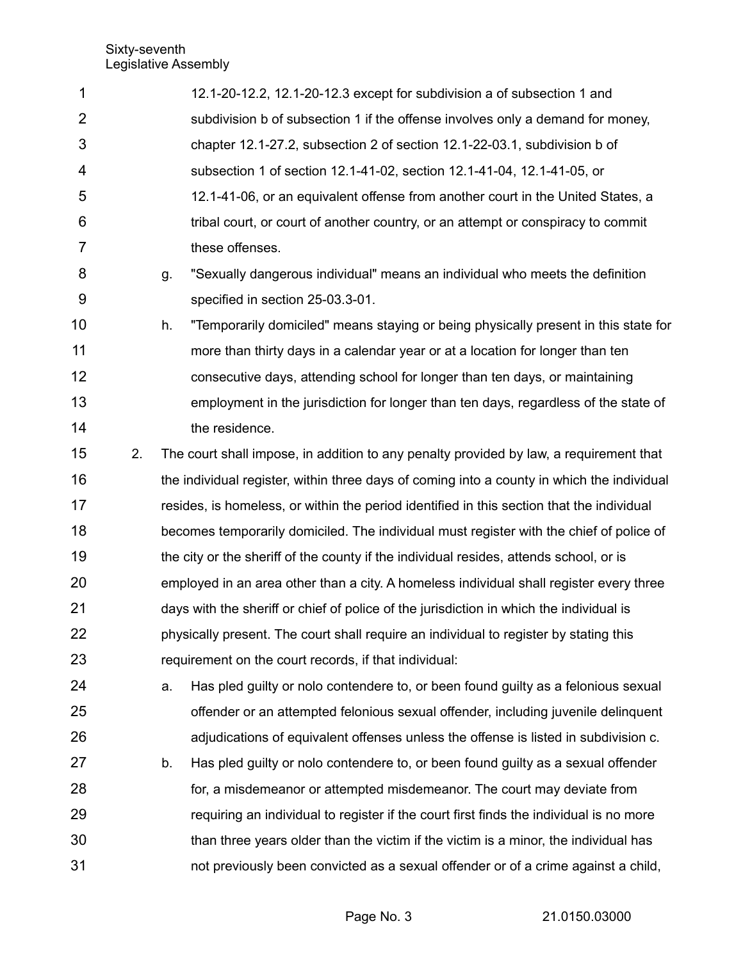| 1              |    |    | 12.1-20-12.2, 12.1-20-12.3 except for subdivision a of subsection 1 and                    |
|----------------|----|----|--------------------------------------------------------------------------------------------|
| $\overline{2}$ |    |    | subdivision b of subsection 1 if the offense involves only a demand for money,             |
| 3              |    |    | chapter 12.1-27.2, subsection 2 of section 12.1-22-03.1, subdivision b of                  |
| 4              |    |    | subsection 1 of section 12.1-41-02, section 12.1-41-04, 12.1-41-05, or                     |
| 5              |    |    | 12.1-41-06, or an equivalent offense from another court in the United States, a            |
| 6              |    |    | tribal court, or court of another country, or an attempt or conspiracy to commit           |
| 7              |    |    | these offenses.                                                                            |
| 8              |    | g. | "Sexually dangerous individual" means an individual who meets the definition               |
| 9              |    |    | specified in section 25-03.3-01.                                                           |
| 10             |    | h. | "Temporarily domiciled" means staying or being physically present in this state for        |
| 11             |    |    | more than thirty days in a calendar year or at a location for longer than ten              |
| 12             |    |    | consecutive days, attending school for longer than ten days, or maintaining                |
| 13             |    |    | employment in the jurisdiction for longer than ten days, regardless of the state of        |
| 14             |    |    | the residence.                                                                             |
| 15             | 2. |    | The court shall impose, in addition to any penalty provided by law, a requirement that     |
| 16             |    |    | the individual register, within three days of coming into a county in which the individual |
| 17             |    |    | resides, is homeless, or within the period identified in this section that the individual  |
| 18             |    |    | becomes temporarily domiciled. The individual must register with the chief of police of    |
| 19             |    |    | the city or the sheriff of the county if the individual resides, attends school, or is     |
| 20             |    |    | employed in an area other than a city. A homeless individual shall register every three    |
| 21             |    |    | days with the sheriff or chief of police of the jurisdiction in which the individual is    |
| 22             |    |    | physically present. The court shall require an individual to register by stating this      |
| 23             |    |    | requirement on the court records, if that individual:                                      |
| 24             |    | a. | Has pled guilty or nolo contendere to, or been found guilty as a felonious sexual          |
| 25             |    |    | offender or an attempted felonious sexual offender, including juvenile delinquent          |
| 26             |    |    | adjudications of equivalent offenses unless the offense is listed in subdivision c.        |
| 27             |    | b. | Has pled guilty or nolo contendere to, or been found guilty as a sexual offender           |
| 28             |    |    | for, a misdemeanor or attempted misdemeanor. The court may deviate from                    |
| 29             |    |    | requiring an individual to register if the court first finds the individual is no more     |
| 30             |    |    | than three years older than the victim if the victim is a minor, the individual has        |
| 31             |    |    | not previously been convicted as a sexual offender or of a crime against a child,          |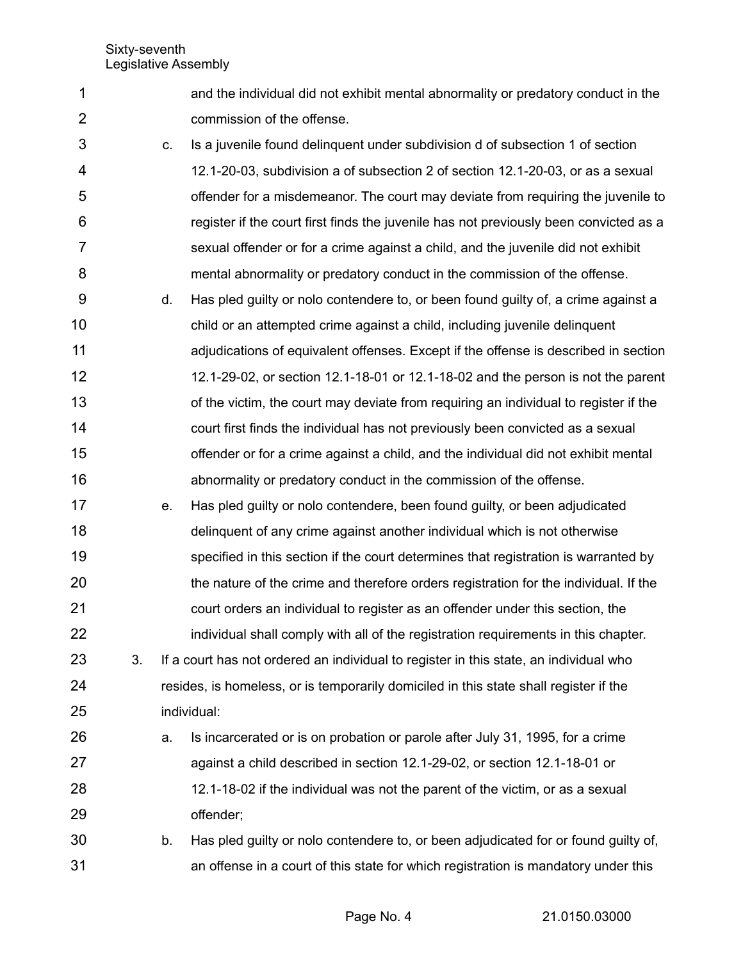1

2

and the individual did not exhibit mental abnormality or predatory conduct in the commission of the offense.

- c. Is a juvenile found delinquent under subdivision d of subsection 1 of section 12.1-20-03, subdivision a of subsection 2 of section 12.1-20-03, or as a sexual offender for a misdemeanor. The court may deviate from requiring the juvenile to register if the court first finds the juvenile has not previously been convicted as a sexual offender or for a crime against a child, and the juvenile did not exhibit mental abnormality or predatory conduct in the commission of the offense. 3 4 5 6 7 8
- d. Has pled guilty or nolo contendere to, or been found guilty of, a crime against a child or an attempted crime against a child, including juvenile delinquent adjudications of equivalent offenses. Except if the offense is described in section 12.1-29-02, or section 12.1-18-01 or 12.1-18-02 and the person is not the parent of the victim, the court may deviate from requiring an individual to register if the court first finds the individual has not previously been convicted as a sexual offender or for a crime against a child, and the individual did not exhibit mental abnormality or predatory conduct in the commission of the offense. 9 10 11 12 13 14 15 16
- e. Has pled guilty or nolo contendere, been found guilty, or been adjudicated delinquent of any crime against another individual which is not otherwise specified in this section if the court determines that registration is warranted by the nature of the crime and therefore orders registration for the individual. If the court orders an individual to register as an offender under this section, the individual shall comply with all of the registration requirements in this chapter. 17 18 19 20 21 22
- 3. If a court has not ordered an individual to register in this state, an individual who resides, is homeless, or is temporarily domiciled in this state shall register if the individual: 23 24 25
- a. Is incarcerated or is on probation or parole after July 31, 1995, for a crime against a child described in section 12.1-29-02, or section 12.1-18-01 or 12.1-18-02 if the individual was not the parent of the victim, or as a sexual offender; 26 27 28 29
- b. Has pled guilty or nolo contendere to, or been adjudicated for or found guilty of, an offense in a court of this state for which registration is mandatory under this 30 31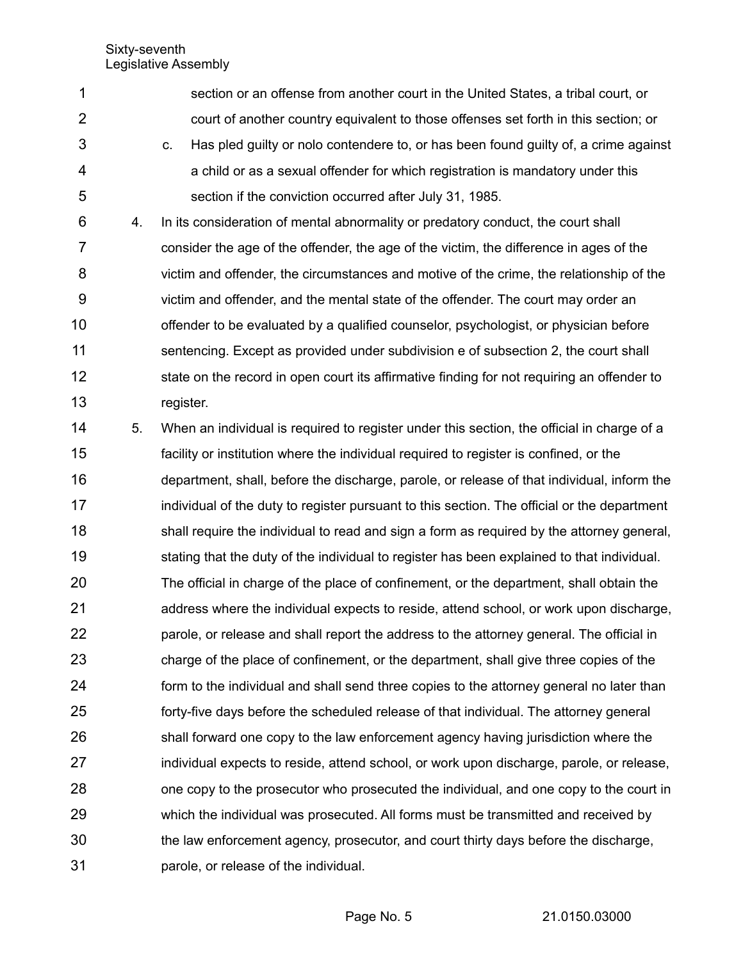- section or an offense from another court in the United States, a tribal court, or court of another country equivalent to those offenses set forth in this section; or c. Has pled guilty or nolo contendere to, or has been found guilty of, a crime against a child or as a sexual offender for which registration is mandatory under this section if the conviction occurred after July 31, 1985. 1 2 3 4 5
- 4. In its consideration of mental abnormality or predatory conduct, the court shall consider the age of the offender, the age of the victim, the difference in ages of the victim and offender, the circumstances and motive of the crime, the relationship of the victim and offender, and the mental state of the offender. The court may order an offender to be evaluated by a qualified counselor, psychologist, or physician before sentencing. Except as provided under subdivision e of subsection 2, the court shall state on the record in open court its affirmative finding for not requiring an offender to register. 6 7 8 9 10 11 12 13
- 5. When an individual is required to register under this section, the official in charge of a facility or institution where the individual required to register is confined, or the department, shall, before the discharge, parole, or release of that individual, inform the individual of the duty to register pursuant to this section. The official or the department shall require the individual to read and sign a form as required by the attorney general, stating that the duty of the individual to register has been explained to that individual. The official in charge of the place of confinement, or the department, shall obtain the address where the individual expects to reside, attend school, or work upon discharge, parole, or release and shall report the address to the attorney general. The official in charge of the place of confinement, or the department, shall give three copies of the form to the individual and shall send three copies to the attorney general no later than forty-five days before the scheduled release of that individual. The attorney general shall forward one copy to the law enforcement agency having jurisdiction where the individual expects to reside, attend school, or work upon discharge, parole, or release, one copy to the prosecutor who prosecuted the individual, and one copy to the court in which the individual was prosecuted. All forms must be transmitted and received by the law enforcement agency, prosecutor, and court thirty days before the discharge, parole, or release of the individual. 14 15 16 17 18 19 20 21 22 23 24 25 26 27 28 29 30 31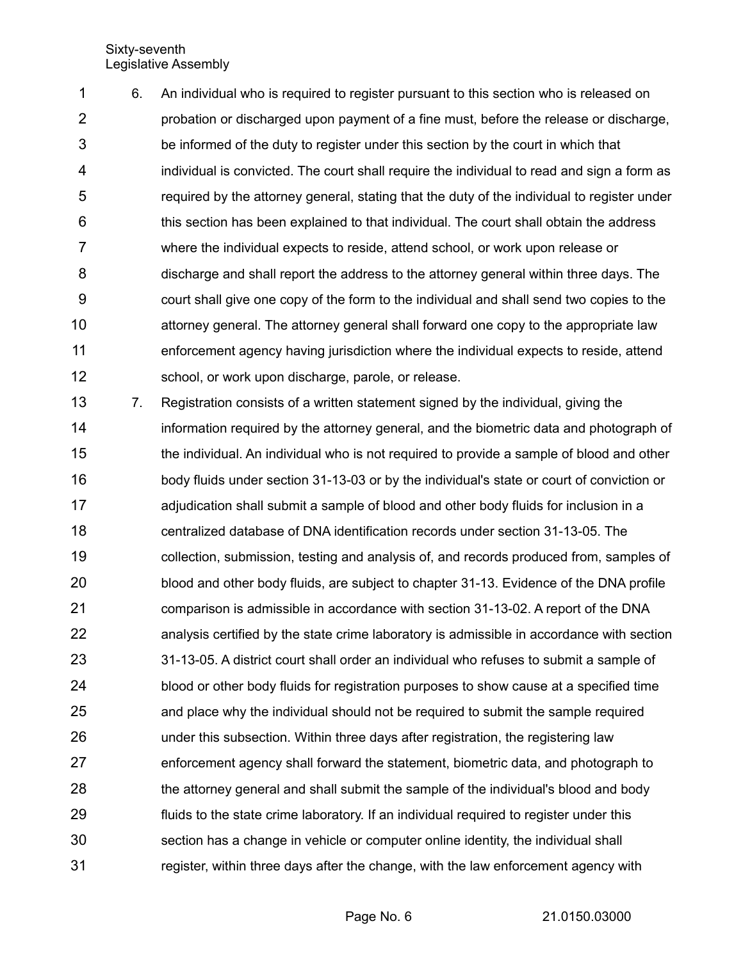6. An individual who is required to register pursuant to this section who is released on probation or discharged upon payment of a fine must, before the release or discharge, be informed of the duty to register under this section by the court in which that individual is convicted. The court shall require the individual to read and sign a form as required by the attorney general, stating that the duty of the individual to register under this section has been explained to that individual. The court shall obtain the address where the individual expects to reside, attend school, or work upon release or discharge and shall report the address to the attorney general within three days. The court shall give one copy of the form to the individual and shall send two copies to the attorney general. The attorney general shall forward one copy to the appropriate law enforcement agency having jurisdiction where the individual expects to reside, attend school, or work upon discharge, parole, or release. 1 2 3 4 5 6 7 8 9 10 11 12

7. Registration consists of a written statement signed by the individual, giving the information required by the attorney general, and the biometric data and photograph of the individual. An individual who is not required to provide a sample of blood and other body fluids under section 31-13-03 or by the individual's state or court of conviction or adjudication shall submit a sample of blood and other body fluids for inclusion in a centralized database of DNA identification records under section 31-13-05. The collection, submission, testing and analysis of, and records produced from, samples of blood and other body fluids, are subject to chapter 31-13. Evidence of the DNA profile comparison is admissible in accordance with section 31-13-02. A report of the DNA analysis certified by the state crime laboratory is admissible in accordance with section 31-13-05. A district court shall order an individual who refuses to submit a sample of blood or other body fluids for registration purposes to show cause at a specified time and place why the individual should not be required to submit the sample required under this subsection. Within three days after registration, the registering law enforcement agency shall forward the statement, biometric data, and photograph to the attorney general and shall submit the sample of the individual's blood and body fluids to the state crime laboratory. If an individual required to register under this section has a change in vehicle or computer online identity, the individual shall register, within three days after the change, with the law enforcement agency with 13 14 15 16 17 18 19 20 21 22 23 24 25 26 27 28 29 30 31

Page No. 6 21.0150.03000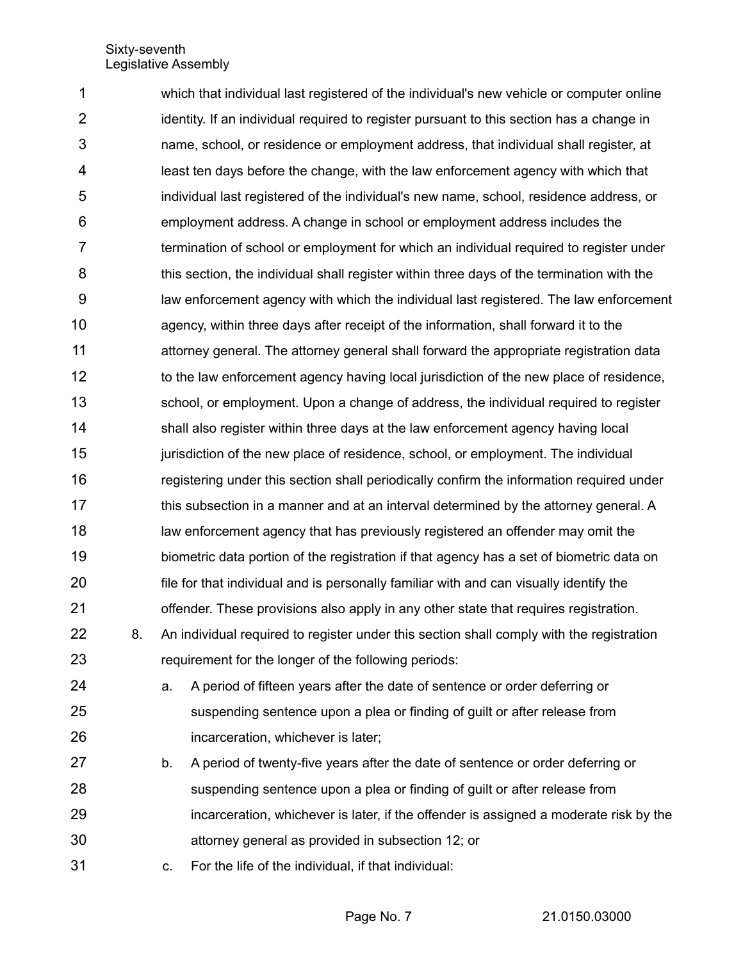which that individual last registered of the individual's new vehicle or computer online identity. If an individual required to register pursuant to this section has a change in name, school, or residence or employment address, that individual shall register, at least ten days before the change, with the law enforcement agency with which that individual last registered of the individual's new name, school, residence address, or employment address. A change in school or employment address includes the termination of school or employment for which an individual required to register under this section, the individual shall register within three days of the termination with the law enforcement agency with which the individual last registered. The law enforcement agency, within three days after receipt of the information, shall forward it to the attorney general. The attorney general shall forward the appropriate registration data to the law enforcement agency having local jurisdiction of the new place of residence, school, or employment. Upon a change of address, the individual required to register shall also register within three days at the law enforcement agency having local jurisdiction of the new place of residence, school, or employment. The individual registering under this section shall periodically confirm the information required under this subsection in a manner and at an interval determined by the attorney general. A law enforcement agency that has previously registered an offender may omit the biometric data portion of the registration if that agency has a set of biometric data on file for that individual and is personally familiar with and can visually identify the offender. These provisions also apply in any other state that requires registration. 8. An individual required to register under this section shall comply with the registration requirement for the longer of the following periods: a. A period of fifteen years after the date of sentence or order deferring or suspending sentence upon a plea or finding of guilt or after release from incarceration, whichever is later; 1 2 3 4 5 6 7 8 9 10 11 12 13 14 15 16 17 18 19 20 21 22 23 24 25 26

- b. A period of twenty-five years after the date of sentence or order deferring or suspending sentence upon a plea or finding of guilt or after release from incarceration, whichever is later, if the offender is assigned a moderate risk by the attorney general as provided in subsection 12; or 27 28 29 30
- c. For the life of the individual, if that individual: 31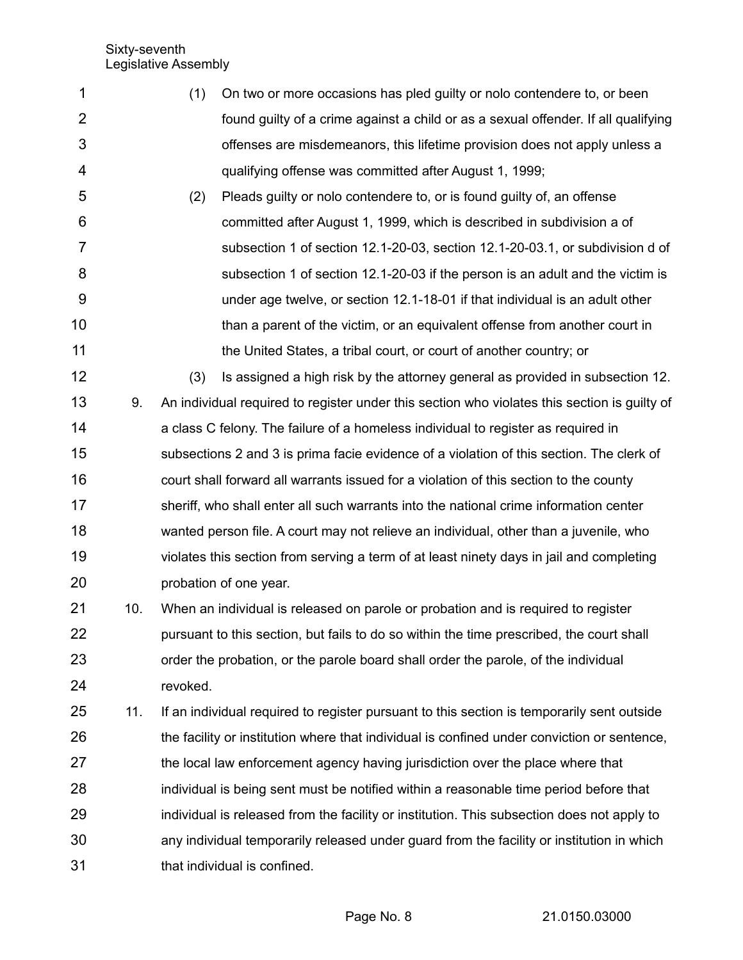- (1) On two or more occasions has pled guilty or nolo contendere to, or been found guilty of a crime against a child or as a sexual offender. If all qualifying offenses are misdemeanors, this lifetime provision does not apply unless a qualifying offense was committed after August 1, 1999; 1 2 3 4
- (2) Pleads guilty or nolo contendere to, or is found guilty of, an offense committed after August 1, 1999, which is described in subdivision a of subsection 1 of section 12.1-20-03, section 12.1-20-03.1, or subdivision d of subsection 1 of section 12.1-20-03 if the person is an adult and the victim is under age twelve, or section 12.1-18-01 if that individual is an adult other than a parent of the victim, or an equivalent offense from another court in the United States, a tribal court, or court of another country; or 5 6 7 8 9 10 11
- (3) Is assigned a high risk by the attorney general as provided in subsection 12. 9. An individual required to register under this section who violates this section is guilty of a class C felony. The failure of a homeless individual to register as required in subsections 2 and 3 is prima facie evidence of a violation of this section. The clerk of court shall forward all warrants issued for a violation of this section to the county sheriff, who shall enter all such warrants into the national crime information center wanted person file. A court may not relieve an individual, other than a juvenile, who violates this section from serving a term of at least ninety days in jail and completing probation of one year. 12 13 14 15 16 17 18 19 20
- 10. When an individual is released on parole or probation and is required to register pursuant to this section, but fails to do so within the time prescribed, the court shall order the probation, or the parole board shall order the parole, of the individual revoked. 21 22 23 24
- 11. If an individual required to register pursuant to this section is temporarily sent outside the facility or institution where that individual is confined under conviction or sentence, the local law enforcement agency having jurisdiction over the place where that individual is being sent must be notified within a reasonable time period before that individual is released from the facility or institution. This subsection does not apply to any individual temporarily released under guard from the facility or institution in which that individual is confined. 25 26 27 28 29 30 31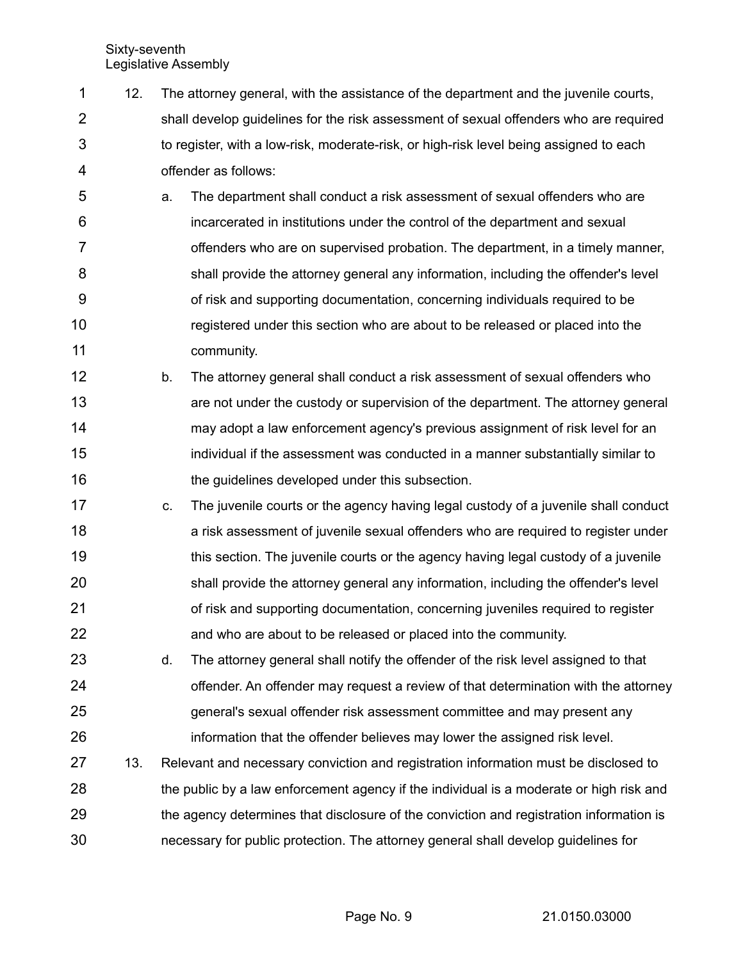- 12. The attorney general, with the assistance of the department and the juvenile courts, shall develop guidelines for the risk assessment of sexual offenders who are required to register, with a low-risk, moderate-risk, or high-risk level being assigned to each offender as follows: 1 2 3 4
- a. The department shall conduct a risk assessment of sexual offenders who are incarcerated in institutions under the control of the department and sexual offenders who are on supervised probation. The department, in a timely manner, shall provide the attorney general any information, including the offender's level of risk and supporting documentation, concerning individuals required to be registered under this section who are about to be released or placed into the community. 5 6 7 8 9 10 11
- b. The attorney general shall conduct a risk assessment of sexual offenders who are not under the custody or supervision of the department. The attorney general may adopt a law enforcement agency's previous assignment of risk level for an individual if the assessment was conducted in a manner substantially similar to the guidelines developed under this subsection. 12 13 14 15 16
- c. The juvenile courts or the agency having legal custody of a juvenile shall conduct a risk assessment of juvenile sexual offenders who are required to register under this section. The juvenile courts or the agency having legal custody of a juvenile shall provide the attorney general any information, including the offender's level of risk and supporting documentation, concerning juveniles required to register and who are about to be released or placed into the community. 17 18 19 20 21 22
- d. The attorney general shall notify the offender of the risk level assigned to that offender. An offender may request a review of that determination with the attorney general's sexual offender risk assessment committee and may present any information that the offender believes may lower the assigned risk level. 23 24 25 26
- 13. Relevant and necessary conviction and registration information must be disclosed to the public by a law enforcement agency if the individual is a moderate or high risk and the agency determines that disclosure of the conviction and registration information is necessary for public protection. The attorney general shall develop guidelines for 27 28 29 30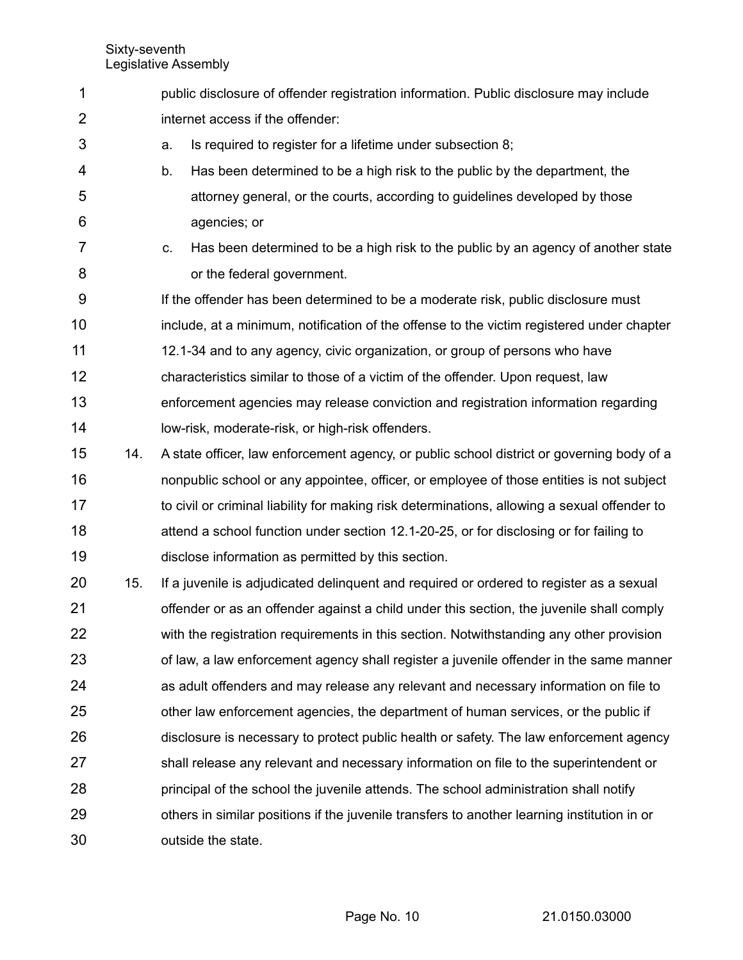3

- public disclosure of offender registration information. Public disclosure may include internet access if the offender: 1 2
	- a. Is required to register for a lifetime under subsection 8;
- b. Has been determined to be a high risk to the public by the department, the attorney general, or the courts, according to guidelines developed by those agencies; or 4 5 6
- c. Has been determined to be a high risk to the public by an agency of another state or the federal government. 7 8
- If the offender has been determined to be a moderate risk, public disclosure must include, at a minimum, notification of the offense to the victim registered under chapter 12.1-34 and to any agency, civic organization, or group of persons who have characteristics similar to those of a victim of the offender. Upon request, law enforcement agencies may release conviction and registration information regarding low-risk, moderate-risk, or high-risk offenders. 9 10 11 12 13 14
- 14. A state officer, law enforcement agency, or public school district or governing body of a nonpublic school or any appointee, officer, or employee of those entities is not subject to civil or criminal liability for making risk determinations, allowing a sexual offender to attend a school function under section 12.1-20-25, or for disclosing or for failing to disclose information as permitted by this section. 15 16 17 18 19
- 15. If a juvenile is adjudicated delinquent and required or ordered to register as a sexual offender or as an offender against a child under this section, the juvenile shall comply with the registration requirements in this section. Notwithstanding any other provision of law, a law enforcement agency shall register a juvenile offender in the same manner as adult offenders and may release any relevant and necessary information on file to other law enforcement agencies, the department of human services, or the public if disclosure is necessary to protect public health or safety. The law enforcement agency shall release any relevant and necessary information on file to the superintendent or principal of the school the juvenile attends. The school administration shall notify others in similar positions if the juvenile transfers to another learning institution in or outside the state. 20 21 22 23 24 25 26 27 28 29 30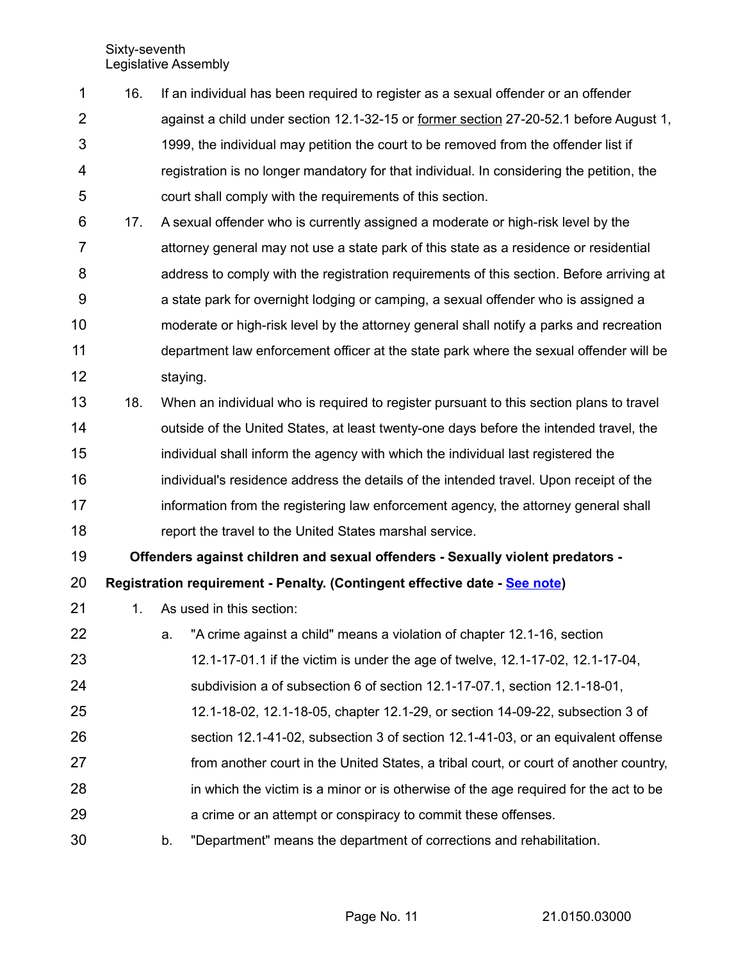- 16. If an individual has been required to register as a sexual offender or an offender against a child under section 12.1-32-15 or former section 27-20-52.1 before August 1, 1999, the individual may petition the court to be removed from the offender list if registration is no longer mandatory for that individual. In considering the petition, the court shall comply with the requirements of this section. 17. A sexual offender who is currently assigned a moderate or high-risk level by the attorney general may not use a state park of this state as a residence or residential address to comply with the registration requirements of this section. Before arriving at a state park for overnight lodging or camping, a sexual offender who is assigned a moderate or high-risk level by the attorney general shall notify a parks and recreation department law enforcement officer at the state park where the sexual offender will be staying. 18. When an individual who is required to register pursuant to this section plans to travel outside of the United States, at least twenty-one days before the intended travel, the individual shall inform the agency with which the individual last registered the individual's residence address the details of the intended travel. Upon receipt of the 1 2 3 4 5 6 7 8 9 10 11 12 13 14 15 16
- information from the registering law enforcement agency, the attorney general shall report the travel to the United States marshal service. 17 18

**Offenders against children and sexual offenders - Sexually violent predators -** 19

**Registration requirement - Penalty. (Contingent effective date - [See note\)](https://ndlegis.gov/cencode/notes/2017_112_2.pdf)** 20

- 1. As used in this section: 21
- a. "A crime against a child" means a violation of chapter 12.1-16, section 12.1-17-01.1 if the victim is under the age of twelve, 12.1-17-02, 12.1-17-04, subdivision a of subsection 6 of section 12.1-17-07.1, section 12.1-18-01, 12.1-18-02, 12.1-18-05, chapter 12.1-29, or section 14-09-22, subsection 3 of section 12.1-41-02, subsection 3 of section 12.1-41-03, or an equivalent offense from another court in the United States, a tribal court, or court of another country, in which the victim is a minor or is otherwise of the age required for the act to be a crime or an attempt or conspiracy to commit these offenses. b. "Department" means the department of corrections and rehabilitation. 22 23 24 25 26 27 28 29 30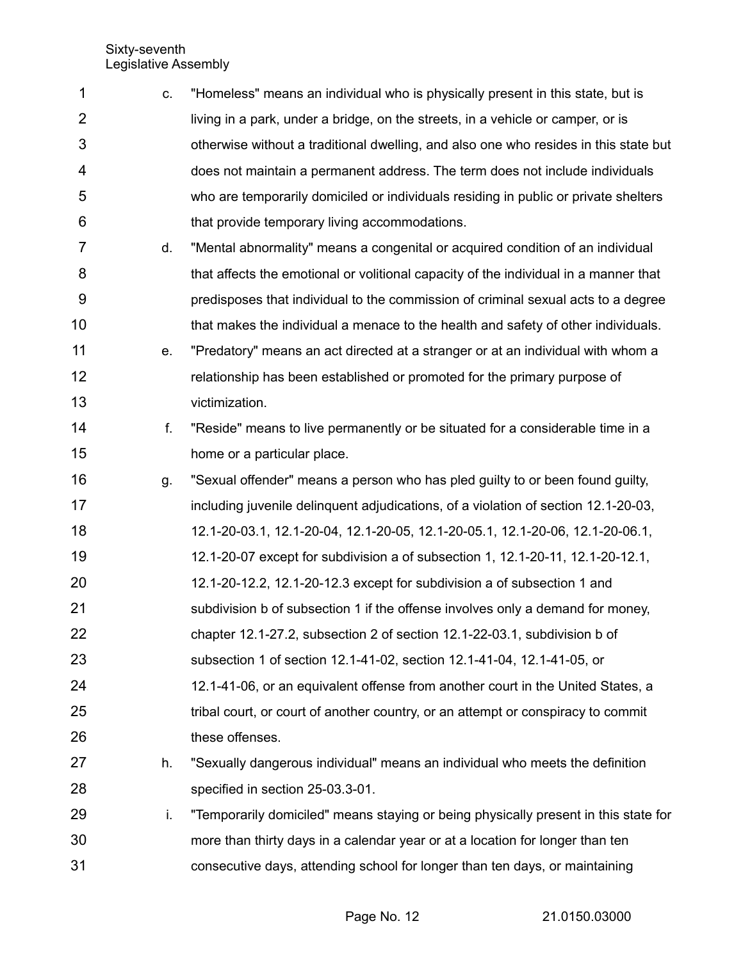| 1              | C. | "Homeless" means an individual who is physically present in this state, but is       |
|----------------|----|--------------------------------------------------------------------------------------|
| $\overline{2}$ |    | living in a park, under a bridge, on the streets, in a vehicle or camper, or is      |
| 3              |    | otherwise without a traditional dwelling, and also one who resides in this state but |
| 4              |    | does not maintain a permanent address. The term does not include individuals         |
| 5              |    | who are temporarily domiciled or individuals residing in public or private shelters  |
| 6              |    | that provide temporary living accommodations.                                        |
| 7              | d. | "Mental abnormality" means a congenital or acquired condition of an individual       |
| 8              |    | that affects the emotional or volitional capacity of the individual in a manner that |
| 9              |    | predisposes that individual to the commission of criminal sexual acts to a degree    |
| 10             |    | that makes the individual a menace to the health and safety of other individuals.    |
| 11             | е. | "Predatory" means an act directed at a stranger or at an individual with whom a      |
| 12             |    | relationship has been established or promoted for the primary purpose of             |
| 13             |    | victimization.                                                                       |
| 14             | f. | "Reside" means to live permanently or be situated for a considerable time in a       |
| 15             |    | home or a particular place.                                                          |
| 16             | g. | "Sexual offender" means a person who has pled guilty to or been found guilty,        |
| 17             |    | including juvenile delinguent adjudications, of a violation of section 12.1-20-03,   |
| 18             |    | 12.1-20-03.1, 12.1-20-04, 12.1-20-05, 12.1-20-05.1, 12.1-20-06, 12.1-20-06.1,        |
| 19             |    | 12.1-20-07 except for subdivision a of subsection 1, 12.1-20-11, 12.1-20-12.1,       |
| 20             |    | 12.1-20-12.2, 12.1-20-12.3 except for subdivision a of subsection 1 and              |
| 21             |    | subdivision b of subsection 1 if the offense involves only a demand for money,       |
| 22             |    | chapter 12.1-27.2, subsection 2 of section 12.1-22-03.1, subdivision b of            |
| 23             |    | subsection 1 of section 12.1-41-02, section 12.1-41-04, 12.1-41-05, or               |
| 24             |    | 12.1-41-06, or an equivalent offense from another court in the United States, a      |
| 25             |    | tribal court, or court of another country, or an attempt or conspiracy to commit     |
| 26             |    | these offenses.                                                                      |
| 27             | h. | "Sexually dangerous individual" means an individual who meets the definition         |
| 28             |    | specified in section 25-03.3-01.                                                     |
| 29             | i. | "Temporarily domiciled" means staying or being physically present in this state for  |
| 30             |    | more than thirty days in a calendar year or at a location for longer than ten        |
| 31             |    | consecutive days, attending school for longer than ten days, or maintaining          |

Page No. 12 21.0150.03000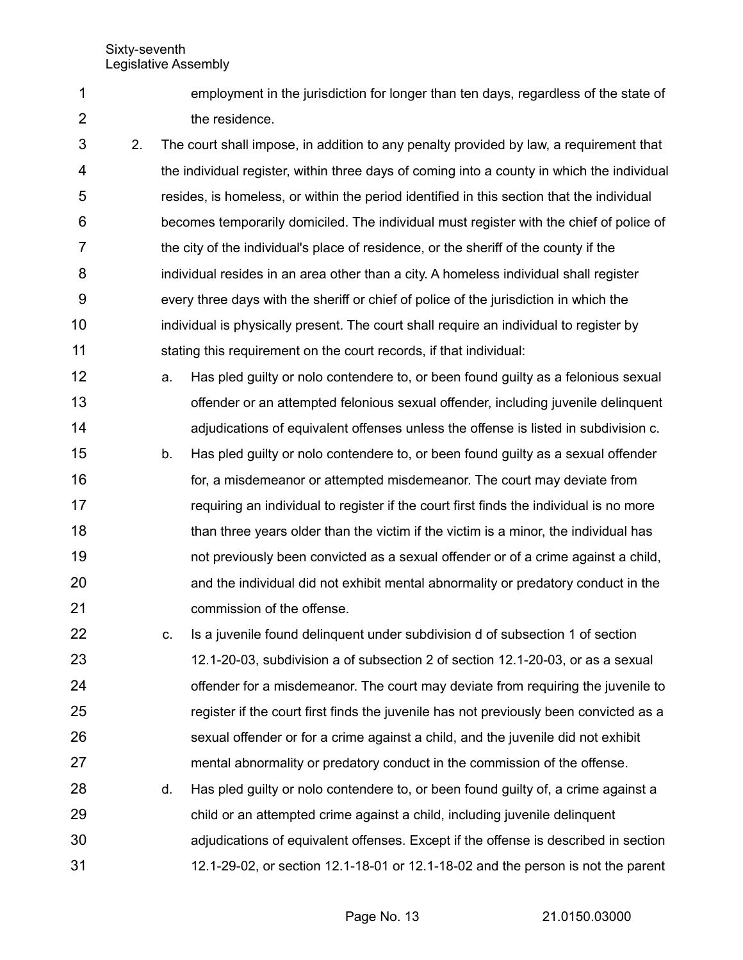1 2 employment in the jurisdiction for longer than ten days, regardless of the state of the residence.

2. The court shall impose, in addition to any penalty provided by law, a requirement that the individual register, within three days of coming into a county in which the individual resides, is homeless, or within the period identified in this section that the individual becomes temporarily domiciled. The individual must register with the chief of police of the city of the individual's place of residence, or the sheriff of the county if the individual resides in an area other than a city. A homeless individual shall register every three days with the sheriff or chief of police of the jurisdiction in which the individual is physically present. The court shall require an individual to register by stating this requirement on the court records, if that individual: 3 4 5 6 7 8 9 10 11

- a. Has pled guilty or nolo contendere to, or been found guilty as a felonious sexual offender or an attempted felonious sexual offender, including juvenile delinquent adjudications of equivalent offenses unless the offense is listed in subdivision c. 12 13 14
- b. Has pled guilty or nolo contendere to, or been found guilty as a sexual offender for, a misdemeanor or attempted misdemeanor. The court may deviate from requiring an individual to register if the court first finds the individual is no more than three years older than the victim if the victim is a minor, the individual has not previously been convicted as a sexual offender or of a crime against a child, and the individual did not exhibit mental abnormality or predatory conduct in the commission of the offense. 15 16 17 18 19 20 21
- c. Is a juvenile found delinquent under subdivision d of subsection 1 of section 12.1-20-03, subdivision a of subsection 2 of section 12.1-20-03, or as a sexual offender for a misdemeanor. The court may deviate from requiring the juvenile to register if the court first finds the juvenile has not previously been convicted as a sexual offender or for a crime against a child, and the juvenile did not exhibit mental abnormality or predatory conduct in the commission of the offense. 22 23 24 25 26 27
- d. Has pled guilty or nolo contendere to, or been found guilty of, a crime against a child or an attempted crime against a child, including juvenile delinquent adjudications of equivalent offenses. Except if the offense is described in section 12.1-29-02, or section 12.1-18-01 or 12.1-18-02 and the person is not the parent 28 29 30 31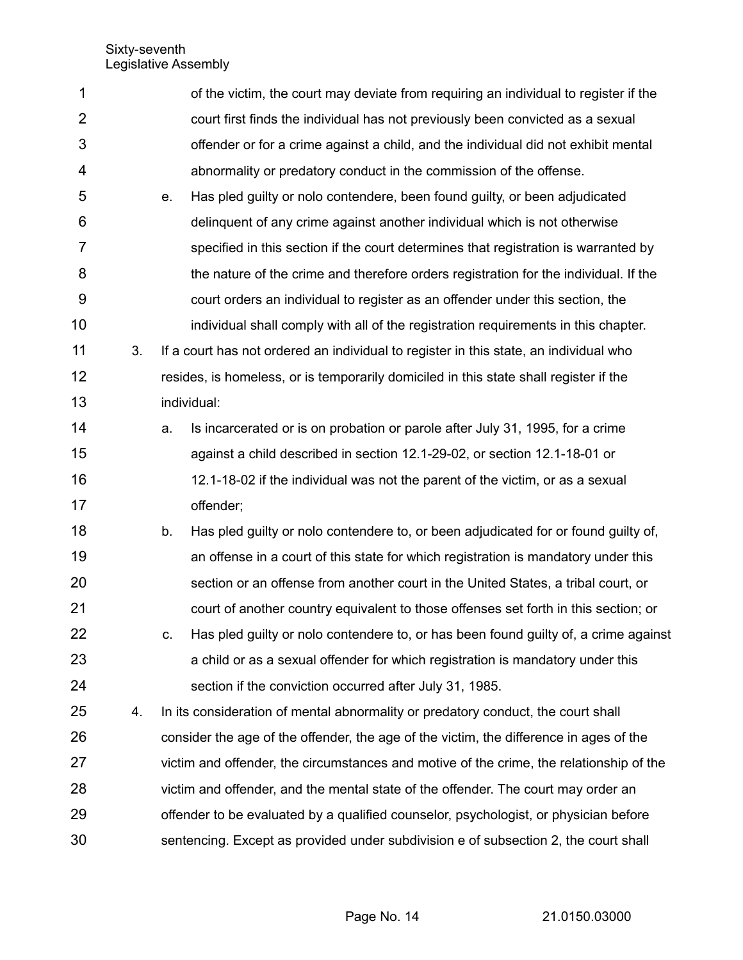| 1  |    |    | of the victim, the court may deviate from requiring an individual to register if the    |
|----|----|----|-----------------------------------------------------------------------------------------|
| 2  |    |    | court first finds the individual has not previously been convicted as a sexual          |
| 3  |    |    | offender or for a crime against a child, and the individual did not exhibit mental      |
| 4  |    |    | abnormality or predatory conduct in the commission of the offense.                      |
| 5  |    | е. | Has pled guilty or nolo contendere, been found guilty, or been adjudicated              |
| 6  |    |    | delinquent of any crime against another individual which is not otherwise               |
| 7  |    |    | specified in this section if the court determines that registration is warranted by     |
| 8  |    |    | the nature of the crime and therefore orders registration for the individual. If the    |
| 9  |    |    | court orders an individual to register as an offender under this section, the           |
| 10 |    |    | individual shall comply with all of the registration requirements in this chapter.      |
| 11 | 3. |    | If a court has not ordered an individual to register in this state, an individual who   |
| 12 |    |    | resides, is homeless, or is temporarily domiciled in this state shall register if the   |
| 13 |    |    | individual:                                                                             |
| 14 |    | a. | Is incarcerated or is on probation or parole after July 31, 1995, for a crime           |
| 15 |    |    | against a child described in section 12.1-29-02, or section 12.1-18-01 or               |
| 16 |    |    | 12.1-18-02 if the individual was not the parent of the victim, or as a sexual           |
| 17 |    |    | offender;                                                                               |
| 18 |    | b. | Has pled guilty or nolo contendere to, or been adjudicated for or found guilty of,      |
| 19 |    |    | an offense in a court of this state for which registration is mandatory under this      |
| 20 |    |    | section or an offense from another court in the United States, a tribal court, or       |
| 21 |    |    | court of another country equivalent to those offenses set forth in this section; or     |
| 22 |    | C. | Has pled guilty or nolo contendere to, or has been found guilty of, a crime against     |
| 23 |    |    | a child or as a sexual offender for which registration is mandatory under this          |
| 24 |    |    | section if the conviction occurred after July 31, 1985.                                 |
| 25 | 4. |    | In its consideration of mental abnormality or predatory conduct, the court shall        |
| 26 |    |    | consider the age of the offender, the age of the victim, the difference in ages of the  |
| 27 |    |    | victim and offender, the circumstances and motive of the crime, the relationship of the |
| 28 |    |    | victim and offender, and the mental state of the offender. The court may order an       |
| 29 |    |    | offender to be evaluated by a qualified counselor, psychologist, or physician before    |
| 30 |    |    | sentencing. Except as provided under subdivision e of subsection 2, the court shall     |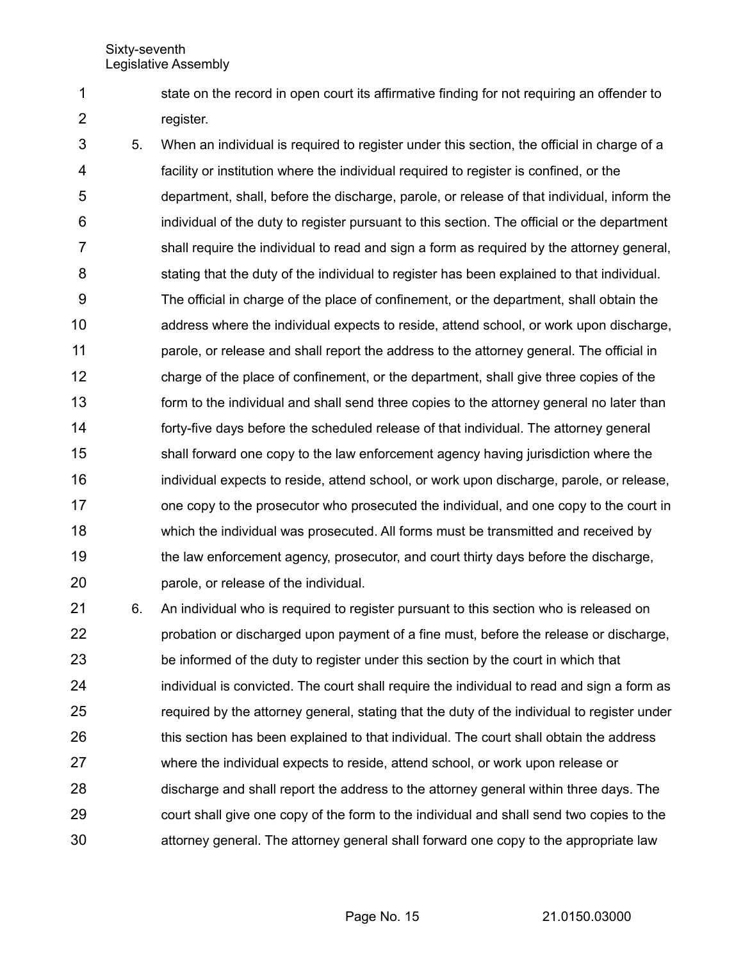1 2 state on the record in open court its affirmative finding for not requiring an offender to register.

5. When an individual is required to register under this section, the official in charge of a facility or institution where the individual required to register is confined, or the department, shall, before the discharge, parole, or release of that individual, inform the individual of the duty to register pursuant to this section. The official or the department shall require the individual to read and sign a form as required by the attorney general, stating that the duty of the individual to register has been explained to that individual. The official in charge of the place of confinement, or the department, shall obtain the address where the individual expects to reside, attend school, or work upon discharge, parole, or release and shall report the address to the attorney general. The official in charge of the place of confinement, or the department, shall give three copies of the form to the individual and shall send three copies to the attorney general no later than forty-five days before the scheduled release of that individual. The attorney general shall forward one copy to the law enforcement agency having jurisdiction where the individual expects to reside, attend school, or work upon discharge, parole, or release, one copy to the prosecutor who prosecuted the individual, and one copy to the court in which the individual was prosecuted. All forms must be transmitted and received by the law enforcement agency, prosecutor, and court thirty days before the discharge, parole, or release of the individual. 3 4 5 6 7 8 9 10 11 12 13 14 15 16 17 18 19 20

6. An individual who is required to register pursuant to this section who is released on probation or discharged upon payment of a fine must, before the release or discharge, be informed of the duty to register under this section by the court in which that individual is convicted. The court shall require the individual to read and sign a form as required by the attorney general, stating that the duty of the individual to register under this section has been explained to that individual. The court shall obtain the address where the individual expects to reside, attend school, or work upon release or discharge and shall report the address to the attorney general within three days. The court shall give one copy of the form to the individual and shall send two copies to the attorney general. The attorney general shall forward one copy to the appropriate law 21 22 23 24 25 26 27 28 29 30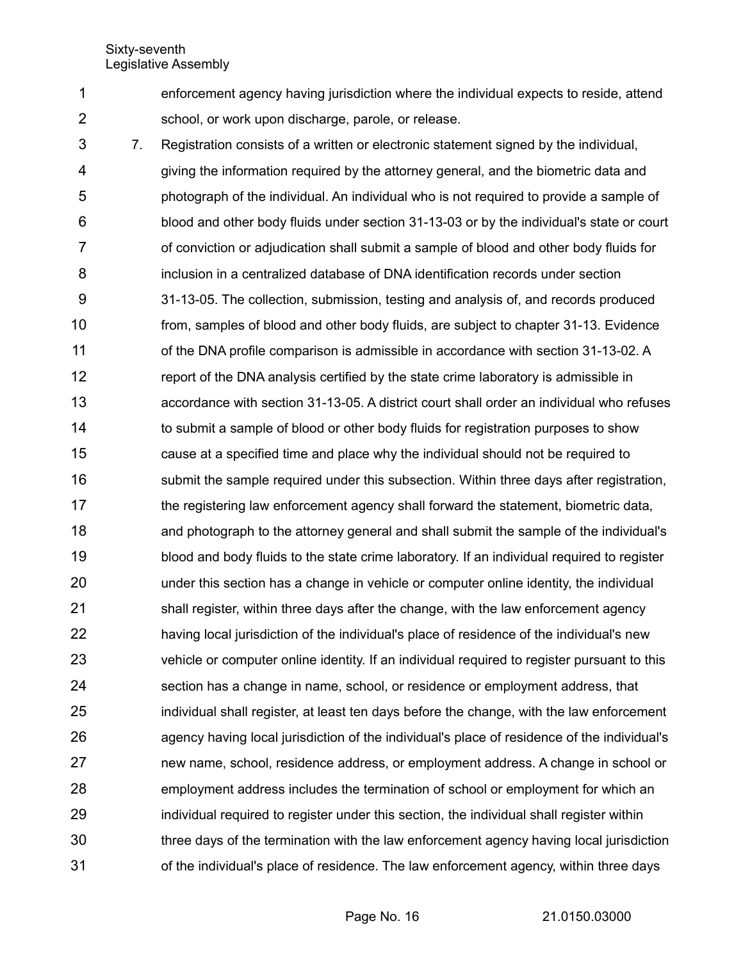1 2 enforcement agency having jurisdiction where the individual expects to reside, attend school, or work upon discharge, parole, or release.

7. Registration consists of a written or electronic statement signed by the individual, giving the information required by the attorney general, and the biometric data and photograph of the individual. An individual who is not required to provide a sample of blood and other body fluids under section 31-13-03 or by the individual's state or court of conviction or adjudication shall submit a sample of blood and other body fluids for inclusion in a centralized database of DNA identification records under section 31-13-05. The collection, submission, testing and analysis of, and records produced from, samples of blood and other body fluids, are subject to chapter 31-13. Evidence of the DNA profile comparison is admissible in accordance with section 31-13-02. A report of the DNA analysis certified by the state crime laboratory is admissible in accordance with section 31-13-05. A district court shall order an individual who refuses to submit a sample of blood or other body fluids for registration purposes to show cause at a specified time and place why the individual should not be required to submit the sample required under this subsection. Within three days after registration, the registering law enforcement agency shall forward the statement, biometric data, and photograph to the attorney general and shall submit the sample of the individual's blood and body fluids to the state crime laboratory. If an individual required to register under this section has a change in vehicle or computer online identity, the individual shall register, within three days after the change, with the law enforcement agency having local jurisdiction of the individual's place of residence of the individual's new vehicle or computer online identity. If an individual required to register pursuant to this section has a change in name, school, or residence or employment address, that individual shall register, at least ten days before the change, with the law enforcement agency having local jurisdiction of the individual's place of residence of the individual's new name, school, residence address, or employment address. A change in school or employment address includes the termination of school or employment for which an individual required to register under this section, the individual shall register within three days of the termination with the law enforcement agency having local jurisdiction of the individual's place of residence. The law enforcement agency, within three days 3 4 5 6 7 8 9 10 11 12 13 14 15 16 17 18 19 20 21 22 23 24 25 26 27 28 29 30 31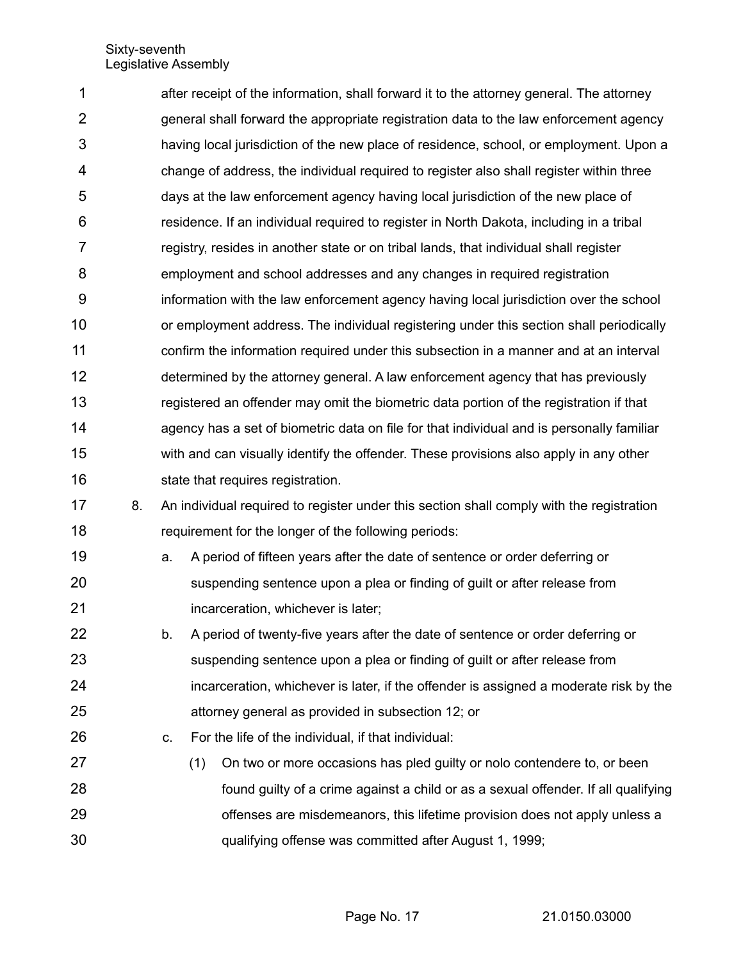after receipt of the information, shall forward it to the attorney general. The attorney general shall forward the appropriate registration data to the law enforcement agency having local jurisdiction of the new place of residence, school, or employment. Upon a change of address, the individual required to register also shall register within three days at the law enforcement agency having local jurisdiction of the new place of residence. If an individual required to register in North Dakota, including in a tribal registry, resides in another state or on tribal lands, that individual shall register employment and school addresses and any changes in required registration information with the law enforcement agency having local jurisdiction over the school or employment address. The individual registering under this section shall periodically confirm the information required under this subsection in a manner and at an interval determined by the attorney general. A law enforcement agency that has previously registered an offender may omit the biometric data portion of the registration if that agency has a set of biometric data on file for that individual and is personally familiar with and can visually identify the offender. These provisions also apply in any other state that requires registration. 1 2 3 4 5 6 7 8 9 10 11 12 13 14 15 16

- 8. An individual required to register under this section shall comply with the registration requirement for the longer of the following periods: 17 18
- a. A period of fifteen years after the date of sentence or order deferring or suspending sentence upon a plea or finding of guilt or after release from incarceration, whichever is later; 19 20 21
- b. A period of twenty-five years after the date of sentence or order deferring or suspending sentence upon a plea or finding of guilt or after release from incarceration, whichever is later, if the offender is assigned a moderate risk by the attorney general as provided in subsection 12; or 22 23 24 25
- c. For the life of the individual, if that individual: 26
- (1) On two or more occasions has pled guilty or nolo contendere to, or been found guilty of a crime against a child or as a sexual offender. If all qualifying offenses are misdemeanors, this lifetime provision does not apply unless a qualifying offense was committed after August 1, 1999; 27 28 29 30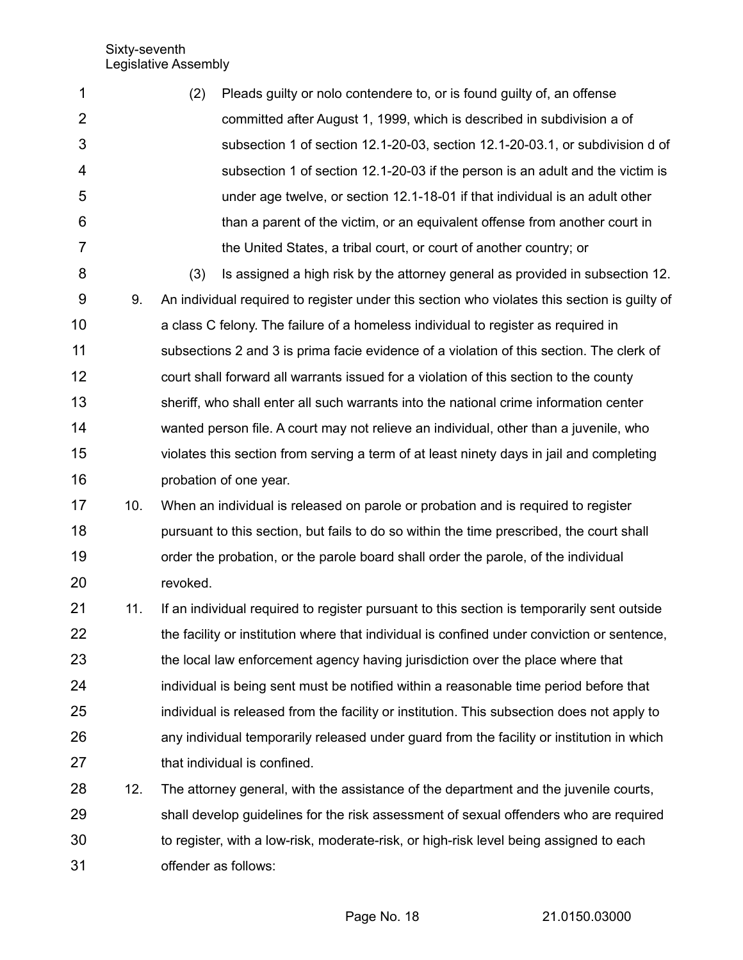| 1              |     | Pleads guilty or nolo contendere to, or is found guilty of, an offense<br>(2)                |
|----------------|-----|----------------------------------------------------------------------------------------------|
| $\overline{2}$ |     | committed after August 1, 1999, which is described in subdivision a of                       |
| 3              |     | subsection 1 of section 12.1-20-03, section 12.1-20-03.1, or subdivision d of                |
| 4              |     | subsection 1 of section 12.1-20-03 if the person is an adult and the victim is               |
| 5              |     | under age twelve, or section 12.1-18-01 if that individual is an adult other                 |
| 6              |     | than a parent of the victim, or an equivalent offense from another court in                  |
| 7              |     | the United States, a tribal court, or court of another country; or                           |
| 8              |     | Is assigned a high risk by the attorney general as provided in subsection 12.<br>(3)         |
| 9              | 9.  | An individual required to register under this section who violates this section is guilty of |
| 10             |     | a class C felony. The failure of a homeless individual to register as required in            |
| 11             |     | subsections 2 and 3 is prima facie evidence of a violation of this section. The clerk of     |
| 12             |     | court shall forward all warrants issued for a violation of this section to the county        |
| 13             |     | sheriff, who shall enter all such warrants into the national crime information center        |
| 14             |     | wanted person file. A court may not relieve an individual, other than a juvenile, who        |
| 15             |     | violates this section from serving a term of at least ninety days in jail and completing     |
| 16             |     | probation of one year.                                                                       |
| 17             | 10. | When an individual is released on parole or probation and is required to register            |
| 18             |     | pursuant to this section, but fails to do so within the time prescribed, the court shall     |
| 19             |     | order the probation, or the parole board shall order the parole, of the individual           |
| 20             |     | revoked.                                                                                     |
| 21             | 11. | If an individual required to register pursuant to this section is temporarily sent outside   |
| 22             |     | the facility or institution where that individual is confined under conviction or sentence,  |
| 23             |     | the local law enforcement agency having jurisdiction over the place where that               |
| 24             |     | individual is being sent must be notified within a reasonable time period before that        |
| 25             |     | individual is released from the facility or institution. This subsection does not apply to   |
| 26             |     | any individual temporarily released under guard from the facility or institution in which    |
| 27             |     | that individual is confined.                                                                 |

12. The attorney general, with the assistance of the department and the juvenile courts, shall develop guidelines for the risk assessment of sexual offenders who are required to register, with a low-risk, moderate-risk, or high-risk level being assigned to each offender as follows: 28 29 30 31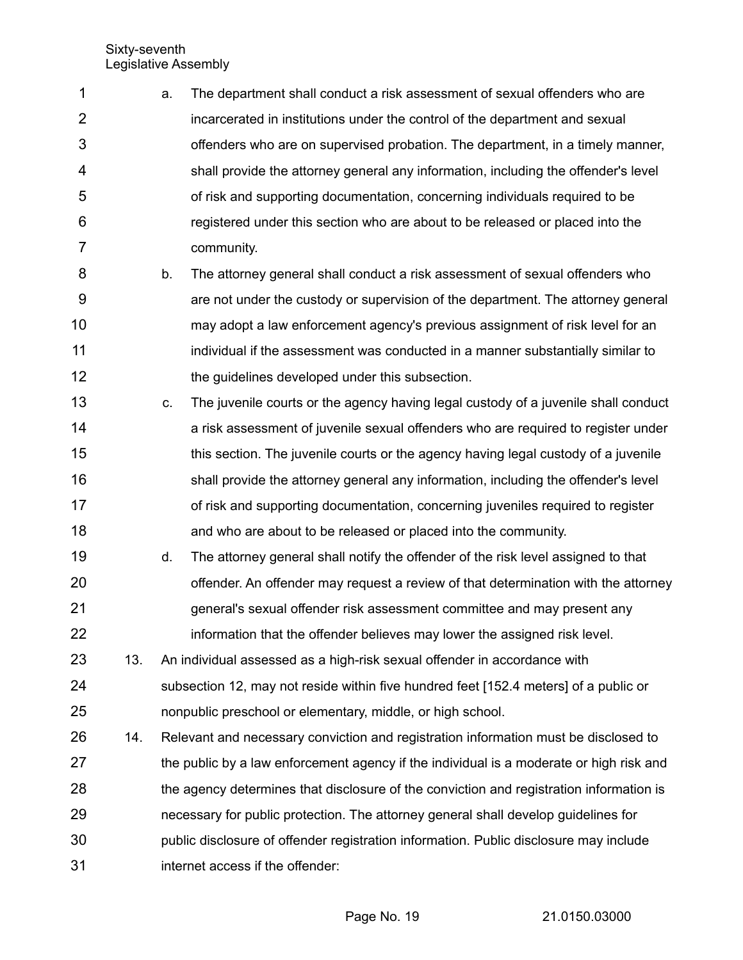- a. The department shall conduct a risk assessment of sexual offenders who are incarcerated in institutions under the control of the department and sexual offenders who are on supervised probation. The department, in a timely manner, shall provide the attorney general any information, including the offender's level of risk and supporting documentation, concerning individuals required to be registered under this section who are about to be released or placed into the community. 1 2 3 4 5 6 7
- b. The attorney general shall conduct a risk assessment of sexual offenders who are not under the custody or supervision of the department. The attorney general may adopt a law enforcement agency's previous assignment of risk level for an individual if the assessment was conducted in a manner substantially similar to the guidelines developed under this subsection. 8 9 10 11 12
- c. The juvenile courts or the agency having legal custody of a juvenile shall conduct a risk assessment of juvenile sexual offenders who are required to register under this section. The juvenile courts or the agency having legal custody of a juvenile shall provide the attorney general any information, including the offender's level of risk and supporting documentation, concerning juveniles required to register and who are about to be released or placed into the community. 13 14 15 16 17 18
- d. The attorney general shall notify the offender of the risk level assigned to that offender. An offender may request a review of that determination with the attorney general's sexual offender risk assessment committee and may present any information that the offender believes may lower the assigned risk level. 19 20 21 22
- 13. An individual assessed as a high-risk sexual offender in accordance with subsection 12, may not reside within five hundred feet [152.4 meters] of a public or nonpublic preschool or elementary, middle, or high school. 23 24 25
- 14. Relevant and necessary conviction and registration information must be disclosed to the public by a law enforcement agency if the individual is a moderate or high risk and the agency determines that disclosure of the conviction and registration information is necessary for public protection. The attorney general shall develop guidelines for public disclosure of offender registration information. Public disclosure may include internet access if the offender: 26 27 28 29 30 31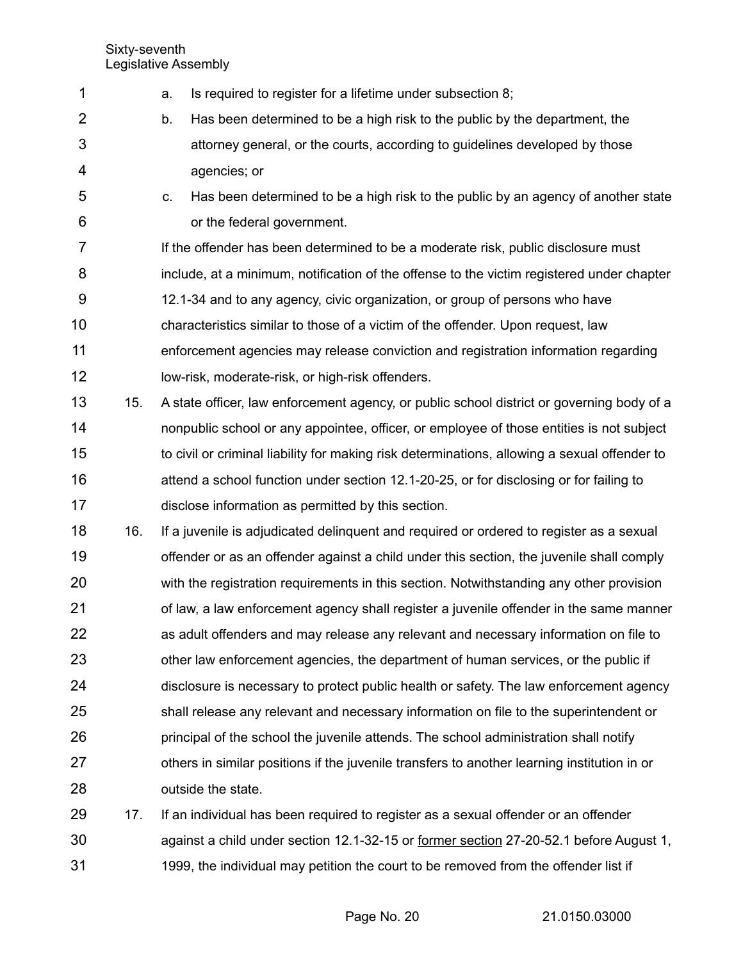| $\mathbf 1$    |     | Is required to register for a lifetime under subsection 8;<br>a.                             |
|----------------|-----|----------------------------------------------------------------------------------------------|
| $\overline{2}$ |     | Has been determined to be a high risk to the public by the department, the<br>b.             |
| $\mathfrak{S}$ |     | attorney general, or the courts, according to guidelines developed by those                  |
| 4              |     | agencies; or                                                                                 |
| 5              |     | Has been determined to be a high risk to the public by an agency of another state<br>C.      |
| 6              |     | or the federal government.                                                                   |
| 7              |     | If the offender has been determined to be a moderate risk, public disclosure must            |
| 8              |     | include, at a minimum, notification of the offense to the victim registered under chapter    |
| 9              |     | 12.1-34 and to any agency, civic organization, or group of persons who have                  |
| 10             |     | characteristics similar to those of a victim of the offender. Upon request, law              |
| 11             |     | enforcement agencies may release conviction and registration information regarding           |
| 12             |     | low-risk, moderate-risk, or high-risk offenders.                                             |
| 13             | 15. | A state officer, law enforcement agency, or public school district or governing body of a    |
| 14             |     | nonpublic school or any appointee, officer, or employee of those entities is not subject     |
| 15             |     | to civil or criminal liability for making risk determinations, allowing a sexual offender to |
| 16             |     | attend a school function under section 12.1-20-25, or for disclosing or for failing to       |
| 17             |     | disclose information as permitted by this section.                                           |
| 18             | 16. | If a juvenile is adjudicated delinquent and required or ordered to register as a sexual      |
| 19             |     | offender or as an offender against a child under this section, the juvenile shall comply     |
| 20             |     | with the registration requirements in this section. Notwithstanding any other provision      |
| 21             |     | of law, a law enforcement agency shall register a juvenile offender in the same manner       |
| 22             |     | as adult offenders and may release any relevant and necessary information on file to         |
| 23             |     | other law enforcement agencies, the department of human services, or the public if           |
| 24             |     | disclosure is necessary to protect public health or safety. The law enforcement agency       |
| 25             |     | shall release any relevant and necessary information on file to the superintendent or        |
| 26             |     | principal of the school the juvenile attends. The school administration shall notify         |
| 27             |     | others in similar positions if the juvenile transfers to another learning institution in or  |
| 28             |     | outside the state.                                                                           |
| 29             | 17. | If an individual has been required to register as a sexual offender or an offender           |
| 30             |     | against a child under section 12.1-32-15 or former section 27-20-52.1 before August 1,       |
| 31             |     | 1999, the individual may petition the court to be removed from the offender list if          |

Page No. 20 21.0150.03000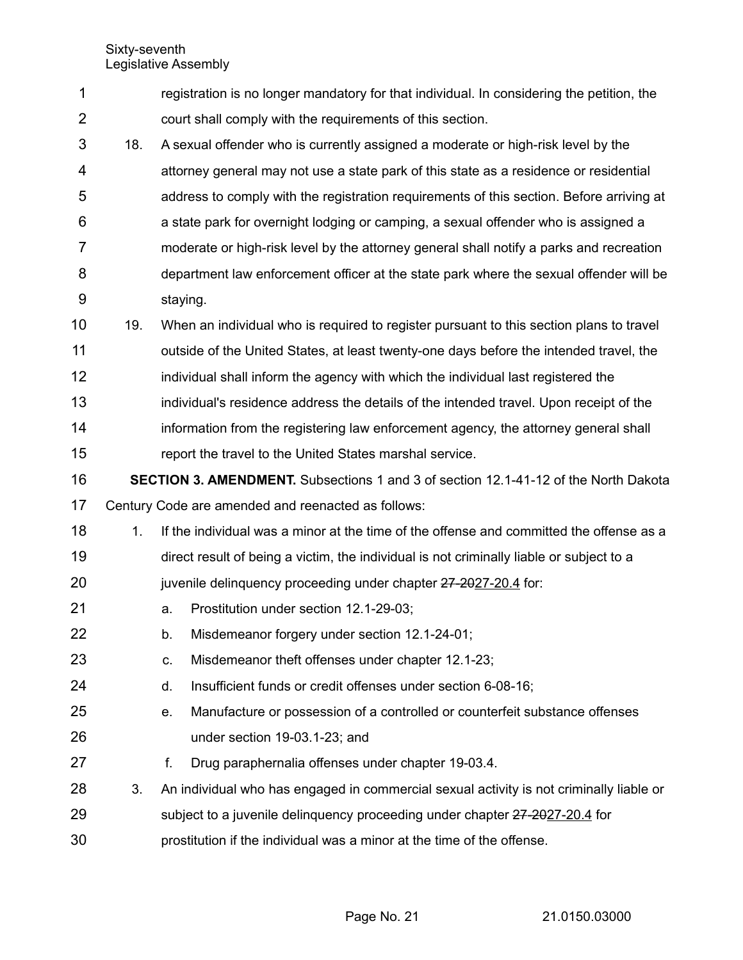| 1              |     |          | registration is no longer mandatory for that individual. In considering the petition, the  |
|----------------|-----|----------|--------------------------------------------------------------------------------------------|
| $\overline{2}$ |     |          | court shall comply with the requirements of this section.                                  |
| 3              | 18. |          | A sexual offender who is currently assigned a moderate or high-risk level by the           |
| 4              |     |          | attorney general may not use a state park of this state as a residence or residential      |
| 5              |     |          | address to comply with the registration requirements of this section. Before arriving at   |
| 6              |     |          | a state park for overnight lodging or camping, a sexual offender who is assigned a         |
| 7              |     |          | moderate or high-risk level by the attorney general shall notify a parks and recreation    |
| 8              |     |          | department law enforcement officer at the state park where the sexual offender will be     |
| 9              |     | staying. |                                                                                            |
| 10             | 19. |          | When an individual who is required to register pursuant to this section plans to travel    |
| 11             |     |          | outside of the United States, at least twenty-one days before the intended travel, the     |
| 12             |     |          | individual shall inform the agency with which the individual last registered the           |
| 13             |     |          | individual's residence address the details of the intended travel. Upon receipt of the     |
| 14             |     |          | information from the registering law enforcement agency, the attorney general shall        |
| 15             |     |          | report the travel to the United States marshal service.                                    |
|                |     |          |                                                                                            |
| 16             |     |          | <b>SECTION 3. AMENDMENT.</b> Subsections 1 and 3 of section 12.1-41-12 of the North Dakota |
| 17             |     |          | Century Code are amended and reenacted as follows:                                         |
| 18             | 1.  |          | If the individual was a minor at the time of the offense and committed the offense as a    |
| 19             |     |          | direct result of being a victim, the individual is not criminally liable or subject to a   |
| 20             |     |          | juvenile delinquency proceeding under chapter 27-2027-20.4 for:                            |
| 21             |     | a.       | Prostitution under section 12.1-29-03;                                                     |
| 22             |     | b.       | Misdemeanor forgery under section 12.1-24-01;                                              |
| 23             |     | C.       | Misdemeanor theft offenses under chapter 12.1-23;                                          |
| 24             |     | d.       | Insufficient funds or credit offenses under section 6-08-16;                               |
| 25             |     | e.       | Manufacture or possession of a controlled or counterfeit substance offenses                |
| 26             |     |          | under section 19-03.1-23; and                                                              |
| 27             |     | f.       | Drug paraphernalia offenses under chapter 19-03.4.                                         |
| 28             | 3.  |          | An individual who has engaged in commercial sexual activity is not criminally liable or    |
| 29             |     |          | subject to a juvenile delinquency proceeding under chapter 27-2027-20.4 for                |

Page No. 21 21.0150.03000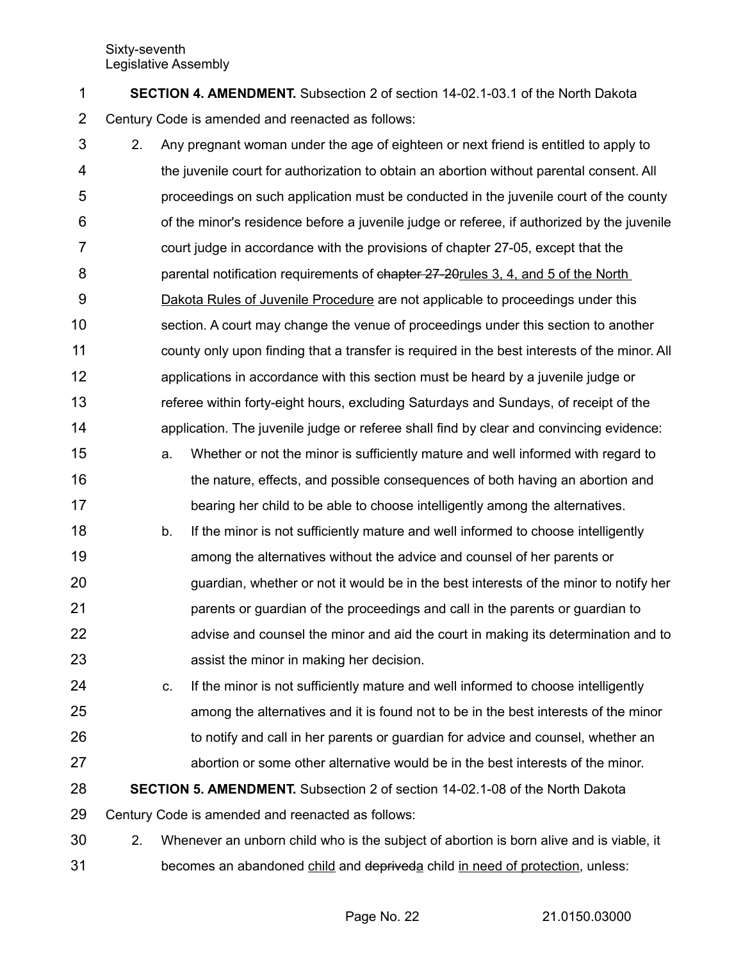**SECTION 4. AMENDMENT.** Subsection 2 of section 14-02.1-03.1 of the North Dakota Century Code is amended and reenacted as follows: 1 2

2. Any pregnant woman under the age of eighteen or next friend is entitled to apply to the juvenile court for authorization to obtain an abortion without parental consent. All proceedings on such application must be conducted in the juvenile court of the county of the minor's residence before a juvenile judge or referee, if authorized by the juvenile court judge in accordance with the provisions of chapter 27-05, except that the parental notification requirements of chapter 27-20rules 3, 4, and 5 of the North Dakota Rules of Juvenile Procedure are not applicable to proceedings under this section. A court may change the venue of proceedings under this section to another county only upon finding that a transfer is required in the best interests of the minor. All applications in accordance with this section must be heard by a juvenile judge or referee within forty-eight hours, excluding Saturdays and Sundays, of receipt of the application. The juvenile judge or referee shall find by clear and convincing evidence: 3 4 5 6 7 8 9 10 11 12 13 14

- a. Whether or not the minor is sufficiently mature and well informed with regard to the nature, effects, and possible consequences of both having an abortion and bearing her child to be able to choose intelligently among the alternatives. 15 16 17
- b. If the minor is not sufficiently mature and well informed to choose intelligently among the alternatives without the advice and counsel of her parents or guardian, whether or not it would be in the best interests of the minor to notify her parents or guardian of the proceedings and call in the parents or guardian to advise and counsel the minor and aid the court in making its determination and to assist the minor in making her decision. 18 19 20 21 22 23
- c. If the minor is not sufficiently mature and well informed to choose intelligently among the alternatives and it is found not to be in the best interests of the minor to notify and call in her parents or guardian for advice and counsel, whether an abortion or some other alternative would be in the best interests of the minor. 24 25 26 27

**SECTION 5. AMENDMENT.** Subsection 2 of section 14-02.1-08 of the North Dakota 28

Century Code is amended and reenacted as follows: 29

2. Whenever an unborn child who is the subject of abortion is born alive and is viable, it becomes an abandoned child and depriveda child in need of protection, unless: 30 31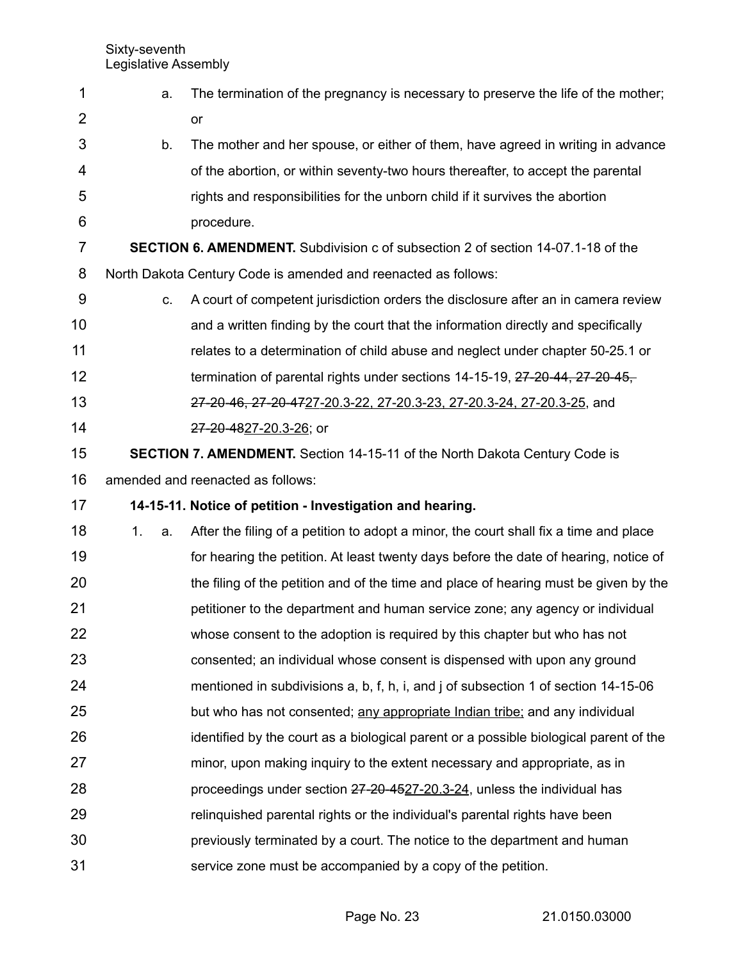| 1              | a.       | The termination of the pregnancy is necessary to preserve the life of the mother;       |
|----------------|----------|-----------------------------------------------------------------------------------------|
| $\overline{2}$ |          | or                                                                                      |
| 3              | b.       | The mother and her spouse, or either of them, have agreed in writing in advance         |
| 4              |          | of the abortion, or within seventy-two hours thereafter, to accept the parental         |
| 5              |          | rights and responsibilities for the unborn child if it survives the abortion            |
| 6              |          | procedure.                                                                              |
| 7              |          | <b>SECTION 6. AMENDMENT.</b> Subdivision c of subsection 2 of section 14-07.1-18 of the |
| 8              |          | North Dakota Century Code is amended and reenacted as follows:                          |
| 9              | C.       | A court of competent jurisdiction orders the disclosure after an in camera review       |
| 10             |          | and a written finding by the court that the information directly and specifically       |
| 11             |          | relates to a determination of child abuse and neglect under chapter 50-25.1 or          |
| 12             |          | termination of parental rights under sections 14-15-19, 27-20-44, 27-20-45,             |
| 13             |          | 27-20-46, 27-20-4727-20.3-22, 27-20.3-23, 27-20.3-24, 27-20.3-25, and                   |
| 14             |          | 27-20-4827-20.3-26; or                                                                  |
| 15             |          | <b>SECTION 7. AMENDMENT.</b> Section 14-15-11 of the North Dakota Century Code is       |
| 16             |          | amended and reenacted as follows:                                                       |
| 17             |          | 14-15-11. Notice of petition - Investigation and hearing.                               |
| 18             | 1.<br>a. | After the filing of a petition to adopt a minor, the court shall fix a time and place   |
| 19             |          | for hearing the petition. At least twenty days before the date of hearing, notice of    |
| 20             |          | the filing of the petition and of the time and place of hearing must be given by the    |
| 21             |          | petitioner to the department and human service zone; any agency or individual           |
| 22             |          | whose consent to the adoption is required by this chapter but who has not               |
| 23             |          | consented; an individual whose consent is dispensed with upon any ground                |
| 24             |          | mentioned in subdivisions a, b, f, h, i, and j of subsection 1 of section 14-15-06      |
| 25             |          | but who has not consented; any appropriate Indian tribe; and any individual             |
| 26             |          | identified by the court as a biological parent or a possible biological parent of the   |
| 27             |          | minor, upon making inquiry to the extent necessary and appropriate, as in               |
| 28             |          | proceedings under section 27-20-4527-20.3-24, unless the individual has                 |
| 29             |          | relinguished parental rights or the individual's parental rights have been              |
|                |          |                                                                                         |
| 30             |          | previously terminated by a court. The notice to the department and human                |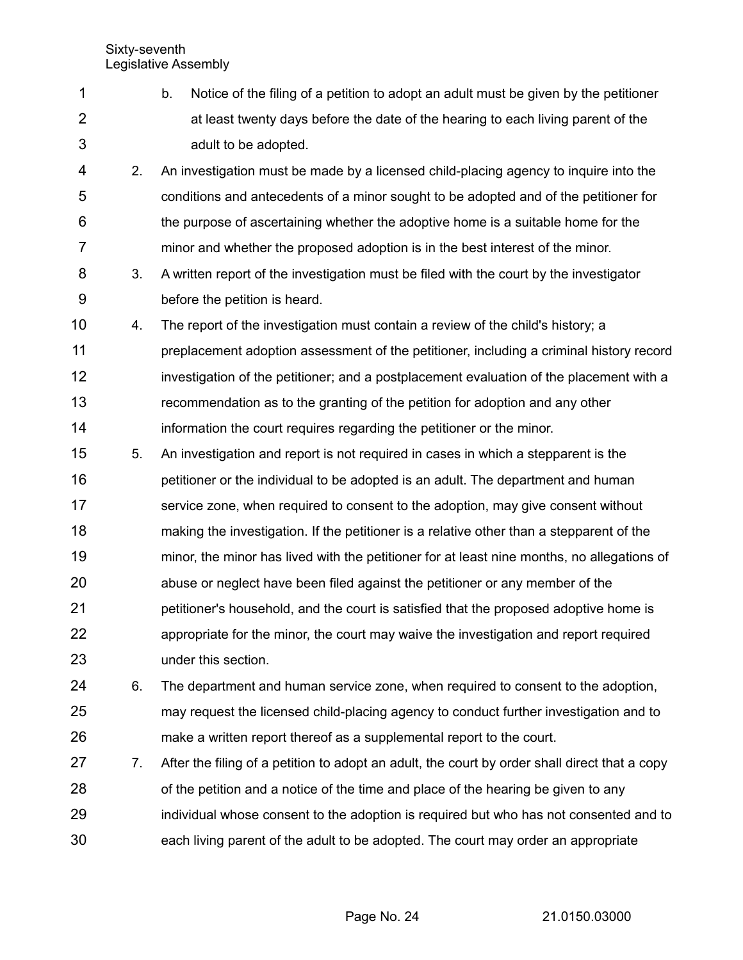|   | b. | Notice of the filing of a petition to adopt an adult must be given by the petitioner |
|---|----|--------------------------------------------------------------------------------------|
|   |    | at least twenty days before the date of the hearing to each living parent of the     |
| 3 |    | adult to be adopted.                                                                 |

2. An investigation must be made by a licensed child-placing agency to inquire into the conditions and antecedents of a minor sought to be adopted and of the petitioner for the purpose of ascertaining whether the adoptive home is a suitable home for the minor and whether the proposed adoption is in the best interest of the minor. 4 5 6 7

- 8 9
- 3. A written report of the investigation must be filed with the court by the investigator before the petition is heard.
- 4. The report of the investigation must contain a review of the child's history; a preplacement adoption assessment of the petitioner, including a criminal history record investigation of the petitioner; and a postplacement evaluation of the placement with a recommendation as to the granting of the petition for adoption and any other information the court requires regarding the petitioner or the minor. 10 11 12 13 14
- 5. An investigation and report is not required in cases in which a stepparent is the petitioner or the individual to be adopted is an adult. The department and human service zone, when required to consent to the adoption, may give consent without making the investigation. If the petitioner is a relative other than a stepparent of the minor, the minor has lived with the petitioner for at least nine months, no allegations of abuse or neglect have been filed against the petitioner or any member of the petitioner's household, and the court is satisfied that the proposed adoptive home is appropriate for the minor, the court may waive the investigation and report required under this section. 15 16 17 18 19 20 21 22 23
- 6. The department and human service zone, when required to consent to the adoption, may request the licensed child-placing agency to conduct further investigation and to make a written report thereof as a supplemental report to the court. 24 25 26
- 7. After the filing of a petition to adopt an adult, the court by order shall direct that a copy of the petition and a notice of the time and place of the hearing be given to any individual whose consent to the adoption is required but who has not consented and to each living parent of the adult to be adopted. The court may order an appropriate 27 28 29 30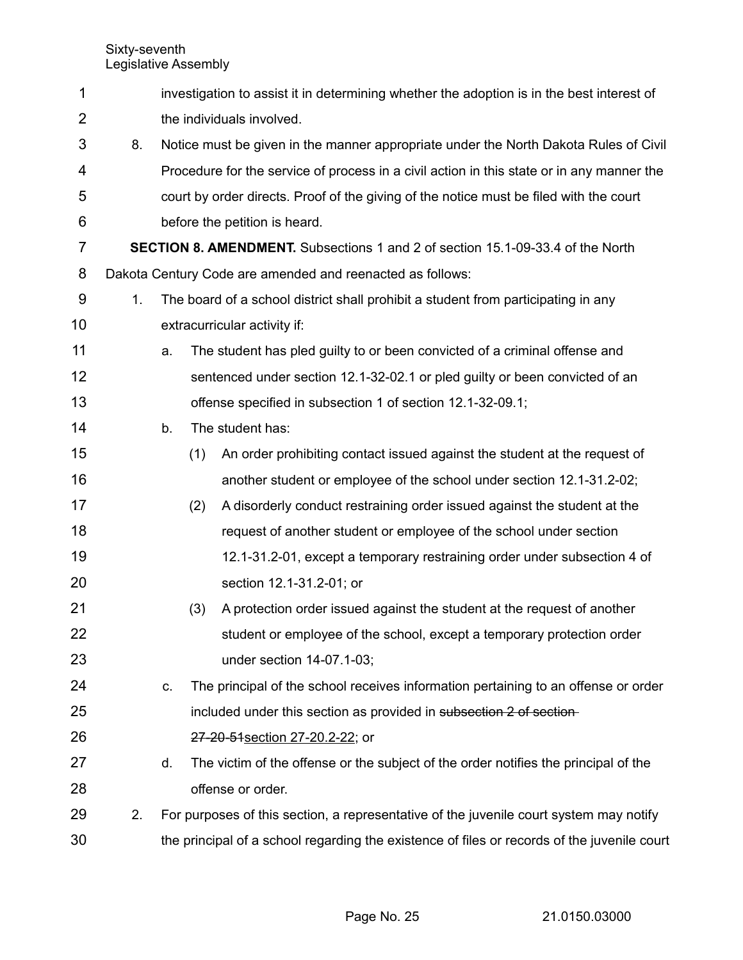| 1              |    |    |     | investigation to assist it in determining whether the adoption is in the best interest of   |
|----------------|----|----|-----|---------------------------------------------------------------------------------------------|
| $\overline{2}$ |    |    |     | the individuals involved.                                                                   |
| 3              | 8. |    |     | Notice must be given in the manner appropriate under the North Dakota Rules of Civil        |
| 4              |    |    |     | Procedure for the service of process in a civil action in this state or in any manner the   |
| 5              |    |    |     | court by order directs. Proof of the giving of the notice must be filed with the court      |
| 6              |    |    |     | before the petition is heard.                                                               |
| 7              |    |    |     | <b>SECTION 8. AMENDMENT.</b> Subsections 1 and 2 of section 15.1-09-33.4 of the North       |
| 8              |    |    |     | Dakota Century Code are amended and reenacted as follows:                                   |
| 9              | 1. |    |     | The board of a school district shall prohibit a student from participating in any           |
| 10             |    |    |     | extracurricular activity if:                                                                |
| 11             |    | a. |     | The student has pled guilty to or been convicted of a criminal offense and                  |
| 12             |    |    |     | sentenced under section 12.1-32-02.1 or pled guilty or been convicted of an                 |
| 13             |    |    |     | offense specified in subsection 1 of section 12.1-32-09.1;                                  |
| 14             |    | b. |     | The student has:                                                                            |
| 15             |    |    | (1) | An order prohibiting contact issued against the student at the request of                   |
| 16             |    |    |     | another student or employee of the school under section 12.1-31.2-02;                       |
| 17             |    |    | (2) | A disorderly conduct restraining order issued against the student at the                    |
| 18             |    |    |     | request of another student or employee of the school under section                          |
| 19             |    |    |     | 12.1-31.2-01, except a temporary restraining order under subsection 4 of                    |
| 20             |    |    |     | section 12.1-31.2-01; or                                                                    |
| 21             |    |    | (3) | A protection order issued against the student at the request of another                     |
| 22             |    |    |     | student or employee of the school, except a temporary protection order                      |
| 23             |    |    |     | under section 14-07.1-03;                                                                   |
| 24             |    | C. |     | The principal of the school receives information pertaining to an offense or order          |
| 25             |    |    |     | included under this section as provided in subsection 2 of section-                         |
| 26             |    |    |     | 27-20-51 section 27-20.2-22; or                                                             |
| 27             |    | d. |     | The victim of the offense or the subject of the order notifies the principal of the         |
| 28             |    |    |     | offense or order.                                                                           |
| 29             | 2. |    |     | For purposes of this section, a representative of the juvenile court system may notify      |
| 30             |    |    |     | the principal of a school regarding the existence of files or records of the juvenile court |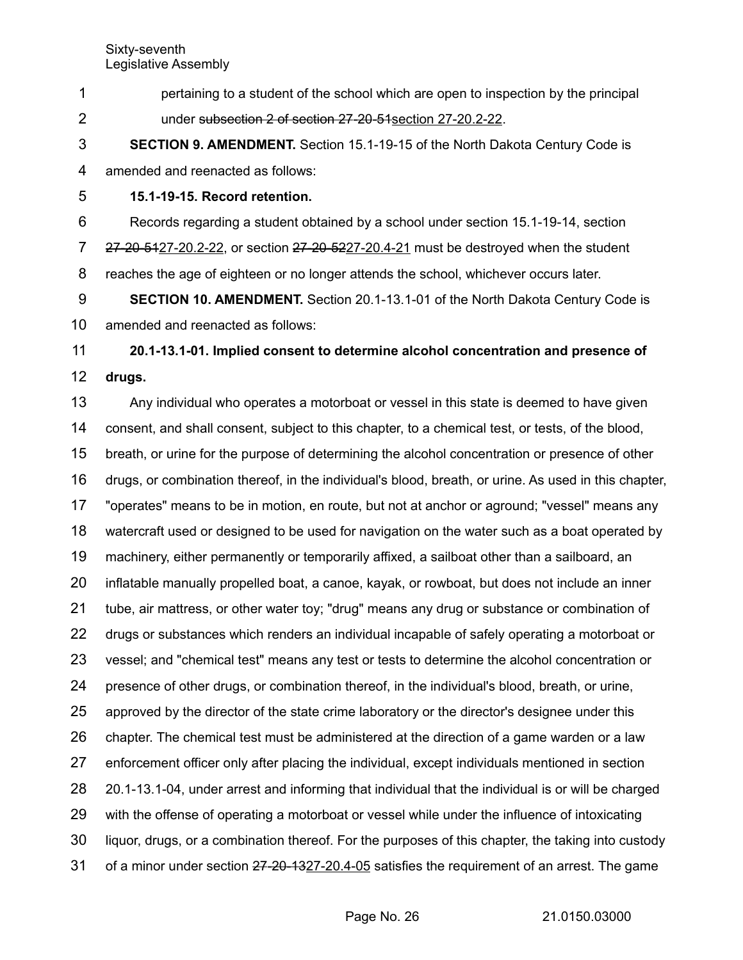pertaining to a student of the school which are open to inspection by the principal under subsection 2 of section 27-20-51 section 27-20.2-22. 1 2

**SECTION 9. AMENDMENT.** Section 15.1-19-15 of the North Dakota Century Code is amended and reenacted as follows: 3 4

**15.1-19-15. Record retention.** 5

Records regarding a student obtained by a school under section 15.1-19-14, section 6

27-20-5427-20.2-22, or section 27-20-5227-20.4-21 must be destroyed when the student 7

reaches the age of eighteen or no longer attends the school, whichever occurs later. 8

**SECTION 10. AMENDMENT.** Section 20.1-13.1-01 of the North Dakota Century Code is amended and reenacted as follows: 9 10

**20.1-13.1-01. Implied consent to determine alcohol concentration and presence of drugs.** 11 12

Any individual who operates a motorboat or vessel in this state is deemed to have given consent, and shall consent, subject to this chapter, to a chemical test, or tests, of the blood, breath, or urine for the purpose of determining the alcohol concentration or presence of other drugs, or combination thereof, in the individual's blood, breath, or urine. As used in this chapter, "operates" means to be in motion, en route, but not at anchor or aground; "vessel" means any watercraft used or designed to be used for navigation on the water such as a boat operated by machinery, either permanently or temporarily affixed, a sailboat other than a sailboard, an inflatable manually propelled boat, a canoe, kayak, or rowboat, but does not include an inner tube, air mattress, or other water toy; "drug" means any drug or substance or combination of drugs or substances which renders an individual incapable of safely operating a motorboat or vessel; and "chemical test" means any test or tests to determine the alcohol concentration or presence of other drugs, or combination thereof, in the individual's blood, breath, or urine, approved by the director of the state crime laboratory or the director's designee under this chapter. The chemical test must be administered at the direction of a game warden or a law enforcement officer only after placing the individual, except individuals mentioned in section 20.1-13.1-04, under arrest and informing that individual that the individual is or will be charged with the offense of operating a motorboat or vessel while under the influence of intoxicating liquor, drugs, or a combination thereof. For the purposes of this chapter, the taking into custody of a minor under section 27-20-1327-20.4-05 satisfies the requirement of an arrest. The game 13 14 15 16 17 18 19 20 21 22 23 24 25 26 27 28 29 30 31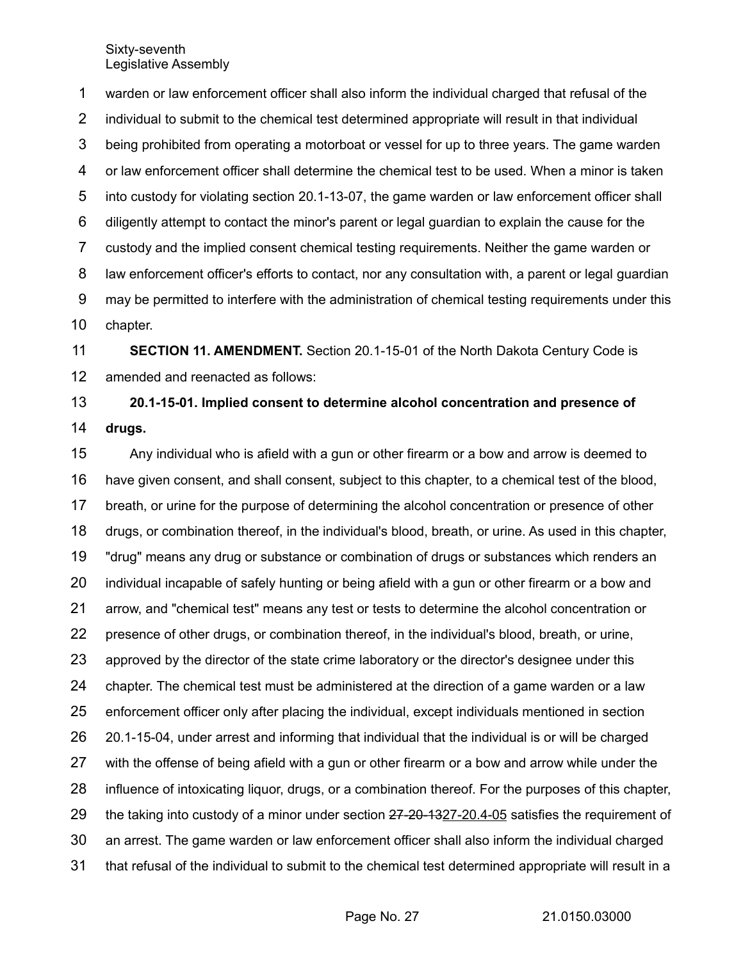warden or law enforcement officer shall also inform the individual charged that refusal of the individual to submit to the chemical test determined appropriate will result in that individual being prohibited from operating a motorboat or vessel for up to three years. The game warden or law enforcement officer shall determine the chemical test to be used. When a minor is taken into custody for violating section 20.1-13-07, the game warden or law enforcement officer shall diligently attempt to contact the minor's parent or legal guardian to explain the cause for the custody and the implied consent chemical testing requirements. Neither the game warden or law enforcement officer's efforts to contact, nor any consultation with, a parent or legal guardian may be permitted to interfere with the administration of chemical testing requirements under this chapter. **SECTION 11. AMENDMENT.** Section 20.1-15-01 of the North Dakota Century Code is 1 2 3 4 5 6 7 8 9 10 11

amended and reenacted as follows: 12

**20.1-15-01. Implied consent to determine alcohol concentration and presence of drugs.** 13 14

Any individual who is afield with a gun or other firearm or a bow and arrow is deemed to have given consent, and shall consent, subject to this chapter, to a chemical test of the blood, breath, or urine for the purpose of determining the alcohol concentration or presence of other drugs, or combination thereof, in the individual's blood, breath, or urine. As used in this chapter, "drug" means any drug or substance or combination of drugs or substances which renders an individual incapable of safely hunting or being afield with a gun or other firearm or a bow and arrow, and "chemical test" means any test or tests to determine the alcohol concentration or presence of other drugs, or combination thereof, in the individual's blood, breath, or urine, approved by the director of the state crime laboratory or the director's designee under this chapter. The chemical test must be administered at the direction of a game warden or a law enforcement officer only after placing the individual, except individuals mentioned in section 20.1-15-04, under arrest and informing that individual that the individual is or will be charged with the offense of being afield with a gun or other firearm or a bow and arrow while under the influence of intoxicating liquor, drugs, or a combination thereof. For the purposes of this chapter, the taking into custody of a minor under section  $27-20-1327-20.4-05$  satisfies the requirement of an arrest. The game warden or law enforcement officer shall also inform the individual charged that refusal of the individual to submit to the chemical test determined appropriate will result in a 15 16 17 18 19 20 21 22 23 24 25 26 27 28 29 30 31

Page No. 27 21.0150.03000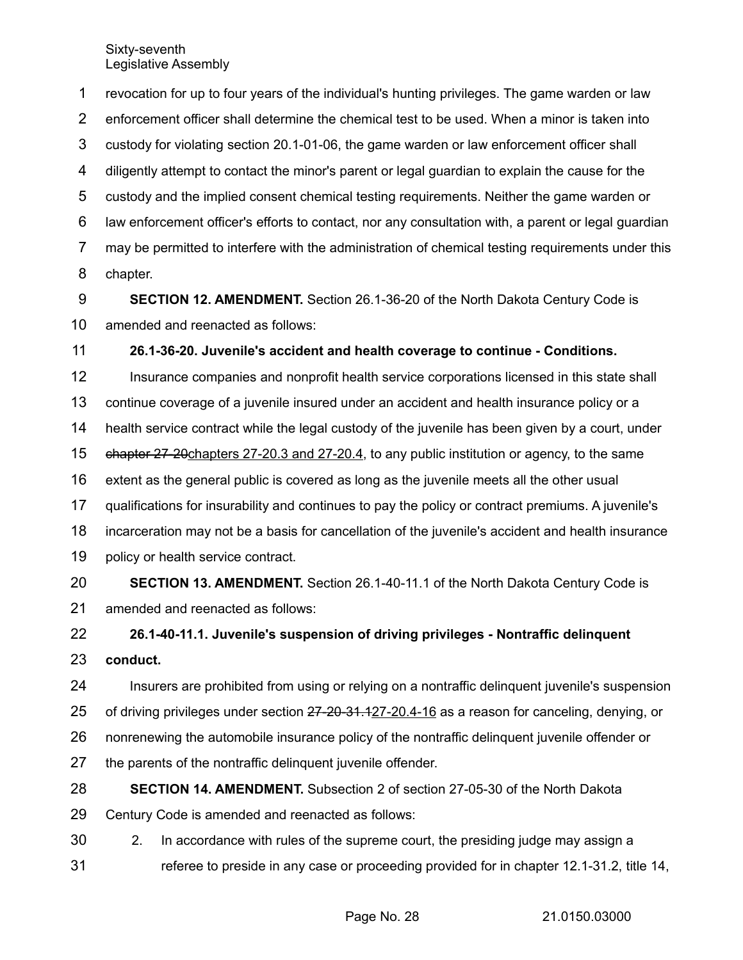revocation for up to four years of the individual's hunting privileges. The game warden or law enforcement officer shall determine the chemical test to be used. When a minor is taken into custody for violating section 20.1-01-06, the game warden or law enforcement officer shall diligently attempt to contact the minor's parent or legal guardian to explain the cause for the custody and the implied consent chemical testing requirements. Neither the game warden or law enforcement officer's efforts to contact, nor any consultation with, a parent or legal guardian may be permitted to interfere with the administration of chemical testing requirements under this chapter. 1 2 3 4 5 6 7 8

**SECTION 12. AMENDMENT.** Section 26.1-36-20 of the North Dakota Century Code is amended and reenacted as follows: 9 10

**26.1-36-20. Juvenile's accident and health coverage to continue - Conditions.** 11

Insurance companies and nonprofit health service corporations licensed in this state shall continue coverage of a juvenile insured under an accident and health insurance policy or a health service contract while the legal custody of the juvenile has been given by a court, under  $\theta$  chapter 27-20 chapters 27-20.3 and 27-20.4, to any public institution or agency, to the same extent as the general public is covered as long as the juvenile meets all the other usual qualifications for insurability and continues to pay the policy or contract premiums. A juvenile's incarceration may not be a basis for cancellation of the juvenile's accident and health insurance policy or health service contract. 12 13 14 15 16 17 18 19

**SECTION 13. AMENDMENT.** Section 26.1-40-11.1 of the North Dakota Century Code is amended and reenacted as follows: 20 21

**26.1-40-11.1. Juvenile's suspension of driving privileges - Nontraffic delinquent conduct.** 22 23

Insurers are prohibited from using or relying on a nontraffic delinquent juvenile's suspension 24

of driving privileges under section 27-20-31.127-20.4-16 as a reason for canceling, denying, or 25

nonrenewing the automobile insurance policy of the nontraffic delinquent juvenile offender or 26

the parents of the nontraffic delinquent juvenile offender. 27

**SECTION 14. AMENDMENT.** Subsection 2 of section 27-05-30 of the North Dakota Century Code is amended and reenacted as follows: 28 29

2. In accordance with rules of the supreme court, the presiding judge may assign a referee to preside in any case or proceeding provided for in chapter 12.1-31.2, title 14, 30 31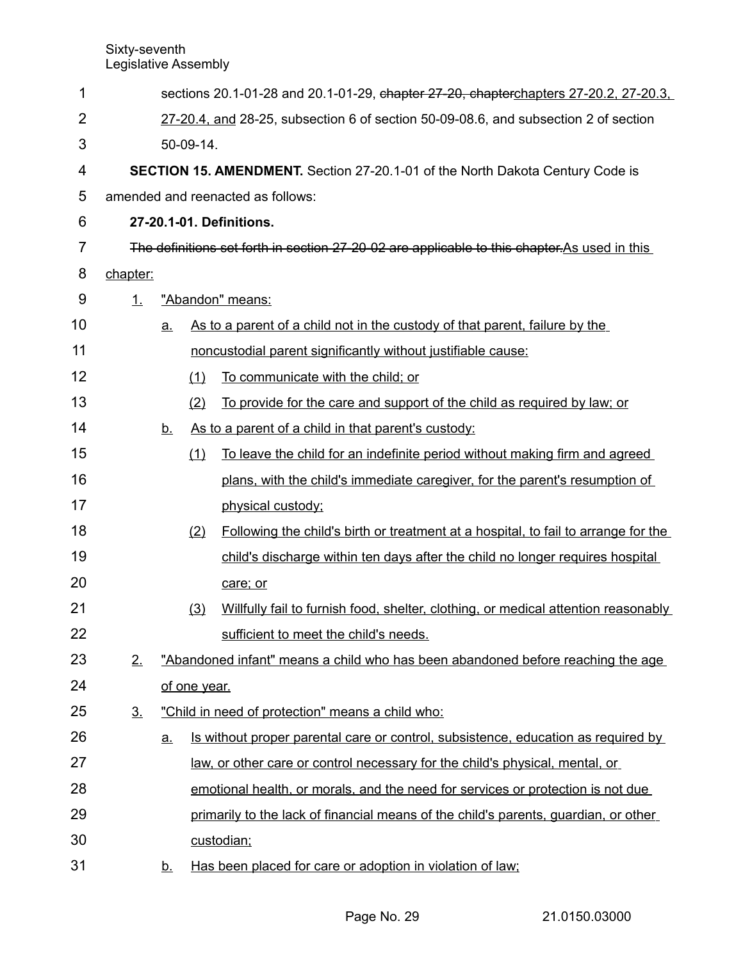| 1  | sections 20.1-01-28 and 20.1-01-29, chapter 27-20, chapterchapters 27-20.2, 27-20.3, |           |              |                                                                                               |  |  |
|----|--------------------------------------------------------------------------------------|-----------|--------------|-----------------------------------------------------------------------------------------------|--|--|
| 2  | 27-20.4, and 28-25, subsection 6 of section 50-09-08.6, and subsection 2 of section  |           |              |                                                                                               |  |  |
| 3  | 50-09-14.                                                                            |           |              |                                                                                               |  |  |
| 4  |                                                                                      |           |              | SECTION 15. AMENDMENT. Section 27-20.1-01 of the North Dakota Century Code is                 |  |  |
| 5  |                                                                                      |           |              | amended and reenacted as follows:                                                             |  |  |
| 6  |                                                                                      |           |              | 27-20.1-01. Definitions.                                                                      |  |  |
| 7  |                                                                                      |           |              | The definitions set forth in section 27-20-02 are applicable to this chapter. As used in this |  |  |
| 8  | chapter:                                                                             |           |              |                                                                                               |  |  |
| 9  | 1.                                                                                   |           |              | "Abandon" means:                                                                              |  |  |
| 10 |                                                                                      | <u>a.</u> |              | As to a parent of a child not in the custody of that parent, failure by the                   |  |  |
| 11 |                                                                                      |           |              | noncustodial parent significantly without justifiable cause:                                  |  |  |
| 12 |                                                                                      |           | (1)          | To communicate with the child; or                                                             |  |  |
| 13 |                                                                                      |           | (2)          | To provide for the care and support of the child as required by law; or                       |  |  |
| 14 |                                                                                      | <u>b.</u> |              | As to a parent of a child in that parent's custody:                                           |  |  |
| 15 |                                                                                      |           | (1)          | To leave the child for an indefinite period without making firm and agreed                    |  |  |
| 16 |                                                                                      |           |              | plans, with the child's immediate caregiver, for the parent's resumption of                   |  |  |
| 17 |                                                                                      |           |              | physical custody;                                                                             |  |  |
| 18 |                                                                                      |           | (2)          | Following the child's birth or treatment at a hospital, to fail to arrange for the            |  |  |
| 19 |                                                                                      |           |              | child's discharge within ten days after the child no longer requires hospital                 |  |  |
| 20 |                                                                                      |           |              | care; or                                                                                      |  |  |
| 21 |                                                                                      |           | (3)          | Willfully fail to furnish food, shelter, clothing, or medical attention reasonably            |  |  |
| 22 |                                                                                      |           |              | sufficient to meet the child's needs.                                                         |  |  |
| 23 | 2.                                                                                   |           |              | "Abandoned infant" means a child who has been abandoned before reaching the age               |  |  |
| 24 |                                                                                      |           | of one year. |                                                                                               |  |  |
| 25 | $\underline{3}$ .                                                                    |           |              | "Child in need of protection" means a child who:                                              |  |  |
| 26 |                                                                                      | <u>a.</u> |              | <u>Is without proper parental care or control, subsistence, education as required by</u>      |  |  |
| 27 |                                                                                      |           |              | law, or other care or control necessary for the child's physical, mental, or                  |  |  |
| 28 |                                                                                      |           |              | emotional health, or morals, and the need for services or protection is not due               |  |  |
| 29 |                                                                                      |           |              | primarily to the lack of financial means of the child's parents, guardian, or other           |  |  |
| 30 |                                                                                      |           |              | custodian;                                                                                    |  |  |
| 31 |                                                                                      | <u>b.</u> |              | Has been placed for care or adoption in violation of law;                                     |  |  |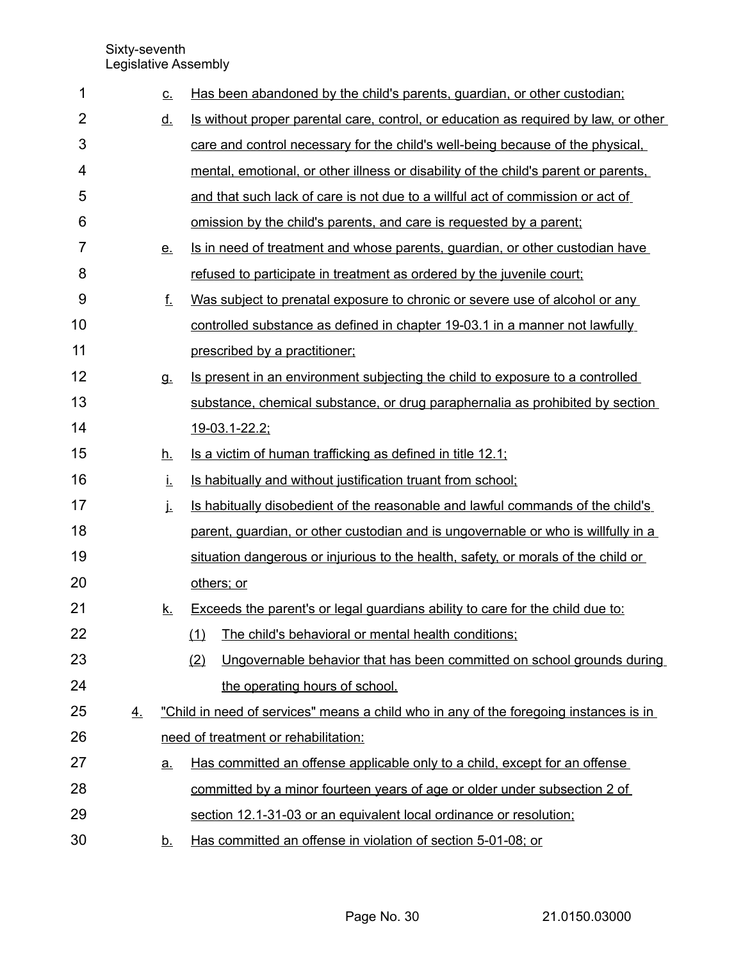| 1              |           | <u>c.</u> | Has been abandoned by the child's parents, guardian, or other custodian;              |
|----------------|-----------|-----------|---------------------------------------------------------------------------------------|
| $\overline{2}$ |           | <u>d.</u> | Is without proper parental care, control, or education as required by law, or other   |
| 3              |           |           | care and control necessary for the child's well-being because of the physical.        |
| 4              |           |           | mental, emotional, or other illness or disability of the child's parent or parents.   |
| 5              |           |           | and that such lack of care is not due to a willful act of commission or act of        |
| 6              |           |           | <u>omission by the child's parents, and care is requested by a parent;</u>            |
| $\overline{7}$ |           | <u>e.</u> | Is in need of treatment and whose parents, guardian, or other custodian have          |
| 8              |           |           | refused to participate in treatment as ordered by the juvenile court;                 |
| 9              |           | <u>f.</u> | Was subject to prenatal exposure to chronic or severe use of alcohol or any           |
| 10             |           |           | controlled substance as defined in chapter 19-03.1 in a manner not lawfully           |
| 11             |           |           | prescribed by a practitioner;                                                         |
| 12             |           | <u>g.</u> | Is present in an environment subjecting the child to exposure to a controlled         |
| 13             |           |           | substance, chemical substance, or drug paraphernalia as prohibited by section         |
| 14             |           |           | 19-03.1-22.2;                                                                         |
| 15             |           | <u>h.</u> | Is a victim of human trafficking as defined in title 12.1;                            |
| 16             |           | İ.        | Is habitually and without justification truant from school;                           |
| 17             |           | j.        | Is habitually disobedient of the reasonable and lawful commands of the child's        |
| 18             |           |           | parent, guardian, or other custodian and is ungovernable or who is willfully in a     |
| 19             |           |           | situation dangerous or injurious to the health, safety, or morals of the child or     |
| 20             |           |           | others; or                                                                            |
| 21             |           | <u>k.</u> | Exceeds the parent's or legal guardians ability to care for the child due to:         |
| 22             |           |           | The child's behavioral or mental health conditions;<br>(1)                            |
| 23             |           |           | Ungovernable behavior that has been committed on school grounds during<br>(2)         |
| 24             |           |           | the operating hours of school.                                                        |
| 25             | <u>4.</u> |           | "Child in need of services" means a child who in any of the foregoing instances is in |
| 26             |           |           | need of treatment or rehabilitation:                                                  |
| 27             |           | <u>a.</u> | Has committed an offense applicable only to a child, except for an offense            |
| 28             |           |           | committed by a minor fourteen years of age or older under subsection 2 of             |
| 29             |           |           | section 12.1-31-03 or an equivalent local ordinance or resolution;                    |
| 30             |           | <u>b.</u> | Has committed an offense in violation of section 5-01-08; or                          |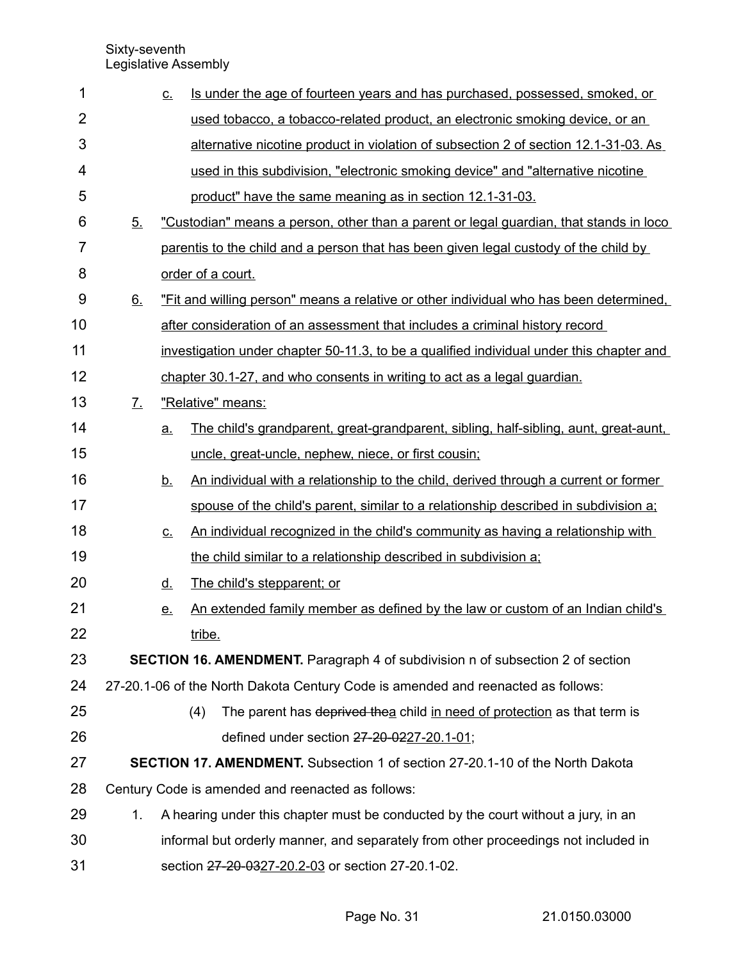| 1              |    | <u>c.</u> | Is under the age of fourteen years and has purchased, possessed, smoked, or                |
|----------------|----|-----------|--------------------------------------------------------------------------------------------|
| $\overline{2}$ |    |           | used tobacco, a tobacco-related product, an electronic smoking device, or an               |
| 3              |    |           | <u>alternative nicotine product in violation of subsection 2 of section 12.1-31-03. As</u> |
| 4              |    |           | used in this subdivision, "electronic smoking device" and "alternative nicotine            |
| 5              |    |           | product" have the same meaning as in section 12.1-31-03.                                   |
| 6              | 5. |           | "Custodian" means a person, other than a parent or legal guardian, that stands in loco     |
| $\overline{7}$ |    |           | parentis to the child and a person that has been given legal custody of the child by       |
| 8              |    |           | order of a court.                                                                          |
| 9              | 6. |           | "Fit and willing person" means a relative or other individual who has been determined.     |
| 10             |    |           | after consideration of an assessment that includes a criminal history record               |
| 11             |    |           | investigation under chapter 50-11.3, to be a qualified individual under this chapter and   |
| 12             |    |           | chapter 30.1-27, and who consents in writing to act as a legal guardian.                   |
| 13             | 7. |           | "Relative" means:                                                                          |
| 14             |    | a.        | The child's grandparent, great-grandparent, sibling, half-sibling, aunt, great-aunt,       |
| 15             |    |           | uncle, great-uncle, nephew, niece, or first cousin;                                        |
| 16             |    | <u>b.</u> | An individual with a relationship to the child, derived through a current or former        |
| 17             |    |           | spouse of the child's parent, similar to a relationship described in subdivision a;        |
| 18             |    | <u>c.</u> | An individual recognized in the child's community as having a relationship with            |
| 19             |    |           | the child similar to a relationship described in subdivision a;                            |
| 20             |    | <u>d.</u> | The child's stepparent; or                                                                 |
| 21             |    | <u>e.</u> | An extended family member as defined by the law or custom of an Indian child's             |
| 22             |    |           | tribe.                                                                                     |
| 23             |    |           | SECTION 16. AMENDMENT. Paragraph 4 of subdivision n of subsection 2 of section             |
| 24             |    |           | 27-20.1-06 of the North Dakota Century Code is amended and reenacted as follows:           |
| 25             |    |           | The parent has deprived thea child in need of protection as that term is<br>(4)            |
| 26             |    |           | defined under section 27-20-0227-20.1-01;                                                  |
| 27             |    |           | <b>SECTION 17. AMENDMENT.</b> Subsection 1 of section 27-20.1-10 of the North Dakota       |
| 28             |    |           | Century Code is amended and reenacted as follows:                                          |
| 29             | 1. |           | A hearing under this chapter must be conducted by the court without a jury, in an          |
| 30             |    |           | informal but orderly manner, and separately from other proceedings not included in         |
| 31             |    |           | section 27-20-0327-20.2-03 or section 27-20.1-02.                                          |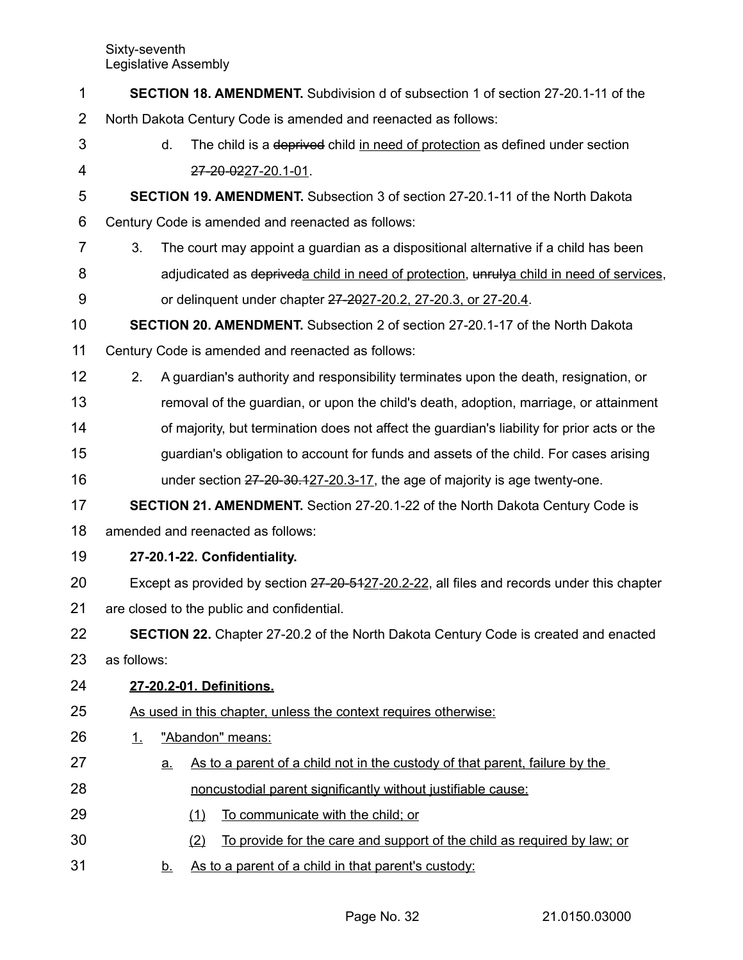| 1              | <b>SECTION 18. AMENDMENT.</b> Subdivision d of subsection 1 of section 27-20.1-11 of the    |  |  |  |
|----------------|---------------------------------------------------------------------------------------------|--|--|--|
| $\overline{2}$ | North Dakota Century Code is amended and reenacted as follows:                              |  |  |  |
| 3              | d.<br>The child is a deprived child in need of protection as defined under section          |  |  |  |
| $\overline{4}$ | 27-20-0227-20.1-01.                                                                         |  |  |  |
| 5              | <b>SECTION 19. AMENDMENT.</b> Subsection 3 of section 27-20.1-11 of the North Dakota        |  |  |  |
| 6              | Century Code is amended and reenacted as follows:                                           |  |  |  |
| 7              | 3.<br>The court may appoint a guardian as a dispositional alternative if a child has been   |  |  |  |
| 8              | adjudicated as depriveda child in need of protection, unrulya child in need of services,    |  |  |  |
| 9              | or delinquent under chapter 27-2027-20.2, 27-20.3, or 27-20.4.                              |  |  |  |
| 10             | <b>SECTION 20. AMENDMENT.</b> Subsection 2 of section 27-20.1-17 of the North Dakota        |  |  |  |
| 11             | Century Code is amended and reenacted as follows:                                           |  |  |  |
| 12             | A guardian's authority and responsibility terminates upon the death, resignation, or<br>2.  |  |  |  |
| 13             | removal of the guardian, or upon the child's death, adoption, marriage, or attainment       |  |  |  |
| 14             | of majority, but termination does not affect the guardian's liability for prior acts or the |  |  |  |
| 15             | guardian's obligation to account for funds and assets of the child. For cases arising       |  |  |  |
| 16             | under section 27-20-30.127-20.3-17, the age of majority is age twenty-one.                  |  |  |  |
| 17             | <b>SECTION 21. AMENDMENT.</b> Section 27-20.1-22 of the North Dakota Century Code is        |  |  |  |
| 18             | amended and reenacted as follows:                                                           |  |  |  |
| 19             | 27-20.1-22. Confidentiality.                                                                |  |  |  |
| 20             | Except as provided by section 27-20-5127-20.2-22, all files and records under this chapter  |  |  |  |
| 21             | are closed to the public and confidential.                                                  |  |  |  |
| 22             | SECTION 22. Chapter 27-20.2 of the North Dakota Century Code is created and enacted         |  |  |  |
| 23             | as follows:                                                                                 |  |  |  |
| 24             | 27-20.2-01. Definitions.                                                                    |  |  |  |
| 25             | As used in this chapter, unless the context requires otherwise:                             |  |  |  |
| 26             | "Abandon" means:<br>1.                                                                      |  |  |  |
| 27             | As to a parent of a child not in the custody of that parent, failure by the<br><u>a.</u>    |  |  |  |
| 28             | noncustodial parent significantly without justifiable cause:                                |  |  |  |
| 29             | To communicate with the child; or<br>(1)                                                    |  |  |  |
| 30             | To provide for the care and support of the child as required by law; or<br>(2)              |  |  |  |
| 31             | As to a parent of a child in that parent's custody:<br><u>b.</u>                            |  |  |  |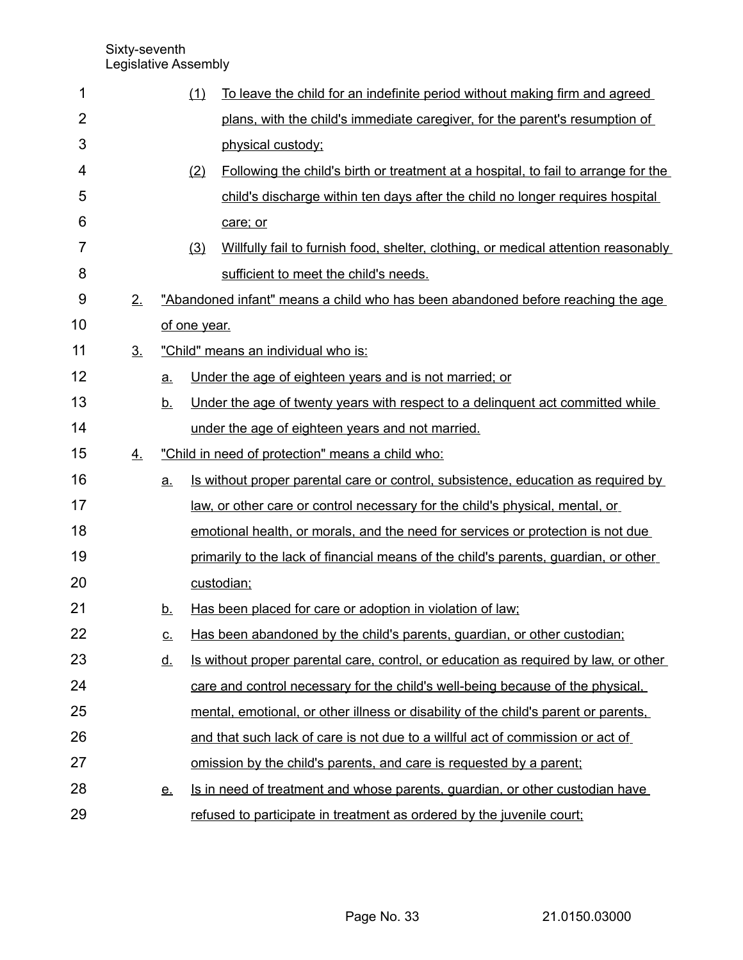| 1              |                |           | (1)          | To leave the child for an indefinite period without making firm and agreed               |
|----------------|----------------|-----------|--------------|------------------------------------------------------------------------------------------|
| $\overline{2}$ |                |           |              | plans, with the child's immediate caregiver, for the parent's resumption of              |
| 3              |                |           |              | physical custody;                                                                        |
| 4              |                |           | (2)          | Following the child's birth or treatment at a hospital, to fail to arrange for the       |
| 5              |                |           |              | child's discharge within ten days after the child no longer requires hospital            |
| 6              |                |           |              | care; or                                                                                 |
| 7              |                |           | (3)          | Willfully fail to furnish food, shelter, clothing, or medical attention reasonably       |
| 8              |                |           |              | sufficient to meet the child's needs.                                                    |
| 9              | 2.             |           |              | "Abandoned infant" means a child who has been abandoned before reaching the age          |
| 10             |                |           | of one year. |                                                                                          |
| 11             | 3 <sub>1</sub> |           |              | "Child" means an individual who is:                                                      |
| 12             |                | <u>a.</u> |              | Under the age of eighteen years and is not married; or                                   |
| 13             |                | <u>b.</u> |              | Under the age of twenty years with respect to a delinguent act committed while           |
| 14             |                |           |              | under the age of eighteen years and not married.                                         |
| 15             | 4.             |           |              | "Child in need of protection" means a child who:                                         |
| 16             |                | a.        |              | <u>Is without proper parental care or control, subsistence, education as required by</u> |
| 17             |                |           |              | law, or other care or control necessary for the child's physical, mental, or             |
| 18             |                |           |              | emotional health, or morals, and the need for services or protection is not due          |
| 19             |                |           |              | primarily to the lack of financial means of the child's parents, guardian, or other      |
| 20             |                |           |              | custodian;                                                                               |
| 21             |                | <u>b.</u> |              | Has been placed for care or adoption in violation of law;                                |
| 22             |                | <u>c.</u> |              | Has been abandoned by the child's parents, guardian, or other custodian;                 |
| 23             |                | <u>d.</u> |              | Is without proper parental care, control, or education as required by law, or other      |
| 24             |                |           |              | care and control necessary for the child's well-being because of the physical.           |
| 25             |                |           |              | mental, emotional, or other illness or disability of the child's parent or parents,      |
| 26             |                |           |              | and that such lack of care is not due to a willful act of commission or act of           |
| 27             |                |           |              | <u>omission by the child's parents, and care is requested by a parent;</u>               |
| 28             |                | <u>e.</u> |              | Is in need of treatment and whose parents, guardian, or other custodian have             |
| 29             |                |           |              | refused to participate in treatment as ordered by the juvenile court;                    |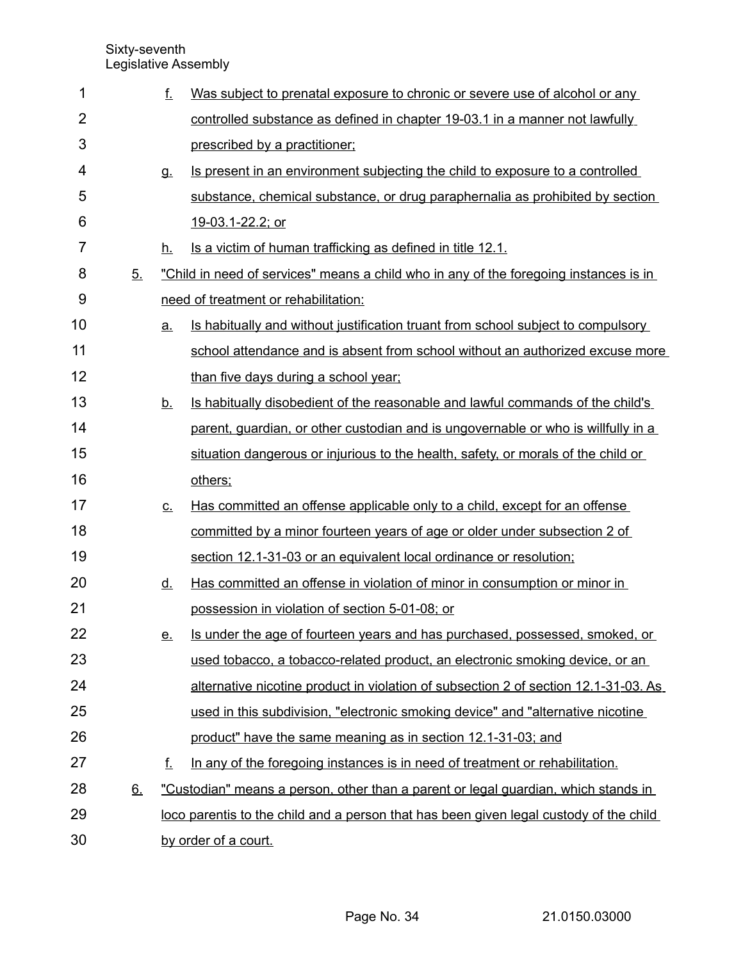| 1              |    | f.                   | Was subject to prenatal exposure to chronic or severe use of alcohol or any             |
|----------------|----|----------------------|-----------------------------------------------------------------------------------------|
| $\overline{2}$ |    |                      | controlled substance as defined in chapter 19-03.1 in a manner not lawfully             |
| 3              |    |                      | prescribed by a practitioner;                                                           |
| 4              |    | <u>g.</u>            | Is present in an environment subjecting the child to exposure to a controlled           |
| 5              |    |                      | substance, chemical substance, or drug paraphernalia as prohibited by section           |
| 6              |    |                      | 19-03.1-22.2; or                                                                        |
| $\overline{7}$ |    | h.                   | Is a victim of human trafficking as defined in title 12.1.                              |
| 8              | 5. |                      | "Child in need of services" means a child who in any of the foregoing instances is in   |
| 9              |    |                      | need of treatment or rehabilitation:                                                    |
| 10             |    | <u>a.</u>            | <u>Is habitually and without justification truant from school subject to compulsory</u> |
| 11             |    |                      | school attendance and is absent from school without an authorized excuse more           |
| 12             |    |                      | than five days during a school year;                                                    |
| 13             |    | <u>b.</u>            | Is habitually disobedient of the reasonable and lawful commands of the child's          |
| 14             |    |                      | parent, guardian, or other custodian and is ungovernable or who is willfully in a       |
| 15             |    |                      | situation dangerous or injurious to the health, safety, or morals of the child or       |
| 16             |    |                      | others;                                                                                 |
| 17             |    | $C_{\cdot}$          | Has committed an offense applicable only to a child, except for an offense              |
| 18             |    |                      | committed by a minor fourteen years of age or older under subsection 2 of               |
| 19             |    |                      | section 12.1-31-03 or an equivalent local ordinance or resolution;                      |
| 20             |    | <u>d.</u>            | Has committed an offense in violation of minor in consumption or minor in               |
| 21             |    |                      | possession in violation of section 5-01-08; or                                          |
| 22             |    | <u>e.</u>            | Is under the age of fourteen years and has purchased, possessed, smoked, or             |
| 23             |    |                      | used tobacco, a tobacco-related product, an electronic smoking device, or an            |
| 24             |    |                      | alternative nicotine product in violation of subsection 2 of section 12.1-31-03. As     |
| 25             |    |                      | used in this subdivision, "electronic smoking device" and "alternative nicotine         |
| 26             |    |                      | product" have the same meaning as in section 12.1-31-03; and                            |
| 27             |    | f.                   | In any of the foregoing instances is in need of treatment or rehabilitation.            |
| 28             | 6. |                      | "Custodian" means a person, other than a parent or legal guardian, which stands in      |
| 29             |    |                      | loco parentis to the child and a person that has been given legal custody of the child  |
| 30             |    | by order of a court. |                                                                                         |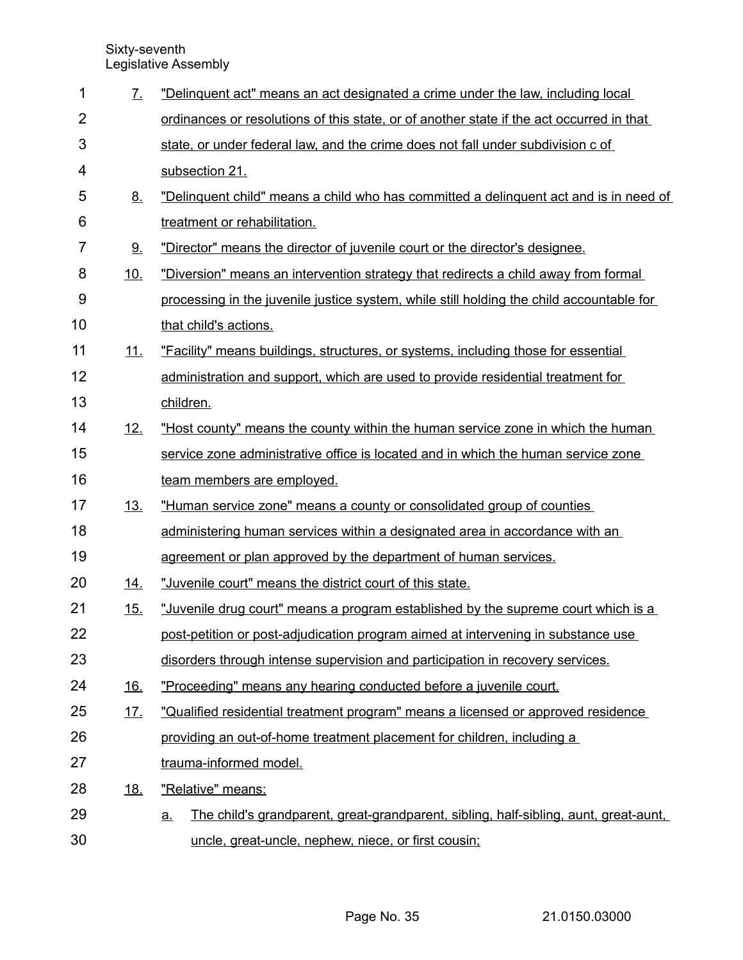| 1              | $\mathcal{I}_{\cdot}$ | "Delinquent act" means an act designated a crime under the law, including local                   |  |  |
|----------------|-----------------------|---------------------------------------------------------------------------------------------------|--|--|
| $\overline{2}$ |                       | ordinances or resolutions of this state, or of another state if the act occurred in that          |  |  |
| 3              |                       | state, or under federal law, and the crime does not fall under subdivision c of                   |  |  |
| 4              |                       | subsection 21.                                                                                    |  |  |
| 5              | <u>8.</u>             | "Delinquent child" means a child who has committed a delinquent act and is in need of             |  |  |
| 6              |                       | treatment or rehabilitation.                                                                      |  |  |
| 7              | <u>9.</u>             | "Director" means the director of juvenile court or the director's designee.                       |  |  |
| 8              | 10.                   | "Diversion" means an intervention strategy that redirects a child away from formal                |  |  |
| 9              |                       | processing in the juvenile justice system, while still holding the child accountable for          |  |  |
| 10             |                       | that child's actions.                                                                             |  |  |
| 11             | <u>11.</u>            | "Facility" means buildings, structures, or systems, including those for essential                 |  |  |
| 12             |                       | administration and support, which are used to provide residential treatment for                   |  |  |
| 13             |                       | children.                                                                                         |  |  |
| 14             | 12.                   | "Host county" means the county within the human service zone in which the human                   |  |  |
| 15             |                       | service zone administrative office is located and in which the human service zone                 |  |  |
| 16             |                       | team members are employed.                                                                        |  |  |
| 17             | <u>13.</u>            | "Human service zone" means a county or consolidated group of counties                             |  |  |
| 18             |                       | administering human services within a designated area in accordance with an                       |  |  |
| 19             |                       | agreement or plan approved by the department of human services.                                   |  |  |
| 20             | <u>14.</u>            | "Juvenile court" means the district court of this state.                                          |  |  |
| 21             | 15.                   | "Juvenile drug court" means a program established by the supreme court which is a                 |  |  |
| 22             |                       | post-petition or post-adjudication program aimed at intervening in substance use                  |  |  |
| 23             |                       | disorders through intense supervision and participation in recovery services.                     |  |  |
| 24             | <u>16.</u>            | "Proceeding" means any hearing conducted before a juvenile court.                                 |  |  |
| 25             | <u>17.</u>            | "Qualified residential treatment program" means a licensed or approved residence                  |  |  |
| 26             |                       | providing an out-of-home treatment placement for children, including a                            |  |  |
| 27             |                       | trauma-informed model.                                                                            |  |  |
| 28             | <u>18.</u>            | "Relative" means:                                                                                 |  |  |
| 29             |                       | The child's grandparent, great-grandparent, sibling, half-sibling, aunt, great-aunt,<br><u>a.</u> |  |  |
| 30             |                       | uncle, great-uncle, nephew, niece, or first cousin;                                               |  |  |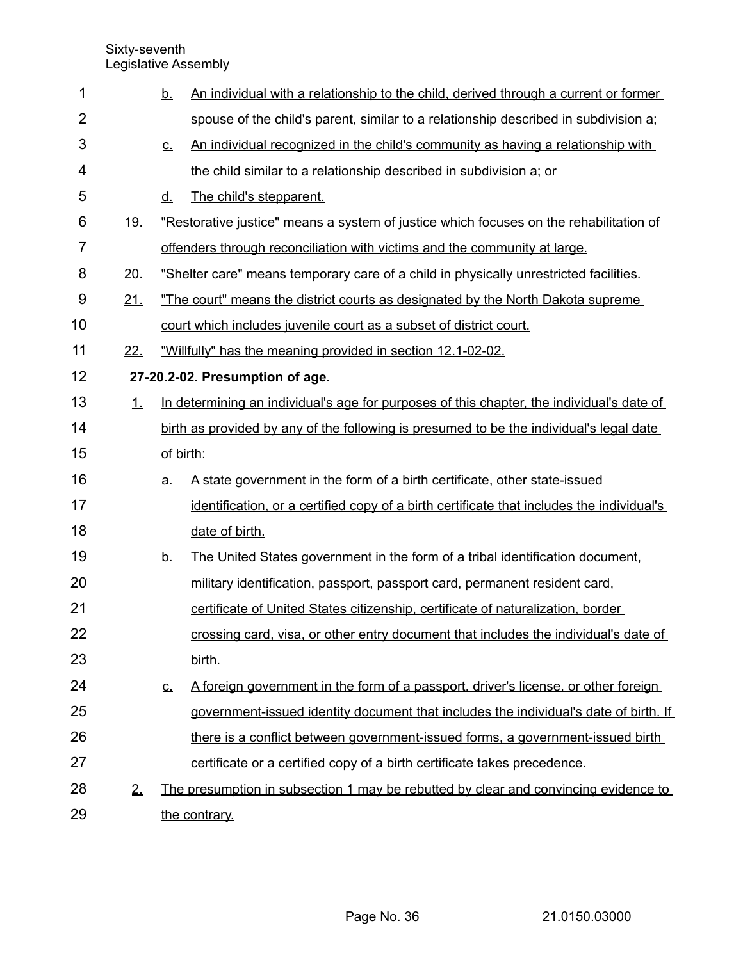| 1              |            | <u>b.</u>                                                                                 | An individual with a relationship to the child, derived through a current or former       |  |
|----------------|------------|-------------------------------------------------------------------------------------------|-------------------------------------------------------------------------------------------|--|
| $\overline{2}$ |            |                                                                                           | spouse of the child's parent, similar to a relationship described in subdivision a:       |  |
| 3              |            | <u>c.</u>                                                                                 | An individual recognized in the child's community as having a relationship with           |  |
| 4              |            |                                                                                           | the child similar to a relationship described in subdivision a; or                        |  |
| 5              |            | <u>d.</u>                                                                                 | The child's stepparent.                                                                   |  |
| 6              | <u>19.</u> | "Restorative justice" means a system of justice which focuses on the rehabilitation of    |                                                                                           |  |
| $\overline{7}$ |            |                                                                                           | offenders through reconciliation with victims and the community at large.                 |  |
| 8              | 20.        | "Shelter care" means temporary care of a child in physically unrestricted facilities.     |                                                                                           |  |
| 9              | 21.        | "The court" means the district courts as designated by the North Dakota supreme           |                                                                                           |  |
| 10             |            |                                                                                           | court which includes juvenile court as a subset of district court.                        |  |
| 11             | 22.        | "Willfully" has the meaning provided in section 12.1-02-02.                               |                                                                                           |  |
| 12             |            | 27-20.2-02. Presumption of age.                                                           |                                                                                           |  |
| 13             | 1.         | In determining an individual's age for purposes of this chapter, the individual's date of |                                                                                           |  |
| 14             |            | birth as provided by any of the following is presumed to be the individual's legal date   |                                                                                           |  |
| 15             |            | of birth:                                                                                 |                                                                                           |  |
| 16             |            | <u>a.</u>                                                                                 | A state government in the form of a birth certificate, other state-issued                 |  |
| 17             |            |                                                                                           | identification, or a certified copy of a birth certificate that includes the individual's |  |
| 18             |            |                                                                                           | date of birth.                                                                            |  |
| 19             |            | <u>b.</u>                                                                                 | The United States government in the form of a tribal identification document,             |  |
| 20             |            |                                                                                           | military identification, passport, passport card, permanent resident card,                |  |
| 21             |            |                                                                                           | certificate of United States citizenship, certificate of naturalization, border           |  |
| 22             |            |                                                                                           | crossing card, visa, or other entry document that includes the individual's date of       |  |
| 23             |            |                                                                                           | birth.                                                                                    |  |
| 24             |            | <u>c.</u>                                                                                 | A foreign government in the form of a passport, driver's license, or other foreign        |  |
| 25             |            |                                                                                           | government-issued identity document that includes the individual's date of birth. If      |  |
| 26             |            |                                                                                           | there is a conflict between government-issued forms, a government-issued birth            |  |
| 27             |            |                                                                                           | certificate or a certified copy of a birth certificate takes precedence.                  |  |
| 28             | 2.         |                                                                                           | The presumption in subsection 1 may be rebutted by clear and convincing evidence to       |  |
| 29             |            |                                                                                           | the contrary.                                                                             |  |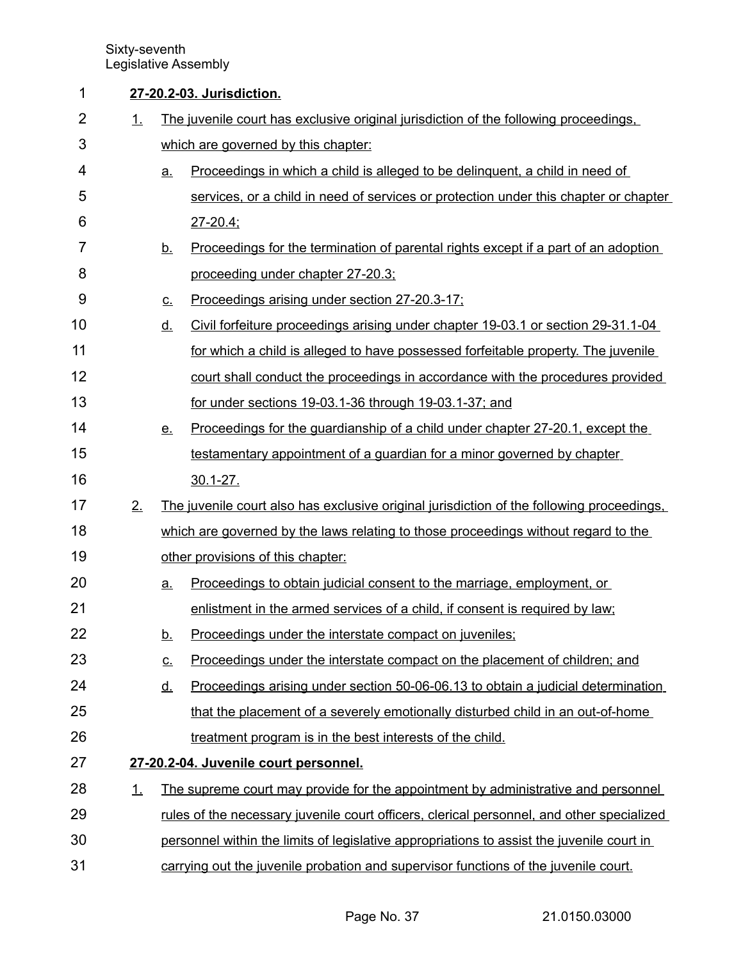## **27-20.2-03. Jurisdiction.** 1

1. The juvenile court has exclusive original jurisdiction of the following proceedings, which are governed by this chapter: a. Proceedings in which a child is alleged to be delinquent, a child in need of services, or a child in need of services or protection under this chapter or chapter  $27 - 20.4$ ; b. Proceedings for the termination of parental rights except if a part of an adoption proceeding under chapter 27-20.3; c. Proceedings arising under section 27-20.3-17; d. Civil forfeiture proceedings arising under chapter 19-03.1 or section 29-31.1-04 for which a child is alleged to have possessed forfeitable property. The juvenile court shall conduct the proceedings in accordance with the procedures provided for under sections 19-03.1-36 through 19-03.1-37; and e. Proceedings for the quardianship of a child under chapter 27-20.1, except the testamentary appointment of a guardian for a minor governed by chapter  $30.1 - 27.$ 2. The juvenile court also has exclusive original jurisdiction of the following proceedings, which are governed by the laws relating to those proceedings without regard to the other provisions of this chapter: a. Proceedings to obtain judicial consent to the marriage, employment, or enlistment in the armed services of a child, if consent is required by law; b. Proceedings under the interstate compact on juveniles; c. Proceedings under the interstate compact on the placement of children; and d. Proceedings arising under section 50-06-06.13 to obtain a judicial determination that the placement of a severely emotionally disturbed child in an out-of-home treatment program is in the best interests of the child.  **27 - 20.2 - 04. Juvenile court personnel.** 1. The supreme court may provide for the appointment by administrative and personnel rules of the necessary juvenile court officers, clerical personnel, and other specialized personnel within the limits of legislative appropriations to assist the juvenile court in carrying out the juvenile probation and supervisor functions of the juvenile court. 2 3 4 5 6 7 8 9 10 11 12 13 14 15 16 17 18 19 20 21 22 23 24 25 26 27 28 29 30 31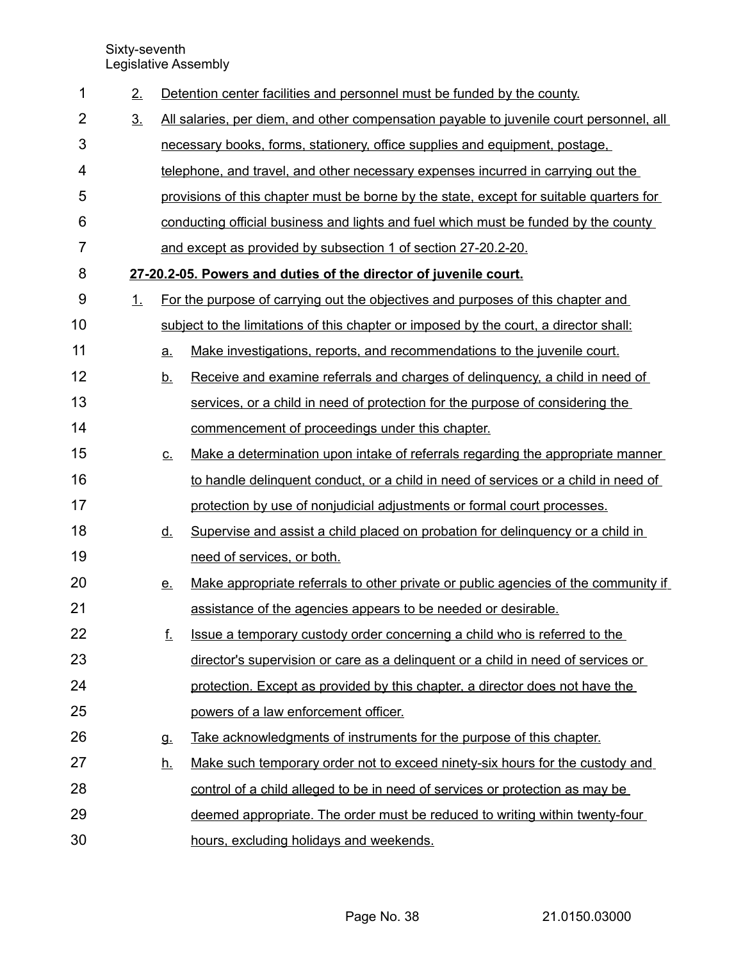| 1              | 2.             |                                                                                         | Detention center facilities and personnel must be funded by the county.                 |
|----------------|----------------|-----------------------------------------------------------------------------------------|-----------------------------------------------------------------------------------------|
| $\overline{2}$ | 3 <sub>1</sub> | All salaries, per diem, and other compensation payable to juvenile court personnel, all |                                                                                         |
| 3              |                |                                                                                         | necessary books, forms, stationery, office supplies and equipment, postage,             |
| 4              |                |                                                                                         | telephone, and travel, and other necessary expenses incurred in carrying out the        |
| 5              |                |                                                                                         | provisions of this chapter must be borne by the state, except for suitable quarters for |
| 6              |                |                                                                                         | conducting official business and lights and fuel which must be funded by the county     |
| 7              |                |                                                                                         | and except as provided by subsection 1 of section 27-20.2-20.                           |
| 8              |                |                                                                                         | 27-20.2-05. Powers and duties of the director of juvenile court.                        |
| 9              | 1.             |                                                                                         | For the purpose of carrying out the objectives and purposes of this chapter and         |
| 10             |                |                                                                                         | subject to the limitations of this chapter or imposed by the court, a director shall:   |
| 11             |                | a.                                                                                      | Make investigations, reports, and recommendations to the juvenile court.                |
| 12             |                | <u>b.</u>                                                                               | Receive and examine referrals and charges of delinguency, a child in need of            |
| 13             |                |                                                                                         | services, or a child in need of protection for the purpose of considering the           |
| 14             |                |                                                                                         | commencement of proceedings under this chapter.                                         |
| 15             |                | <u>C.</u>                                                                               | Make a determination upon intake of referrals regarding the appropriate manner          |
| 16             |                |                                                                                         | to handle delinguent conduct, or a child in need of services or a child in need of      |
| 17             |                |                                                                                         | protection by use of nonjudicial adjustments or formal court processes.                 |
| 18             |                | <u>d.</u>                                                                               | Supervise and assist a child placed on probation for delinguency or a child in          |
| 19             |                |                                                                                         | need of services, or both.                                                              |
| 20             |                | <u>e.</u>                                                                               | Make appropriate referrals to other private or public agencies of the community if      |
| 21             |                |                                                                                         | assistance of the agencies appears to be needed or desirable.                           |
| 22             |                | f.                                                                                      | Issue a temporary custody order concerning a child who is referred to the               |
| 23             |                |                                                                                         | director's supervision or care as a delinguent or a child in need of services or        |
| 24             |                |                                                                                         | protection. Except as provided by this chapter, a director does not have the            |
| 25             |                |                                                                                         | powers of a law enforcement officer.                                                    |
| 26             |                | g.                                                                                      | Take acknowledgments of instruments for the purpose of this chapter.                    |
| 27             |                | <u>h.</u>                                                                               | Make such temporary order not to exceed ninety-six hours for the custody and            |
| 28             |                |                                                                                         | control of a child alleged to be in need of services or protection as may be            |
| 29             |                |                                                                                         | deemed appropriate. The order must be reduced to writing within twenty-four             |
| 30             |                |                                                                                         | hours, excluding holidays and weekends.                                                 |

Page No. 38 21.0150.03000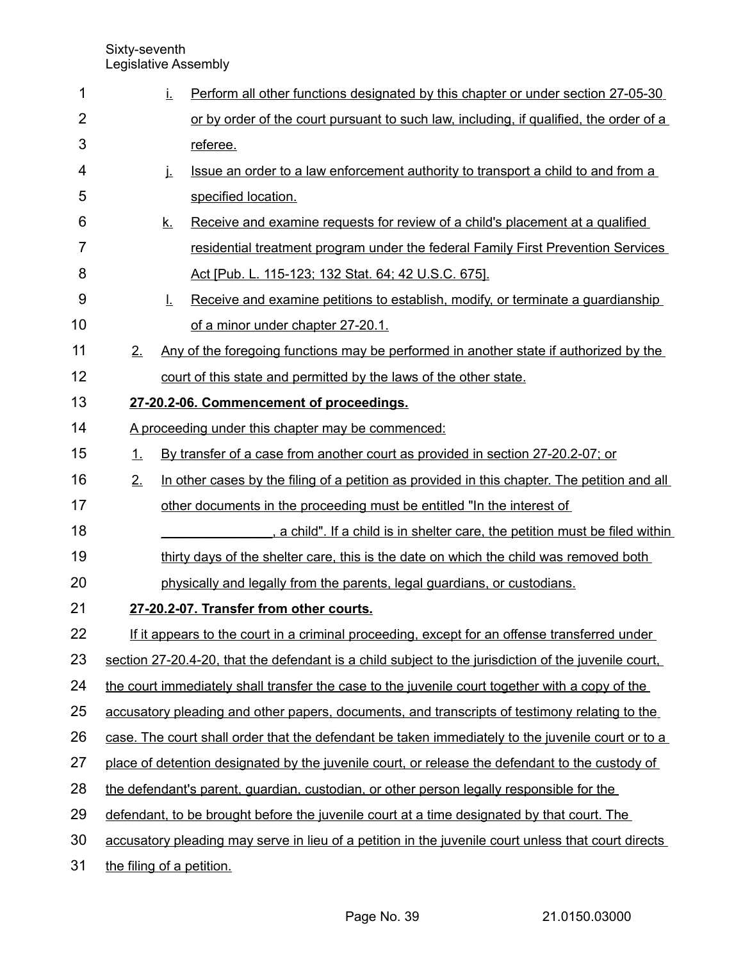| 1              |                                                                                                 | İ.        | Perform all other functions designated by this chapter or under section 27-05-30                     |  |
|----------------|-------------------------------------------------------------------------------------------------|-----------|------------------------------------------------------------------------------------------------------|--|
| $\overline{2}$ |                                                                                                 |           | or by order of the court pursuant to such law, including, if qualified, the order of a               |  |
| 3              |                                                                                                 |           | referee.                                                                                             |  |
| 4              |                                                                                                 | j.        | Issue an order to a law enforcement authority to transport a child to and from a                     |  |
| 5              |                                                                                                 |           | specified location.                                                                                  |  |
| 6              |                                                                                                 | <u>k.</u> | Receive and examine requests for review of a child's placement at a qualified                        |  |
| 7              |                                                                                                 |           | residential treatment program under the federal Family First Prevention Services                     |  |
| 8              |                                                                                                 |           | Act [Pub. L. 115-123; 132 Stat. 64; 42 U.S.C. 675].                                                  |  |
| 9              |                                                                                                 | Ī.        | Receive and examine petitions to establish, modify, or terminate a guardianship                      |  |
| 10             |                                                                                                 |           | of a minor under chapter 27-20.1.                                                                    |  |
| 11             | 2.                                                                                              |           | Any of the foregoing functions may be performed in another state if authorized by the                |  |
| 12             |                                                                                                 |           | court of this state and permitted by the laws of the other state.                                    |  |
| 13             |                                                                                                 |           | 27-20.2-06. Commencement of proceedings.                                                             |  |
| 14             |                                                                                                 |           | A proceeding under this chapter may be commenced:                                                    |  |
| 15             | 1.                                                                                              |           | By transfer of a case from another court as provided in section 27-20.2-07; or                       |  |
| 16             | 2.                                                                                              |           | In other cases by the filing of a petition as provided in this chapter. The petition and all         |  |
| 17             |                                                                                                 |           | other documents in the proceeding must be entitled "In the interest of                               |  |
| 18             |                                                                                                 |           | , a child". If a child is in shelter care, the petition must be filed within                         |  |
| 19             |                                                                                                 |           | thirty days of the shelter care, this is the date on which the child was removed both                |  |
| 20             |                                                                                                 |           | physically and legally from the parents, legal guardians, or custodians.                             |  |
| 21             |                                                                                                 |           | 27-20.2-07. Transfer from other courts.                                                              |  |
| 22             |                                                                                                 |           | If it appears to the court in a criminal proceeding, except for an offense transferred under         |  |
| 23             |                                                                                                 |           | section 27-20.4-20, that the defendant is a child subject to the jurisdiction of the juvenile court. |  |
| 24             |                                                                                                 |           | the court immediately shall transfer the case to the juvenile court together with a copy of the      |  |
| 25             |                                                                                                 |           | accusatory pleading and other papers, documents, and transcripts of testimony relating to the        |  |
| 26             |                                                                                                 |           | case. The court shall order that the defendant be taken immediately to the juvenile court or to a    |  |
| 27             | place of detention designated by the juvenile court, or release the defendant to the custody of |           |                                                                                                      |  |
| 28             |                                                                                                 |           | the defendant's parent, quardian, custodian, or other person legally responsible for the             |  |
| 29             | defendant, to be brought before the juvenile court at a time designated by that court. The      |           |                                                                                                      |  |
| 30             |                                                                                                 |           | accusatory pleading may serve in lieu of a petition in the juvenile court unless that court directs  |  |
| 31             |                                                                                                 |           | the filing of a petition.                                                                            |  |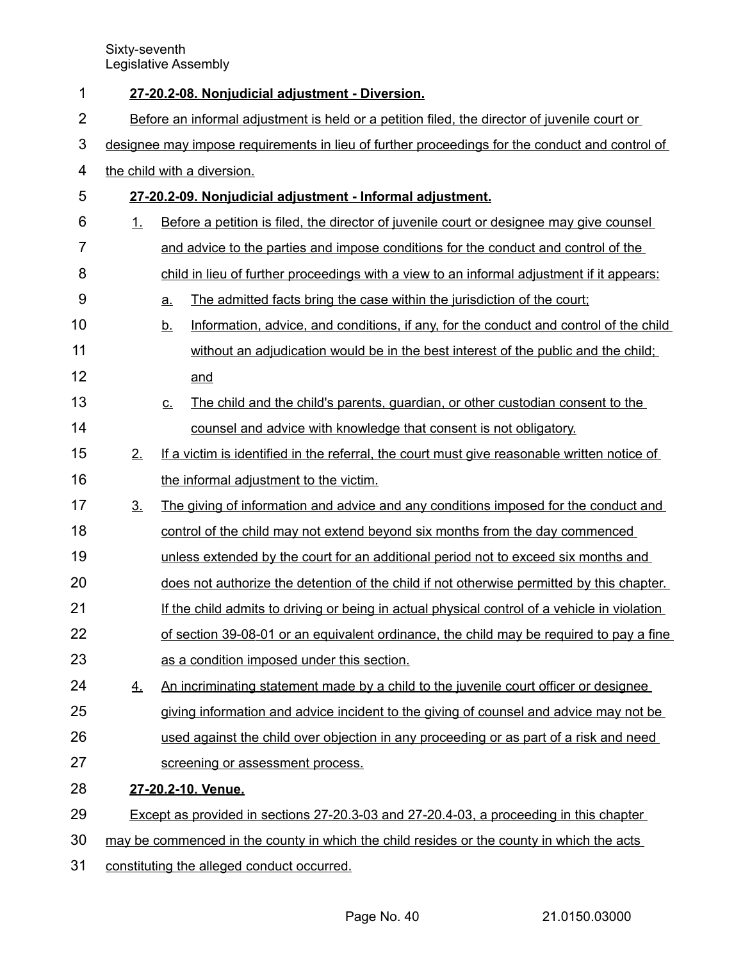| 1              |                                                                                                | 27-20.2-08. Nonjudicial adjustment - Diversion.                                                    |  |  |
|----------------|------------------------------------------------------------------------------------------------|----------------------------------------------------------------------------------------------------|--|--|
| $\overline{2}$ | Before an informal adjustment is held or a petition filed, the director of juvenile court or   |                                                                                                    |  |  |
| 3              | designee may impose requirements in lieu of further proceedings for the conduct and control of |                                                                                                    |  |  |
| 4              |                                                                                                | the child with a diversion.                                                                        |  |  |
| 5              |                                                                                                | 27-20.2-09. Nonjudicial adjustment - Informal adjustment.                                          |  |  |
| 6              | 1.                                                                                             | Before a petition is filed, the director of juvenile court or designee may give counsel            |  |  |
| $\overline{7}$ |                                                                                                | and advice to the parties and impose conditions for the conduct and control of the                 |  |  |
| 8              |                                                                                                | child in lieu of further proceedings with a view to an informal adjustment if it appears:          |  |  |
| 9              |                                                                                                | The admitted facts bring the case within the jurisdiction of the court;<br><u>a.</u>               |  |  |
| 10             |                                                                                                | Information, advice, and conditions, if any, for the conduct and control of the child<br><u>b.</u> |  |  |
| 11             |                                                                                                | without an adjudication would be in the best interest of the public and the child;                 |  |  |
| 12             |                                                                                                | and                                                                                                |  |  |
| 13             |                                                                                                | The child and the child's parents, guardian, or other custodian consent to the<br><u>c.</u>        |  |  |
| 14             |                                                                                                | counsel and advice with knowledge that consent is not obligatory.                                  |  |  |
| 15             | 2.                                                                                             | If a victim is identified in the referral, the court must give reasonable written notice of        |  |  |
| 16             |                                                                                                | the informal adjustment to the victim.                                                             |  |  |
| 17             | 3 <sub>1</sub>                                                                                 | The giving of information and advice and any conditions imposed for the conduct and                |  |  |
| 18             |                                                                                                | control of the child may not extend beyond six months from the day commenced                       |  |  |
| 19             |                                                                                                | unless extended by the court for an additional period not to exceed six months and                 |  |  |
| 20             |                                                                                                | does not authorize the detention of the child if not otherwise permitted by this chapter.          |  |  |
| 21             |                                                                                                | If the child admits to driving or being in actual physical control of a vehicle in violation       |  |  |
| 22             |                                                                                                | of section 39-08-01 or an equivalent ordinance, the child may be required to pay a fine            |  |  |
| 23             |                                                                                                | as a condition imposed under this section.                                                         |  |  |
| 24             | $\overline{4}$ .                                                                               | An incriminating statement made by a child to the juvenile court officer or designee               |  |  |
| 25             |                                                                                                | giving information and advice incident to the giving of counsel and advice may not be              |  |  |
| 26             |                                                                                                | used against the child over objection in any proceeding or as part of a risk and need              |  |  |
| 27             |                                                                                                | screening or assessment process.                                                                   |  |  |
| 28             |                                                                                                | 27-20.2-10. Venue.                                                                                 |  |  |
| 29             |                                                                                                | Except as provided in sections 27-20.3-03 and 27-20.4-03, a proceeding in this chapter             |  |  |
| 30             | may be commenced in the county in which the child resides or the county in which the acts      |                                                                                                    |  |  |
| 31             | constituting the alleged conduct occurred.                                                     |                                                                                                    |  |  |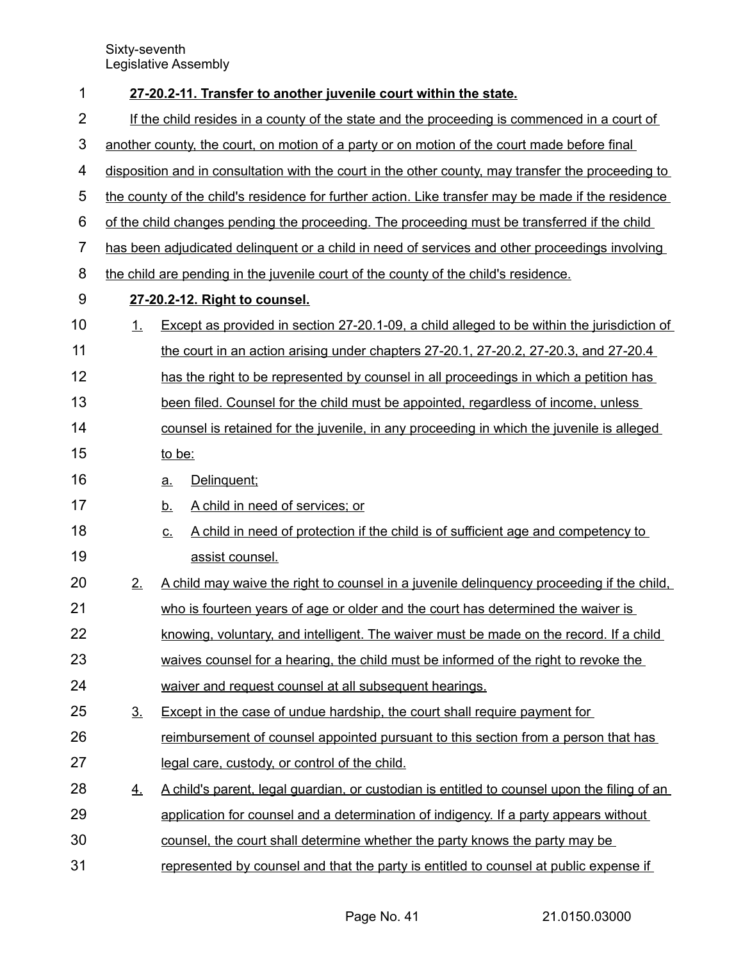| 1              |                                                                                             | 27-20.2-11. Transfer to another juvenile court within the state.                                       |  |
|----------------|---------------------------------------------------------------------------------------------|--------------------------------------------------------------------------------------------------------|--|
| 2              | If the child resides in a county of the state and the proceeding is commenced in a court of |                                                                                                        |  |
| 3              | another county, the court, on motion of a party or on motion of the court made before final |                                                                                                        |  |
| 4              |                                                                                             | disposition and in consultation with the court in the other county, may transfer the proceeding to     |  |
| 5              |                                                                                             | the county of the child's residence for further action. Like transfer may be made if the residence     |  |
| 6              |                                                                                             | of the child changes pending the proceeding. The proceeding must be transferred if the child           |  |
| $\overline{7}$ |                                                                                             | has been adjudicated delinguent or a child in need of services and other proceedings involving         |  |
| 8              |                                                                                             | the child are pending in the juvenile court of the county of the child's residence.                    |  |
| 9              |                                                                                             | 27-20.2-12. Right to counsel.                                                                          |  |
| 10             | $\perp$                                                                                     | Except as provided in section 27-20.1-09, a child alleged to be within the jurisdiction of             |  |
| 11             |                                                                                             | the court in an action arising under chapters 27-20.1, 27-20.2, 27-20.3, and 27-20.4                   |  |
| 12             |                                                                                             | has the right to be represented by counsel in all proceedings in which a petition has                  |  |
| 13             |                                                                                             | been filed. Counsel for the child must be appointed, regardless of income, unless                      |  |
| 14             |                                                                                             | counsel is retained for the juvenile, in any proceeding in which the juvenile is alleged               |  |
| 15             |                                                                                             | to be:                                                                                                 |  |
| 16             |                                                                                             | Delinquent;<br><u>a.</u>                                                                               |  |
| 17             |                                                                                             | A child in need of services; or<br><u>b.</u>                                                           |  |
| 18             |                                                                                             | A child in need of protection if the child is of sufficient age and competency to<br>$\underline{C}$ . |  |
| 19             |                                                                                             | assist counsel.                                                                                        |  |
| 20             | 2.                                                                                          | A child may waive the right to counsel in a juvenile delinguency proceeding if the child.              |  |
| 21             |                                                                                             | who is fourteen years of age or older and the court has determined the waiver is                       |  |
| 22             |                                                                                             | knowing, voluntary, and intelligent. The waiver must be made on the record. If a child                 |  |
| 23             |                                                                                             | waives counsel for a hearing, the child must be informed of the right to revoke the                    |  |
| 24             |                                                                                             | waiver and request counsel at all subsequent hearings.                                                 |  |
| 25             | 3 <sub>1</sub>                                                                              | Except in the case of undue hardship, the court shall require payment for                              |  |
| 26             |                                                                                             | reimbursement of counsel appointed pursuant to this section from a person that has                     |  |
| 27             |                                                                                             | legal care, custody, or control of the child.                                                          |  |
| 28             | <u>4.</u>                                                                                   | A child's parent, legal guardian, or custodian is entitled to counsel upon the filing of an            |  |
| 29             |                                                                                             | application for counsel and a determination of indigency. If a party appears without                   |  |
| 30             |                                                                                             | counsel, the court shall determine whether the party knows the party may be                            |  |
| 31             |                                                                                             | represented by counsel and that the party is entitled to counsel at public expense if                  |  |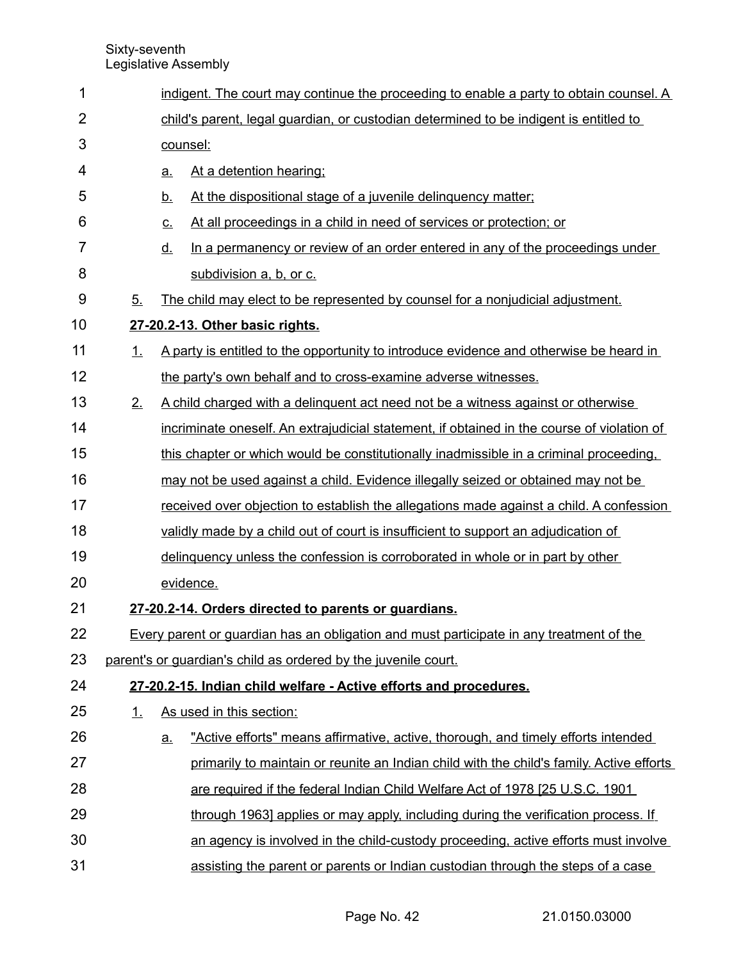| 1              |                                                                                       | indigent. The court may continue the proceeding to enable a party to obtain counsel. A     |  |  |
|----------------|---------------------------------------------------------------------------------------|--------------------------------------------------------------------------------------------|--|--|
| $\overline{2}$ | child's parent, legal guardian, or custodian determined to be indigent is entitled to |                                                                                            |  |  |
| 3              | counsel:                                                                              |                                                                                            |  |  |
| 4              |                                                                                       | At a detention hearing:<br><u>a.</u>                                                       |  |  |
| 5              |                                                                                       | At the dispositional stage of a juvenile delinquency matter;<br><u>b.</u>                  |  |  |
| 6              |                                                                                       | At all proceedings in a child in need of services or protection; or<br><u>c.</u>           |  |  |
| 7              |                                                                                       | In a permanency or review of an order entered in any of the proceedings under<br><u>d.</u> |  |  |
| 8              |                                                                                       | subdivision a, b, or c.                                                                    |  |  |
| 9              | 5.                                                                                    | The child may elect to be represented by counsel for a nonjudicial adjustment.             |  |  |
| 10             |                                                                                       | 27-20.2-13. Other basic rights.                                                            |  |  |
| 11             | 1.                                                                                    | A party is entitled to the opportunity to introduce evidence and otherwise be heard in     |  |  |
| 12             |                                                                                       | the party's own behalf and to cross-examine adverse witnesses.                             |  |  |
| 13             | 2.                                                                                    | A child charged with a delinguent act need not be a witness against or otherwise           |  |  |
| 14             |                                                                                       | incriminate oneself. An extrajudicial statement, if obtained in the course of violation of |  |  |
| 15             |                                                                                       | this chapter or which would be constitutionally inadmissible in a criminal proceeding.     |  |  |
| 16             |                                                                                       | may not be used against a child. Evidence illegally seized or obtained may not be          |  |  |
| 17             |                                                                                       | received over objection to establish the allegations made against a child. A confession    |  |  |
| 18             |                                                                                       | validly made by a child out of court is insufficient to support an adjudication of         |  |  |
| 19             |                                                                                       | delinguency unless the confession is corroborated in whole or in part by other             |  |  |
| 20             |                                                                                       | evidence.                                                                                  |  |  |
| 21             |                                                                                       | 27-20.2-14. Orders directed to parents or guardians.                                       |  |  |
| 22             |                                                                                       | Every parent or guardian has an obligation and must participate in any treatment of the    |  |  |
| 23             |                                                                                       | parent's or quardian's child as ordered by the juvenile court.                             |  |  |
| 24             |                                                                                       | 27-20.2-15. Indian child welfare - Active efforts and procedures.                          |  |  |
| 25             | 1.                                                                                    | As used in this section:                                                                   |  |  |
| 26             |                                                                                       | "Active efforts" means affirmative, active, thorough, and timely efforts intended<br>a.    |  |  |
| 27             |                                                                                       | primarily to maintain or reunite an Indian child with the child's family. Active efforts   |  |  |
| 28             |                                                                                       | are required if the federal Indian Child Welfare Act of 1978 [25 U.S.C. 1901]              |  |  |
| 29             |                                                                                       | through 1963] applies or may apply, including during the verification process. If          |  |  |
| 30             |                                                                                       | an agency is involved in the child-custody proceeding, active efforts must involve         |  |  |
| 31             |                                                                                       | assisting the parent or parents or Indian custodian through the steps of a case            |  |  |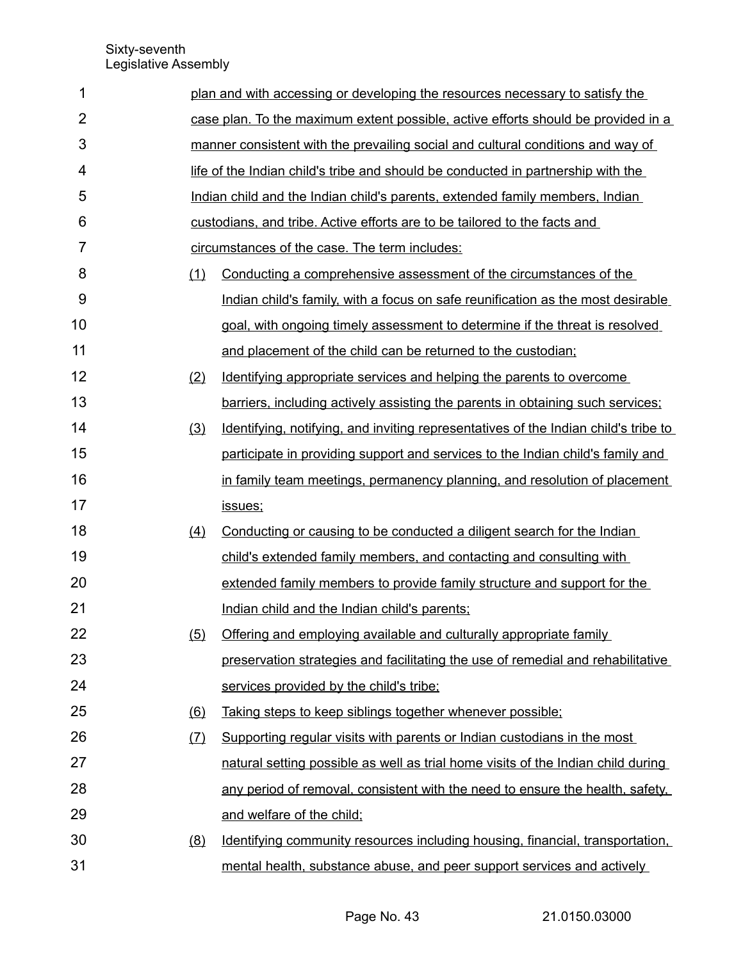| 1              |     | plan and with accessing or developing the resources necessary to satisfy the        |
|----------------|-----|-------------------------------------------------------------------------------------|
| $\overline{2}$ |     | case plan. To the maximum extent possible, active efforts should be provided in a   |
| 3              |     | manner consistent with the prevailing social and cultural conditions and way of     |
| 4              |     | life of the Indian child's tribe and should be conducted in partnership with the    |
| 5              |     | Indian child and the Indian child's parents, extended family members, Indian        |
| 6              |     | custodians, and tribe. Active efforts are to be tailored to the facts and           |
| 7              |     | circumstances of the case. The term includes:                                       |
| 8              | (1) | Conducting a comprehensive assessment of the circumstances of the                   |
| 9              |     | Indian child's family, with a focus on safe reunification as the most desirable     |
| 10             |     | goal, with ongoing timely assessment to determine if the threat is resolved         |
| 11             |     | and placement of the child can be returned to the custodian;                        |
| 12             | (2) | Identifying appropriate services and helping the parents to overcome                |
| 13             |     | barriers, including actively assisting the parents in obtaining such services;      |
| 14             | (3) | Identifying, notifying, and inviting representatives of the Indian child's tribe to |
| 15             |     | participate in providing support and services to the Indian child's family and      |
| 16             |     | in family team meetings, permanency planning, and resolution of placement           |
| 17             |     | issues;                                                                             |
| 18             | (4) | Conducting or causing to be conducted a diligent search for the Indian              |
| 19             |     | child's extended family members, and contacting and consulting with                 |
| 20             |     | extended family members to provide family structure and support for the             |
| 21             |     | Indian child and the Indian child's parents;                                        |
| 22             | (5) | Offering and employing available and culturally appropriate family                  |
| 23             |     | preservation strategies and facilitating the use of remedial and rehabilitative     |
| 24             |     | services provided by the child's tribe;                                             |
| 25             | (6) | Taking steps to keep siblings together whenever possible;                           |
| 26             | (7) | Supporting regular visits with parents or Indian custodians in the most             |
| 27             |     | natural setting possible as well as trial home visits of the Indian child during    |
| 28             |     | any period of removal, consistent with the need to ensure the health, safety,       |
| 29             |     | and welfare of the child:                                                           |
| 30             | (8) | Identifying community resources including housing, financial, transportation,       |
| 31             |     | mental health, substance abuse, and peer support services and actively              |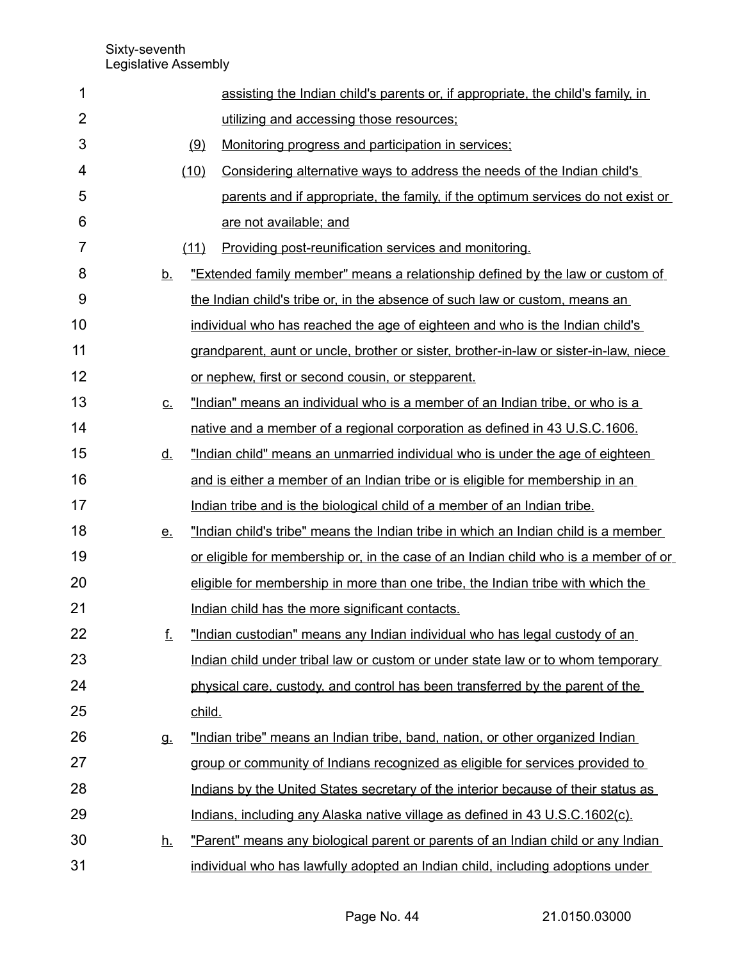| 1              |           |                                                               | assisting the Indian child's parents or, if appropriate, the child's family, in       |
|----------------|-----------|---------------------------------------------------------------|---------------------------------------------------------------------------------------|
| $\overline{2}$ |           | utilizing and accessing those resources;                      |                                                                                       |
| 3              |           | (9)<br>Monitoring progress and participation in services;     |                                                                                       |
| 4              |           | (10)                                                          | Considering alternative ways to address the needs of the Indian child's               |
| 5              |           |                                                               | parents and if appropriate, the family, if the optimum services do not exist or       |
| 6              |           | are not available; and                                        |                                                                                       |
| 7              |           | Providing post-reunification services and monitoring.<br>(11) |                                                                                       |
| 8              | <u>b.</u> |                                                               | "Extended family member" means a relationship defined by the law or custom of         |
| 9              |           |                                                               | the Indian child's tribe or, in the absence of such law or custom, means an           |
| 10             |           |                                                               | individual who has reached the age of eighteen and who is the Indian child's          |
| 11             |           |                                                               | grandparent, aunt or uncle, brother or sister, brother-in-law or sister-in-law, niece |
| 12             |           | or nephew, first or second cousin, or stepparent.             |                                                                                       |
| 13             | <u>c.</u> |                                                               | "Indian" means an individual who is a member of an Indian tribe, or who is a          |
| 14             |           |                                                               | native and a member of a regional corporation as defined in 43 U.S.C.1606.            |
| 15             | <u>d.</u> |                                                               | "Indian child" means an unmarried individual who is under the age of eighteen         |
| 16             |           |                                                               | and is either a member of an Indian tribe or is eligible for membership in an         |
| 17             |           |                                                               | Indian tribe and is the biological child of a member of an Indian tribe.              |
| 18             | <u>e.</u> |                                                               | "Indian child's tribe" means the Indian tribe in which an Indian child is a member    |
| 19             |           |                                                               | or eligible for membership or, in the case of an Indian child who is a member of or   |
| 20             |           |                                                               | eligible for membership in more than one tribe, the Indian tribe with which the       |
| 21             |           | Indian child has the more significant contacts.               |                                                                                       |
| 22             | f.        |                                                               | "Indian custodian" means any Indian individual who has legal custody of an            |
| 23             |           |                                                               | Indian child under tribal law or custom or under state law or to whom temporary       |
| 24             |           |                                                               | physical care, custody, and control has been transferred by the parent of the         |
| 25             |           | child.                                                        |                                                                                       |
| 26             | g.        |                                                               | "Indian tribe" means an Indian tribe, band, nation, or other organized Indian         |
| 27             |           |                                                               | group or community of Indians recognized as eligible for services provided to         |
| 28             |           |                                                               | Indians by the United States secretary of the interior because of their status as     |
| 29             |           |                                                               | Indians, including any Alaska native village as defined in 43 U.S.C.1602(c).          |
| 30             | <u>h.</u> |                                                               | "Parent" means any biological parent or parents of an Indian child or any Indian      |
| 31             |           |                                                               | individual who has lawfully adopted an Indian child, including adoptions under        |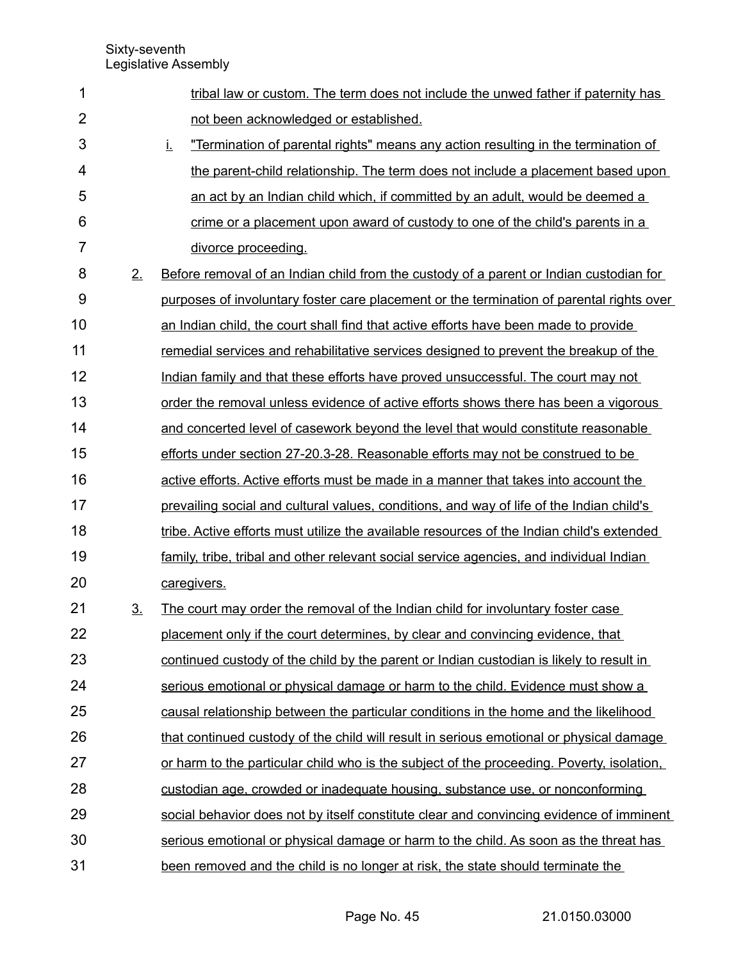| 1              |                | tribal law or custom. The term does not include the unwed father if paternity has              |
|----------------|----------------|------------------------------------------------------------------------------------------------|
| $\overline{2}$ |                | not been acknowledged or established.                                                          |
| 3              |                | "Termination of parental rights" means any action resulting in the termination of<br><u>i.</u> |
| 4              |                | the parent-child relationship. The term does not include a placement based upon                |
| 5              |                | an act by an Indian child which, if committed by an adult, would be deemed a                   |
| 6              |                | crime or a placement upon award of custody to one of the child's parents in a                  |
| 7              |                | divorce proceeding.                                                                            |
| 8              | 2.             | Before removal of an Indian child from the custody of a parent or Indian custodian for         |
| 9              |                | purposes of involuntary foster care placement or the termination of parental rights over       |
| 10             |                | an Indian child, the court shall find that active efforts have been made to provide            |
| 11             |                | remedial services and rehabilitative services designed to prevent the breakup of the           |
| 12             |                | Indian family and that these efforts have proved unsuccessful. The court may not               |
| 13             |                | order the removal unless evidence of active efforts shows there has been a vigorous            |
| 14             |                | and concerted level of casework beyond the level that would constitute reasonable              |
| 15             |                | efforts under section 27-20.3-28. Reasonable efforts may not be construed to be                |
| 16             |                | active efforts. Active efforts must be made in a manner that takes into account the            |
| 17             |                | prevailing social and cultural values, conditions, and way of life of the Indian child's       |
| 18             |                | tribe. Active efforts must utilize the available resources of the Indian child's extended      |
| 19             |                | family, tribe, tribal and other relevant social service agencies, and individual Indian        |
| 20             |                | caregivers.                                                                                    |
| 21             | 3 <sub>1</sub> | The court may order the removal of the Indian child for involuntary foster case                |
| 22             |                | placement only if the court determines, by clear and convincing evidence, that                 |
| 23             |                | continued custody of the child by the parent or Indian custodian is likely to result in        |
| 24             |                | serious emotional or physical damage or harm to the child. Evidence must show a                |
| 25             |                | causal relationship between the particular conditions in the home and the likelihood           |
| 26             |                | that continued custody of the child will result in serious emotional or physical damage        |
| 27             |                | or harm to the particular child who is the subject of the proceeding. Poverty, isolation,      |
| 28             |                | custodian age, crowded or inadequate housing, substance use, or nonconforming                  |
| 29             |                | social behavior does not by itself constitute clear and convincing evidence of imminent        |
| 30             |                | serious emotional or physical damage or harm to the child. As soon as the threat has           |
| 31             |                | been removed and the child is no longer at risk, the state should terminate the                |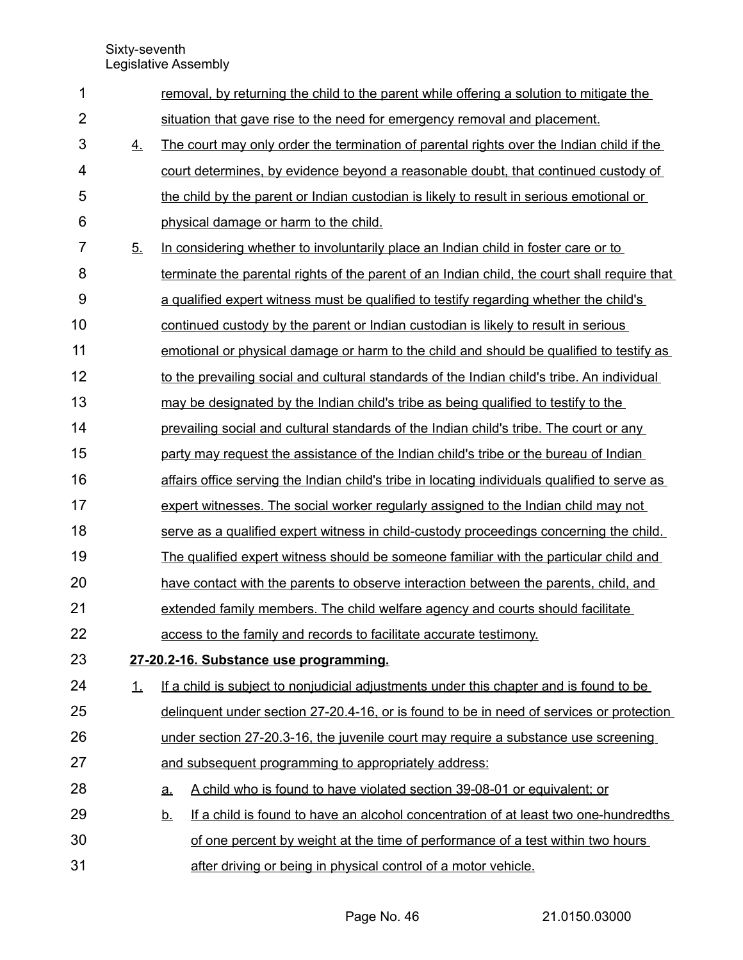| 1                       |           | removal, by returning the child to the parent while offering a solution to mitigate the          |
|-------------------------|-----------|--------------------------------------------------------------------------------------------------|
| $\overline{2}$          |           | situation that gave rise to the need for emergency removal and placement.                        |
| 3                       | <u>4.</u> | The court may only order the termination of parental rights over the Indian child if the         |
| $\overline{\mathbf{4}}$ |           | court determines, by evidence beyond a reasonable doubt, that continued custody of               |
| 5                       |           | the child by the parent or Indian custodian is likely to result in serious emotional or          |
| 6                       |           | physical damage or harm to the child.                                                            |
| $\overline{7}$          | 5.        | In considering whether to involuntarily place an Indian child in foster care or to               |
| 8                       |           | terminate the parental rights of the parent of an Indian child, the court shall require that     |
| 9                       |           | a qualified expert witness must be qualified to testify regarding whether the child's            |
| 10                      |           | continued custody by the parent or Indian custodian is likely to result in serious               |
| 11                      |           | emotional or physical damage or harm to the child and should be qualified to testify as          |
| 12                      |           | to the prevailing social and cultural standards of the Indian child's tribe. An individual       |
| 13                      |           | may be designated by the Indian child's tribe as being qualified to testify to the               |
| 14                      |           | prevailing social and cultural standards of the Indian child's tribe. The court or any           |
| 15                      |           | party may request the assistance of the Indian child's tribe or the bureau of Indian             |
| 16                      |           | affairs office serving the Indian child's tribe in locating individuals qualified to serve as    |
| 17                      |           | expert witnesses. The social worker regularly assigned to the Indian child may not               |
| 18                      |           | serve as a qualified expert witness in child-custody proceedings concerning the child.           |
| 19                      |           | The qualified expert witness should be someone familiar with the particular child and            |
| 20                      |           | have contact with the parents to observe interaction between the parents, child, and             |
| 21                      |           | extended family members. The child welfare agency and courts should facilitate                   |
| 22                      |           | access to the family and records to facilitate accurate testimony.                               |
| 23                      |           | 27-20.2-16. Substance use programming.                                                           |
| 24                      | 1.        | If a child is subject to nonjudicial adjustments under this chapter and is found to be           |
| 25                      |           | delinguent under section 27-20.4-16, or is found to be in need of services or protection         |
| 26                      |           | under section 27-20.3-16, the juvenile court may require a substance use screening               |
| 27                      |           | and subsequent programming to appropriately address:                                             |
| 28                      |           | A child who is found to have violated section 39-08-01 or equivalent; or<br><u>a.</u>            |
| 29                      |           | If a child is found to have an alcohol concentration of at least two one-hundredths<br><u>b.</u> |
| 30                      |           | of one percent by weight at the time of performance of a test within two hours                   |
| 31                      |           | after driving or being in physical control of a motor vehicle.                                   |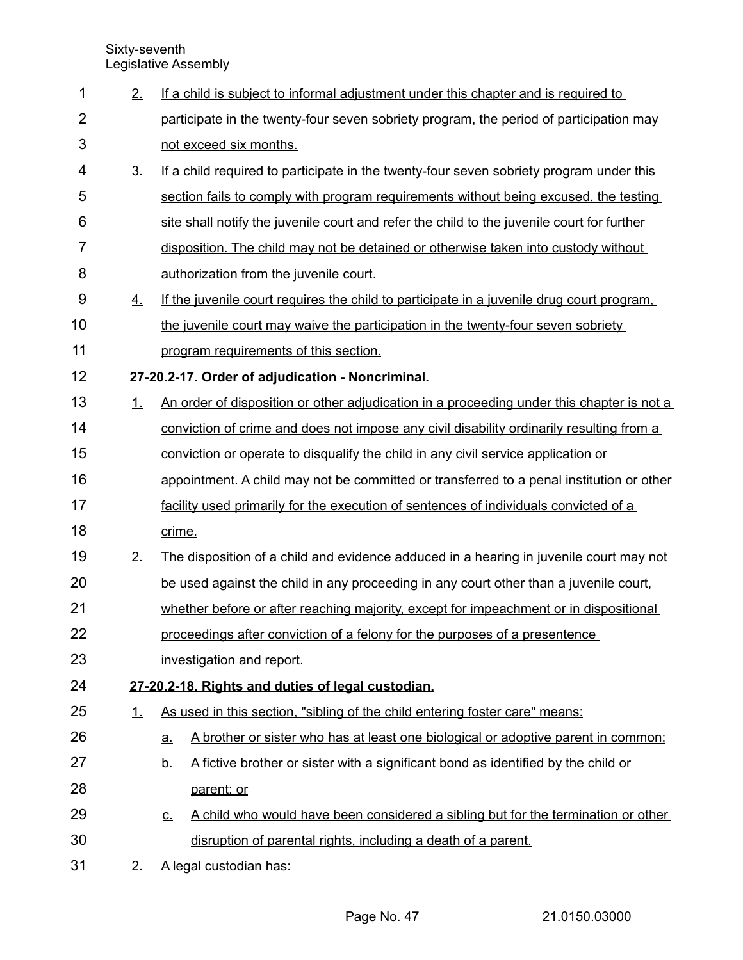| 1              | 2.               | If a child is subject to informal adjustment under this chapter and is required to             |
|----------------|------------------|------------------------------------------------------------------------------------------------|
| $\overline{2}$ |                  | participate in the twenty-four seven sobriety program, the period of participation may         |
| 3              |                  | not exceed six months.                                                                         |
| 4              | 3 <sub>1</sub>   | If a child required to participate in the twenty-four seven sobriety program under this        |
| 5              |                  | section fails to comply with program requirements without being excused, the testing           |
| 6              |                  | site shall notify the juvenile court and refer the child to the juvenile court for further     |
| $\overline{7}$ |                  | disposition. The child may not be detained or otherwise taken into custody without             |
| 8              |                  | authorization from the juvenile court.                                                         |
| 9              | $\overline{4}$ . | If the juvenile court requires the child to participate in a juvenile drug court program,      |
| 10             |                  | the juvenile court may waive the participation in the twenty-four seven sobriety               |
| 11             |                  | program requirements of this section.                                                          |
| 12             |                  | 27-20.2-17. Order of adjudication - Noncriminal.                                               |
| 13             | 1.               | An order of disposition or other adjudication in a proceeding under this chapter is not a      |
| 14             |                  | conviction of crime and does not impose any civil disability ordinarily resulting from a       |
| 15             |                  | conviction or operate to disqualify the child in any civil service application or              |
| 16             |                  | appointment. A child may not be committed or transferred to a penal institution or other       |
| 17             |                  | facility used primarily for the execution of sentences of individuals convicted of a           |
| 18             |                  | crime.                                                                                         |
| 19             | 2.               | The disposition of a child and evidence adduced in a hearing in juvenile court may not         |
| 20             |                  | be used against the child in any proceeding in any court other than a juvenile court,          |
| 21             |                  | whether before or after reaching majority, except for impeachment or in dispositional          |
| 22             |                  | proceedings after conviction of a felony for the purposes of a presentence                     |
| 23             |                  | investigation and report.                                                                      |
| 24             |                  | 27-20.2-18. Rights and duties of legal custodian.                                              |
| 25             | $\perp$          | As used in this section, "sibling of the child entering foster care" means:                    |
| 26             |                  | A brother or sister who has at least one biological or adoptive parent in common;<br><u>a.</u> |
| 27             |                  | A fictive brother or sister with a significant bond as identified by the child or<br><u>b.</u> |
| 28             |                  | parent; or                                                                                     |
| 29             |                  | A child who would have been considered a sibling but for the termination or other<br><u>c.</u> |
| 30             |                  | disruption of parental rights, including a death of a parent.                                  |
| 31             | 2.               | A legal custodian has:                                                                         |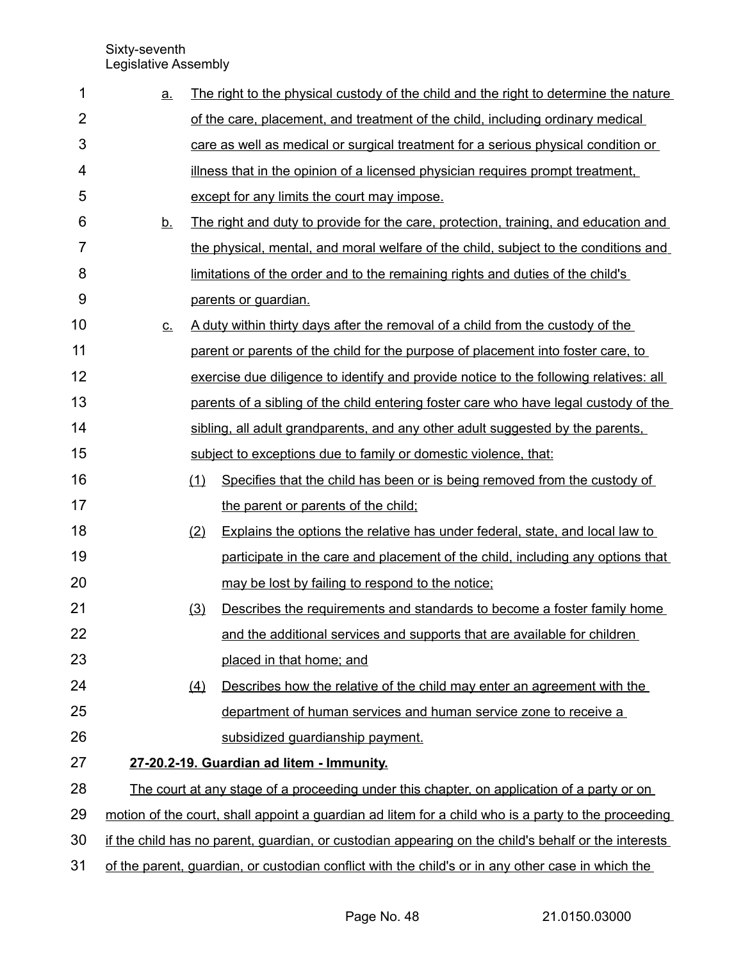| 1              | <u>a.</u> | The right to the physical custody of the child and the right to determine the nature                |
|----------------|-----------|-----------------------------------------------------------------------------------------------------|
| $\overline{2}$ |           | of the care, placement, and treatment of the child, including ordinary medical                      |
| 3              |           | care as well as medical or surgical treatment for a serious physical condition or                   |
| 4              |           | illness that in the opinion of a licensed physician requires prompt treatment,                      |
| 5              |           | except for any limits the court may impose.                                                         |
| 6              | <u>b.</u> | The right and duty to provide for the care, protection, training, and education and                 |
| $\overline{7}$ |           | the physical, mental, and moral welfare of the child, subject to the conditions and                 |
| 8              |           | limitations of the order and to the remaining rights and duties of the child's                      |
| 9              |           | parents or guardian.                                                                                |
| 10             | <u>c.</u> | A duty within thirty days after the removal of a child from the custody of the                      |
| 11             |           | parent or parents of the child for the purpose of placement into foster care, to                    |
| 12             |           | exercise due diligence to identify and provide notice to the following relatives: all               |
| 13             |           | parents of a sibling of the child entering foster care who have legal custody of the                |
| 14             |           | sibling, all adult grandparents, and any other adult suggested by the parents,                      |
| 15             |           | subject to exceptions due to family or domestic violence, that:                                     |
| 16             | (1)       | Specifies that the child has been or is being removed from the custody of                           |
| 17             |           | the parent or parents of the child;                                                                 |
| 18             | (2)       | Explains the options the relative has under federal, state, and local law to                        |
| 19             |           | participate in the care and placement of the child, including any options that                      |
| 20             |           | may be lost by failing to respond to the notice;                                                    |
| 21             | (3)       | Describes the requirements and standards to become a foster family home                             |
| 22             |           | and the additional services and supports that are available for children                            |
| 23             |           | placed in that home; and                                                                            |
| 24             | (4)       | Describes how the relative of the child may enter an agreement with the                             |
| 25             |           | department of human services and human service zone to receive a                                    |
| 26             |           | subsidized guardianship payment.                                                                    |
| 27             |           | 27-20.2-19. Guardian ad litem - Immunity.                                                           |
| 28             |           | The court at any stage of a proceeding under this chapter, on application of a party or on          |
| 29             |           | motion of the court, shall appoint a guardian ad litem for a child who is a party to the proceeding |
| 30             |           | if the child has no parent, guardian, or custodian appearing on the child's behalf or the interests |
| 31             |           | of the parent, guardian, or custodian conflict with the child's or in any other case in which the   |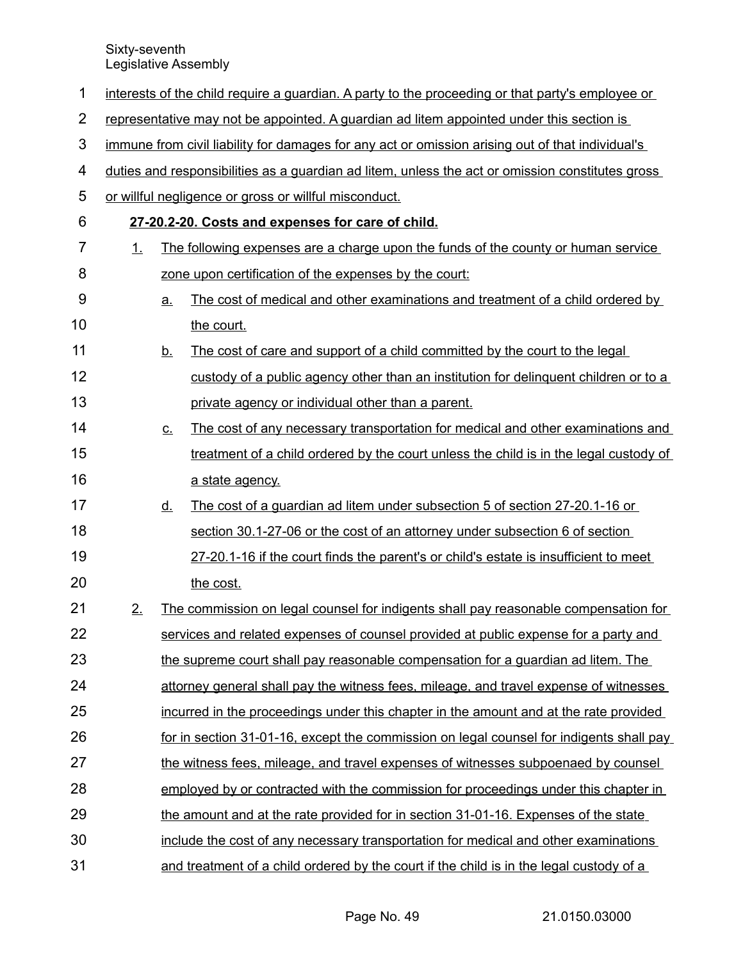| 1              | interests of the child require a guardian. A party to the proceeding or that party's employee or |                                                                                                  |                                                                                                  |  |  |
|----------------|--------------------------------------------------------------------------------------------------|--------------------------------------------------------------------------------------------------|--------------------------------------------------------------------------------------------------|--|--|
| $\overline{2}$ | representative may not be appointed. A guardian ad litem appointed under this section is         |                                                                                                  |                                                                                                  |  |  |
| 3              |                                                                                                  | immune from civil liability for damages for any act or omission arising out of that individual's |                                                                                                  |  |  |
| 4              |                                                                                                  |                                                                                                  | duties and responsibilities as a quardian ad litem, unless the act or omission constitutes gross |  |  |
| 5              |                                                                                                  |                                                                                                  | or willful negligence or gross or willful misconduct.                                            |  |  |
| 6              |                                                                                                  |                                                                                                  | 27-20.2-20. Costs and expenses for care of child.                                                |  |  |
| 7              | 1.                                                                                               |                                                                                                  | The following expenses are a charge upon the funds of the county or human service                |  |  |
| 8              |                                                                                                  |                                                                                                  | zone upon certification of the expenses by the court:                                            |  |  |
| 9              |                                                                                                  | <u>a.</u>                                                                                        | The cost of medical and other examinations and treatment of a child ordered by                   |  |  |
| 10             |                                                                                                  |                                                                                                  | the court.                                                                                       |  |  |
| 11             |                                                                                                  | <u>b.</u>                                                                                        | The cost of care and support of a child committed by the court to the legal                      |  |  |
| 12             |                                                                                                  |                                                                                                  | custody of a public agency other than an institution for delinguent children or to a             |  |  |
| 13             |                                                                                                  |                                                                                                  | private agency or individual other than a parent.                                                |  |  |
| 14             |                                                                                                  | $C_{-}$                                                                                          | The cost of any necessary transportation for medical and other examinations and                  |  |  |
| 15             |                                                                                                  |                                                                                                  | treatment of a child ordered by the court unless the child is in the legal custody of            |  |  |
| 16             |                                                                                                  |                                                                                                  | a state agency.                                                                                  |  |  |
| 17             |                                                                                                  | <u>d.</u>                                                                                        | The cost of a guardian ad litem under subsection 5 of section 27-20.1-16 or                      |  |  |
| 18             |                                                                                                  |                                                                                                  | section 30.1-27-06 or the cost of an attorney under subsection 6 of section                      |  |  |
| 19             |                                                                                                  |                                                                                                  | 27-20.1-16 if the court finds the parent's or child's estate is insufficient to meet             |  |  |
| 20             |                                                                                                  |                                                                                                  | the cost.                                                                                        |  |  |
| 21             | 2.                                                                                               |                                                                                                  | The commission on legal counsel for indigents shall pay reasonable compensation for              |  |  |
| 22             |                                                                                                  |                                                                                                  | services and related expenses of counsel provided at public expense for a party and              |  |  |
| 23             |                                                                                                  |                                                                                                  | the supreme court shall pay reasonable compensation for a guardian ad litem. The                 |  |  |
| 24             |                                                                                                  |                                                                                                  | attorney general shall pay the witness fees, mileage, and travel expense of witnesses            |  |  |
| 25             |                                                                                                  |                                                                                                  | incurred in the proceedings under this chapter in the amount and at the rate provided            |  |  |
| 26             |                                                                                                  |                                                                                                  | for in section 31-01-16, except the commission on legal counsel for indigents shall pay          |  |  |
| 27             |                                                                                                  |                                                                                                  | the witness fees, mileage, and travel expenses of witnesses subpoenaed by counsel                |  |  |
| 28             |                                                                                                  |                                                                                                  | employed by or contracted with the commission for proceedings under this chapter in              |  |  |
| 29             |                                                                                                  |                                                                                                  | the amount and at the rate provided for in section 31-01-16. Expenses of the state               |  |  |
| 30             |                                                                                                  |                                                                                                  | include the cost of any necessary transportation for medical and other examinations              |  |  |
| 31             |                                                                                                  |                                                                                                  | and treatment of a child ordered by the court if the child is in the legal custody of a          |  |  |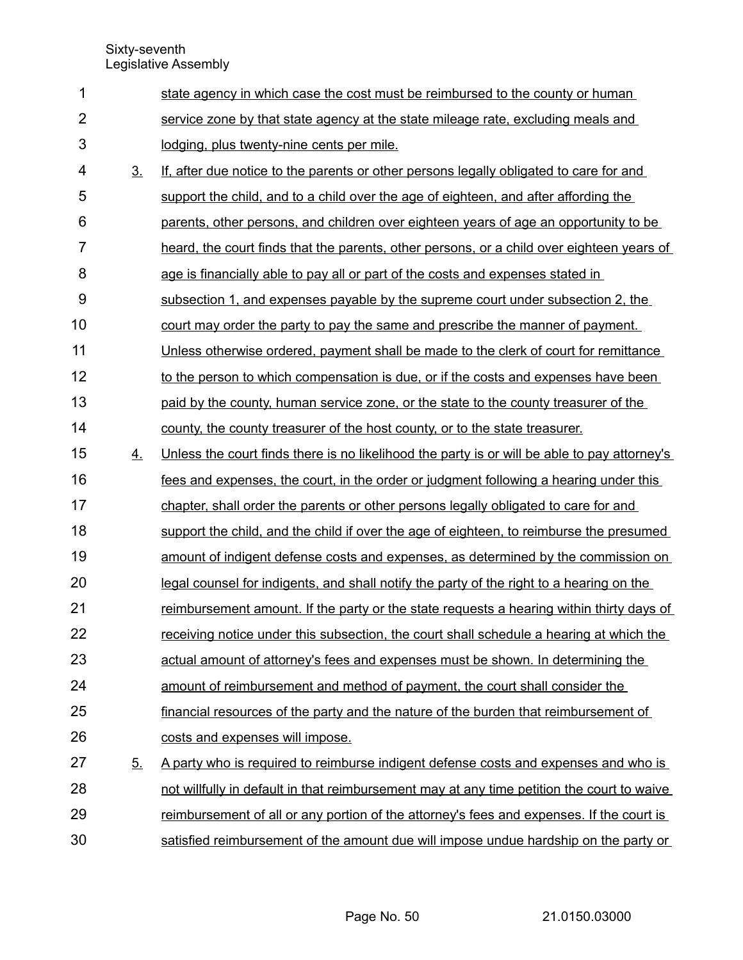| 1              |                | state agency in which case the cost must be reimbursed to the county or human                |
|----------------|----------------|----------------------------------------------------------------------------------------------|
| $\overline{2}$ |                | service zone by that state agency at the state mileage rate, excluding meals and             |
| 3              |                | lodging, plus twenty-nine cents per mile.                                                    |
| 4              | 3 <sub>1</sub> | If, after due notice to the parents or other persons legally obligated to care for and       |
| 5              |                | support the child, and to a child over the age of eighteen, and after affording the          |
| 6              |                | parents, other persons, and children over eighteen years of age an opportunity to be         |
| $\overline{7}$ |                | heard, the court finds that the parents, other persons, or a child over eighteen years of    |
| 8              |                | age is financially able to pay all or part of the costs and expenses stated in               |
| 9              |                | subsection 1, and expenses payable by the supreme court under subsection 2, the              |
| 10             |                | court may order the party to pay the same and prescribe the manner of payment.               |
| 11             |                | Unless otherwise ordered, payment shall be made to the clerk of court for remittance         |
| 12             |                | to the person to which compensation is due, or if the costs and expenses have been           |
| 13             |                | paid by the county, human service zone, or the state to the county treasurer of the          |
| 14             |                | county, the county treasurer of the host county, or to the state treasurer.                  |
| 15             | 4.             | Unless the court finds there is no likelihood the party is or will be able to pay attorney's |
| 16             |                | fees and expenses, the court, in the order or judgment following a hearing under this        |
| 17             |                | chapter, shall order the parents or other persons legally obligated to care for and          |
| 18             |                | support the child, and the child if over the age of eighteen, to reimburse the presumed      |
| 19             |                | amount of indigent defense costs and expenses, as determined by the commission on            |
| 20             |                | legal counsel for indigents, and shall notify the party of the right to a hearing on the     |
| 21             |                | reimbursement amount. If the party or the state requests a hearing within thirty days of     |
| 22             |                | receiving notice under this subsection, the court shall schedule a hearing at which the      |
| 23             |                | actual amount of attorney's fees and expenses must be shown. In determining the              |
| 24             |                | amount of reimbursement and method of payment, the court shall consider the                  |
| 25             |                | financial resources of the party and the nature of the burden that reimbursement of          |
| 26             |                | costs and expenses will impose.                                                              |
| 27             | 5.             | <u>A party who is required to reimburse indigent defense costs and expenses and who is</u>   |
| 28             |                | not willfully in default in that reimbursement may at any time petition the court to waive   |
| 29             |                | reimbursement of all or any portion of the attorney's fees and expenses. If the court is     |
| 30             |                | satisfied reimbursement of the amount due will impose undue hardship on the party or         |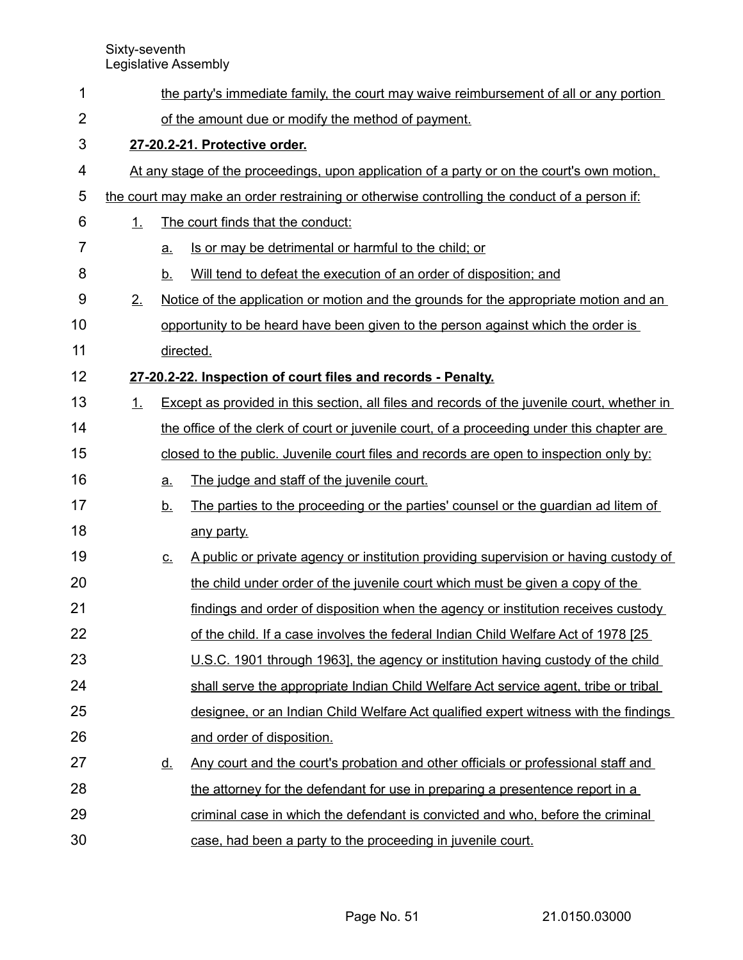| 1              | the party's immediate family, the court may waive reimbursement of all or any portion |           |                                                                                              |  |  |  |
|----------------|---------------------------------------------------------------------------------------|-----------|----------------------------------------------------------------------------------------------|--|--|--|
| $\overline{2}$ | of the amount due or modify the method of payment.                                    |           |                                                                                              |  |  |  |
| 3              |                                                                                       |           | 27-20.2-21. Protective order.                                                                |  |  |  |
| 4              |                                                                                       |           | At any stage of the proceedings, upon application of a party or on the court's own motion,   |  |  |  |
| 5              |                                                                                       |           | the court may make an order restraining or otherwise controlling the conduct of a person if: |  |  |  |
| 6              | 1.                                                                                    |           | The court finds that the conduct:                                                            |  |  |  |
| $\overline{7}$ |                                                                                       | a.        | Is or may be detrimental or harmful to the child; or                                         |  |  |  |
| 8              |                                                                                       | <u>b.</u> | Will tend to defeat the execution of an order of disposition; and                            |  |  |  |
| 9              | 2.                                                                                    |           | <u>Notice of the application or motion and the grounds for the appropriate motion and an</u> |  |  |  |
| 10             |                                                                                       |           | opportunity to be heard have been given to the person against which the order is             |  |  |  |
| 11             |                                                                                       |           | directed.                                                                                    |  |  |  |
| 12             |                                                                                       |           | 27-20.2-22. Inspection of court files and records - Penalty.                                 |  |  |  |
| 13             | 1.                                                                                    |           | Except as provided in this section, all files and records of the juvenile court, whether in  |  |  |  |
| 14             |                                                                                       |           | the office of the clerk of court or juvenile court, of a proceeding under this chapter are   |  |  |  |
| 15             |                                                                                       |           | closed to the public. Juvenile court files and records are open to inspection only by:       |  |  |  |
| 16             |                                                                                       | a.        | The judge and staff of the juvenile court.                                                   |  |  |  |
| 17             |                                                                                       | <u>b.</u> | The parties to the proceeding or the parties' counsel or the guardian ad litem of            |  |  |  |
| 18             |                                                                                       |           | any party.                                                                                   |  |  |  |
| 19             |                                                                                       | <u>c.</u> | A public or private agency or institution providing supervision or having custody of         |  |  |  |
| 20             |                                                                                       |           | the child under order of the juvenile court which must be given a copy of the                |  |  |  |
| 21             |                                                                                       |           | findings and order of disposition when the agency or institution receives custody            |  |  |  |
| 22             |                                                                                       |           | of the child. If a case involves the federal Indian Child Welfare Act of 1978 [25]           |  |  |  |
| 23             |                                                                                       |           | U.S.C. 1901 through 1963], the agency or institution having custody of the child             |  |  |  |
| 24             |                                                                                       |           | shall serve the appropriate Indian Child Welfare Act service agent, tribe or tribal          |  |  |  |
| 25             |                                                                                       |           | designee, or an Indian Child Welfare Act qualified expert witness with the findings          |  |  |  |
| 26             |                                                                                       |           | and order of disposition.                                                                    |  |  |  |
| 27             |                                                                                       | <u>d.</u> | Any court and the court's probation and other officials or professional staff and            |  |  |  |
| 28             |                                                                                       |           | the attorney for the defendant for use in preparing a presentence report in a                |  |  |  |
| 29             |                                                                                       |           | criminal case in which the defendant is convicted and who, before the criminal               |  |  |  |
| 30             |                                                                                       |           | case, had been a party to the proceeding in juvenile court.                                  |  |  |  |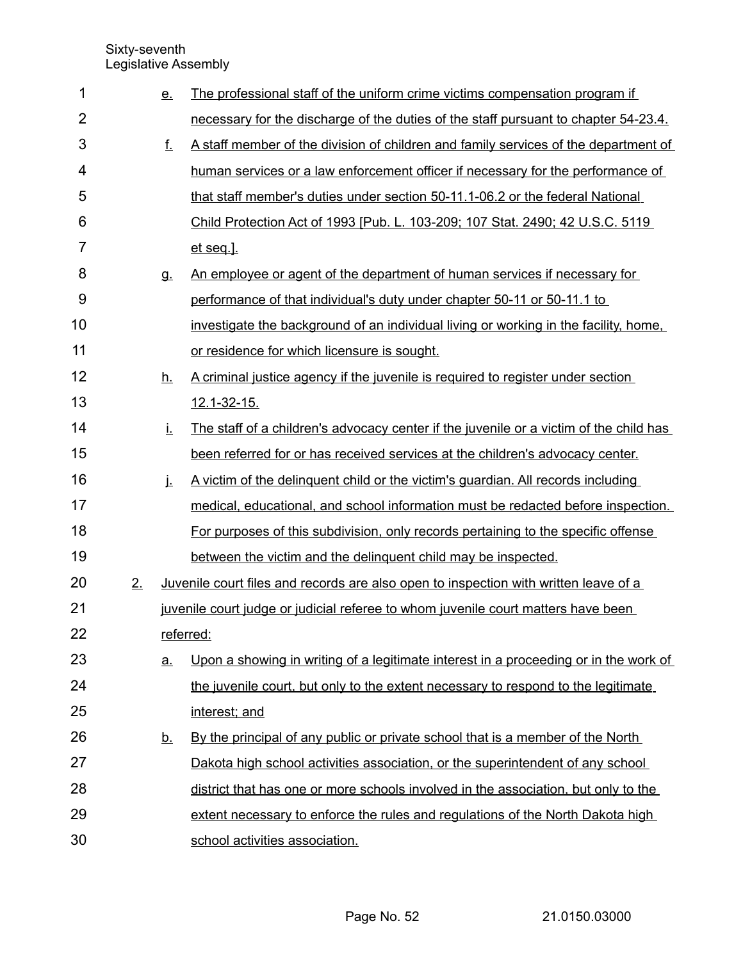| 1              |    | <u>e.</u> | The professional staff of the uniform crime victims compensation program if            |
|----------------|----|-----------|----------------------------------------------------------------------------------------|
| $\overline{2}$ |    |           | necessary for the discharge of the duties of the staff pursuant to chapter 54-23.4.    |
| 3              |    | f.        | A staff member of the division of children and family services of the department of    |
| 4              |    |           | human services or a law enforcement officer if necessary for the performance of        |
| 5              |    |           | that staff member's duties under section 50-11.1-06.2 or the federal National          |
| 6              |    |           | Child Protection Act of 1993 [Pub. L. 103-209; 107 Stat. 2490; 42 U.S.C. 5119          |
| 7              |    |           | et seq.].                                                                              |
| 8              |    | g.        | An employee or agent of the department of human services if necessary for              |
| 9              |    |           | performance of that individual's duty under chapter 50-11 or 50-11.1 to                |
| 10             |    |           | investigate the background of an individual living or working in the facility, home,   |
| 11             |    |           | or residence for which licensure is sought.                                            |
| 12             |    | <u>h.</u> | A criminal justice agency if the juvenile is required to register under section        |
| 13             |    |           | 12.1-32-15.                                                                            |
| 14             |    | İ.        | The staff of a children's advocacy center if the juvenile or a victim of the child has |
| 15             |    |           | been referred for or has received services at the children's advocacy center.          |
| 16             |    | j.        | A victim of the delinguent child or the victim's guardian. All records including       |
| 17             |    |           | medical, educational, and school information must be redacted before inspection.       |
| 18             |    |           | For purposes of this subdivision, only records pertaining to the specific offense      |
| 19             |    |           | between the victim and the delinguent child may be inspected.                          |
| 20             | 2. |           | Juvenile court files and records are also open to inspection with written leave of a   |
| 21             |    |           | juvenile court judge or judicial referee to whom juvenile court matters have been      |
| 22             |    |           | referred:                                                                              |
| 23             |    | <u>a.</u> | Upon a showing in writing of a legitimate interest in a proceeding or in the work of   |
| 24             |    |           | the juvenile court, but only to the extent necessary to respond to the legitimate      |
| 25             |    |           | interest; and                                                                          |
| 26             |    | <u>b.</u> | By the principal of any public or private school that is a member of the North         |
| 27             |    |           | Dakota high school activities association, or the superintendent of any school         |
| 28             |    |           | district that has one or more schools involved in the association, but only to the     |
| 29             |    |           | extent necessary to enforce the rules and regulations of the North Dakota high         |
| 30             |    |           | school activities association.                                                         |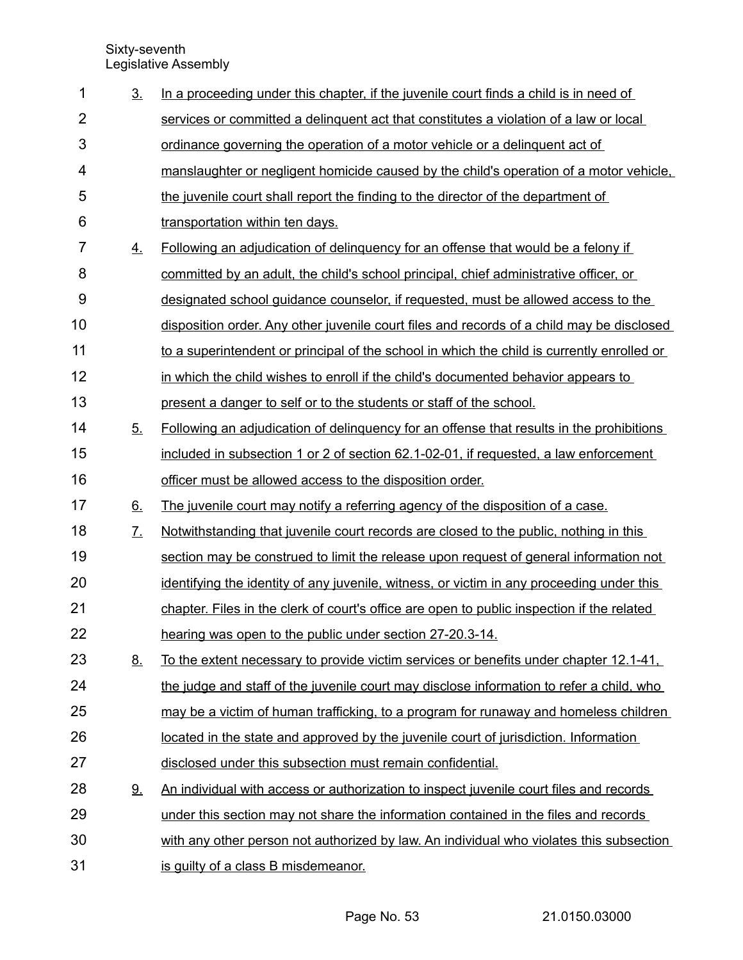| $\mathbf 1$    | 3 <sub>1</sub>    | In a proceeding under this chapter, if the juvenile court finds a child is in need of      |
|----------------|-------------------|--------------------------------------------------------------------------------------------|
| $\overline{2}$ |                   | services or committed a delinguent act that constitutes a violation of a law or local      |
| 3              |                   | ordinance governing the operation of a motor vehicle or a delinguent act of                |
| 4              |                   | manslaughter or negligent homicide caused by the child's operation of a motor vehicle.     |
| 5              |                   | the juvenile court shall report the finding to the director of the department of           |
| 6              |                   | transportation within ten days.                                                            |
| 7              | 4.                | Following an adjudication of delinquency for an offense that would be a felony if          |
| 8              |                   | committed by an adult, the child's school principal, chief administrative officer, or      |
| 9              |                   | designated school guidance counselor, if requested, must be allowed access to the          |
| 10             |                   | disposition order. Any other juvenile court files and records of a child may be disclosed  |
| 11             |                   | to a superintendent or principal of the school in which the child is currently enrolled or |
| 12             |                   | in which the child wishes to enroll if the child's documented behavior appears to          |
| 13             |                   | present a danger to self or to the students or staff of the school.                        |
| 14             | 5 <sub>1</sub>    | Following an adjudication of delinguency for an offense that results in the prohibitions   |
| 15             |                   | included in subsection 1 or 2 of section 62.1-02-01, if requested, a law enforcement       |
| 16             |                   | officer must be allowed access to the disposition order.                                   |
| 17             | 6.                | The juvenile court may notify a referring agency of the disposition of a case.             |
| 18             | $\underline{7}$ . | Notwithstanding that juvenile court records are closed to the public, nothing in this      |
| 19             |                   | section may be construed to limit the release upon request of general information not      |
| 20             |                   | identifying the identity of any juvenile, witness, or victim in any proceeding under this  |
| 21             |                   | chapter. Files in the clerk of court's office are open to public inspection if the related |
| 22             |                   | hearing was open to the public under section 27-20.3-14.                                   |
| 23             | <u>8.</u>         | To the extent necessary to provide victim services or benefits under chapter 12.1-41,      |
| 24             |                   | the judge and staff of the juvenile court may disclose information to refer a child, who   |
| 25             |                   | may be a victim of human trafficking, to a program for runaway and homeless children       |
| 26             |                   | located in the state and approved by the juvenile court of jurisdiction. Information       |
| 27             |                   | disclosed under this subsection must remain confidential.                                  |
| 28             | 9.                | An individual with access or authorization to inspect juvenile court files and records     |
| 29             |                   | under this section may not share the information contained in the files and records        |
| 30             |                   | with any other person not authorized by law. An individual who violates this subsection    |
| 31             |                   | is guilty of a class B misdemeanor.                                                        |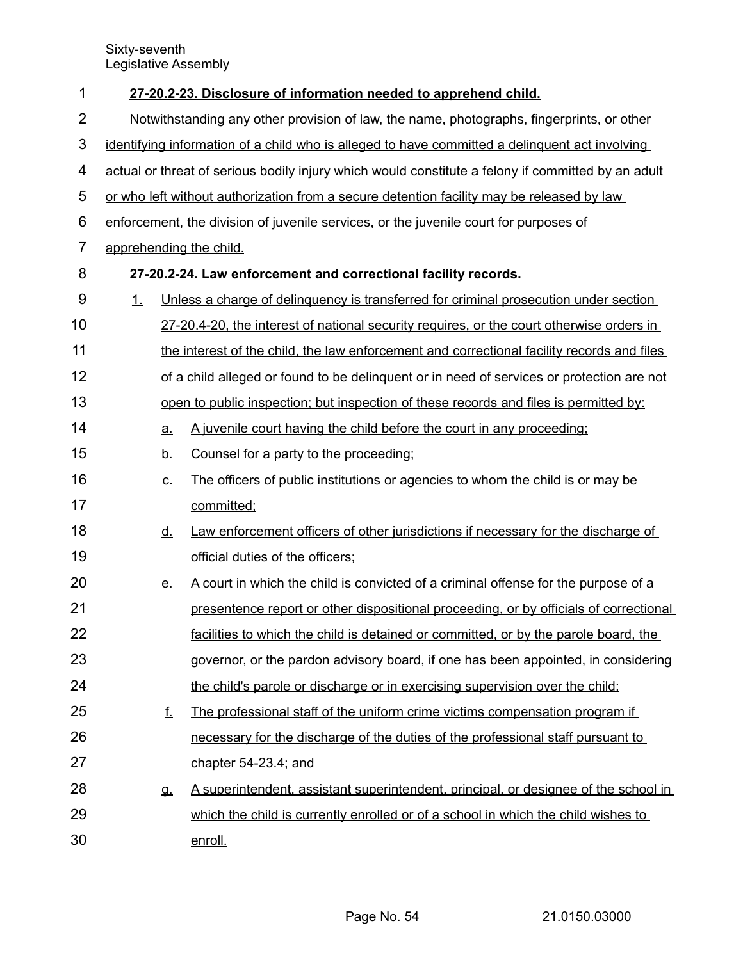| 1              | 27-20.2-23. Disclosure of information needed to apprehend child. |           |                                                                                                    |  |  |
|----------------|------------------------------------------------------------------|-----------|----------------------------------------------------------------------------------------------------|--|--|
| $\overline{2}$ |                                                                  |           | Notwithstanding any other provision of law, the name, photographs, fingerprints, or other          |  |  |
| $\mathbf{3}$   |                                                                  |           | identifying information of a child who is alleged to have committed a delinguent act involving     |  |  |
| 4              |                                                                  |           | actual or threat of serious bodily injury which would constitute a felony if committed by an adult |  |  |
| 5              |                                                                  |           | or who left without authorization from a secure detention facility may be released by law          |  |  |
| 6              |                                                                  |           | enforcement, the division of juvenile services, or the juvenile court for purposes of              |  |  |
| $\overline{7}$ |                                                                  |           | apprehending the child.                                                                            |  |  |
| 8              |                                                                  |           | 27-20.2-24. Law enforcement and correctional facility records.                                     |  |  |
| $9\,$          | 1.                                                               |           | Unless a charge of delinquency is transferred for criminal prosecution under section               |  |  |
| 10             |                                                                  |           | 27-20.4-20, the interest of national security requires, or the court otherwise orders in           |  |  |
| 11             |                                                                  |           | the interest of the child, the law enforcement and correctional facility records and files         |  |  |
| 12             |                                                                  |           | of a child alleged or found to be delinguent or in need of services or protection are not          |  |  |
| 13             |                                                                  |           | open to public inspection; but inspection of these records and files is permitted by:              |  |  |
| 14             |                                                                  | a.        | A juvenile court having the child before the court in any proceeding;                              |  |  |
| 15             |                                                                  | <u>b.</u> | Counsel for a party to the proceeding:                                                             |  |  |
| 16             |                                                                  | <u>c.</u> | The officers of public institutions or agencies to whom the child is or may be                     |  |  |
| 17             |                                                                  |           | committed;                                                                                         |  |  |
| 18             |                                                                  | <u>d.</u> | Law enforcement officers of other jurisdictions if necessary for the discharge of                  |  |  |
| 19             |                                                                  |           | official duties of the officers;                                                                   |  |  |
| 20             |                                                                  | <u>e.</u> | A court in which the child is convicted of a criminal offense for the purpose of a                 |  |  |
| 21             |                                                                  |           | presentence report or other dispositional proceeding, or by officials of correctional              |  |  |
| 22             |                                                                  |           | facilities to which the child is detained or committed, or by the parole board, the                |  |  |
| 23             |                                                                  |           | governor, or the pardon advisory board, if one has been appointed, in considering                  |  |  |
| 24             |                                                                  |           | the child's parole or discharge or in exercising supervision over the child;                       |  |  |
| 25             |                                                                  | f.        | The professional staff of the uniform crime victims compensation program if                        |  |  |
| 26             |                                                                  |           | necessary for the discharge of the duties of the professional staff pursuant to                    |  |  |
| 27             |                                                                  |           | chapter 54-23.4; and                                                                               |  |  |
| 28             |                                                                  | g.        | A superintendent, assistant superintendent, principal, or designee of the school in                |  |  |
| 29             |                                                                  |           | which the child is currently enrolled or of a school in which the child wishes to                  |  |  |
| 30             |                                                                  |           | enroll.                                                                                            |  |  |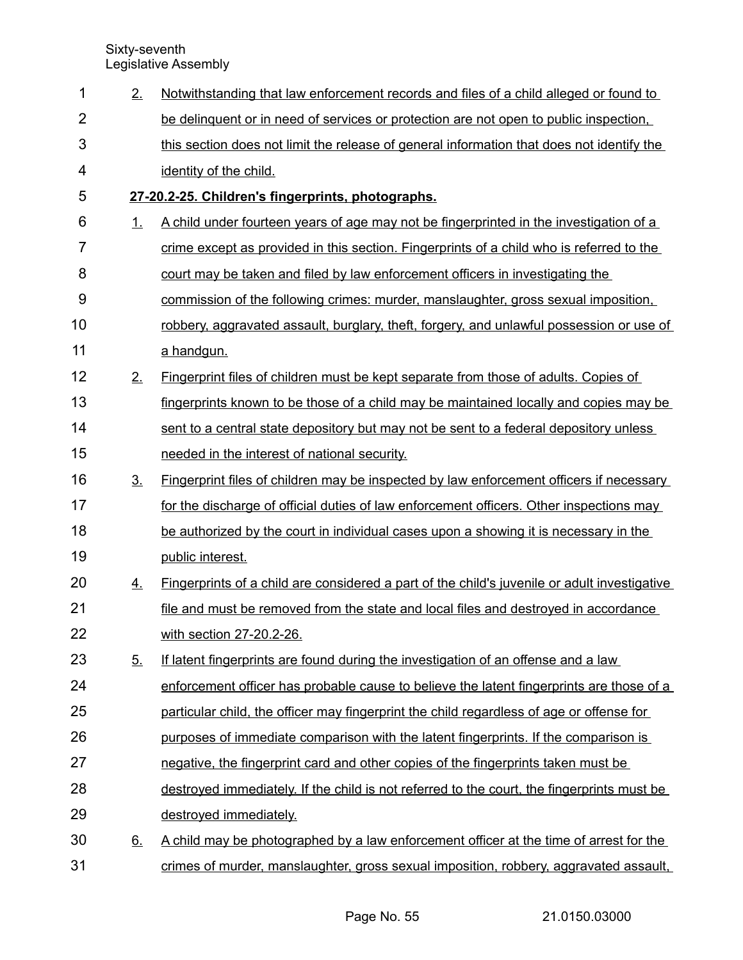| $\mathbf 1$    | 2.             | Notwithstanding that law enforcement records and files of a child alleged or found to          |
|----------------|----------------|------------------------------------------------------------------------------------------------|
| $\overline{2}$ |                | be delinguent or in need of services or protection are not open to public inspection.          |
| 3              |                | this section does not limit the release of general information that does not identify the      |
| 4              |                | identity of the child.                                                                         |
| 5              |                | 27-20.2-25. Children's fingerprints, photographs.                                              |
| 6              | 1.             | A child under fourteen years of age may not be fingerprinted in the investigation of a         |
| 7              |                | crime except as provided in this section. Fingerprints of a child who is referred to the       |
| 8              |                | court may be taken and filed by law enforcement officers in investigating the                  |
| 9              |                | commission of the following crimes: murder, manslaughter, gross sexual imposition,             |
| 10             |                | robbery, aggravated assault, burglary, theft, forgery, and unlawful possession or use of       |
| 11             |                | a handgun.                                                                                     |
| 12             | 2.             | Fingerprint files of children must be kept separate from those of adults. Copies of            |
| 13             |                | fingerprints known to be those of a child may be maintained locally and copies may be          |
| 14             |                | sent to a central state depository but may not be sent to a federal depository unless          |
| 15             |                | needed in the interest of national security.                                                   |
| 16             | 3 <sub>1</sub> | <u>Fingerprint files of children may be inspected by law enforcement officers if necessary</u> |
| 17             |                | for the discharge of official duties of law enforcement officers. Other inspections may        |
| 18             |                | be authorized by the court in individual cases upon a showing it is necessary in the           |
| 19             |                | public interest.                                                                               |
| 20             | 4.             | Fingerprints of a child are considered a part of the child's juvenile or adult investigative   |
| 21             |                | file and must be removed from the state and local files and destroyed in accordance            |
| 22             |                | with section 27-20.2-26.                                                                       |
| 23             | 5.             | If latent fingerprints are found during the investigation of an offense and a law              |
| 24             |                | enforcement officer has probable cause to believe the latent fingerprints are those of a       |
| 25             |                | particular child, the officer may fingerprint the child regardless of age or offense for       |
| 26             |                | purposes of immediate comparison with the latent fingerprints. If the comparison is            |
| 27             |                | negative, the fingerprint card and other copies of the fingerprints taken must be              |
| 28             |                | destroyed immediately. If the child is not referred to the court, the fingerprints must be     |
| 29             |                | destroyed immediately.                                                                         |
| 30             | <u>6.</u>      | A child may be photographed by a law enforcement officer at the time of arrest for the         |
| 31             |                | crimes of murder, manslaughter, gross sexual imposition, robbery, aggravated assault,          |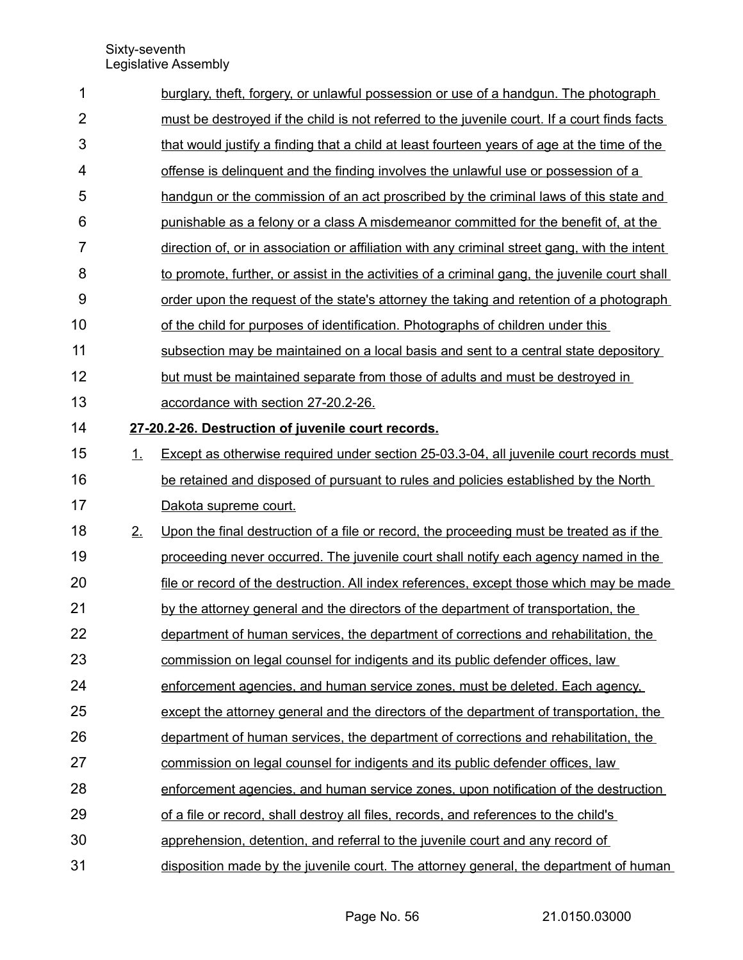| 1              |    | burglary, theft, forgery, or unlawful possession or use of a handgun. The photograph          |
|----------------|----|-----------------------------------------------------------------------------------------------|
| $\overline{2}$ |    | must be destroyed if the child is not referred to the juvenile court. If a court finds facts  |
| 3              |    | that would justify a finding that a child at least fourteen years of age at the time of the   |
| 4              |    | offense is delinguent and the finding involves the unlawful use or possession of a            |
| 5              |    | handgun or the commission of an act proscribed by the criminal laws of this state and         |
| 6              |    | punishable as a felony or a class A misdemeanor committed for the benefit of, at the          |
| $\overline{7}$ |    | direction of, or in association or affiliation with any criminal street gang, with the intent |
| 8              |    | to promote, further, or assist in the activities of a criminal gang, the juvenile court shall |
| 9              |    | order upon the request of the state's attorney the taking and retention of a photograph       |
| 10             |    | of the child for purposes of identification. Photographs of children under this               |
| 11             |    | subsection may be maintained on a local basis and sent to a central state depository          |
| 12             |    | but must be maintained separate from those of adults and must be destroyed in                 |
| 13             |    | accordance with section 27-20.2-26.                                                           |
| 14             |    | 27-20.2-26. Destruction of juvenile court records.                                            |
| 15             | 1. | Except as otherwise required under section 25-03.3-04, all juvenile court records must        |
| 16             |    | be retained and disposed of pursuant to rules and policies established by the North           |
| 17             |    | Dakota supreme court.                                                                         |
| 18             | 2. | Upon the final destruction of a file or record, the proceeding must be treated as if the      |
| 19             |    | proceeding never occurred. The juvenile court shall notify each agency named in the           |
| 20             |    | file or record of the destruction. All index references, except those which may be made       |
| 21             |    | by the attorney general and the directors of the department of transportation, the            |
| 22             |    | department of human services, the department of corrections and rehabilitation, the           |
| 23             |    | commission on legal counsel for indigents and its public defender offices, law                |
| 24             |    | enforcement agencies, and human service zones, must be deleted. Each agency,                  |
| 25             |    | except the attorney general and the directors of the department of transportation, the        |
| 26             |    | department of human services, the department of corrections and rehabilitation, the           |
| 27             |    | commission on legal counsel for indigents and its public defender offices, law                |
| 28             |    | enforcement agencies, and human service zones, upon notification of the destruction           |
| 29             |    | of a file or record, shall destroy all files, records, and references to the child's          |
| 30             |    | apprehension, detention, and referral to the juvenile court and any record of                 |
| 31             |    | disposition made by the juvenile court. The attorney general, the department of human         |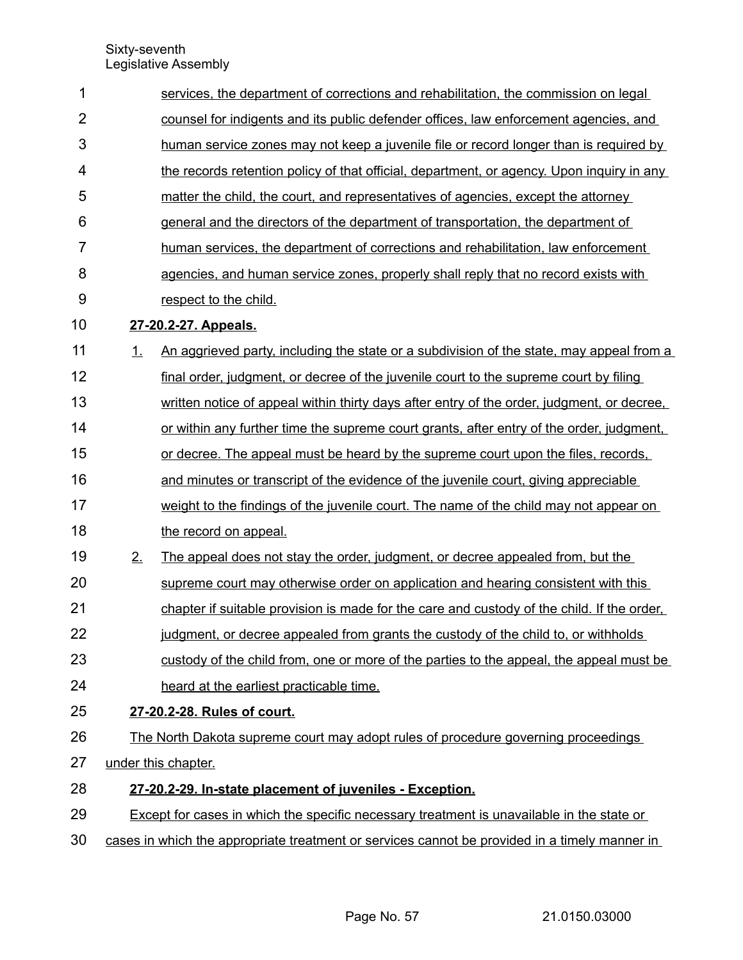| 1              | services, the department of corrections and rehabilitation, the commission on legal           |                                                                                            |  |  |  |  |  |
|----------------|-----------------------------------------------------------------------------------------------|--------------------------------------------------------------------------------------------|--|--|--|--|--|
| $\overline{2}$ | counsel for indigents and its public defender offices, law enforcement agencies, and          |                                                                                            |  |  |  |  |  |
| 3              |                                                                                               | human service zones may not keep a juvenile file or record longer than is required by      |  |  |  |  |  |
| 4              |                                                                                               | the records retention policy of that official, department, or agency. Upon inquiry in any  |  |  |  |  |  |
| 5              |                                                                                               | matter the child, the court, and representatives of agencies, except the attorney          |  |  |  |  |  |
| 6              |                                                                                               | general and the directors of the department of transportation, the department of           |  |  |  |  |  |
| $\overline{7}$ |                                                                                               | human services, the department of corrections and rehabilitation, law enforcement          |  |  |  |  |  |
| 8              |                                                                                               | agencies, and human service zones, properly shall reply that no record exists with         |  |  |  |  |  |
| 9              |                                                                                               | respect to the child.                                                                      |  |  |  |  |  |
| 10             |                                                                                               | 27-20.2-27. Appeals.                                                                       |  |  |  |  |  |
| 11             | <u>1.</u>                                                                                     | An aggrieved party, including the state or a subdivision of the state, may appeal from a   |  |  |  |  |  |
| 12             |                                                                                               | final order, judgment, or decree of the juvenile court to the supreme court by filing      |  |  |  |  |  |
| 13             |                                                                                               | written notice of appeal within thirty days after entry of the order, judgment, or decree, |  |  |  |  |  |
| 14             |                                                                                               | or within any further time the supreme court grants, after entry of the order, judgment,   |  |  |  |  |  |
| 15             |                                                                                               | or decree. The appeal must be heard by the supreme court upon the files, records,          |  |  |  |  |  |
| 16             |                                                                                               | and minutes or transcript of the evidence of the juvenile court, giving appreciable        |  |  |  |  |  |
| 17             |                                                                                               | weight to the findings of the juvenile court. The name of the child may not appear on      |  |  |  |  |  |
| 18             |                                                                                               | the record on appeal.                                                                      |  |  |  |  |  |
| 19             | 2.                                                                                            | The appeal does not stay the order, judgment, or decree appealed from, but the             |  |  |  |  |  |
| 20             |                                                                                               | supreme court may otherwise order on application and hearing consistent with this          |  |  |  |  |  |
| 21             |                                                                                               | chapter if suitable provision is made for the care and custody of the child. If the order, |  |  |  |  |  |
| 22             |                                                                                               | judgment, or decree appealed from grants the custody of the child to, or withholds         |  |  |  |  |  |
| 23             |                                                                                               | custody of the child from, one or more of the parties to the appeal, the appeal must be    |  |  |  |  |  |
| 24             |                                                                                               | heard at the earliest practicable time.                                                    |  |  |  |  |  |
| 25             |                                                                                               | 27-20.2-28. Rules of court.                                                                |  |  |  |  |  |
| 26             |                                                                                               | The North Dakota supreme court may adopt rules of procedure governing proceedings          |  |  |  |  |  |
| 27             |                                                                                               | under this chapter.                                                                        |  |  |  |  |  |
| 28             |                                                                                               | 27-20.2-29. In-state placement of juveniles - Exception.                                   |  |  |  |  |  |
| 29             | Except for cases in which the specific necessary treatment is unavailable in the state or     |                                                                                            |  |  |  |  |  |
| 30             | cases in which the appropriate treatment or services cannot be provided in a timely manner in |                                                                                            |  |  |  |  |  |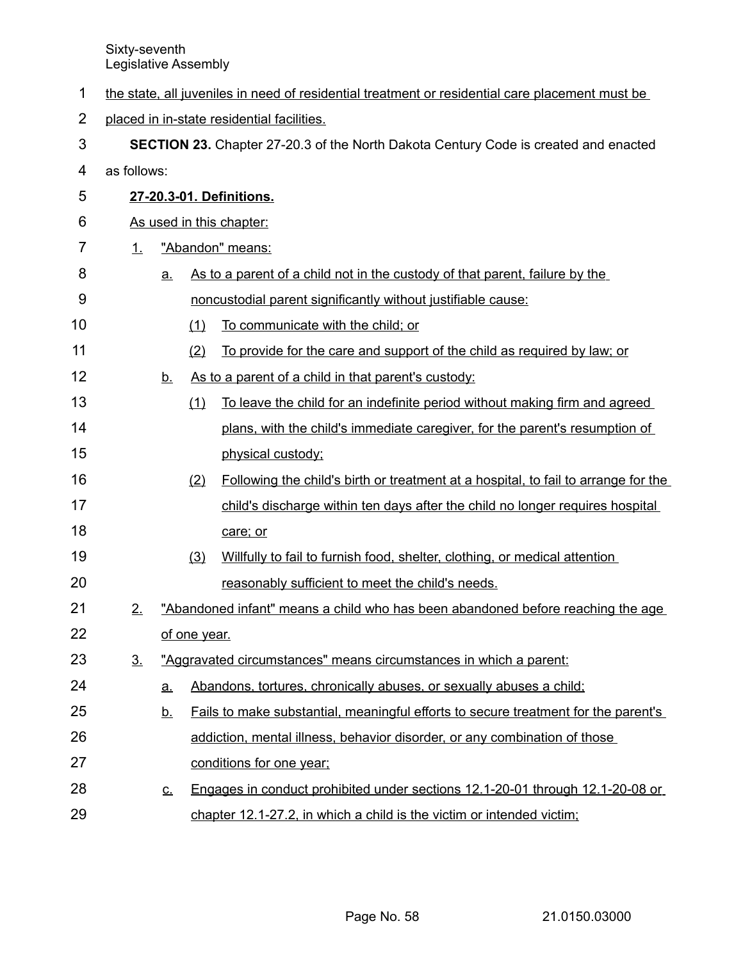- the state, all juveniles in need of residential treatment or residential care placement must be 1
- placed in in-state residential facilities. 2
- **SECTION 23.** Chapter 27-20.3 of the North Dakota Century Code is created and enacted 3
- as follows: 4

19

20

- **27 20.3 01. Definitions.** 5
- As used in this chapter: 6
- 1. "Abandon" means: 7
- a. As to a parent of a child not in the custody of that parent, failure by the noncustodial parent significantly without justifiable cause: 8 9
- (1) To communicate with the child; or 10
- (2) To provide for the care and support of the child as required by law; or 11
- b. As to a parent of a child in that parent's custody: 12
- (1) To leave the child for an indefinite period without making firm and agreed plans, with the child's immediate caregiver, for the parent's resumption of physical custody; 13 14 15
- (2) Following the child's birth or treatment at a hospital, to fail to arrange for the child's discharge within ten days after the child no longer requires hospital care; or 16 17 18
	- (3) Willfully to fail to furnish food, shelter, clothing, or medical attention reasonably sufficient to meet the child's needs.
- 2. "Abandoned infant" means a child who has been abandoned before reaching the age of one year. 21 22
- 3. "Aggravated circumstances" means circumstances in which a parent: 23
- a. Abandons, tortures, chronically abuses, or sexually abuses a child; 24
- b. Fails to make substantial, meaningful efforts to secure treatment for the parent's addiction, mental illness, behavior disorder, or any combination of those conditions for one year; 25 26 27
- c. Engages in conduct prohibited under sections 12.1 20 01 through 12.1 20 08 or chapter 12.1-27.2, in which a child is the victim or intended victim; 28 29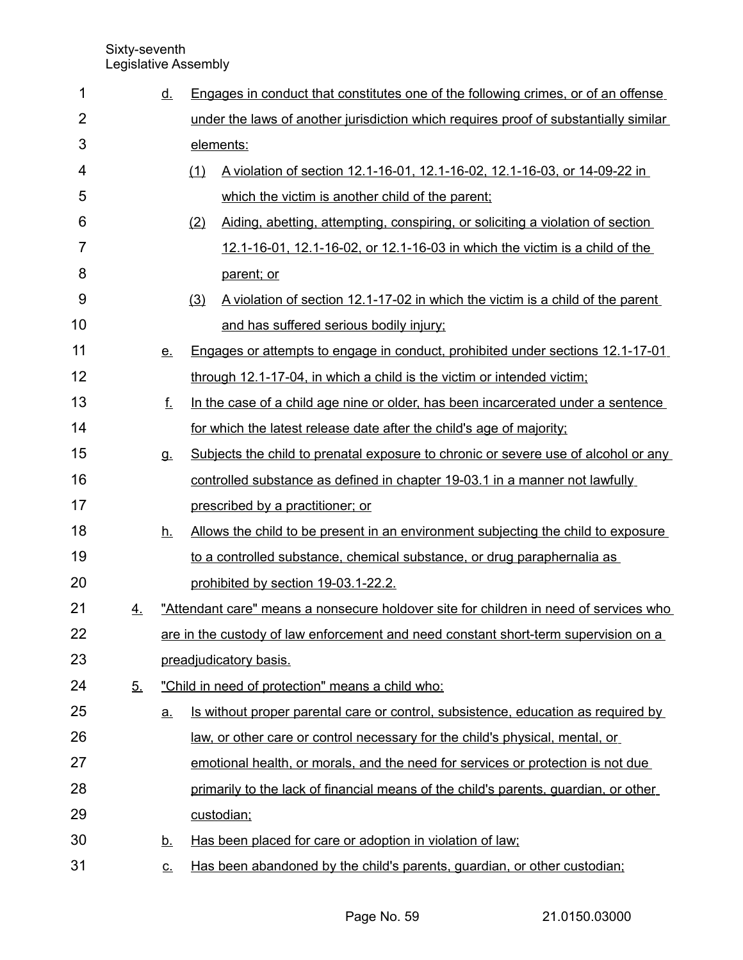| 1              |    | <u>d.</u> |     | Engages in conduct that constitutes one of the following crimes, or of an offense         |  |  |  |
|----------------|----|-----------|-----|-------------------------------------------------------------------------------------------|--|--|--|
| $\overline{2}$ |    |           |     | under the laws of another jurisdiction which requires proof of substantially similar      |  |  |  |
| 3              |    |           |     | elements:                                                                                 |  |  |  |
| 4              |    |           | (1) | A violation of section 12.1-16-01, 12.1-16-02, 12.1-16-03, or 14-09-22 in                 |  |  |  |
| 5              |    |           |     | which the victim is another child of the parent;                                          |  |  |  |
| 6              |    |           | (2) | Aiding, abetting, attempting, conspiring, or soliciting a violation of section            |  |  |  |
| 7              |    |           |     | 12.1-16-01, 12.1-16-02, or 12.1-16-03 in which the victim is a child of the               |  |  |  |
| 8              |    |           |     | parent; or                                                                                |  |  |  |
| 9              |    |           | (3) | A violation of section 12.1-17-02 in which the victim is a child of the parent            |  |  |  |
| 10             |    |           |     | and has suffered serious bodily injury;                                                   |  |  |  |
| 11             |    | $e$ .     |     | Engages or attempts to engage in conduct, prohibited under sections 12.1-17-01            |  |  |  |
| 12             |    |           |     | through 12.1-17-04, in which a child is the victim or intended victim;                    |  |  |  |
| 13             |    | f.        |     | In the case of a child age nine or older, has been incarcerated under a sentence          |  |  |  |
| 14             |    |           |     | for which the latest release date after the child's age of majority;                      |  |  |  |
| 15             |    | <b>g</b>  |     | <u>Subjects the child to prenatal exposure to chronic or severe use of alcohol or any</u> |  |  |  |
| 16             |    |           |     | controlled substance as defined in chapter 19-03.1 in a manner not lawfully               |  |  |  |
| 17             |    |           |     | prescribed by a practitioner; or                                                          |  |  |  |
| 18             |    | <u>h.</u> |     | Allows the child to be present in an environment subjecting the child to exposure         |  |  |  |
| 19             |    |           |     | to a controlled substance, chemical substance, or drug paraphernalia as                   |  |  |  |
| 20             |    |           |     | prohibited by section 19-03.1-22.2.                                                       |  |  |  |
| 21             | 4. |           |     | "Attendant care" means a nonsecure holdover site for children in need of services who     |  |  |  |
| 22             |    |           |     | are in the custody of law enforcement and need constant short-term supervision on a       |  |  |  |
| 23             |    |           |     | preadjudicatory basis.                                                                    |  |  |  |
| 24             | 5. |           |     | "Child in need of protection" means a child who:                                          |  |  |  |
| 25             |    | <u>a.</u> |     | <u>Is without proper parental care or control, subsistence, education as required by</u>  |  |  |  |
| 26             |    |           |     | law, or other care or control necessary for the child's physical, mental, or              |  |  |  |
| 27             |    |           |     | emotional health, or morals, and the need for services or protection is not due           |  |  |  |
| 28             |    |           |     | primarily to the lack of financial means of the child's parents, guardian, or other       |  |  |  |
| 29             |    |           |     | custodian:                                                                                |  |  |  |
| 30             |    | <u>b.</u> |     | Has been placed for care or adoption in violation of law;                                 |  |  |  |
| 31             |    | <u>c.</u> |     | Has been abandoned by the child's parents, guardian, or other custodian;                  |  |  |  |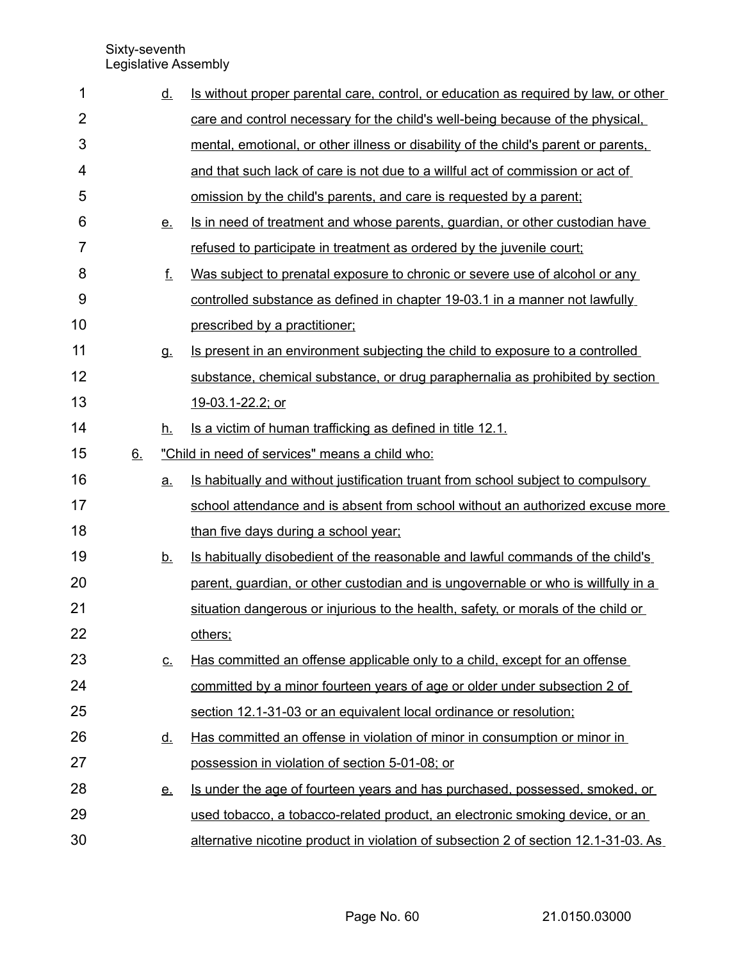| 1              |    | <u>d.</u> | Is without proper parental care, control, or education as required by law, or other     |
|----------------|----|-----------|-----------------------------------------------------------------------------------------|
| $\overline{2}$ |    |           | care and control necessary for the child's well-being because of the physical.          |
| 3              |    |           | mental, emotional, or other illness or disability of the child's parent or parents.     |
| 4              |    |           | and that such lack of care is not due to a willful act of commission or act of          |
| 5              |    |           | omission by the child's parents, and care is requested by a parent;                     |
| 6              |    | <u>e.</u> | Is in need of treatment and whose parents, guardian, or other custodian have            |
| 7              |    |           | refused to participate in treatment as ordered by the juvenile court;                   |
| 8              |    | f.        | Was subject to prenatal exposure to chronic or severe use of alcohol or any             |
| 9              |    |           | controlled substance as defined in chapter 19-03.1 in a manner not lawfully             |
| 10             |    |           | prescribed by a practitioner;                                                           |
| 11             |    | g.        | Is present in an environment subjecting the child to exposure to a controlled           |
| 12             |    |           | substance, chemical substance, or drug paraphernalia as prohibited by section           |
| 13             |    |           | 19-03.1-22.2; or                                                                        |
| 14             |    | <u>h.</u> | Is a victim of human trafficking as defined in title 12.1.                              |
| 15             | 6. |           | "Child in need of services" means a child who:                                          |
| 16             |    | a.        | <u>Is habitually and without justification truant from school subject to compulsory</u> |
| 17             |    |           | school attendance and is absent from school without an authorized excuse more           |
| 18             |    |           | than five days during a school year;                                                    |
| 19             |    | <u>b.</u> | Is habitually disobedient of the reasonable and lawful commands of the child's          |
| 20             |    |           | parent, quardian, or other custodian and is ungovernable or who is willfully in a       |
| 21             |    |           | situation dangerous or injurious to the health, safety, or morals of the child or       |
| 22             |    |           | others;                                                                                 |
| 23             |    | <u>c.</u> | Has committed an offense applicable only to a child, except for an offense              |
| 24             |    |           | committed by a minor fourteen years of age or older under subsection 2 of               |
| 25             |    |           | section 12.1-31-03 or an equivalent local ordinance or resolution;                      |
| 26             |    | <u>d.</u> | Has committed an offense in violation of minor in consumption or minor in               |
| 27             |    |           | possession in violation of section 5-01-08; or                                          |
| 28             |    | <u>e.</u> | Is under the age of fourteen years and has purchased, possessed, smoked, or             |
|                |    |           |                                                                                         |
| 29             |    |           | used tobacco, a tobacco-related product, an electronic smoking device, or an            |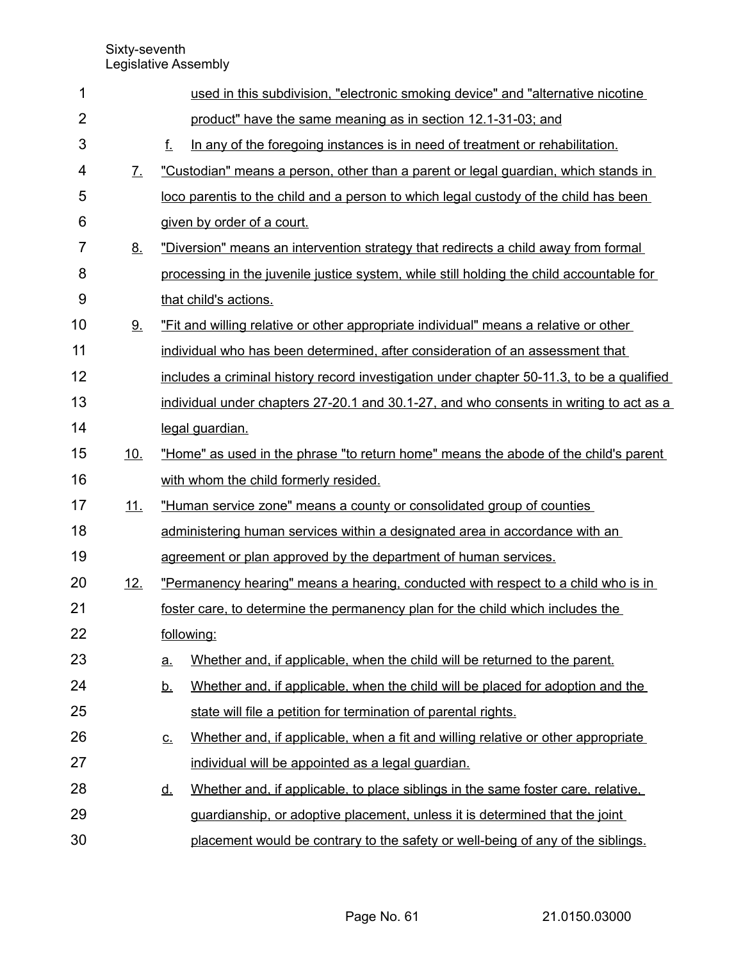| 1              |              | used in this subdivision, "electronic smoking device" and "alternative nicotine               |  |  |  |  |
|----------------|--------------|-----------------------------------------------------------------------------------------------|--|--|--|--|
| $\overline{2}$ |              | product" have the same meaning as in section 12.1-31-03; and                                  |  |  |  |  |
| 3              |              | $f_{-}$<br>In any of the foregoing instances is in need of treatment or rehabilitation.       |  |  |  |  |
| 4              | $\mathbf{Z}$ | "Custodian" means a person, other than a parent or legal guardian, which stands in            |  |  |  |  |
| 5              |              | loco parentis to the child and a person to which legal custody of the child has been          |  |  |  |  |
| 6              |              | given by order of a court.                                                                    |  |  |  |  |
| 7              | <u>8.</u>    | "Diversion" means an intervention strategy that redirects a child away from formal            |  |  |  |  |
| 8              |              | processing in the juvenile justice system, while still holding the child accountable for      |  |  |  |  |
| 9              |              | that child's actions.                                                                         |  |  |  |  |
| 10             | 9.           | "Fit and willing relative or other appropriate individual" means a relative or other          |  |  |  |  |
| 11             |              | individual who has been determined, after consideration of an assessment that                 |  |  |  |  |
| 12             |              | includes a criminal history record investigation under chapter 50-11.3, to be a qualified     |  |  |  |  |
| 13             |              | individual under chapters 27-20.1 and 30.1-27, and who consents in writing to act as a        |  |  |  |  |
| 14             |              | legal guardian.                                                                               |  |  |  |  |
| 15             | 10.          | "Home" as used in the phrase "to return home" means the abode of the child's parent           |  |  |  |  |
| 16             |              | with whom the child formerly resided.                                                         |  |  |  |  |
| 17             | 11.          | "Human service zone" means a county or consolidated group of counties                         |  |  |  |  |
| 18             |              | administering human services within a designated area in accordance with an                   |  |  |  |  |
| 19             |              | agreement or plan approved by the department of human services.                               |  |  |  |  |
| 20             | <u>12.</u>   | "Permanency hearing" means a hearing, conducted with respect to a child who is in             |  |  |  |  |
| 21             |              | foster care, to determine the permanency plan for the child which includes the                |  |  |  |  |
| 22             |              | following:                                                                                    |  |  |  |  |
| 23             |              | Whether and, if applicable, when the child will be returned to the parent.<br><u>a</u>        |  |  |  |  |
| 24             |              | Whether and, if applicable, when the child will be placed for adoption and the<br><u>b.</u>   |  |  |  |  |
| 25             |              | state will file a petition for termination of parental rights.                                |  |  |  |  |
| 26             |              | Whether and, if applicable, when a fit and willing relative or other appropriate<br><u>c.</u> |  |  |  |  |
| 27             |              | individual will be appointed as a legal guardian.                                             |  |  |  |  |
| 28             |              | Whether and, if applicable, to place siblings in the same foster care, relative,<br><u>d.</u> |  |  |  |  |
| 29             |              | guardianship, or adoptive placement, unless it is determined that the joint                   |  |  |  |  |
| 30             |              | placement would be contrary to the safety or well-being of any of the siblings.               |  |  |  |  |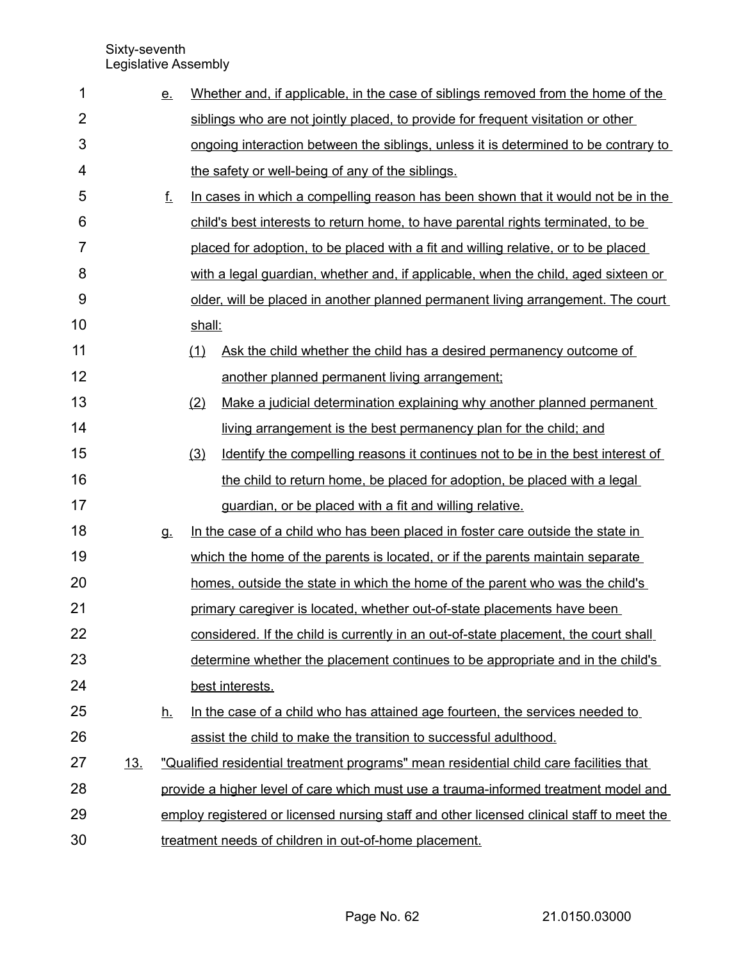| 1              |            | <u>e.</u>                                             |        | Whether and, if applicable, in the case of siblings removed from the home of the          |  |
|----------------|------------|-------------------------------------------------------|--------|-------------------------------------------------------------------------------------------|--|
| $\overline{2}$ |            |                                                       |        | siblings who are not jointly placed, to provide for frequent visitation or other          |  |
| 3              |            |                                                       |        | ongoing interaction between the siblings, unless it is determined to be contrary to       |  |
| 4              |            |                                                       |        | the safety or well-being of any of the siblings.                                          |  |
| 5              |            | f.                                                    |        | In cases in which a compelling reason has been shown that it would not be in the          |  |
| 6              |            |                                                       |        | child's best interests to return home, to have parental rights terminated, to be          |  |
| $\overline{7}$ |            |                                                       |        | placed for adoption, to be placed with a fit and willing relative, or to be placed        |  |
| 8              |            |                                                       |        | with a legal guardian, whether and, if applicable, when the child, aged sixteen or        |  |
| 9              |            |                                                       |        | older, will be placed in another planned permanent living arrangement. The court          |  |
| 10             |            |                                                       | shall: |                                                                                           |  |
| 11             |            |                                                       | (1)    | Ask the child whether the child has a desired permanency outcome of                       |  |
| 12             |            |                                                       |        | another planned permanent living arrangement;                                             |  |
| 13             |            |                                                       | (2)    | Make a judicial determination explaining why another planned permanent                    |  |
| 14             |            |                                                       |        | living arrangement is the best permanency plan for the child; and                         |  |
| 15             |            |                                                       | (3)    | Identify the compelling reasons it continues not to be in the best interest of            |  |
| 16             |            |                                                       |        | the child to return home, be placed for adoption, be placed with a legal                  |  |
| 17             |            |                                                       |        | guardian, or be placed with a fit and willing relative.                                   |  |
| 18             |            | <b>g</b>                                              |        | In the case of a child who has been placed in foster care outside the state in            |  |
| 19             |            |                                                       |        | which the home of the parents is located, or if the parents maintain separate             |  |
| 20             |            |                                                       |        | homes, outside the state in which the home of the parent who was the child's              |  |
| 21             |            |                                                       |        | primary caregiver is located, whether out-of-state placements have been                   |  |
| 22             |            |                                                       |        | considered. If the child is currently in an out-of-state placement, the court shall       |  |
| 23             |            |                                                       |        | determine whether the placement continues to be appropriate and in the child's            |  |
| 24             |            |                                                       |        | best interests.                                                                           |  |
| 25             |            | <u>h.</u>                                             |        | In the case of a child who has attained age fourteen, the services needed to              |  |
| 26             |            |                                                       |        | assist the child to make the transition to successful adulthood.                          |  |
| 27             | <u>13.</u> |                                                       |        | "Qualified residential treatment programs" mean residential child care facilities that    |  |
| 28             |            |                                                       |        | provide a higher level of care which must use a trauma-informed treatment model and       |  |
| 29             |            |                                                       |        | employ registered or licensed nursing staff and other licensed clinical staff to meet the |  |
| 30             |            | treatment needs of children in out-of-home placement. |        |                                                                                           |  |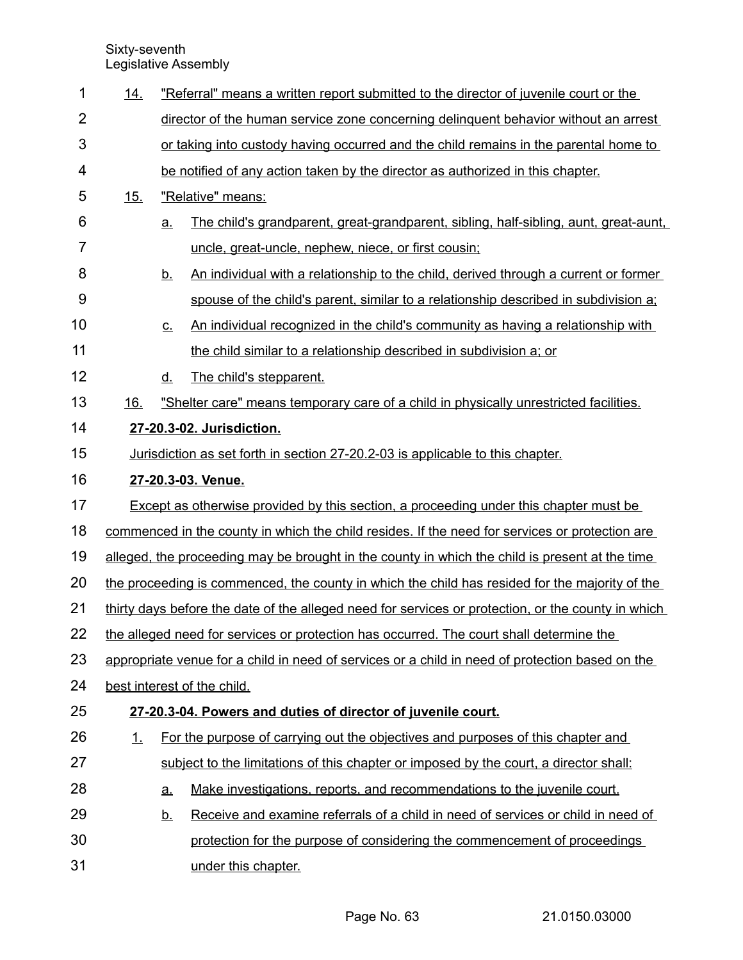| 1              | <u>14.</u>                                                                                      |                                                                                                    | "Referral" means a written report submitted to the director of juvenile court or the          |  |  |
|----------------|-------------------------------------------------------------------------------------------------|----------------------------------------------------------------------------------------------------|-----------------------------------------------------------------------------------------------|--|--|
| $\overline{2}$ |                                                                                                 |                                                                                                    | director of the human service zone concerning delinguent behavior without an arrest           |  |  |
| 3              |                                                                                                 |                                                                                                    | or taking into custody having occurred and the child remains in the parental home to          |  |  |
| 4              |                                                                                                 | be notified of any action taken by the director as authorized in this chapter.                     |                                                                                               |  |  |
| 5              | <u>15.</u>                                                                                      |                                                                                                    | "Relative" means:                                                                             |  |  |
| 6              |                                                                                                 | <u>a.</u>                                                                                          | <u>The child's grandparent, great-grandparent, sibling, half-sibling, aunt, great-aunt, [</u> |  |  |
| $\overline{7}$ |                                                                                                 |                                                                                                    | uncle, great-uncle, nephew, niece, or first cousin;                                           |  |  |
| 8              |                                                                                                 | <u>b.</u>                                                                                          | An individual with a relationship to the child, derived through a current or former           |  |  |
| 9              |                                                                                                 |                                                                                                    | spouse of the child's parent, similar to a relationship described in subdivision a;           |  |  |
| 10             |                                                                                                 | <u>c.</u>                                                                                          | An individual recognized in the child's community as having a relationship with               |  |  |
| 11             |                                                                                                 |                                                                                                    | the child similar to a relationship described in subdivision a; or                            |  |  |
| 12             |                                                                                                 | <u>d.</u>                                                                                          | The child's stepparent.                                                                       |  |  |
| 13             | 16.                                                                                             |                                                                                                    | "Shelter care" means temporary care of a child in physically unrestricted facilities.         |  |  |
| 14             |                                                                                                 | 27-20.3-02. Jurisdiction.                                                                          |                                                                                               |  |  |
| 15             |                                                                                                 | <u>Jurisdiction as set forth in section 27-20.2-03 is applicable to this chapter.</u>              |                                                                                               |  |  |
| 16             |                                                                                                 | 27-20.3-03. Venue.                                                                                 |                                                                                               |  |  |
| 17             |                                                                                                 | Except as otherwise provided by this section, a proceeding under this chapter must be              |                                                                                               |  |  |
| 18             |                                                                                                 | commenced in the county in which the child resides. If the need for services or protection are     |                                                                                               |  |  |
| 19             |                                                                                                 | alleged, the proceeding may be brought in the county in which the child is present at the time     |                                                                                               |  |  |
| 20             | the proceeding is commenced, the county in which the child has resided for the majority of the  |                                                                                                    |                                                                                               |  |  |
| 21             |                                                                                                 | thirty days before the date of the alleged need for services or protection, or the county in which |                                                                                               |  |  |
| 22             |                                                                                                 | the alleged need for services or protection has occurred. The court shall determine the            |                                                                                               |  |  |
| 23             | appropriate venue for a child in need of services or a child in need of protection based on the |                                                                                                    |                                                                                               |  |  |
| 24             | best interest of the child.                                                                     |                                                                                                    |                                                                                               |  |  |
| 25             |                                                                                                 |                                                                                                    | 27-20.3-04. Powers and duties of director of juvenile court.                                  |  |  |
| 26             | <u>1.</u>                                                                                       |                                                                                                    | For the purpose of carrying out the objectives and purposes of this chapter and               |  |  |
| 27             |                                                                                                 |                                                                                                    | subject to the limitations of this chapter or imposed by the court, a director shall:         |  |  |
| 28             |                                                                                                 | <u>a.</u>                                                                                          | Make investigations, reports, and recommendations to the juvenile court.                      |  |  |
| 29             |                                                                                                 | <u>b.</u>                                                                                          | Receive and examine referrals of a child in need of services or child in need of              |  |  |
| 30             |                                                                                                 |                                                                                                    | protection for the purpose of considering the commencement of proceedings                     |  |  |
| 31             |                                                                                                 |                                                                                                    | under this chapter.                                                                           |  |  |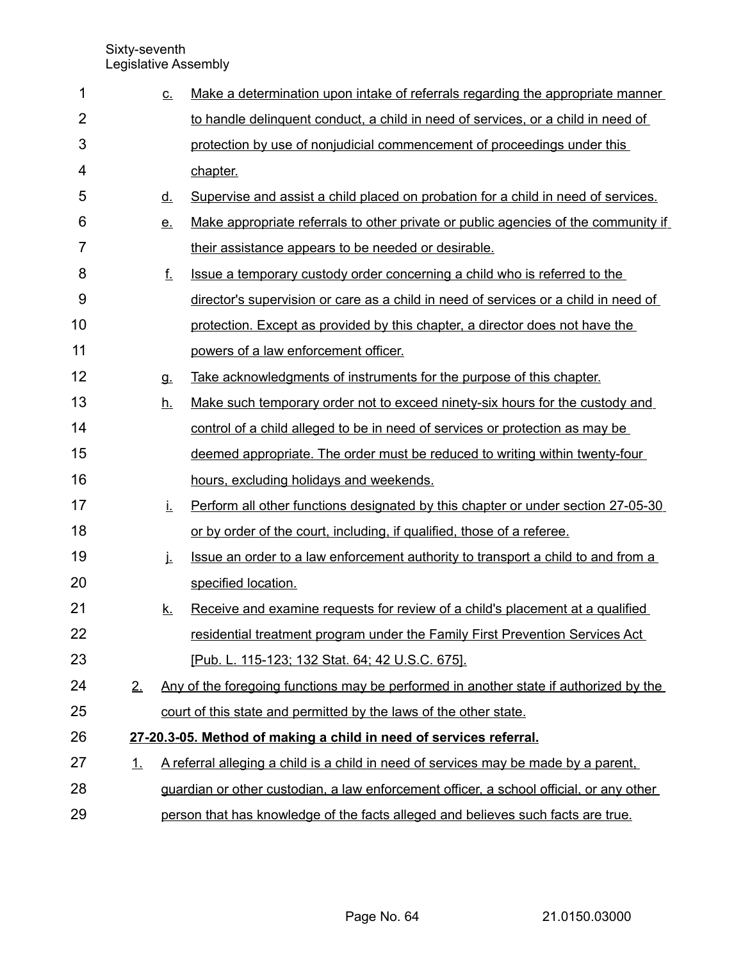| 1              |           | <u>c.</u> | Make a determination upon intake of referrals regarding the appropriate manner          |
|----------------|-----------|-----------|-----------------------------------------------------------------------------------------|
| $\overline{2}$ |           |           | to handle delinguent conduct, a child in need of services, or a child in need of        |
| 3              |           |           | protection by use of nonjudicial commencement of proceedings under this                 |
| 4              |           |           | chapter.                                                                                |
| 5              |           | <u>d.</u> | Supervise and assist a child placed on probation for a child in need of services.       |
| 6              |           | <u>e.</u> | Make appropriate referrals to other private or public agencies of the community if      |
| 7              |           |           | their assistance appears to be needed or desirable.                                     |
| 8              |           | <u>f.</u> | Issue a temporary custody order concerning a child who is referred to the               |
| 9              |           |           | director's supervision or care as a child in need of services or a child in need of     |
| 10             |           |           | protection. Except as provided by this chapter, a director does not have the            |
| 11             |           |           | powers of a law enforcement officer.                                                    |
| 12             |           | <b>g.</b> | Take acknowledgments of instruments for the purpose of this chapter.                    |
| 13             |           | <u>h.</u> | Make such temporary order not to exceed ninety-six hours for the custody and            |
| 14             |           |           | control of a child alleged to be in need of services or protection as may be            |
| 15             |           |           | deemed appropriate. The order must be reduced to writing within twenty-four             |
| 16             |           |           | hours, excluding holidays and weekends.                                                 |
| 17             |           | İ.        | Perform all other functions designated by this chapter or under section 27-05-30        |
| 18             |           |           | or by order of the court, including, if qualified, those of a referee.                  |
| 19             |           | j.        | Issue an order to a law enforcement authority to transport a child to and from a        |
| 20             |           |           | specified location.                                                                     |
| 21             |           | <u>k.</u> | Receive and examine requests for review of a child's placement at a qualified           |
| 22             |           |           | residential treatment program under the Family First Prevention Services Act            |
| 23             |           |           | [Pub. L. 115-123; 132 Stat. 64; 42 U.S.C. 675].                                         |
| 24             | 2.        |           | Any of the foregoing functions may be performed in another state if authorized by the   |
| 25             |           |           | court of this state and permitted by the laws of the other state.                       |
| 26             |           |           | 27-20.3-05. Method of making a child in need of services referral.                      |
| 27             | <u>1.</u> |           | A referral alleging a child is a child in need of services may be made by a parent.     |
| 28             |           |           | guardian or other custodian, a law enforcement officer, a school official, or any other |
| 29             |           |           | person that has knowledge of the facts alleged and believes such facts are true.        |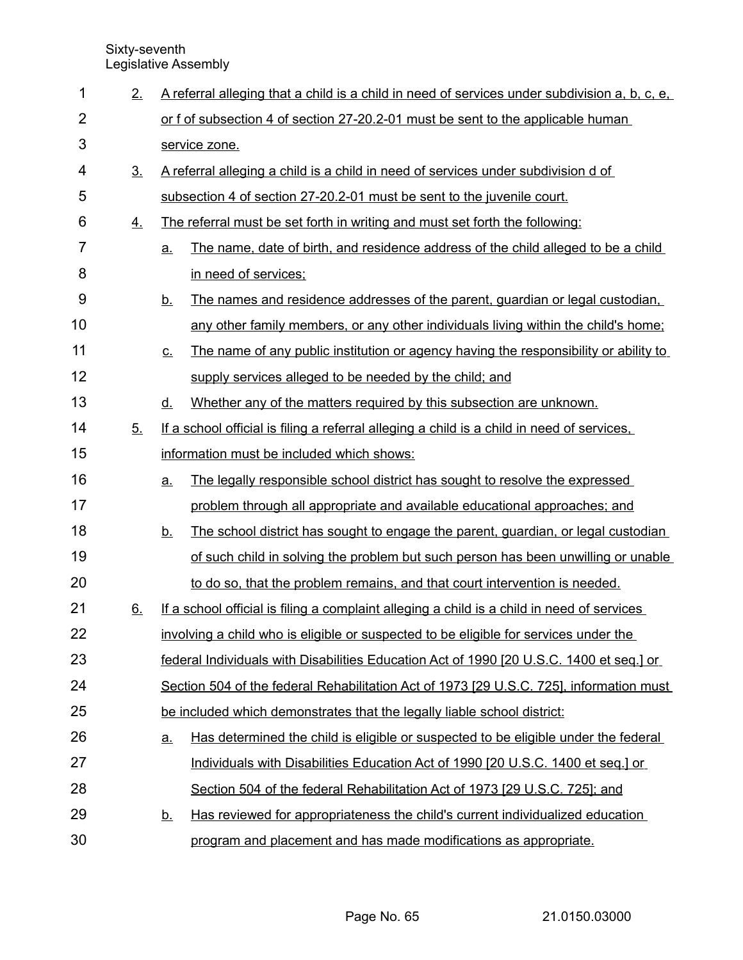| 1              | 2.             |                                                                         | A referral alleging that a child is a child in need of services under subdivision a, b, c, e, |  |
|----------------|----------------|-------------------------------------------------------------------------|-----------------------------------------------------------------------------------------------|--|
| $\overline{2}$ |                |                                                                         | or f of subsection 4 of section 27-20.2-01 must be sent to the applicable human               |  |
| 3              |                |                                                                         | service zone.                                                                                 |  |
| 4              | 3 <sub>1</sub> |                                                                         | A referral alleging a child is a child in need of services under subdivision d of             |  |
| 5              |                |                                                                         | subsection 4 of section 27-20.2-01 must be sent to the juvenile court.                        |  |
| 6              | 4.             |                                                                         | The referral must be set forth in writing and must set forth the following:                   |  |
| $\overline{7}$ |                | a.                                                                      | The name, date of birth, and residence address of the child alleged to be a child             |  |
| 8              |                |                                                                         | in need of services:                                                                          |  |
| 9              |                | <u>b.</u>                                                               | The names and residence addresses of the parent, guardian or legal custodian,                 |  |
| 10             |                |                                                                         | any other family members, or any other individuals living within the child's home;            |  |
| 11             |                | $C_{-}$                                                                 | The name of any public institution or agency having the responsibility or ability to          |  |
| 12             |                |                                                                         | supply services alleged to be needed by the child; and                                        |  |
| 13             |                | <u>d.</u>                                                               | Whether any of the matters required by this subsection are unknown.                           |  |
| 14             | 5.             |                                                                         | If a school official is filing a referral alleging a child is a child in need of services.    |  |
| 15             |                |                                                                         | information must be included which shows:                                                     |  |
| 16             |                | <u>a.</u>                                                               | The legally responsible school district has sought to resolve the expressed                   |  |
| 17             |                |                                                                         | problem through all appropriate and available educational approaches; and                     |  |
| 18             |                | <u>b.</u>                                                               | The school district has sought to engage the parent, guardian, or legal custodian             |  |
| 19             |                |                                                                         | of such child in solving the problem but such person has been unwilling or unable             |  |
| 20             |                |                                                                         | to do so, that the problem remains, and that court intervention is needed.                    |  |
| 21             | 6.             |                                                                         | If a school official is filing a complaint alleging a child is a child in need of services    |  |
| 22             |                |                                                                         | involving a child who is eligible or suspected to be eligible for services under the          |  |
| 23             |                |                                                                         | federal Individuals with Disabilities Education Act of 1990 [20 U.S.C. 1400 et seq.] or       |  |
| 24             |                |                                                                         | Section 504 of the federal Rehabilitation Act of 1973 [29 U.S.C. 725], information must       |  |
| 25             |                | be included which demonstrates that the legally liable school district: |                                                                                               |  |
| 26             |                | <u>a</u>                                                                | Has determined the child is eligible or suspected to be eligible under the federal            |  |
| 27             |                |                                                                         | Individuals with Disabilities Education Act of 1990 [20 U.S.C. 1400 et seq.] or               |  |
| 28             |                |                                                                         | Section 504 of the federal Rehabilitation Act of 1973 [29 U.S.C. 725]; and                    |  |
| 29             |                | <u>b.</u>                                                               | Has reviewed for appropriateness the child's current individualized education                 |  |
| 30             |                |                                                                         | program and placement and has made modifications as appropriate.                              |  |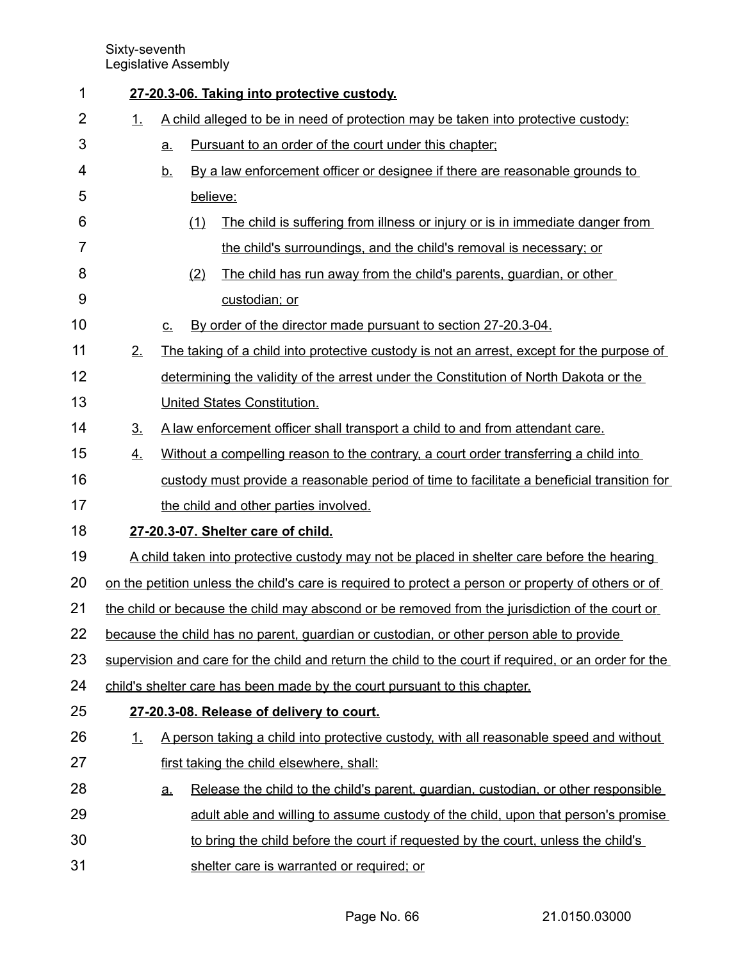| 1              |                                                                                                       | 27-20.3-06. Taking into protective custody.                                       |          |                                                                                                     |  |  |
|----------------|-------------------------------------------------------------------------------------------------------|-----------------------------------------------------------------------------------|----------|-----------------------------------------------------------------------------------------------------|--|--|
| $\overline{2}$ | 1.                                                                                                    | A child alleged to be in need of protection may be taken into protective custody: |          |                                                                                                     |  |  |
| 3              |                                                                                                       | a.                                                                                |          | Pursuant to an order of the court under this chapter;                                               |  |  |
| 4              |                                                                                                       | <u>b.</u>                                                                         |          | By a law enforcement officer or designee if there are reasonable grounds to                         |  |  |
| 5              |                                                                                                       |                                                                                   | believe: |                                                                                                     |  |  |
| 6              |                                                                                                       |                                                                                   | (1)      | The child is suffering from illness or injury or is in immediate danger from                        |  |  |
| 7              |                                                                                                       |                                                                                   |          | the child's surroundings, and the child's removal is necessary; or                                  |  |  |
| 8              |                                                                                                       |                                                                                   | (2)      | The child has run away from the child's parents, guardian, or other                                 |  |  |
| 9              |                                                                                                       |                                                                                   |          | custodian; or                                                                                       |  |  |
| 10             |                                                                                                       | $C_{\cdot}$                                                                       |          | By order of the director made pursuant to section 27-20.3-04.                                       |  |  |
| 11             | 2.                                                                                                    |                                                                                   |          | The taking of a child into protective custody is not an arrest, except for the purpose of           |  |  |
| 12             |                                                                                                       |                                                                                   |          | determining the validity of the arrest under the Constitution of North Dakota or the                |  |  |
| 13             |                                                                                                       |                                                                                   |          | United States Constitution.                                                                         |  |  |
| 14             | 3 <sub>1</sub>                                                                                        |                                                                                   |          | A law enforcement officer shall transport a child to and from attendant care.                       |  |  |
| 15             | 4.                                                                                                    |                                                                                   |          | Without a compelling reason to the contrary, a court order transferring a child into                |  |  |
| 16             |                                                                                                       |                                                                                   |          | custody must provide a reasonable period of time to facilitate a beneficial transition for          |  |  |
| 17             |                                                                                                       |                                                                                   |          | the child and other parties involved.                                                               |  |  |
| 18             |                                                                                                       |                                                                                   |          | 27-20.3-07. Shelter care of child.                                                                  |  |  |
| 19             |                                                                                                       |                                                                                   |          | A child taken into protective custody may not be placed in shelter care before the hearing          |  |  |
| 20             |                                                                                                       |                                                                                   |          | on the petition unless the child's care is required to protect a person or property of others or of |  |  |
| 21             |                                                                                                       |                                                                                   |          | the child or because the child may abscond or be removed from the jurisdiction of the court or      |  |  |
| 22             |                                                                                                       |                                                                                   |          | because the child has no parent, guardian or custodian, or other person able to provide             |  |  |
| 23             | supervision and care for the child and return the child to the court if required, or an order for the |                                                                                   |          |                                                                                                     |  |  |
| 24             | child's shelter care has been made by the court pursuant to this chapter.                             |                                                                                   |          |                                                                                                     |  |  |
| 25             |                                                                                                       |                                                                                   |          | 27-20.3-08. Release of delivery to court.                                                           |  |  |
| 26             | <u>1.</u>                                                                                             |                                                                                   |          | A person taking a child into protective custody, with all reasonable speed and without              |  |  |
| 27             |                                                                                                       |                                                                                   |          | first taking the child elsewhere, shall:                                                            |  |  |
| 28             |                                                                                                       | <u>a.</u>                                                                         |          | Release the child to the child's parent, guardian, custodian, or other responsible                  |  |  |
| 29             |                                                                                                       |                                                                                   |          | adult able and willing to assume custody of the child, upon that person's promise                   |  |  |
| 30             |                                                                                                       |                                                                                   |          | to bring the child before the court if requested by the court, unless the child's                   |  |  |
| 31             |                                                                                                       |                                                                                   |          | shelter care is warranted or required; or                                                           |  |  |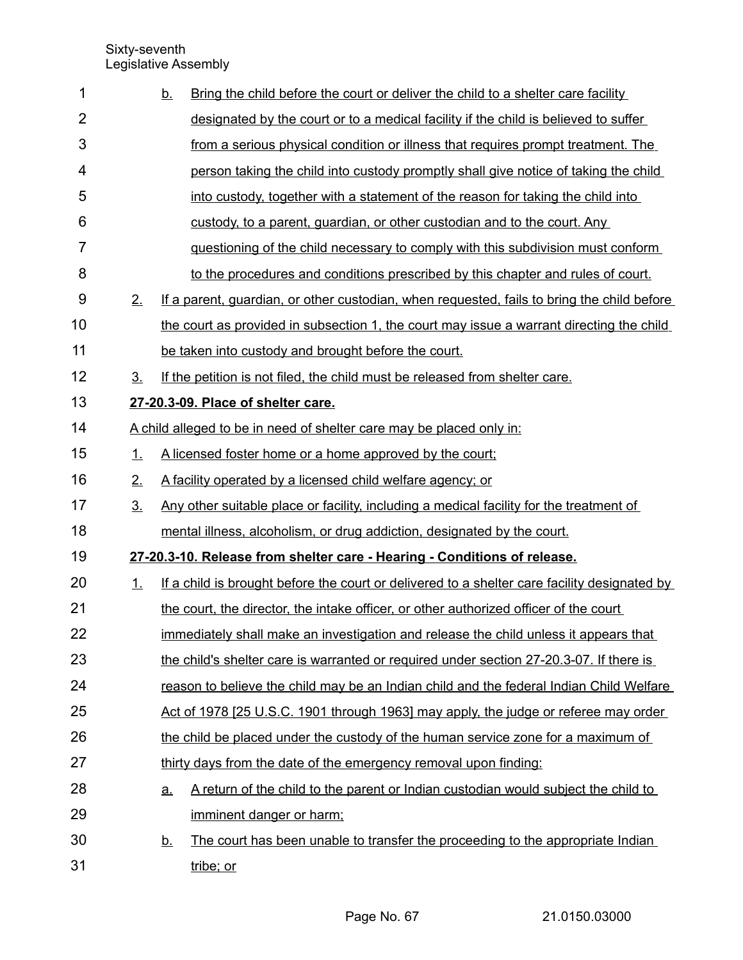| 1              |                | Bring the child before the court or deliver the child to a shelter care facility<br><u>b.</u>   |
|----------------|----------------|-------------------------------------------------------------------------------------------------|
| $\overline{2}$ |                | designated by the court or to a medical facility if the child is believed to suffer             |
| 3              |                | from a serious physical condition or illness that requires prompt treatment. The                |
| 4              |                | person taking the child into custody promptly shall give notice of taking the child             |
| 5              |                | into custody, together with a statement of the reason for taking the child into                 |
| 6              |                | custody, to a parent, guardian, or other custodian and to the court. Any                        |
| 7              |                | guestioning of the child necessary to comply with this subdivision must conform                 |
| 8              |                | to the procedures and conditions prescribed by this chapter and rules of court.                 |
| 9              | 2.             | If a parent, guardian, or other custodian, when requested, fails to bring the child before      |
| 10             |                | the court as provided in subsection 1, the court may issue a warrant directing the child        |
| 11             |                | be taken into custody and brought before the court.                                             |
| 12             | 3 <sub>1</sub> | If the petition is not filed, the child must be released from shelter care.                     |
| 13             |                | 27-20.3-09. Place of shelter care.                                                              |
| 14             |                | A child alleged to be in need of shelter care may be placed only in:                            |
| 15             | 1.             | A licensed foster home or a home approved by the court;                                         |
| 16             | 2.             | A facility operated by a licensed child welfare agency; or                                      |
| 17             | 3 <sub>1</sub> | Any other suitable place or facility, including a medical facility for the treatment of         |
| 18             |                | mental illness, alcoholism, or drug addiction, designated by the court.                         |
| 19             |                | 27-20.3-10. Release from shelter care - Hearing - Conditions of release.                        |
| 20             | 1.             | If a child is brought before the court or delivered to a shelter care facility designated by    |
| 21             |                | the court, the director, the intake officer, or other authorized officer of the court           |
| 22             |                | immediately shall make an investigation and release the child unless it appears that            |
| 23             |                | the child's shelter care is warranted or required under section 27-20.3-07. If there is         |
| 24             |                | reason to believe the child may be an Indian child and the federal Indian Child Welfare         |
| 25             |                | Act of 1978 [25 U.S.C. 1901 through 1963] may apply, the judge or referee may order             |
| 26             |                | the child be placed under the custody of the human service zone for a maximum of                |
| 27             |                | thirty days from the date of the emergency removal upon finding:                                |
| 28             |                | A return of the child to the parent or Indian custodian would subject the child to<br><u>a.</u> |
| 29             |                | imminent danger or harm;                                                                        |
| 30             |                | The court has been unable to transfer the proceeding to the appropriate Indian<br><u>b.</u>     |
| 31             |                | tribe; or                                                                                       |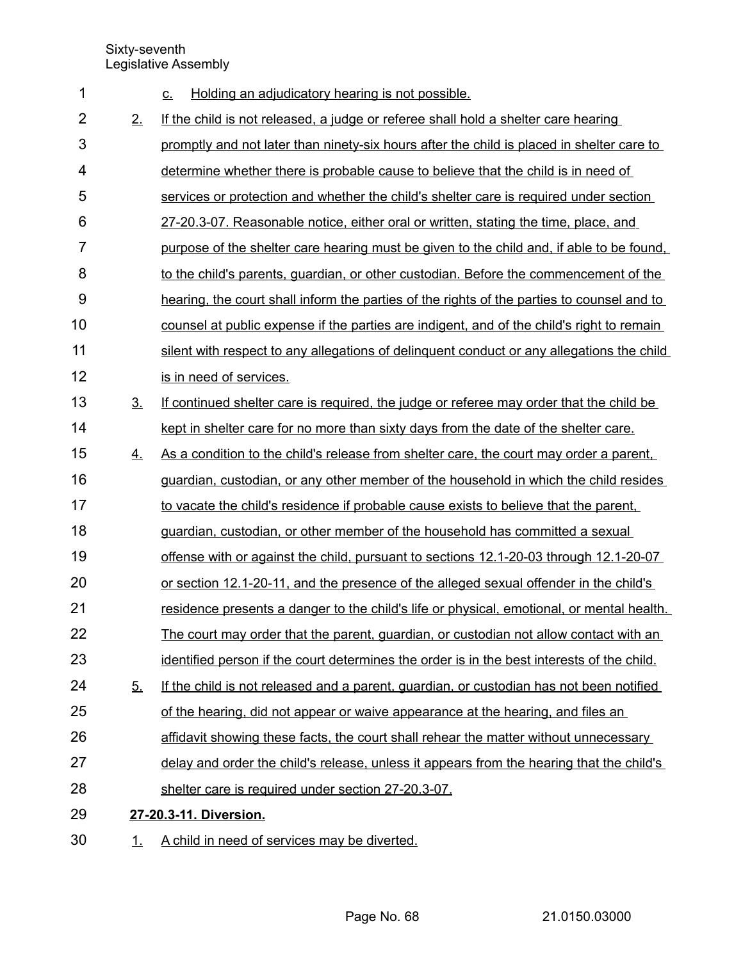| 1              |                | Holding an adjudicatory hearing is not possible.<br>$C_{-}$                                |
|----------------|----------------|--------------------------------------------------------------------------------------------|
| $\overline{2}$ | 2.             | If the child is not released, a judge or referee shall hold a shelter care hearing         |
| 3              |                | promptly and not later than ninety-six hours after the child is placed in shelter care to  |
| 4              |                | determine whether there is probable cause to believe that the child is in need of          |
| 5              |                | services or protection and whether the child's shelter care is required under section      |
| 6              |                | 27-20.3-07. Reasonable notice, either oral or written, stating the time, place, and        |
| $\overline{7}$ |                | purpose of the shelter care hearing must be given to the child and, if able to be found.   |
| 8              |                | to the child's parents, guardian, or other custodian. Before the commencement of the       |
| 9              |                | hearing, the court shall inform the parties of the rights of the parties to counsel and to |
| 10             |                | counsel at public expense if the parties are indigent, and of the child's right to remain  |
| 11             |                | silent with respect to any allegations of delinguent conduct or any allegations the child  |
| 12             |                | is in need of services.                                                                    |
| 13             | 3 <sub>1</sub> | If continued shelter care is required, the judge or referee may order that the child be    |
| 14             |                | kept in shelter care for no more than sixty days from the date of the shelter care.        |
| 15             | 4.             | As a condition to the child's release from shelter care, the court may order a parent,     |
| 16             |                | guardian, custodian, or any other member of the household in which the child resides       |
| 17             |                | to vacate the child's residence if probable cause exists to believe that the parent,       |
| 18             |                | guardian, custodian, or other member of the household has committed a sexual               |
| 19             |                | offense with or against the child, pursuant to sections 12.1-20-03 through 12.1-20-07      |
| 20             |                | or section 12.1-20-11, and the presence of the alleged sexual offender in the child's      |
| 21             |                | residence presents a danger to the child's life or physical, emotional, or mental health.  |
| 22             |                | The court may order that the parent, guardian, or custodian not allow contact with an      |
| 23             |                | identified person if the court determines the order is in the best interests of the child. |
| 24             | 5.             | If the child is not released and a parent, guardian, or custodian has not been notified    |
| 25             |                | of the hearing, did not appear or waive appearance at the hearing, and files an            |
| 26             |                | affidavit showing these facts, the court shall rehear the matter without unnecessary       |
| 27             |                | delay and order the child's release, unless it appears from the hearing that the child's   |
| 28             |                | shelter care is required under section 27-20.3-07.                                         |
| 29             |                | 27-20.3-11. Diversion.                                                                     |
| 30             | 1.             | A child in need of services may be diverted.                                               |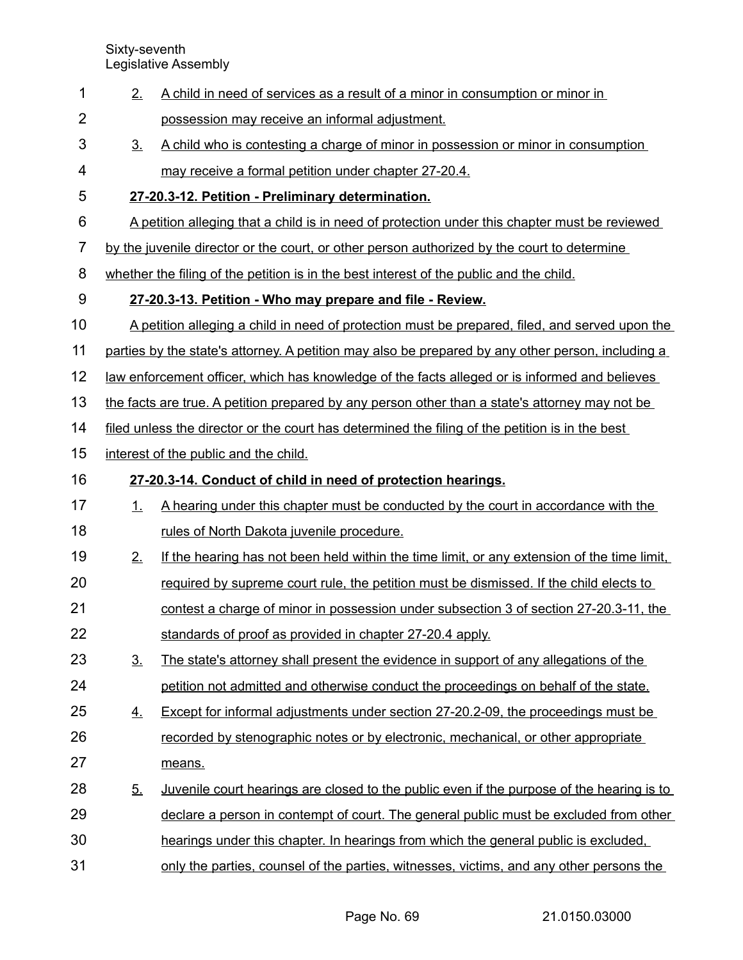| 1              | 2.             | A child in need of services as a result of a minor in consumption or minor in                        |
|----------------|----------------|------------------------------------------------------------------------------------------------------|
| $\overline{2}$ |                | possession may receive an informal adjustment.                                                       |
| 3              | 3 <sub>1</sub> | A child who is contesting a charge of minor in possession or minor in consumption                    |
| 4              |                | may receive a formal petition under chapter 27-20.4.                                                 |
| 5              |                | 27-20.3-12. Petition - Preliminary determination.                                                    |
| 6              |                | A petition alleging that a child is in need of protection under this chapter must be reviewed        |
| 7              |                | by the juvenile director or the court, or other person authorized by the court to determine          |
| 8              |                | whether the filing of the petition is in the best interest of the public and the child.              |
| 9              |                | 27-20.3-13. Petition - Who may prepare and file - Review.                                            |
| 10             |                | A petition alleging a child in need of protection must be prepared, filed, and served upon the       |
| 11             |                | parties by the state's attorney. A petition may also be prepared by any other person, including a    |
| 12             |                | <u>law enforcement officer, which has knowledge of the facts alleged or is informed and believes</u> |
| 13             |                | the facts are true. A petition prepared by any person other than a state's attorney may not be       |
| 14             |                | filed unless the director or the court has determined the filing of the petition is in the best      |
| 15             |                | interest of the public and the child.                                                                |
| 16             |                | 27-20.3-14. Conduct of child in need of protection hearings.                                         |
| 17             | 1.             | A hearing under this chapter must be conducted by the court in accordance with the                   |
| 18             |                | rules of North Dakota juvenile procedure.                                                            |
| 19             | 2.             | If the hearing has not been held within the time limit, or any extension of the time limit.          |
| 20             |                | required by supreme court rule, the petition must be dismissed. If the child elects to               |
| 21             |                | contest a charge of minor in possession under subsection 3 of section 27-20.3-11, the                |
| 22             |                | standards of proof as provided in chapter 27-20.4 apply.                                             |
| 23             | 3.             | The state's attorney shall present the evidence in support of any allegations of the                 |
| 24             |                | petition not admitted and otherwise conduct the proceedings on behalf of the state.                  |
| 25             | 4.             | <b>Except for informal adjustments under section 27-20.2-09, the proceedings must be</b>             |
| 26             |                | recorded by stenographic notes or by electronic, mechanical, or other appropriate                    |
| 27             |                | means.                                                                                               |
| 28             | <u>5.</u>      | <u>Juvenile court hearings are closed to the public even if the purpose of the hearing is to</u>     |
| 29             |                | declare a person in contempt of court. The general public must be excluded from other                |
| 30             |                | hearings under this chapter. In hearings from which the general public is excluded.                  |
| 31             |                | only the parties, counsel of the parties, witnesses, victims, and any other persons the              |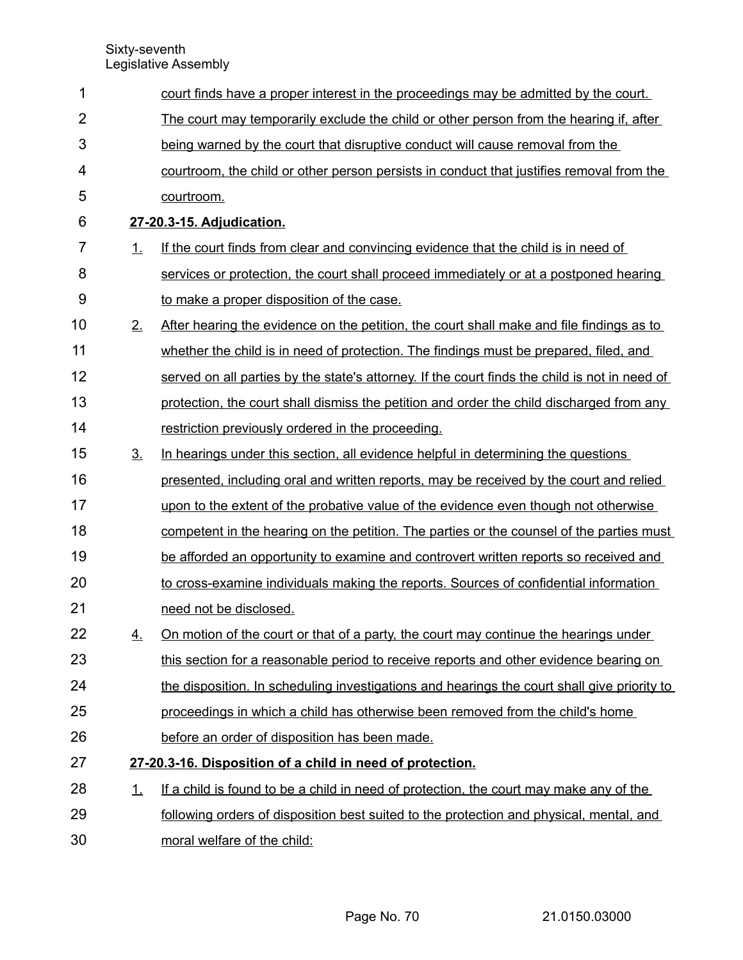| 1              |           | court finds have a proper interest in the proceedings may be admitted by the court.           |
|----------------|-----------|-----------------------------------------------------------------------------------------------|
| $\overline{2}$ |           | The court may temporarily exclude the child or other person from the hearing if, after        |
| 3              |           | being warned by the court that disruptive conduct will cause removal from the                 |
| 4              |           | courtroom, the child or other person persists in conduct that justifies removal from the      |
| 5              |           | courtroom.                                                                                    |
| 6              |           | 27-20.3-15. Adjudication.                                                                     |
| 7              | 1.        | If the court finds from clear and convincing evidence that the child is in need of            |
| 8              |           | services or protection, the court shall proceed immediately or at a postponed hearing         |
| 9              |           | to make a proper disposition of the case.                                                     |
| 10             | 2.        | After hearing the evidence on the petition, the court shall make and file findings as to      |
| 11             |           | whether the child is in need of protection. The findings must be prepared, filed, and         |
| 12             |           | served on all parties by the state's attorney. If the court finds the child is not in need of |
| 13             |           | protection, the court shall dismiss the petition and order the child discharged from any      |
| 14             |           | restriction previously ordered in the proceeding.                                             |
| 15             | <u>3.</u> | In hearings under this section, all evidence helpful in determining the questions             |
| 16             |           | presented, including oral and written reports, may be received by the court and relied        |
| 17             |           | upon to the extent of the probative value of the evidence even though not otherwise           |
| 18             |           | competent in the hearing on the petition. The parties or the counsel of the parties must      |
| 19             |           | be afforded an opportunity to examine and controvert written reports so received and          |
| 20             |           | to cross-examine individuals making the reports. Sources of confidential information          |
| 21             |           | need not be disclosed.                                                                        |
| 22             | 4.        | On motion of the court or that of a party, the court may continue the hearings under          |
| 23             |           | this section for a reasonable period to receive reports and other evidence bearing on         |
| 24             |           | the disposition. In scheduling investigations and hearings the court shall give priority to   |
| 25             |           | proceedings in which a child has otherwise been removed from the child's home                 |
| 26             |           | before an order of disposition has been made.                                                 |
| 27             |           | 27-20.3-16. Disposition of a child in need of protection.                                     |
| 28             | $\perp$   | If a child is found to be a child in need of protection, the court may make any of the        |
| 29             |           | following orders of disposition best suited to the protection and physical, mental, and       |
| 30             |           | moral welfare of the child:                                                                   |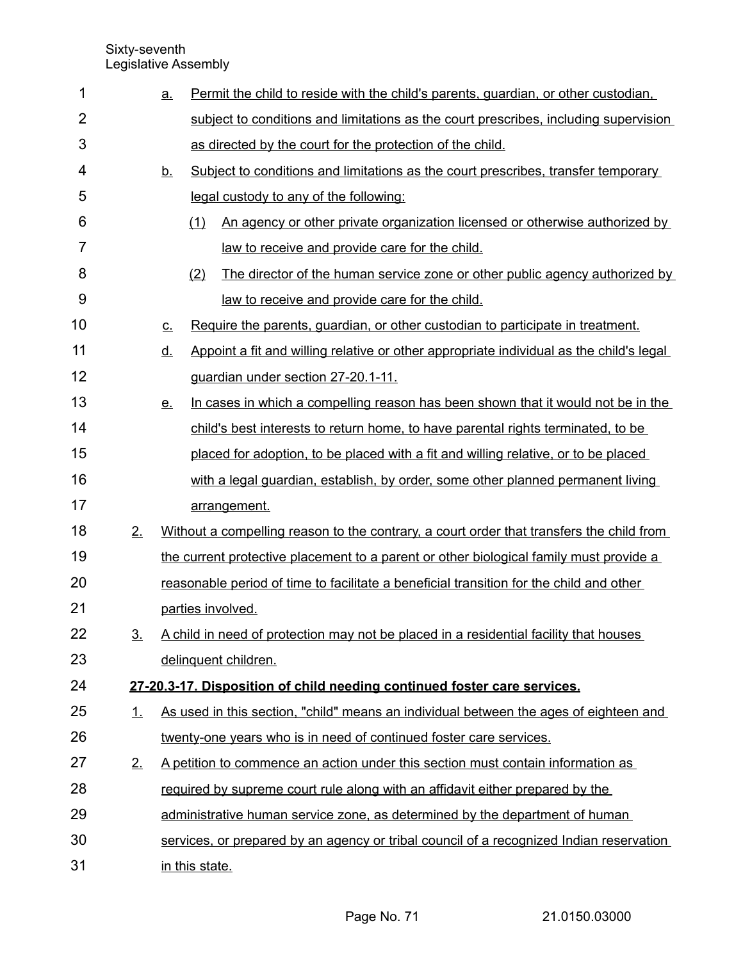| 1              |           | <u>a.</u> | Permit the child to reside with the child's parents, quardian, or other custodian,       |
|----------------|-----------|-----------|------------------------------------------------------------------------------------------|
| $\overline{2}$ |           |           | subject to conditions and limitations as the court prescribes, including supervision     |
| 3              |           |           | as directed by the court for the protection of the child.                                |
| 4              |           | <u>b.</u> | Subject to conditions and limitations as the court prescribes, transfer temporary        |
| 5              |           |           | legal custody to any of the following:                                                   |
| 6              |           |           | An agency or other private organization licensed or otherwise authorized by<br>(1)       |
| 7              |           |           | law to receive and provide care for the child.                                           |
| 8              |           |           | The director of the human service zone or other public agency authorized by<br>(2)       |
| 9              |           |           | law to receive and provide care for the child.                                           |
| 10             |           | <u>c.</u> | Require the parents, guardian, or other custodian to participate in treatment.           |
| 11             |           | <u>d.</u> | Appoint a fit and willing relative or other appropriate individual as the child's legal  |
| 12             |           |           | guardian under section 27-20.1-11.                                                       |
| 13             |           | <u>e.</u> | In cases in which a compelling reason has been shown that it would not be in the         |
| 14             |           |           | child's best interests to return home, to have parental rights terminated, to be         |
| 15             |           |           | placed for adoption, to be placed with a fit and willing relative, or to be placed       |
| 16             |           |           | with a legal guardian, establish, by order, some other planned permanent living          |
| 17             |           |           | arrangement.                                                                             |
| 18             | 2.        |           | Without a compelling reason to the contrary, a court order that transfers the child from |
| 19             |           |           | the current protective placement to a parent or other biological family must provide a   |
| 20             |           |           | reasonable period of time to facilitate a beneficial transition for the child and other  |
| 21             |           |           | parties involved.                                                                        |
| 22             | <u>3.</u> |           | A child in need of protection may not be placed in a residential facility that houses    |
| 23             |           |           | delinquent children.                                                                     |
| 24             |           |           | 27-20.3-17. Disposition of child needing continued foster care services.                 |
| 25             | <u>1.</u> |           | As used in this section, "child" means an individual between the ages of eighteen and    |
| 26             |           |           | twenty-one years who is in need of continued foster care services.                       |
| 27             | 2.        |           | A petition to commence an action under this section must contain information as          |
| 28             |           |           | required by supreme court rule along with an affidavit either prepared by the            |
| 29             |           |           | administrative human service zone, as determined by the department of human              |
| 30             |           |           | services, or prepared by an agency or tribal council of a recognized Indian reservation  |
| 31             |           |           | in this state.                                                                           |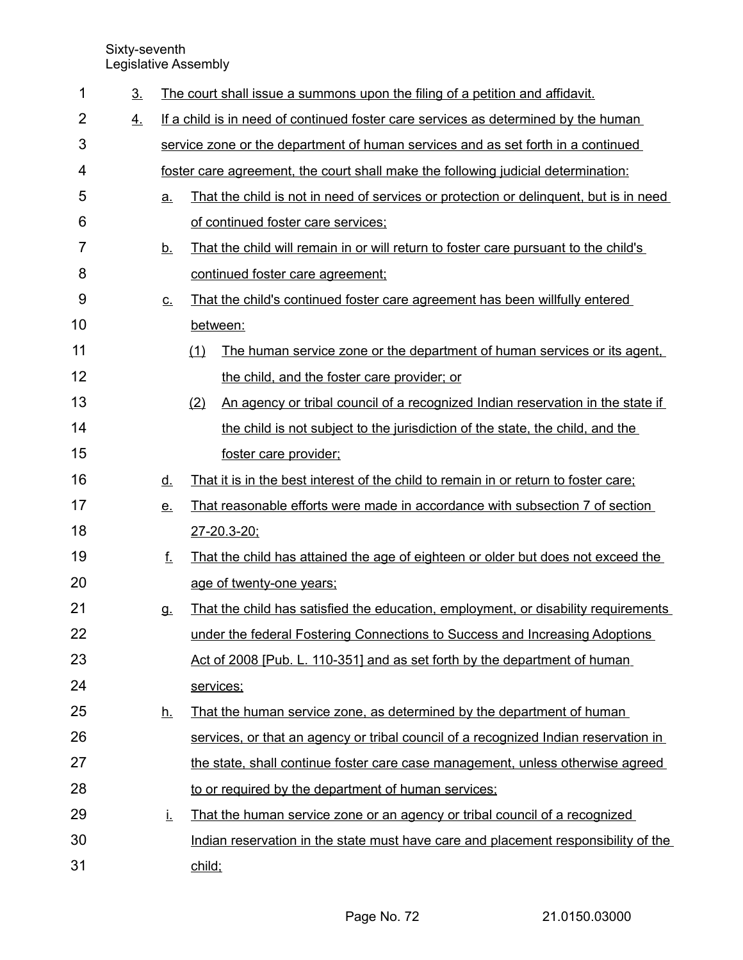| 1  | 3 <sub>1</sub> |           | The court shall issue a summons upon the filing of a petition and affidavit.          |
|----|----------------|-----------|---------------------------------------------------------------------------------------|
| 2  | 4.             |           | If a child is in need of continued foster care services as determined by the human    |
| 3  |                |           | service zone or the department of human services and as set forth in a continued      |
| 4  |                |           | foster care agreement, the court shall make the following judicial determination:     |
| 5  |                | a.        | That the child is not in need of services or protection or delinguent, but is in need |
| 6  |                |           | of continued foster care services;                                                    |
| 7  |                | <u>b.</u> | That the child will remain in or will return to foster care pursuant to the child's   |
| 8  |                |           | continued foster care agreement;                                                      |
| 9  |                | <u>c.</u> | That the child's continued foster care agreement has been willfully entered           |
| 10 |                |           | between:                                                                              |
| 11 |                |           | (1)<br>The human service zone or the department of human services or its agent.       |
| 12 |                |           | the child, and the foster care provider; or                                           |
| 13 |                |           | An agency or tribal council of a recognized Indian reservation in the state if<br>(2) |
| 14 |                |           | the child is not subject to the jurisdiction of the state, the child, and the         |
| 15 |                |           | foster care provider;                                                                 |
| 16 |                | <u>d.</u> | That it is in the best interest of the child to remain in or return to foster care;   |
| 17 |                | <u>e.</u> | That reasonable efforts were made in accordance with subsection 7 of section          |
| 18 |                |           | 27-20.3-20;                                                                           |
| 19 |                | f.        | That the child has attained the age of eighteen or older but does not exceed the      |
| 20 |                |           | age of twenty-one years;                                                              |
| 21 |                | <b>g.</b> | That the child has satisfied the education, employment, or disability requirements    |
| 22 |                |           | under the federal Fostering Connections to Success and Increasing Adoptions           |
| 23 |                |           | Act of 2008 [Pub. L. 110-351] and as set forth by the department of human             |
| 24 |                |           | services;                                                                             |
| 25 |                | <u>h.</u> | That the human service zone, as determined by the department of human                 |
| 26 |                |           | services, or that an agency or tribal council of a recognized Indian reservation in   |
| 27 |                |           | the state, shall continue foster care case management, unless otherwise agreed        |
| 28 |                |           | to or required by the department of human services;                                   |
| 29 |                | Ĺ.        | That the human service zone or an agency or tribal council of a recognized            |
| 30 |                |           | Indian reservation in the state must have care and placement responsibility of the    |
| 31 |                |           | child;                                                                                |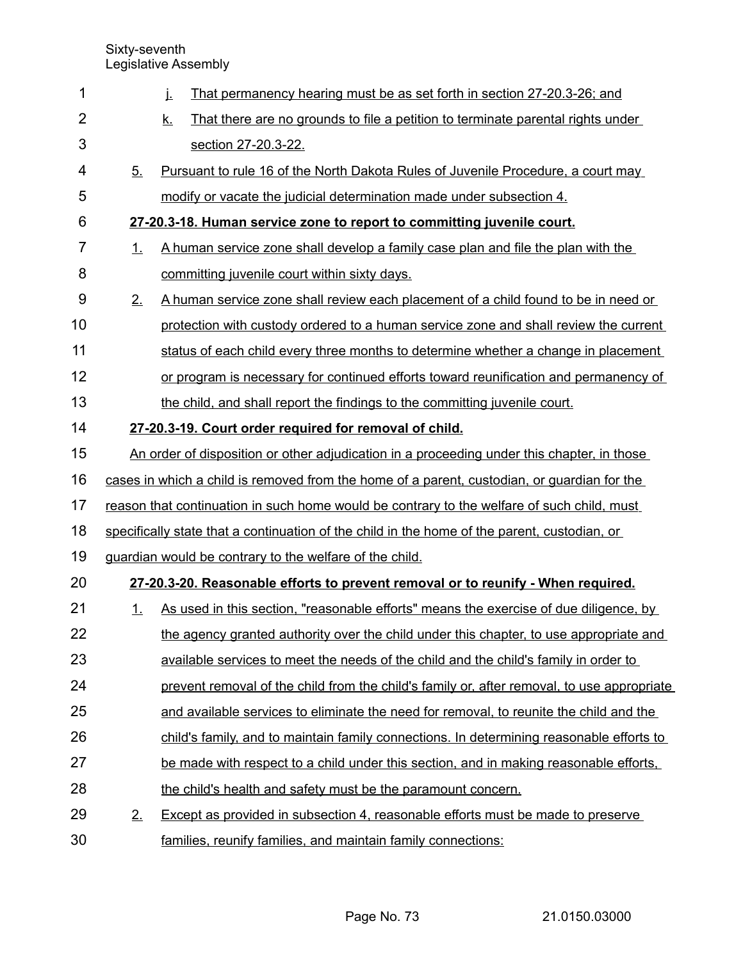| 1              |         | That permanency hearing must be as set forth in section 27-20.3-26; and<br>j.                |
|----------------|---------|----------------------------------------------------------------------------------------------|
| $\overline{2}$ |         | <u>k.</u><br>That there are no grounds to file a petition to terminate parental rights under |
| 3              |         | section 27-20.3-22.                                                                          |
| 4              | 5.      | Pursuant to rule 16 of the North Dakota Rules of Juvenile Procedure, a court may             |
| 5              |         | modify or vacate the judicial determination made under subsection 4.                         |
| 6              |         | 27-20.3-18. Human service zone to report to committing juvenile court.                       |
| 7              | 1.      | A human service zone shall develop a family case plan and file the plan with the             |
| 8              |         | committing juvenile court within sixty days.                                                 |
| 9              | 2.      | A human service zone shall review each placement of a child found to be in need or           |
| 10             |         | protection with custody ordered to a human service zone and shall review the current         |
| 11             |         | status of each child every three months to determine whether a change in placement           |
| 12             |         | or program is necessary for continued efforts toward reunification and permanency of         |
| 13             |         | the child, and shall report the findings to the committing juvenile court.                   |
| 14             |         | 27-20.3-19. Court order required for removal of child.                                       |
| 15             |         | An order of disposition or other adjudication in a proceeding under this chapter, in those   |
| 16             |         | cases in which a child is removed from the home of a parent, custodian, or guardian for the  |
| 17             |         | reason that continuation in such home would be contrary to the welfare of such child, must   |
| 18             |         | specifically state that a continuation of the child in the home of the parent, custodian, or |
| 19             |         | guardian would be contrary to the welfare of the child.                                      |
| 20             |         | 27-20.3-20. Reasonable efforts to prevent removal or to reunify - When required.             |
| 21             | $\perp$ | As used in this section, "reasonable efforts" means the exercise of due diligence, by        |
| 22             |         | the agency granted authority over the child under this chapter, to use appropriate and       |
| 23             |         | available services to meet the needs of the child and the child's family in order to         |
| 24             |         | prevent removal of the child from the child's family or, after removal, to use appropriate   |
| 25             |         | and available services to eliminate the need for removal, to reunite the child and the       |
| 26             |         | child's family, and to maintain family connections. In determining reasonable efforts to     |
| 27             |         | be made with respect to a child under this section, and in making reasonable efforts,        |
| 28             |         | the child's health and safety must be the paramount concern.                                 |
| 29             | 2.      | Except as provided in subsection 4, reasonable efforts must be made to preserve              |
| 30             |         | families, reunify families, and maintain family connections:                                 |

Page No. 73 21.0150.03000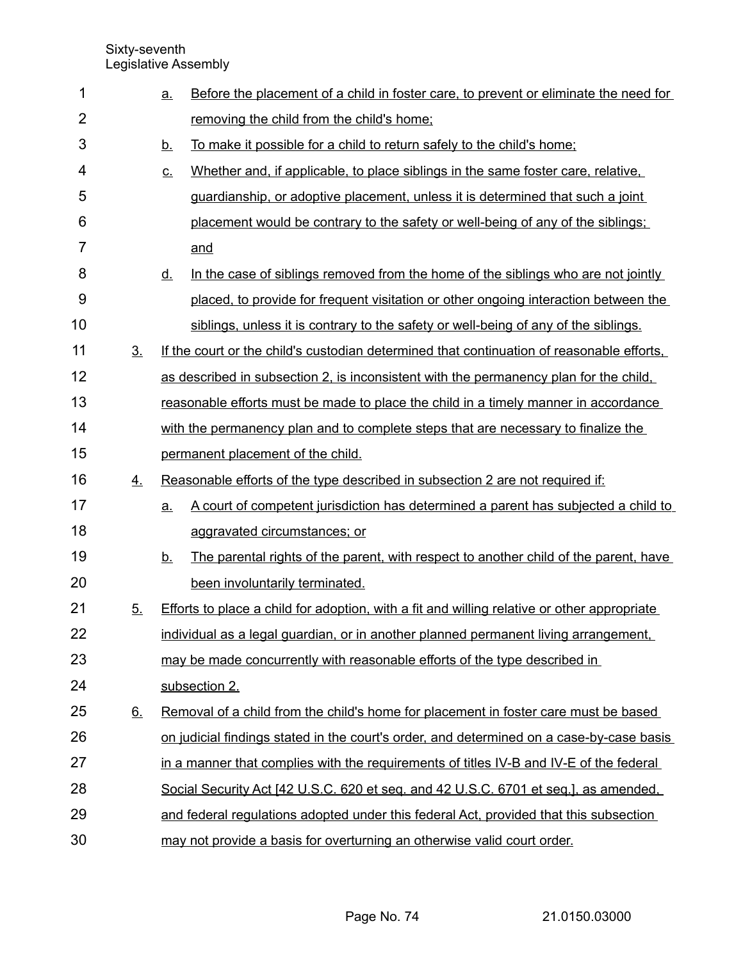| 1  |                | $\underline{a}$ . | Before the placement of a child in foster care, to prevent or eliminate the need for        |  |  |  |  |
|----|----------------|-------------------|---------------------------------------------------------------------------------------------|--|--|--|--|
| 2  |                |                   | removing the child from the child's home;                                                   |  |  |  |  |
| 3  |                | <u>b.</u>         | To make it possible for a child to return safely to the child's home:                       |  |  |  |  |
| 4  |                | <u>c.</u>         | Whether and, if applicable, to place siblings in the same foster care, relative,            |  |  |  |  |
| 5  |                |                   | guardianship, or adoptive placement, unless it is determined that such a joint              |  |  |  |  |
| 6  |                |                   | placement would be contrary to the safety or well-being of any of the siblings;             |  |  |  |  |
| 7  |                |                   | and                                                                                         |  |  |  |  |
| 8  |                | <u>d.</u>         | In the case of siblings removed from the home of the siblings who are not jointly           |  |  |  |  |
| 9  |                |                   | placed, to provide for frequent visitation or other ongoing interaction between the         |  |  |  |  |
| 10 |                |                   | siblings, unless it is contrary to the safety or well-being of any of the siblings.         |  |  |  |  |
| 11 | 3 <sub>1</sub> |                   | If the court or the child's custodian determined that continuation of reasonable efforts.   |  |  |  |  |
| 12 |                |                   | as described in subsection 2, is inconsistent with the permanency plan for the child,       |  |  |  |  |
| 13 |                |                   | reasonable efforts must be made to place the child in a timely manner in accordance         |  |  |  |  |
| 14 |                |                   | with the permanency plan and to complete steps that are necessary to finalize the           |  |  |  |  |
| 15 |                |                   | permanent placement of the child.                                                           |  |  |  |  |
| 16 | 4.             |                   | Reasonable efforts of the type described in subsection 2 are not required if:               |  |  |  |  |
| 17 |                | a.                | A court of competent jurisdiction has determined a parent has subjected a child to          |  |  |  |  |
| 18 |                |                   | aggravated circumstances; or                                                                |  |  |  |  |
| 19 |                | <u>b.</u>         | The parental rights of the parent, with respect to another child of the parent, have        |  |  |  |  |
| 20 |                |                   | been involuntarily terminated.                                                              |  |  |  |  |
| 21 | 5 <sub>1</sub> |                   | Efforts to place a child for adoption, with a fit and willing relative or other appropriate |  |  |  |  |
| 22 |                |                   | individual as a legal guardian, or in another planned permanent living arrangement,         |  |  |  |  |
| 23 |                |                   | may be made concurrently with reasonable efforts of the type described in                   |  |  |  |  |
| 24 |                |                   | subsection 2.                                                                               |  |  |  |  |
| 25 | 6.             |                   | Removal of a child from the child's home for placement in foster care must be based         |  |  |  |  |
| 26 |                |                   | on judicial findings stated in the court's order, and determined on a case-by-case basis    |  |  |  |  |
| 27 |                |                   | in a manner that complies with the requirements of titles IV-B and IV-E of the federal      |  |  |  |  |
| 28 |                |                   | Social Security Act [42 U.S.C. 620 et seq. and 42 U.S.C. 6701 et seq.], as amended,         |  |  |  |  |
| 29 |                |                   | and federal regulations adopted under this federal Act, provided that this subsection       |  |  |  |  |
| 30 |                |                   | may not provide a basis for overturning an otherwise valid court order.                     |  |  |  |  |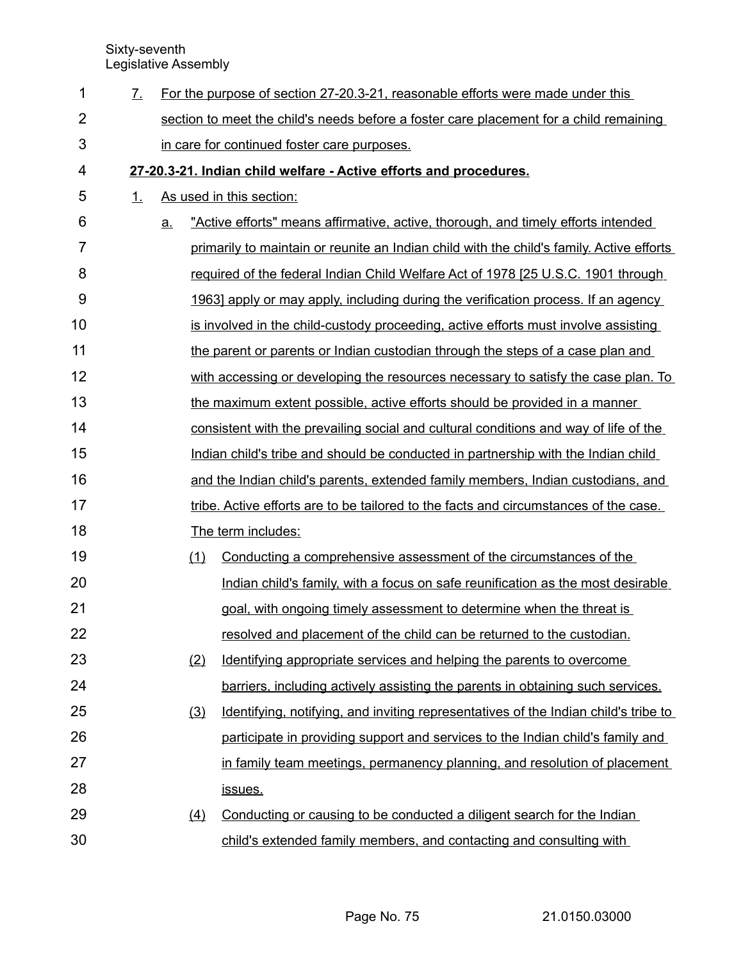| 1  | $\mathcal{I}_{-}$                                                 |    |     | For the purpose of section 27-20.3-21, reasonable efforts were made under this           |  |  |  |
|----|-------------------------------------------------------------------|----|-----|------------------------------------------------------------------------------------------|--|--|--|
| 2  |                                                                   |    |     | section to meet the child's needs before a foster care placement for a child remaining   |  |  |  |
| 3  |                                                                   |    |     | in care for continued foster care purposes.                                              |  |  |  |
| 4  | 27-20.3-21. Indian child welfare - Active efforts and procedures. |    |     |                                                                                          |  |  |  |
| 5  | 1.                                                                |    |     | As used in this section:                                                                 |  |  |  |
| 6  |                                                                   | a. |     | "Active efforts" means affirmative, active, thorough, and timely efforts intended        |  |  |  |
| 7  |                                                                   |    |     | primarily to maintain or reunite an Indian child with the child's family. Active efforts |  |  |  |
| 8  |                                                                   |    |     | required of the federal Indian Child Welfare Act of 1978 [25 U.S.C. 1901 through         |  |  |  |
| 9  |                                                                   |    |     | <u>1963] apply or may apply, including during the verification process. If an agency</u> |  |  |  |
| 10 |                                                                   |    |     | is involved in the child-custody proceeding, active efforts must involve assisting       |  |  |  |
| 11 |                                                                   |    |     | the parent or parents or Indian custodian through the steps of a case plan and           |  |  |  |
| 12 |                                                                   |    |     | with accessing or developing the resources necessary to satisfy the case plan. To        |  |  |  |
| 13 |                                                                   |    |     | the maximum extent possible, active efforts should be provided in a manner               |  |  |  |
| 14 |                                                                   |    |     | consistent with the prevailing social and cultural conditions and way of life of the     |  |  |  |
| 15 |                                                                   |    |     | Indian child's tribe and should be conducted in partnership with the Indian child        |  |  |  |
| 16 |                                                                   |    |     | and the Indian child's parents, extended family members, Indian custodians, and          |  |  |  |
| 17 |                                                                   |    |     | tribe. Active efforts are to be tailored to the facts and circumstances of the case.     |  |  |  |
| 18 |                                                                   |    |     | The term includes:                                                                       |  |  |  |
| 19 |                                                                   |    | (1) | Conducting a comprehensive assessment of the circumstances of the                        |  |  |  |
| 20 |                                                                   |    |     | Indian child's family, with a focus on safe reunification as the most desirable          |  |  |  |
| 21 |                                                                   |    |     | goal, with ongoing timely assessment to determine when the threat is                     |  |  |  |
| 22 |                                                                   |    |     | resolved and placement of the child can be returned to the custodian.                    |  |  |  |
| 23 |                                                                   |    | (2) | Identifying appropriate services and helping the parents to overcome                     |  |  |  |
| 24 |                                                                   |    |     | barriers, including actively assisting the parents in obtaining such services.           |  |  |  |
| 25 |                                                                   |    | (3) | Identifying, notifying, and inviting representatives of the Indian child's tribe to      |  |  |  |
| 26 |                                                                   |    |     | participate in providing support and services to the Indian child's family and           |  |  |  |
| 27 |                                                                   |    |     | in family team meetings, permanency planning, and resolution of placement                |  |  |  |
| 28 |                                                                   |    |     | <u>issues.</u>                                                                           |  |  |  |
| 29 |                                                                   |    | (4) | Conducting or causing to be conducted a diligent search for the Indian                   |  |  |  |
| 30 |                                                                   |    |     | child's extended family members, and contacting and consulting with                      |  |  |  |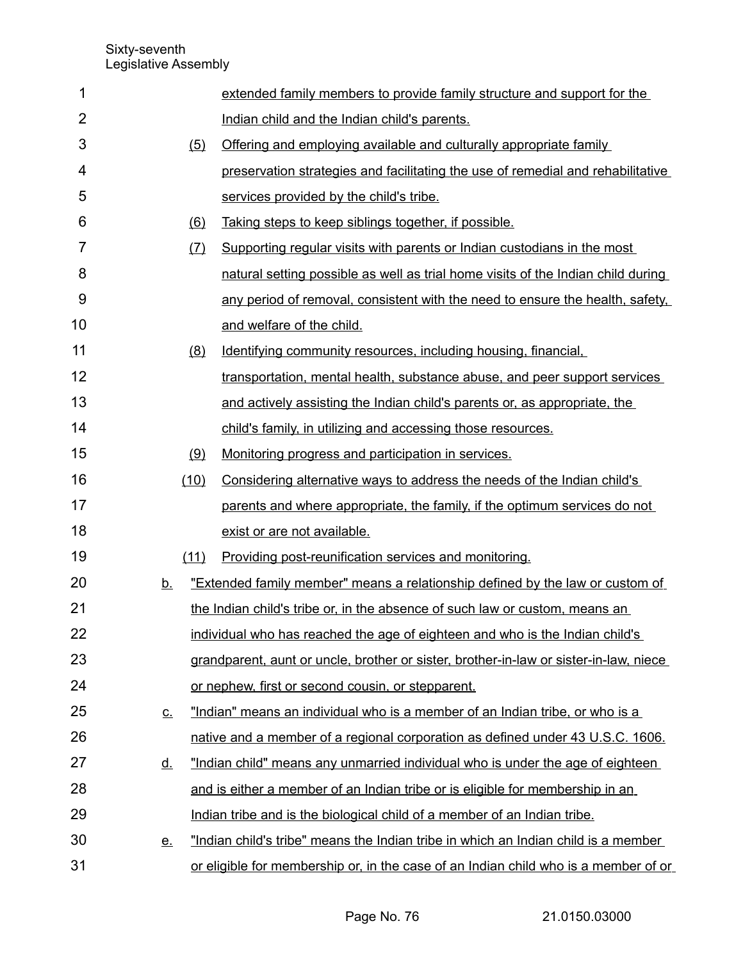| 1              |           | extended family members to provide family structure and support for the               |
|----------------|-----------|---------------------------------------------------------------------------------------|
| $\overline{2}$ |           | Indian child and the Indian child's parents.                                          |
| 3              | (5)       | Offering and employing available and culturally appropriate family                    |
| 4              |           | preservation strategies and facilitating the use of remedial and rehabilitative       |
| 5              |           | services provided by the child's tribe.                                               |
| 6              | (6)       | Taking steps to keep siblings together, if possible.                                  |
| 7              | (7)       | Supporting regular visits with parents or Indian custodians in the most               |
| 8              |           | natural setting possible as well as trial home visits of the Indian child during      |
| 9              |           | any period of removal, consistent with the need to ensure the health, safety,         |
| 10             |           | and welfare of the child.                                                             |
| 11             | (8)       | Identifying community resources, including housing, financial,                        |
| 12             |           | transportation, mental health, substance abuse, and peer support services             |
| 13             |           | and actively assisting the Indian child's parents or, as appropriate, the             |
| 14             |           | child's family, in utilizing and accessing those resources.                           |
| 15             | (9)       | Monitoring progress and participation in services.                                    |
| 16             | (10)      | Considering alternative ways to address the needs of the Indian child's               |
| 17             |           | parents and where appropriate, the family, if the optimum services do not             |
| 18             |           | exist or are not available.                                                           |
| 19             | (11)      | Providing post-reunification services and monitoring.                                 |
| 20             | <u>b.</u> | "Extended family member" means a relationship defined by the law or custom of         |
| 21             |           | the Indian child's tribe or, in the absence of such law or custom, means an           |
| 22             |           | individual who has reached the age of eighteen and who is the Indian child's          |
| 23             |           | grandparent, aunt or uncle, brother or sister, brother-in-law or sister-in-law, niece |
| 24             |           | or nephew, first or second cousin, or stepparent.                                     |
| 25             | <u>c.</u> | "Indian" means an individual who is a member of an Indian tribe, or who is a          |
| 26             |           | native and a member of a regional corporation as defined under 43 U.S.C. 1606.        |
| 27             | <u>d.</u> | "Indian child" means any unmarried individual who is under the age of eighteen        |
| 28             |           | and is either a member of an Indian tribe or is eligible for membership in an         |
| 29             |           | Indian tribe and is the biological child of a member of an Indian tribe.              |
| 30             | <u>e.</u> | "Indian child's tribe" means the Indian tribe in which an Indian child is a member    |
| 31             |           | or eligible for membership or, in the case of an Indian child who is a member of or   |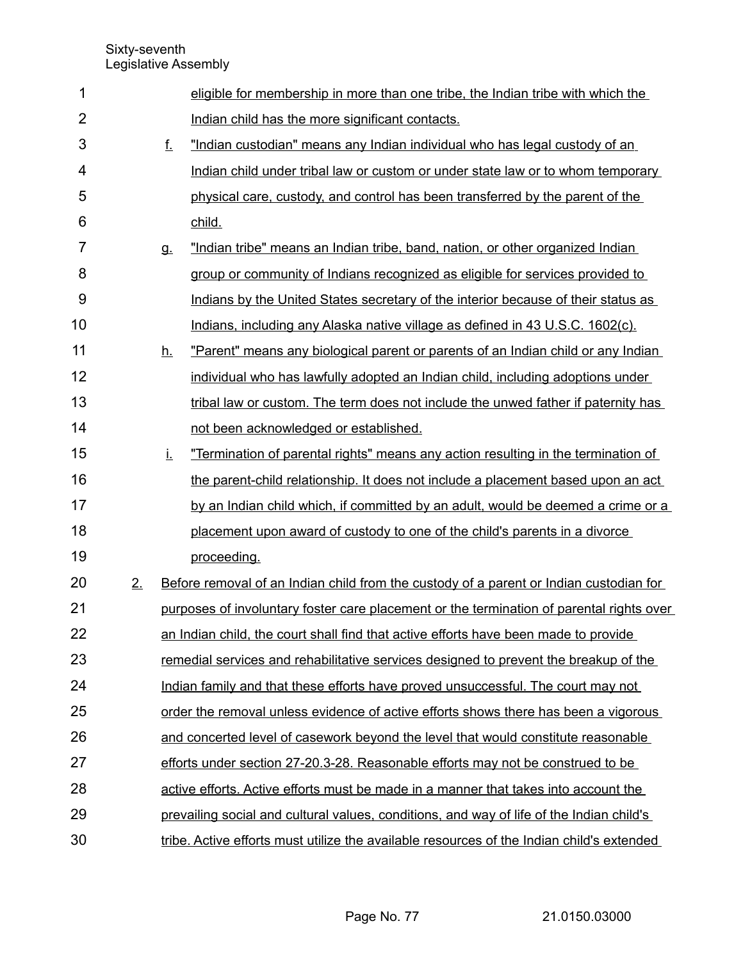| 1              |    |           | eligible for membership in more than one tribe, the Indian tribe with which the           |
|----------------|----|-----------|-------------------------------------------------------------------------------------------|
| $\overline{2}$ |    |           | Indian child has the more significant contacts.                                           |
| 3              |    | f.        | "Indian custodian" means any Indian individual who has legal custody of an                |
| 4              |    |           | Indian child under tribal law or custom or under state law or to whom temporary           |
| 5              |    |           | physical care, custody, and control has been transferred by the parent of the             |
| 6              |    |           | child.                                                                                    |
| 7              |    | g.        | "Indian tribe" means an Indian tribe, band, nation, or other organized Indian             |
| 8              |    |           | group or community of Indians recognized as eligible for services provided to             |
| 9              |    |           | Indians by the United States secretary of the interior because of their status as         |
| 10             |    |           | Indians, including any Alaska native village as defined in 43 U.S.C. 1602(c).             |
| 11             |    | <u>h.</u> | "Parent" means any biological parent or parents of an Indian child or any Indian          |
| 12             |    |           | individual who has lawfully adopted an Indian child, including adoptions under            |
| 13             |    |           | tribal law or custom. The term does not include the unwed father if paternity has         |
| 14             |    |           | not been acknowledged or established.                                                     |
| 15             |    | Ĺ.        | "Termination of parental rights" means any action resulting in the termination of         |
| 16             |    |           | the parent-child relationship. It does not include a placement based upon an act          |
| 17             |    |           | by an Indian child which, if committed by an adult, would be deemed a crime or a          |
| 18             |    |           | placement upon award of custody to one of the child's parents in a divorce                |
| 19             |    |           | proceeding.                                                                               |
| 20             | 2. |           | Before removal of an Indian child from the custody of a parent or Indian custodian for    |
| 21             |    |           | purposes of involuntary foster care placement or the termination of parental rights over  |
| 22             |    |           | an Indian child, the court shall find that active efforts have been made to provide       |
| 23             |    |           | remedial services and rehabilitative services designed to prevent the breakup of the      |
| 24             |    |           | Indian family and that these efforts have proved unsuccessful. The court may not          |
| 25             |    |           | order the removal unless evidence of active efforts shows there has been a vigorous       |
| 26             |    |           | and concerted level of casework beyond the level that would constitute reasonable         |
| 27             |    |           | efforts under section 27-20.3-28. Reasonable efforts may not be construed to be           |
| 28             |    |           | active efforts. Active efforts must be made in a manner that takes into account the       |
| 29             |    |           | prevailing social and cultural values, conditions, and way of life of the Indian child's  |
| 30             |    |           | tribe. Active efforts must utilize the available resources of the Indian child's extended |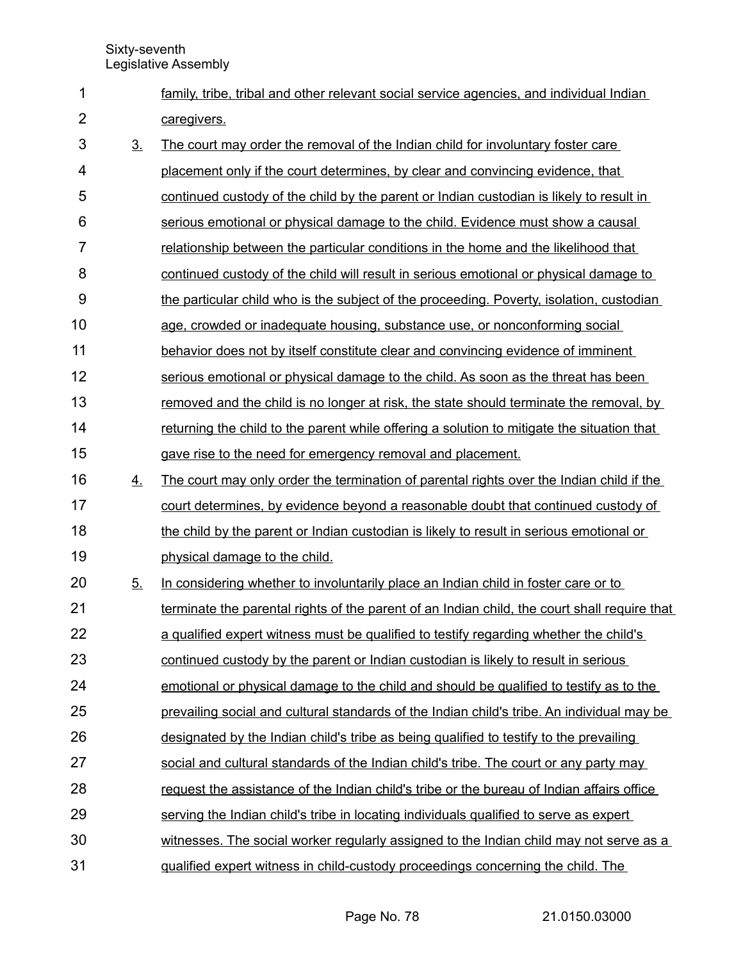| 1              |                | family, tribe, tribal and other relevant social service agencies, and individual Indian      |
|----------------|----------------|----------------------------------------------------------------------------------------------|
| $\overline{2}$ |                | caregivers.                                                                                  |
| 3              | 3 <sub>1</sub> | The court may order the removal of the Indian child for involuntary foster care              |
| 4              |                | placement only if the court determines, by clear and convincing evidence, that               |
| 5              |                | continued custody of the child by the parent or Indian custodian is likely to result in      |
| 6              |                | serious emotional or physical damage to the child. Evidence must show a causal               |
| $\overline{7}$ |                | relationship between the particular conditions in the home and the likelihood that           |
| 8              |                | continued custody of the child will result in serious emotional or physical damage to        |
| 9              |                | the particular child who is the subject of the proceeding. Poverty, isolation, custodian     |
| 10             |                | age, crowded or inadequate housing, substance use, or nonconforming social                   |
| 11             |                | behavior does not by itself constitute clear and convincing evidence of imminent             |
| 12             |                | serious emotional or physical damage to the child. As soon as the threat has been            |
| 13             |                | removed and the child is no longer at risk, the state should terminate the removal, by       |
| 14             |                | returning the child to the parent while offering a solution to mitigate the situation that   |
| 15             |                | gave rise to the need for emergency removal and placement.                                   |
| 16             | 4.             | The court may only order the termination of parental rights over the Indian child if the     |
| 17             |                | court determines, by evidence beyond a reasonable doubt that continued custody of            |
| 18             |                | the child by the parent or Indian custodian is likely to result in serious emotional or      |
| 19             |                | physical damage to the child.                                                                |
| 20             | 5 <sub>1</sub> | In considering whether to involuntarily place an Indian child in foster care or to           |
| 21             |                | terminate the parental rights of the parent of an Indian child, the court shall require that |
| 22             |                | a qualified expert witness must be qualified to testify regarding whether the child's        |
| 23             |                | continued custody by the parent or Indian custodian is likely to result in serious           |
| 24             |                | emotional or physical damage to the child and should be qualified to testify as to the       |
| 25             |                | prevailing social and cultural standards of the Indian child's tribe. An individual may be   |
| 26             |                | designated by the Indian child's tribe as being qualified to testify to the prevailing       |
| 27             |                | social and cultural standards of the Indian child's tribe. The court or any party may        |
| 28             |                | request the assistance of the Indian child's tribe or the bureau of Indian affairs office    |
| 29             |                | serving the Indian child's tribe in locating individuals qualified to serve as expert        |
| 30             |                | witnesses. The social worker regularly assigned to the Indian child may not serve as a       |
| 31             |                | gualified expert witness in child-custody proceedings concerning the child. The              |
|                |                |                                                                                              |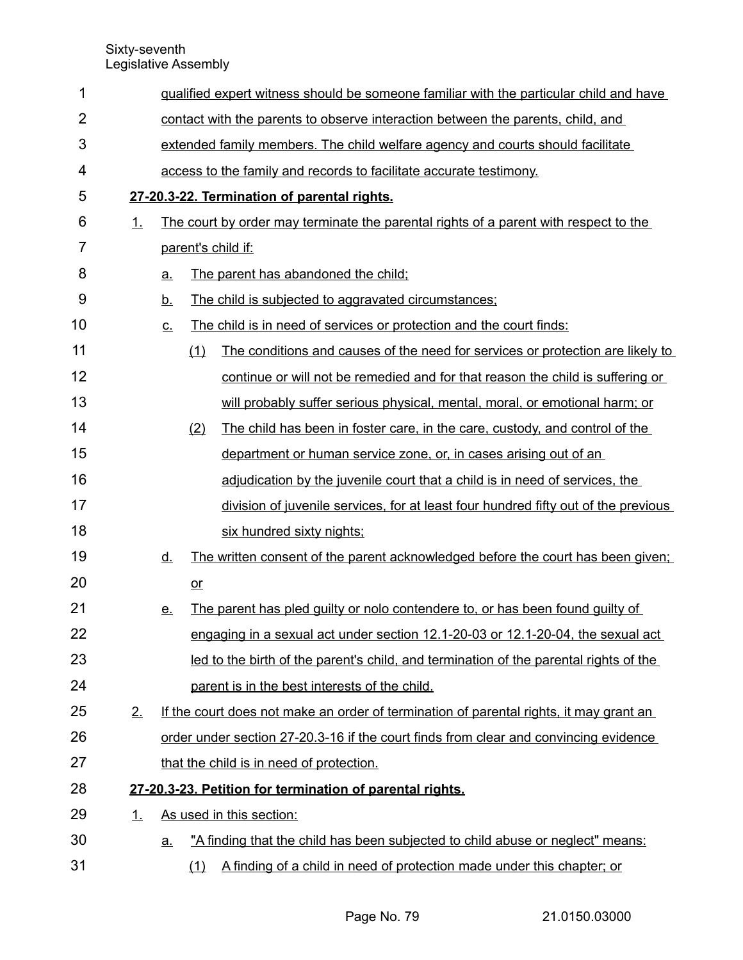| 1              |           | gualified expert witness should be someone familiar with the particular child and have |                                                                                 |                                                                                        |  |  |  |  |  |
|----------------|-----------|----------------------------------------------------------------------------------------|---------------------------------------------------------------------------------|----------------------------------------------------------------------------------------|--|--|--|--|--|
| $\overline{2}$ |           |                                                                                        | contact with the parents to observe interaction between the parents, child, and |                                                                                        |  |  |  |  |  |
| 3              |           |                                                                                        | extended family members. The child welfare agency and courts should facilitate  |                                                                                        |  |  |  |  |  |
| 4              |           |                                                                                        |                                                                                 | access to the family and records to facilitate accurate testimony.                     |  |  |  |  |  |
| 5              |           |                                                                                        |                                                                                 | 27-20.3-22. Termination of parental rights.                                            |  |  |  |  |  |
| 6              | 1.        |                                                                                        |                                                                                 | The court by order may terminate the parental rights of a parent with respect to the   |  |  |  |  |  |
| 7              |           |                                                                                        |                                                                                 | parent's child if:                                                                     |  |  |  |  |  |
| 8              |           | a.                                                                                     |                                                                                 | The parent has abandoned the child;                                                    |  |  |  |  |  |
| 9              |           | <u>b.</u>                                                                              |                                                                                 | The child is subjected to aggravated circumstances;                                    |  |  |  |  |  |
| 10             |           | <u>c.</u>                                                                              |                                                                                 | The child is in need of services or protection and the court finds:                    |  |  |  |  |  |
| 11             |           |                                                                                        | (1)                                                                             | The conditions and causes of the need for services or protection are likely to         |  |  |  |  |  |
| 12             |           |                                                                                        |                                                                                 | continue or will not be remedied and for that reason the child is suffering or         |  |  |  |  |  |
| 13             |           |                                                                                        |                                                                                 | will probably suffer serious physical, mental, moral, or emotional harm; or            |  |  |  |  |  |
| 14             |           |                                                                                        | (2)                                                                             | The child has been in foster care, in the care, custody, and control of the            |  |  |  |  |  |
| 15             |           |                                                                                        |                                                                                 | department or human service zone, or, in cases arising out of an                       |  |  |  |  |  |
| 16             |           |                                                                                        |                                                                                 | adjudication by the juvenile court that a child is in need of services, the            |  |  |  |  |  |
| 17             |           |                                                                                        |                                                                                 | division of juvenile services, for at least four hundred fifty out of the previous     |  |  |  |  |  |
| 18             |           |                                                                                        |                                                                                 | six hundred sixty nights;                                                              |  |  |  |  |  |
| 19             |           | <u>d.</u>                                                                              |                                                                                 | The written consent of the parent acknowledged before the court has been given;        |  |  |  |  |  |
| 20             |           |                                                                                        | $or$                                                                            |                                                                                        |  |  |  |  |  |
| 21             |           | <u>e.</u>                                                                              |                                                                                 | The parent has pled guilty or nolo contendere to, or has been found guilty of          |  |  |  |  |  |
| 22             |           |                                                                                        |                                                                                 | engaging in a sexual act under section 12.1-20-03 or 12.1-20-04, the sexual act        |  |  |  |  |  |
| 23             |           |                                                                                        |                                                                                 | led to the birth of the parent's child, and termination of the parental rights of the  |  |  |  |  |  |
| 24             |           |                                                                                        |                                                                                 | parent is in the best interests of the child.                                          |  |  |  |  |  |
| 25             | 2.        |                                                                                        |                                                                                 | If the court does not make an order of termination of parental rights, it may grant an |  |  |  |  |  |
| 26             |           |                                                                                        |                                                                                 | order under section 27-20.3-16 if the court finds from clear and convincing evidence   |  |  |  |  |  |
| 27             |           |                                                                                        |                                                                                 | that the child is in need of protection.                                               |  |  |  |  |  |
| 28             |           |                                                                                        |                                                                                 | 27-20.3-23. Petition for termination of parental rights.                               |  |  |  |  |  |
| 29             | <u>1.</u> |                                                                                        |                                                                                 | As used in this section:                                                               |  |  |  |  |  |
| 30             |           | <u>a.</u>                                                                              |                                                                                 | "A finding that the child has been subjected to child abuse or neglect" means:         |  |  |  |  |  |
| 31             |           |                                                                                        | (1)                                                                             | A finding of a child in need of protection made under this chapter; or                 |  |  |  |  |  |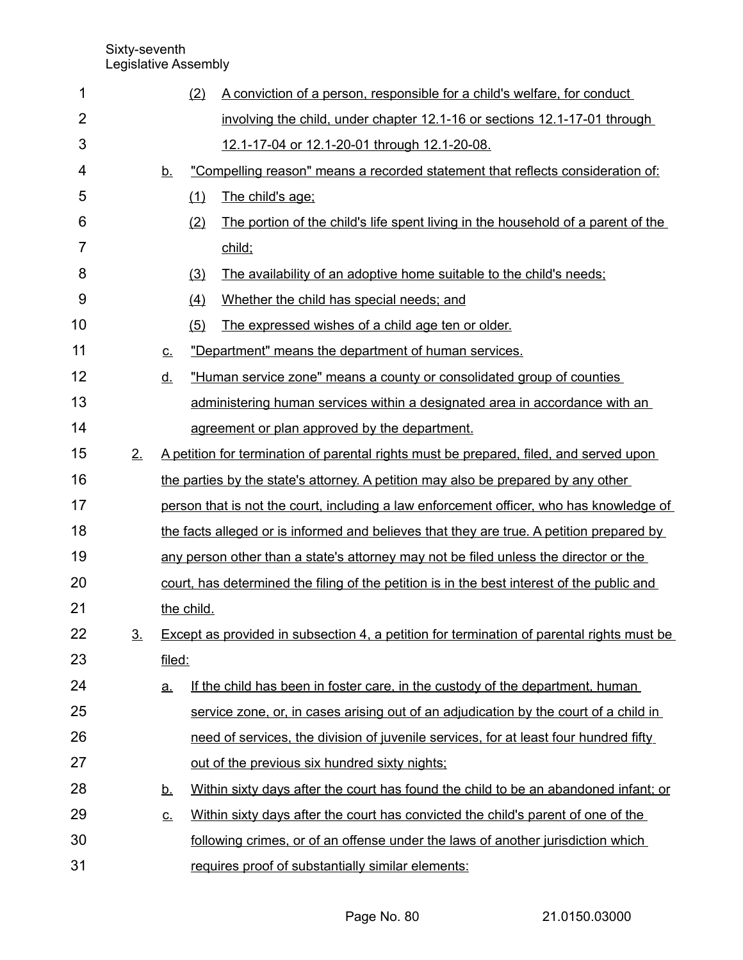| 1              |                   |             | (2)        | A conviction of a person, responsible for a child's welfare, for conduct                   |
|----------------|-------------------|-------------|------------|--------------------------------------------------------------------------------------------|
| $\overline{2}$ |                   |             |            | involving the child, under chapter 12.1-16 or sections 12.1-17-01 through                  |
| 3              |                   |             |            | 12.1-17-04 or 12.1-20-01 through 12.1-20-08.                                               |
| 4              |                   | <u>b.</u>   |            | "Compelling reason" means a recorded statement that reflects consideration of:             |
| 5              |                   |             | (1)        | The child's age;                                                                           |
| 6              |                   |             | (2)        | The portion of the child's life spent living in the household of a parent of the           |
| $\overline{7}$ |                   |             |            | child;                                                                                     |
| 8              |                   |             | (3)        | The availability of an adoptive home suitable to the child's needs;                        |
| 9              |                   |             | (4)        | Whether the child has special needs; and                                                   |
| 10             |                   |             | (5)        | The expressed wishes of a child age ten or older.                                          |
| 11             |                   | $C_{\cdot}$ |            | "Department" means the department of human services.                                       |
| 12             |                   | <u>d.</u>   |            | "Human service zone" means a county or consolidated group of counties                      |
| 13             |                   |             |            | administering human services within a designated area in accordance with an                |
| 14             |                   |             |            | agreement or plan approved by the department.                                              |
| 15             | 2.                |             |            | A petition for termination of parental rights must be prepared, filed, and served upon     |
| 16             |                   |             |            | the parties by the state's attorney. A petition may also be prepared by any other          |
| 17             |                   |             |            | person that is not the court, including a law enforcement officer, who has knowledge of    |
| 18             |                   |             |            | the facts alleged or is informed and believes that they are true. A petition prepared by   |
| 19             |                   |             |            | any person other than a state's attorney may not be filed unless the director or the       |
| 20             |                   |             |            | court, has determined the filing of the petition is in the best interest of the public and |
| 21             |                   |             | the child. |                                                                                            |
| 22             | $\underline{3}$ . |             |            | Except as provided in subsection 4, a petition for termination of parental rights must be  |
| 23             |                   | filed:      |            |                                                                                            |
| 24             |                   | <u>a.</u>   |            | If the child has been in foster care, in the custody of the department, human              |
| 25             |                   |             |            | service zone, or, in cases arising out of an adjudication by the court of a child in       |
| 26             |                   |             |            | need of services, the division of juvenile services, for at least four hundred fifty       |
| 27             |                   |             |            | out of the previous six hundred sixty nights;                                              |
| 28             |                   | <u>b.</u>   |            | Within sixty days after the court has found the child to be an abandoned infant; or        |
| 29             |                   | <u>c.</u>   |            | Within sixty days after the court has convicted the child's parent of one of the           |
| 30             |                   |             |            | following crimes, or of an offense under the laws of another jurisdiction which            |
| 31             |                   |             |            | requires proof of substantially similar elements:                                          |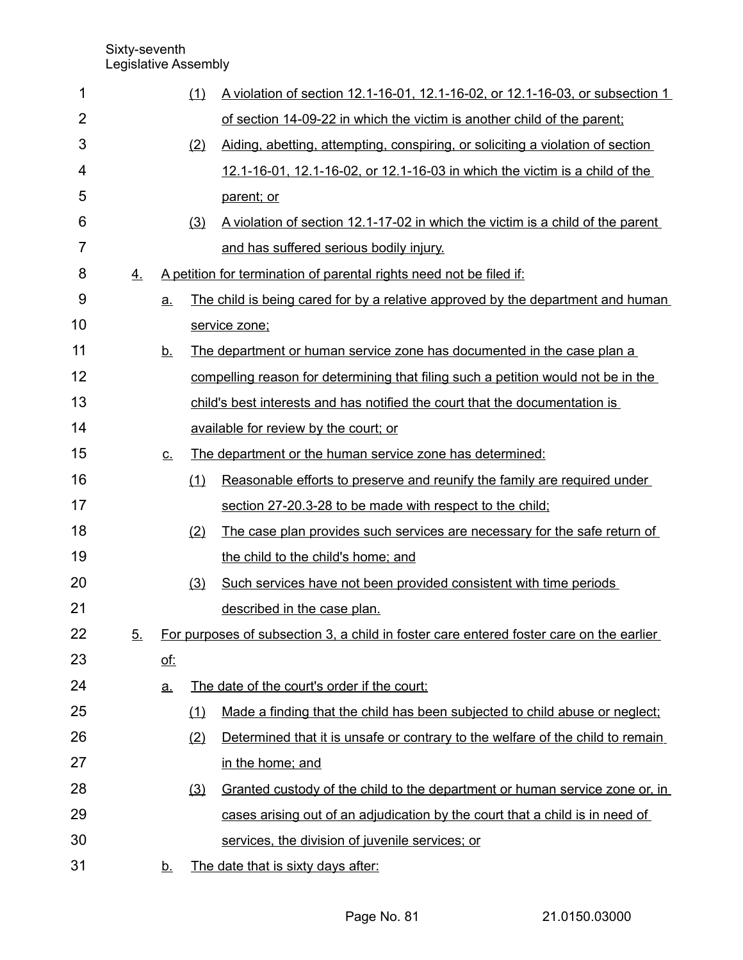| 1  |    |            | (1) | A violation of section 12.1-16-01, 12.1-16-02, or 12.1-16-03, or subsection 1           |
|----|----|------------|-----|-----------------------------------------------------------------------------------------|
| 2  |    |            |     | of section 14-09-22 in which the victim is another child of the parent;                 |
| 3  |    |            | (2) | Aiding, abetting, attempting, conspiring, or soliciting a violation of section          |
| 4  |    |            |     | 12.1-16-01, 12.1-16-02, or 12.1-16-03 in which the victim is a child of the             |
| 5  |    |            |     | parent; or                                                                              |
| 6  |    |            | (3) | A violation of section 12.1-17-02 in which the victim is a child of the parent          |
| 7  |    |            |     | and has suffered serious bodily injury.                                                 |
| 8  | 4. |            |     | A petition for termination of parental rights need not be filed if:                     |
| 9  |    | a.         |     | The child is being cared for by a relative approved by the department and human         |
| 10 |    |            |     | service zone;                                                                           |
| 11 |    | <u>b.</u>  |     | The department or human service zone has documented in the case plan a                  |
| 12 |    |            |     | compelling reason for determining that filing such a petition would not be in the       |
| 13 |    |            |     | child's best interests and has notified the court that the documentation is             |
| 14 |    |            |     | available for review by the court; or                                                   |
| 15 |    | <u>c.</u>  |     | The department or the human service zone has determined:                                |
| 16 |    |            | (1) | Reasonable efforts to preserve and reunify the family are required under                |
| 17 |    |            |     | section 27-20.3-28 to be made with respect to the child;                                |
| 18 |    |            | (2) | The case plan provides such services are necessary for the safe return of               |
| 19 |    |            |     | the child to the child's home; and                                                      |
| 20 |    |            | (3) | Such services have not been provided consistent with time periods                       |
| 21 |    |            |     | described in the case plan.                                                             |
| 22 | 5. |            |     | For purposes of subsection 3, a child in foster care entered foster care on the earlier |
| 23 |    | <u>of:</u> |     |                                                                                         |
| 24 |    | <u>a.</u>  |     | The date of the court's order if the court:                                             |
| 25 |    |            | (1) | Made a finding that the child has been subjected to child abuse or neglect;             |
| 26 |    |            | (2) | Determined that it is unsafe or contrary to the welfare of the child to remain          |
| 27 |    |            |     | in the home; and                                                                        |
| 28 |    |            | (3) | Granted custody of the child to the department or human service zone or, in             |
| 29 |    |            |     | cases arising out of an adjudication by the court that a child is in need of            |
| 30 |    |            |     | services, the division of juvenile services; or                                         |
| 31 |    | <u>b.</u>  |     | The date that is sixty days after:                                                      |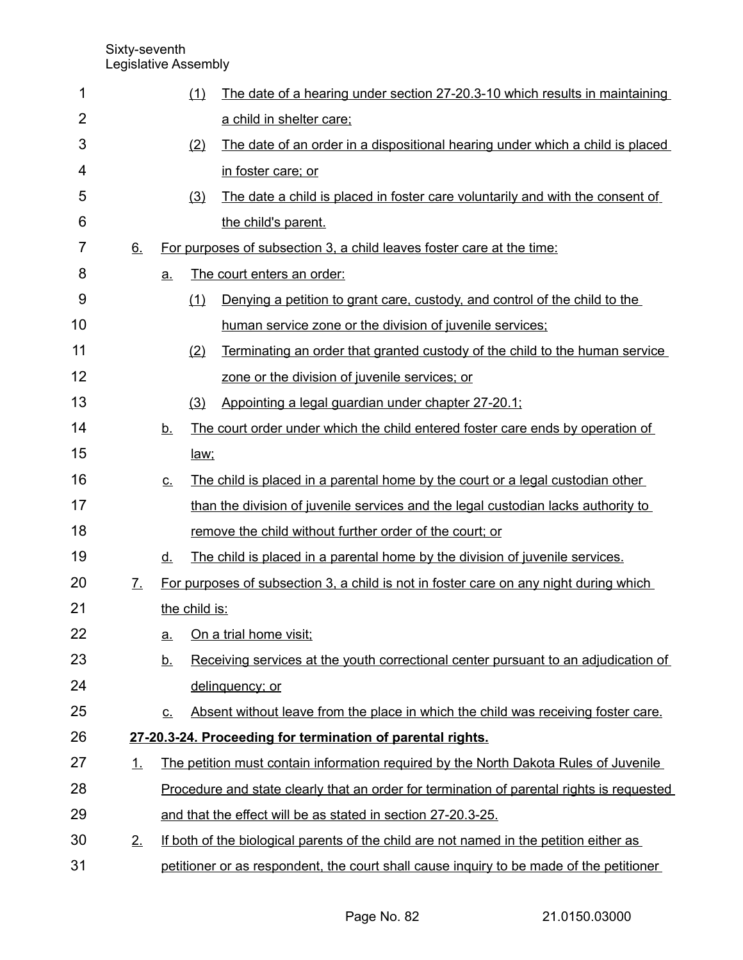| 1              |                   |           | (1)           | The date of a hearing under section 27-20.3-10 which results in maintaining               |
|----------------|-------------------|-----------|---------------|-------------------------------------------------------------------------------------------|
| $\overline{2}$ |                   |           |               | a child in shelter care;                                                                  |
| 3              |                   |           | (2)           | The date of an order in a dispositional hearing under which a child is placed             |
| 4              |                   |           |               | in foster care; or                                                                        |
| 5              |                   |           | (3)           | The date a child is placed in foster care voluntarily and with the consent of             |
| 6              |                   |           |               | the child's parent.                                                                       |
| 7              | 6.                |           |               | For purposes of subsection 3, a child leaves foster care at the time:                     |
| 8              |                   | a.        |               | The court enters an order:                                                                |
| 9              |                   |           | (1)           | Denying a petition to grant care, custody, and control of the child to the                |
| 10             |                   |           |               | human service zone or the division of juvenile services;                                  |
| 11             |                   |           | (2)           | Terminating an order that granted custody of the child to the human service               |
| 12             |                   |           |               | zone or the division of juvenile services; or                                             |
| 13             |                   |           | (3)           | Appointing a legal guardian under chapter 27-20.1;                                        |
| 14             |                   | <u>b.</u> |               | The court order under which the child entered foster care ends by operation of            |
| 15             |                   |           | law;          |                                                                                           |
| 16             |                   | <u>c.</u> |               | The child is placed in a parental home by the court or a legal custodian other            |
| 17             |                   |           |               | than the division of juvenile services and the legal custodian lacks authority to         |
| 18             |                   |           |               | remove the child without further order of the court; or                                   |
| 19             |                   | <u>d.</u> |               | The child is placed in a parental home by the division of juvenile services.              |
| 20             | $\mathcal{I}_{-}$ |           |               | For purposes of subsection 3, a child is not in foster care on any night during which     |
| 21             |                   |           | the child is: |                                                                                           |
| 22             |                   | <u>a.</u> |               | On a trial home visit;                                                                    |
| 23             |                   | <u>b.</u> |               | Receiving services at the youth correctional center pursuant to an adjudication of        |
| 24             |                   |           |               | delinquency; or                                                                           |
| 25             |                   | <u>c.</u> |               | Absent without leave from the place in which the child was receiving foster care.         |
| 26             |                   |           |               | 27-20.3-24. Proceeding for termination of parental rights.                                |
| 27             | 1.                |           |               | The petition must contain information required by the North Dakota Rules of Juvenile      |
| 28             |                   |           |               | Procedure and state clearly that an order for termination of parental rights is requested |
| 29             |                   |           |               | and that the effect will be as stated in section 27-20.3-25.                              |
| 30             | 2.                |           |               | If both of the biological parents of the child are not named in the petition either as    |
| 31             |                   |           |               | petitioner or as respondent, the court shall cause inquiry to be made of the petitioner   |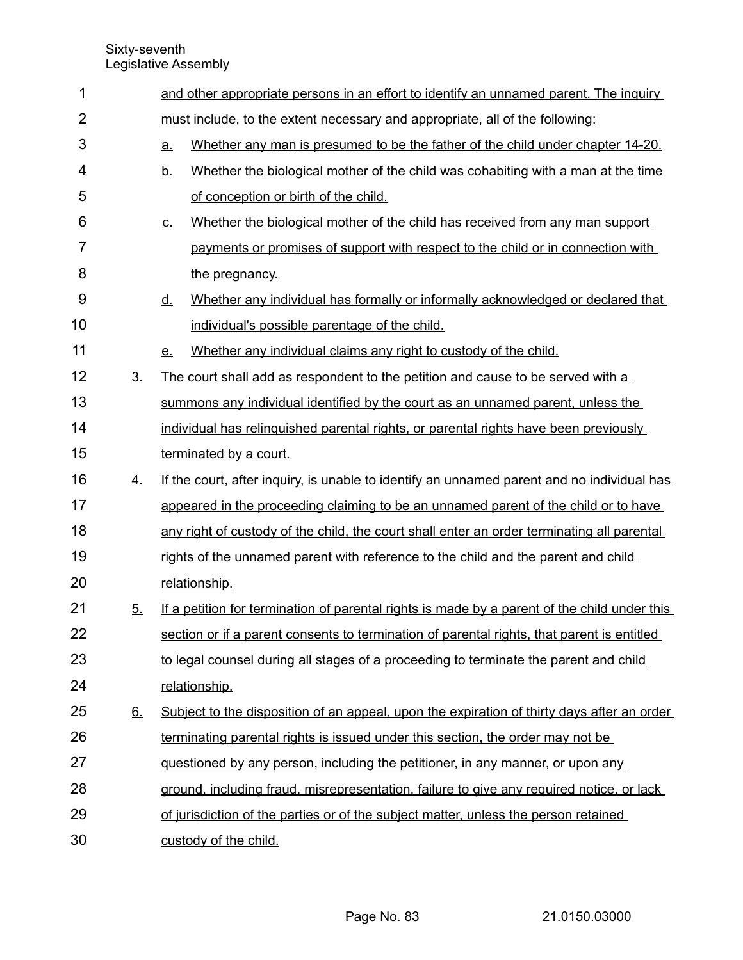| 1              |                | and other appropriate persons in an effort to identify an unnamed parent. The inquiry |                                                                                              |  |  |  |  |  |  |
|----------------|----------------|---------------------------------------------------------------------------------------|----------------------------------------------------------------------------------------------|--|--|--|--|--|--|
| $\overline{2}$ |                | must include, to the extent necessary and appropriate, all of the following:          |                                                                                              |  |  |  |  |  |  |
| 3              |                | a.                                                                                    | Whether any man is presumed to be the father of the child under chapter 14-20.               |  |  |  |  |  |  |
| 4              |                | <u>b.</u>                                                                             | Whether the biological mother of the child was cohabiting with a man at the time             |  |  |  |  |  |  |
| 5              |                |                                                                                       | of conception or birth of the child.                                                         |  |  |  |  |  |  |
| 6              |                | $\underline{C}$ .                                                                     | Whether the biological mother of the child has received from any man support                 |  |  |  |  |  |  |
| $\overline{7}$ |                |                                                                                       | payments or promises of support with respect to the child or in connection with              |  |  |  |  |  |  |
| 8              |                |                                                                                       | the pregnancy.                                                                               |  |  |  |  |  |  |
| 9              |                | <u>d.</u>                                                                             | Whether any individual has formally or informally acknowledged or declared that              |  |  |  |  |  |  |
| 10             |                |                                                                                       | individual's possible parentage of the child.                                                |  |  |  |  |  |  |
| 11             |                | <u>e.</u>                                                                             | Whether any individual claims any right to custody of the child.                             |  |  |  |  |  |  |
| 12             | 3 <sub>1</sub> |                                                                                       | The court shall add as respondent to the petition and cause to be served with a              |  |  |  |  |  |  |
| 13             |                |                                                                                       | summons any individual identified by the court as an unnamed parent, unless the              |  |  |  |  |  |  |
| 14             |                |                                                                                       | individual has relinguished parental rights, or parental rights have been previously         |  |  |  |  |  |  |
| 15             |                |                                                                                       | terminated by a court.                                                                       |  |  |  |  |  |  |
| 16             | 4.             |                                                                                       | If the court, after inquiry, is unable to identify an unnamed parent and no individual has   |  |  |  |  |  |  |
| 17             |                |                                                                                       | appeared in the proceeding claiming to be an unnamed parent of the child or to have          |  |  |  |  |  |  |
| 18             |                |                                                                                       | any right of custody of the child, the court shall enter an order terminating all parental   |  |  |  |  |  |  |
| 19             |                |                                                                                       | rights of the unnamed parent with reference to the child and the parent and child            |  |  |  |  |  |  |
| 20             |                |                                                                                       | relationship.                                                                                |  |  |  |  |  |  |
| 21             | 5.             |                                                                                       | If a petition for termination of parental rights is made by a parent of the child under this |  |  |  |  |  |  |
| 22             |                |                                                                                       | section or if a parent consents to termination of parental rights, that parent is entitled   |  |  |  |  |  |  |
| 23             |                |                                                                                       | to legal counsel during all stages of a proceeding to terminate the parent and child         |  |  |  |  |  |  |
| 24             |                |                                                                                       | relationship.                                                                                |  |  |  |  |  |  |
| 25             | 6.             |                                                                                       | Subject to the disposition of an appeal, upon the expiration of thirty days after an order   |  |  |  |  |  |  |
| 26             |                |                                                                                       | terminating parental rights is issued under this section, the order may not be               |  |  |  |  |  |  |
| 27             |                |                                                                                       | guestioned by any person, including the petitioner, in any manner, or upon any               |  |  |  |  |  |  |
| 28             |                |                                                                                       | ground, including fraud, misrepresentation, failure to give any required notice, or lack     |  |  |  |  |  |  |
| 29             |                |                                                                                       | of jurisdiction of the parties or of the subject matter, unless the person retained          |  |  |  |  |  |  |
| 30             |                |                                                                                       | custody of the child.                                                                        |  |  |  |  |  |  |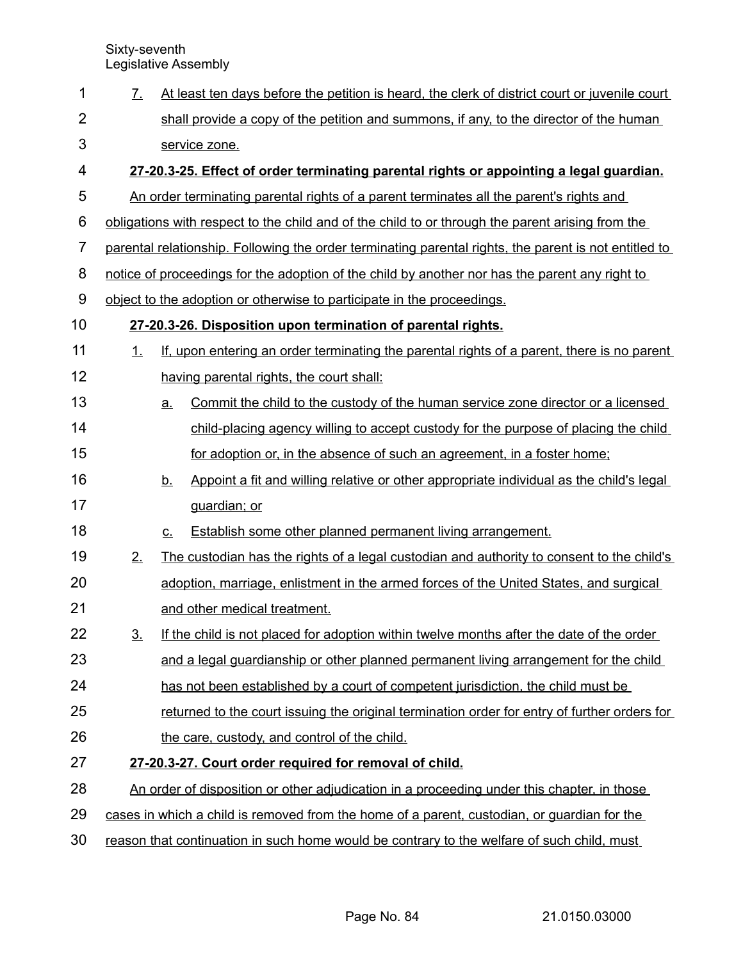| 1              | 7 <sub>1</sub>                                                                          |             | At least ten days before the petition is heard, the clerk of district court or juvenile court         |  |  |  |  |  |  |
|----------------|-----------------------------------------------------------------------------------------|-------------|-------------------------------------------------------------------------------------------------------|--|--|--|--|--|--|
| $\overline{2}$ |                                                                                         |             | shall provide a copy of the petition and summons, if any, to the director of the human                |  |  |  |  |  |  |
| 3              |                                                                                         |             | service zone.                                                                                         |  |  |  |  |  |  |
| 4              | 27-20.3-25. Effect of order terminating parental rights or appointing a legal guardian. |             |                                                                                                       |  |  |  |  |  |  |
| 5              |                                                                                         |             | An order terminating parental rights of a parent terminates all the parent's rights and               |  |  |  |  |  |  |
| 6              |                                                                                         |             | obligations with respect to the child and of the child to or through the parent arising from the      |  |  |  |  |  |  |
| $\overline{7}$ |                                                                                         |             | parental relationship. Following the order terminating parental rights, the parent is not entitled to |  |  |  |  |  |  |
| 8              |                                                                                         |             | notice of proceedings for the adoption of the child by another nor has the parent any right to        |  |  |  |  |  |  |
| 9              |                                                                                         |             | object to the adoption or otherwise to participate in the proceedings.                                |  |  |  |  |  |  |
| 10             |                                                                                         |             | 27-20.3-26. Disposition upon termination of parental rights.                                          |  |  |  |  |  |  |
| 11             | 1.                                                                                      |             | If, upon entering an order terminating the parental rights of a parent, there is no parent            |  |  |  |  |  |  |
| 12             |                                                                                         |             | having parental rights, the court shall:                                                              |  |  |  |  |  |  |
| 13             |                                                                                         | a.          | Commit the child to the custody of the human service zone director or a licensed                      |  |  |  |  |  |  |
| 14             |                                                                                         |             | child-placing agency willing to accept custody for the purpose of placing the child                   |  |  |  |  |  |  |
| 15             |                                                                                         |             | for adoption or, in the absence of such an agreement, in a foster home;                               |  |  |  |  |  |  |
| 16             |                                                                                         | <u>b.</u>   | Appoint a fit and willing relative or other appropriate individual as the child's legal               |  |  |  |  |  |  |
| 17             |                                                                                         |             | quardian; or                                                                                          |  |  |  |  |  |  |
| 18             |                                                                                         | $C_{\cdot}$ | Establish some other planned permanent living arrangement.                                            |  |  |  |  |  |  |
| 19             | 2.                                                                                      |             | The custodian has the rights of a legal custodian and authority to consent to the child's             |  |  |  |  |  |  |
| 20             |                                                                                         |             | adoption, marriage, enlistment in the armed forces of the United States, and surgical                 |  |  |  |  |  |  |
| 21             |                                                                                         |             | and other medical treatment.                                                                          |  |  |  |  |  |  |
| 22             | 3 <sub>1</sub>                                                                          |             | If the child is not placed for adoption within twelve months after the date of the order              |  |  |  |  |  |  |
| 23             |                                                                                         |             | and a legal guardianship or other planned permanent living arrangement for the child                  |  |  |  |  |  |  |
| 24             |                                                                                         |             | has not been established by a court of competent jurisdiction, the child must be                      |  |  |  |  |  |  |
| 25             |                                                                                         |             | returned to the court issuing the original termination order for entry of further orders for          |  |  |  |  |  |  |
| 26             |                                                                                         |             | the care, custody, and control of the child.                                                          |  |  |  |  |  |  |
| 27             |                                                                                         |             | 27-20.3-27. Court order required for removal of child.                                                |  |  |  |  |  |  |
| 28             |                                                                                         |             | An order of disposition or other adjudication in a proceeding under this chapter, in those            |  |  |  |  |  |  |
| 29             |                                                                                         |             | cases in which a child is removed from the home of a parent, custodian, or quardian for the           |  |  |  |  |  |  |
| 30             |                                                                                         |             | reason that continuation in such home would be contrary to the welfare of such child, must            |  |  |  |  |  |  |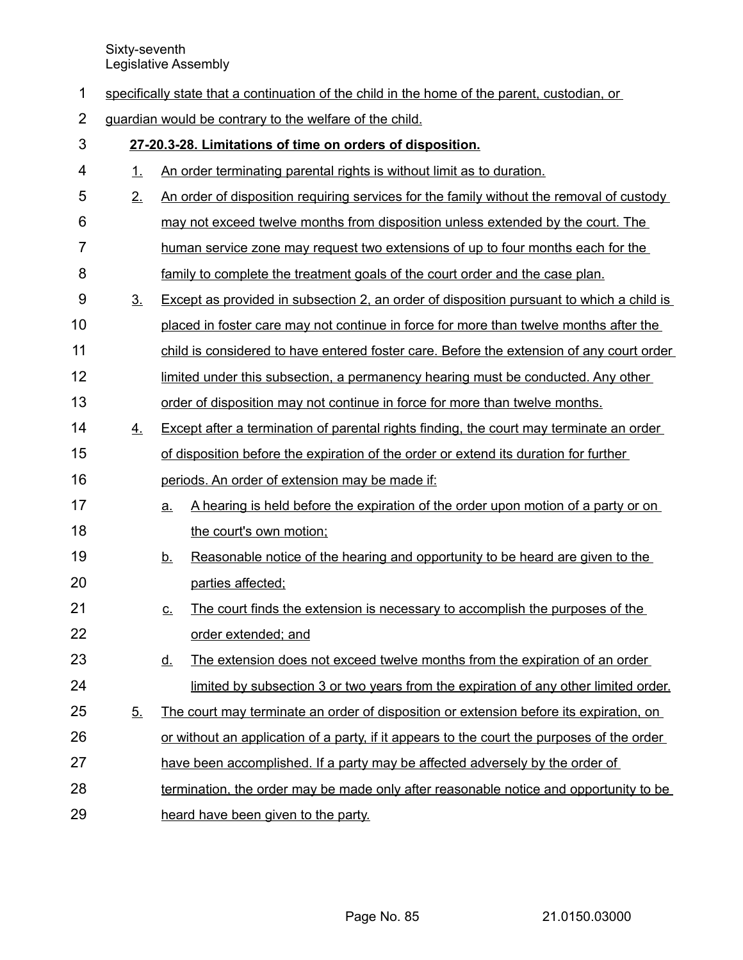| specifically state that a continuation of the child in the home of the parent, custodian, or |  |
|----------------------------------------------------------------------------------------------|--|
|----------------------------------------------------------------------------------------------|--|

guardian would be contrary to the welfare of the child. 2

| 3              |                | 27-20.3-28. Limitations of time on orders of disposition.                                      |
|----------------|----------------|------------------------------------------------------------------------------------------------|
| 4              | 1.             | An order terminating parental rights is without limit as to duration.                          |
| 5              | 2.             | An order of disposition requiring services for the family without the removal of custody       |
| 6              |                | may not exceed twelve months from disposition unless extended by the court. The                |
| $\overline{7}$ |                | human service zone may request two extensions of up to four months each for the                |
| 8              |                | family to complete the treatment goals of the court order and the case plan.                   |
| 9              | 3 <sub>1</sub> | Except as provided in subsection 2, an order of disposition pursuant to which a child is       |
| 10             |                | placed in foster care may not continue in force for more than twelve months after the          |
| 11             |                | child is considered to have entered foster care. Before the extension of any court order       |
| 12             |                | limited under this subsection, a permanency hearing must be conducted. Any other               |
| 13             |                | order of disposition may not continue in force for more than twelve months.                    |
| 14             | 4.             | Except after a termination of parental rights finding, the court may terminate an order        |
| 15             |                | of disposition before the expiration of the order or extend its duration for further           |
| 16             |                | periods. An order of extension may be made if:                                                 |
| 17             |                | A hearing is held before the expiration of the order upon motion of a party or on<br><u>a.</u> |
| 18             |                | the court's own motion;                                                                        |
| 19             |                | Reasonable notice of the hearing and opportunity to be heard are given to the<br><u>b.</u>     |
| 20             |                | parties affected;                                                                              |
| 21             |                | The court finds the extension is necessary to accomplish the purposes of the<br><u>c.</u>      |
| 22             |                | order extended; and                                                                            |
| 23             |                | The extension does not exceed twelve months from the expiration of an order<br><u>d.</u>       |
| 24             |                | limited by subsection 3 or two years from the expiration of any other limited order.           |
| 25             | 5.             | The court may terminate an order of disposition or extension before its expiration, on         |
| 26             |                | or without an application of a party, if it appears to the court the purposes of the order     |
| 27             |                | have been accomplished. If a party may be affected adversely by the order of                   |
| 28             |                | termination, the order may be made only after reasonable notice and opportunity to be          |
| 29             |                | heard have been given to the party.                                                            |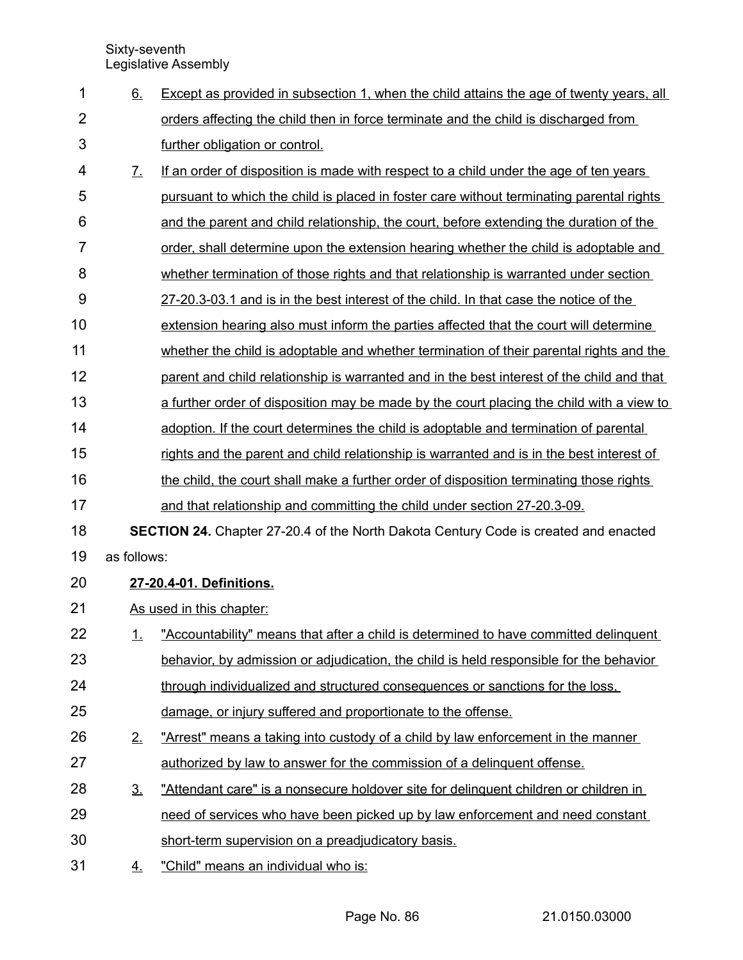| 1              | 6.                          | Except as provided in subsection 1, when the child attains the age of twenty years, all    |
|----------------|-----------------------------|--------------------------------------------------------------------------------------------|
| $\overline{2}$ |                             | orders affecting the child then in force terminate and the child is discharged from        |
| 3              |                             | further obligation or control.                                                             |
| 4              | $\underline{\mathcal{I}}$ . | If an order of disposition is made with respect to a child under the age of ten years      |
| 5              |                             | pursuant to which the child is placed in foster care without terminating parental rights   |
| 6              |                             | and the parent and child relationship, the court, before extending the duration of the     |
| 7              |                             | order, shall determine upon the extension hearing whether the child is adoptable and       |
| 8              |                             | whether termination of those rights and that relationship is warranted under section       |
| 9              |                             | 27-20.3-03.1 and is in the best interest of the child. In that case the notice of the      |
| 10             |                             | extension hearing also must inform the parties affected that the court will determine      |
| 11             |                             | whether the child is adoptable and whether termination of their parental rights and the    |
| 12             |                             | parent and child relationship is warranted and in the best interest of the child and that  |
| 13             |                             | a further order of disposition may be made by the court placing the child with a view to   |
| 14             |                             | adoption. If the court determines the child is adoptable and termination of parental       |
| 15             |                             | rights and the parent and child relationship is warranted and is in the best interest of   |
| 16             |                             | the child, the court shall make a further order of disposition terminating those rights    |
| 17             |                             | and that relationship and committing the child under section 27-20.3-09.                   |
| 18             |                             | <b>SECTION 24.</b> Chapter 27-20.4 of the North Dakota Century Code is created and enacted |
| 19             | as follows:                 |                                                                                            |
| 20             |                             | 27-20.4-01. Definitions.                                                                   |
| 21             |                             | As used in this chapter:                                                                   |
| 22             | 1.                          | "Accountability" means that after a child is determined to have committed delinquent       |
| 23             |                             | behavior, by admission or adjudication, the child is held responsible for the behavior     |
| 24             |                             | through individualized and structured consequences or sanctions for the loss.              |
| 25             |                             | damage, or injury suffered and proportionate to the offense.                               |
| 26             | 2.                          | "Arrest" means a taking into custody of a child by law enforcement in the manner           |
| 27             |                             | authorized by law to answer for the commission of a delinguent offense.                    |
| 28             | <u>3.</u>                   | "Attendant care" is a nonsecure holdover site for delinguent children or children in       |
| 29             |                             | need of services who have been picked up by law enforcement and need constant              |
| 30             |                             | short-term supervision on a preadjudicatory basis.                                         |
| 31             | <u>4.</u>                   | "Child" means an individual who is:                                                        |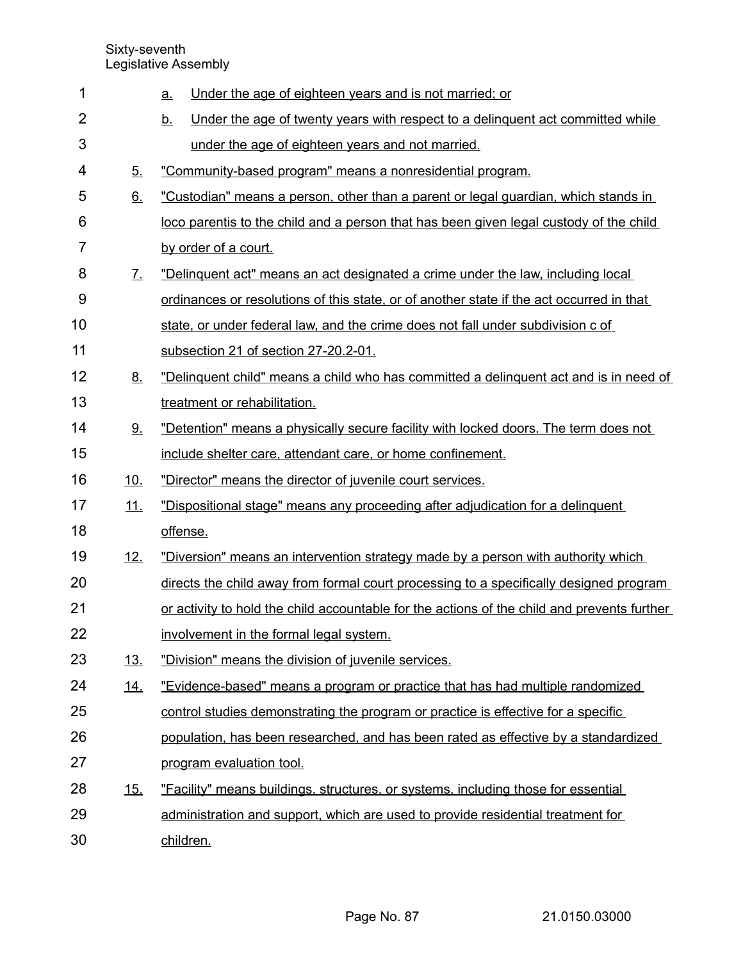| 1              |                       | Under the age of eighteen years and is not married; or<br><u>a</u>                          |
|----------------|-----------------------|---------------------------------------------------------------------------------------------|
| $\overline{2}$ |                       | Under the age of twenty years with respect to a delinguent act committed while<br><u>b.</u> |
| 3              |                       | under the age of eighteen years and not married.                                            |
| 4              | 5.                    | "Community-based program" means a nonresidential program.                                   |
| 5              | 6.                    | "Custodian" means a person, other than a parent or legal guardian, which stands in          |
| 6              |                       | loco parentis to the child and a person that has been given legal custody of the child      |
| $\overline{7}$ |                       | by order of a court.                                                                        |
| 8              | $\mathcal{I}_{\cdot}$ | "Delinguent act" means an act designated a crime under the law, including local             |
| 9              |                       | ordinances or resolutions of this state, or of another state if the act occurred in that    |
| 10             |                       | state, or under federal law, and the crime does not fall under subdivision c of             |
| 11             |                       | subsection 21 of section 27-20.2-01.                                                        |
| 12             | 8.                    | "Delinguent child" means a child who has committed a delinguent act and is in need of       |
| 13             |                       | treatment or rehabilitation.                                                                |
| 14             | <u>9.</u>             | "Detention" means a physically secure facility with locked doors. The term does not         |
| 15             |                       | include shelter care, attendant care, or home confinement.                                  |
| 16             | <u>10.</u>            | "Director" means the director of juvenile court services.                                   |
| 17             | 11.                   | "Dispositional stage" means any proceeding after adjudication for a delinguent              |
| 18             |                       | offense.                                                                                    |
| 19             | 12.                   | "Diversion" means an intervention strategy made by a person with authority which            |
| 20             |                       | directs the child away from formal court processing to a specifically designed program      |
| 21             |                       | or activity to hold the child accountable for the actions of the child and prevents further |
| 22             |                       | involvement in the formal legal system.                                                     |
| 23             | <u>13.</u>            | "Division" means the division of juvenile services.                                         |
| 24             | <u>14.</u>            | "Evidence-based" means a program or practice that has had multiple randomized               |
| 25             |                       | control studies demonstrating the program or practice is effective for a specific           |
| 26             |                       | population, has been researched, and has been rated as effective by a standardized          |
| 27             |                       | program evaluation tool.                                                                    |
| 28             | <u>15.</u>            | "Facility" means buildings, structures, or systems, including those for essential           |
| 29             |                       | administration and support, which are used to provide residential treatment for             |
| 30             |                       | children.                                                                                   |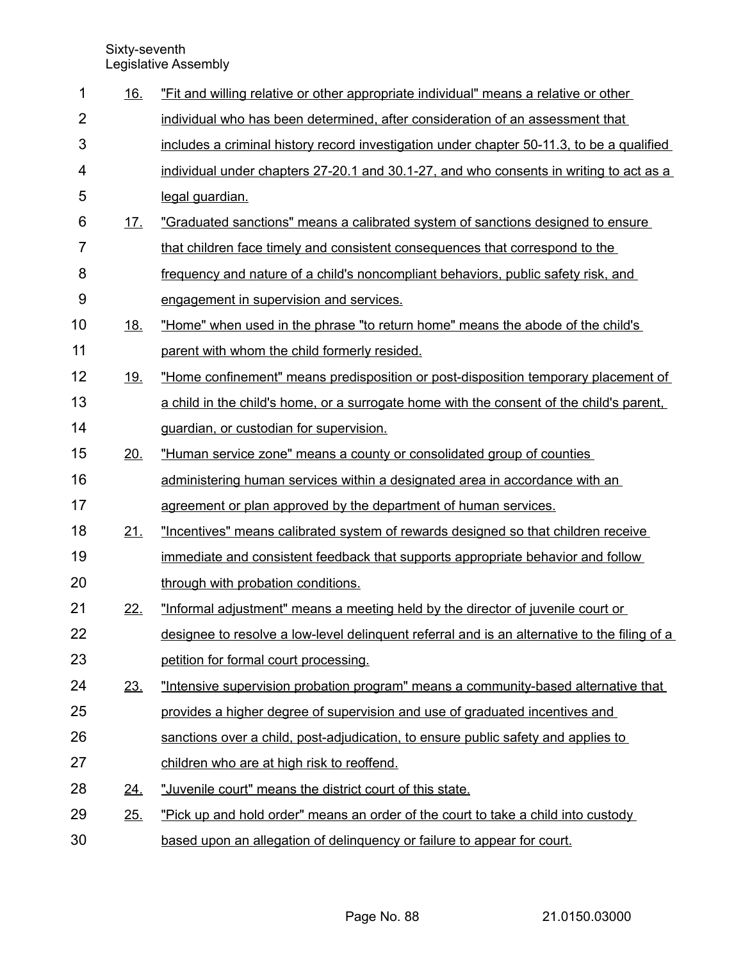| 1              | 16.        | "Fit and willing relative or other appropriate individual" means a relative or other         |
|----------------|------------|----------------------------------------------------------------------------------------------|
| $\overline{2}$ |            | individual who has been determined, after consideration of an assessment that                |
| 3              |            | includes a criminal history record investigation under chapter 50-11.3, to be a qualified    |
| 4              |            | individual under chapters 27-20.1 and 30.1-27, and who consents in writing to act as a       |
| 5              |            | legal guardian.                                                                              |
| 6              | <u>17.</u> | "Graduated sanctions" means a calibrated system of sanctions designed to ensure              |
| $\overline{7}$ |            | that children face timely and consistent consequences that correspond to the                 |
| 8              |            | frequency and nature of a child's noncompliant behaviors, public safety risk, and            |
| 9              |            | engagement in supervision and services.                                                      |
| 10             | <u>18.</u> | "Home" when used in the phrase "to return home" means the abode of the child's               |
| 11             |            | parent with whom the child formerly resided.                                                 |
| 12             | <u>19.</u> | "Home confinement" means predisposition or post-disposition temporary placement of           |
| 13             |            | a child in the child's home, or a surrogate home with the consent of the child's parent,     |
| 14             |            | guardian, or custodian for supervision.                                                      |
| 15             | 20.        | "Human service zone" means a county or consolidated group of counties                        |
| 16             |            | administering human services within a designated area in accordance with an                  |
| 17             |            | agreement or plan approved by the department of human services.                              |
| 18             | 21.        | "Incentives" means calibrated system of rewards designed so that children receive            |
| 19             |            | immediate and consistent feedback that supports appropriate behavior and follow              |
| 20             |            | through with probation conditions.                                                           |
| 21             | 22.        | "Informal adjustment" means a meeting held by the director of juvenile court or              |
| 22             |            | designee to resolve a low-level delinguent referral and is an alternative to the filing of a |
| 23             |            | petition for formal court processing.                                                        |
| 24             | 23.        | "Intensive supervision probation program" means a community-based alternative that           |
| 25             |            | provides a higher degree of supervision and use of graduated incentives and                  |
| 26             |            | sanctions over a child, post-adjudication, to ensure public safety and applies to            |
| 27             |            | children who are at high risk to reoffend.                                                   |
| 28             | <u>24.</u> | "Juvenile court" means the district court of this state.                                     |
| 29             | 25.        | "Pick up and hold order" means an order of the court to take a child into custody            |
| 30             |            | based upon an allegation of delinguency or failure to appear for court.                      |

Page No. 88 21.0150.03000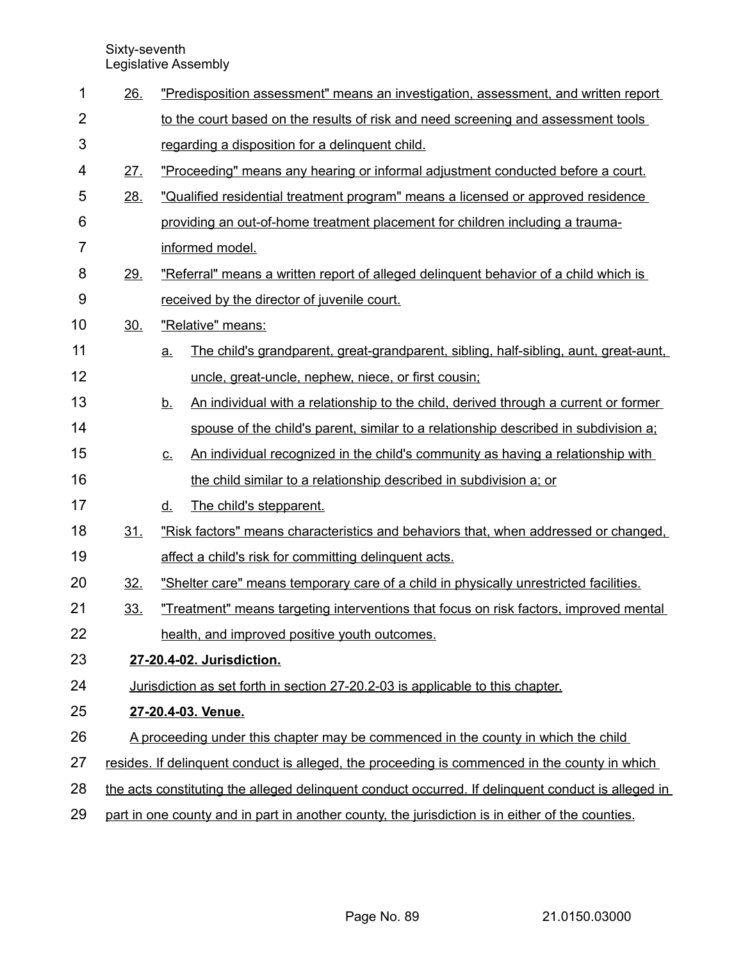| 1              | 26.             |           | "Predisposition assessment" means an investigation, assessment, and written report                 |
|----------------|-----------------|-----------|----------------------------------------------------------------------------------------------------|
| $\overline{2}$ |                 |           | to the court based on the results of risk and need screening and assessment tools                  |
| 3              |                 |           | regarding a disposition for a delinquent child.                                                    |
| 4              | 27.             |           | "Proceeding" means any hearing or informal adjustment conducted before a court.                    |
| 5              | 28.             |           | "Qualified residential treatment program" means a licensed or approved residence                   |
| 6              |                 |           | providing an out-of-home treatment placement for children including a trauma-                      |
| 7              |                 |           | informed model.                                                                                    |
| 8              | <u>29.</u>      |           | "Referral" means a written report of alleged delinguent behavior of a child which is               |
| 9              |                 |           | received by the director of juvenile court.                                                        |
| 10             | 30 <sub>1</sub> |           | "Relative" means:                                                                                  |
| 11             |                 | <u>a.</u> | The child's grandparent, great-grandparent, sibling, half-sibling, aunt, great-aunt,               |
| 12             |                 |           | uncle, great-uncle, nephew, niece, or first cousin;                                                |
| 13             |                 | <u>b.</u> | An individual with a relationship to the child, derived through a current or former                |
| 14             |                 |           | spouse of the child's parent, similar to a relationship described in subdivision a;                |
| 15             |                 | <u>c.</u> | An individual recognized in the child's community as having a relationship with                    |
| 16             |                 |           | the child similar to a relationship described in subdivision a; or                                 |
| 17             |                 | <u>d.</u> | The child's stepparent.                                                                            |
| 18             | 31.             |           | "Risk factors" means characteristics and behaviors that, when addressed or changed,                |
| 19             |                 |           | affect a child's risk for committing delinquent acts.                                              |
| 20             | 32.             |           | "Shelter care" means temporary care of a child in physically unrestricted facilities.              |
| 21             | <u>33.</u>      |           | "Treatment" means targeting interventions that focus on risk factors, improved mental              |
| 22             |                 |           | health, and improved positive youth outcomes.                                                      |
| 23             |                 |           | 27-20.4-02. Jurisdiction.                                                                          |
| 24             |                 |           | Jurisdiction as set forth in section 27-20.2-03 is applicable to this chapter.                     |
| 25             |                 |           | 27-20.4-03. Venue.                                                                                 |
| 26             |                 |           | A proceeding under this chapter may be commenced in the county in which the child                  |
| 27             |                 |           | resides. If delinguent conduct is alleged, the proceeding is commenced in the county in which      |
| 28             |                 |           | the acts constituting the alleged delinguent conduct occurred. If delinguent conduct is alleged in |
| 29             |                 |           | part in one county and in part in another county, the jurisdiction is in either of the counties.   |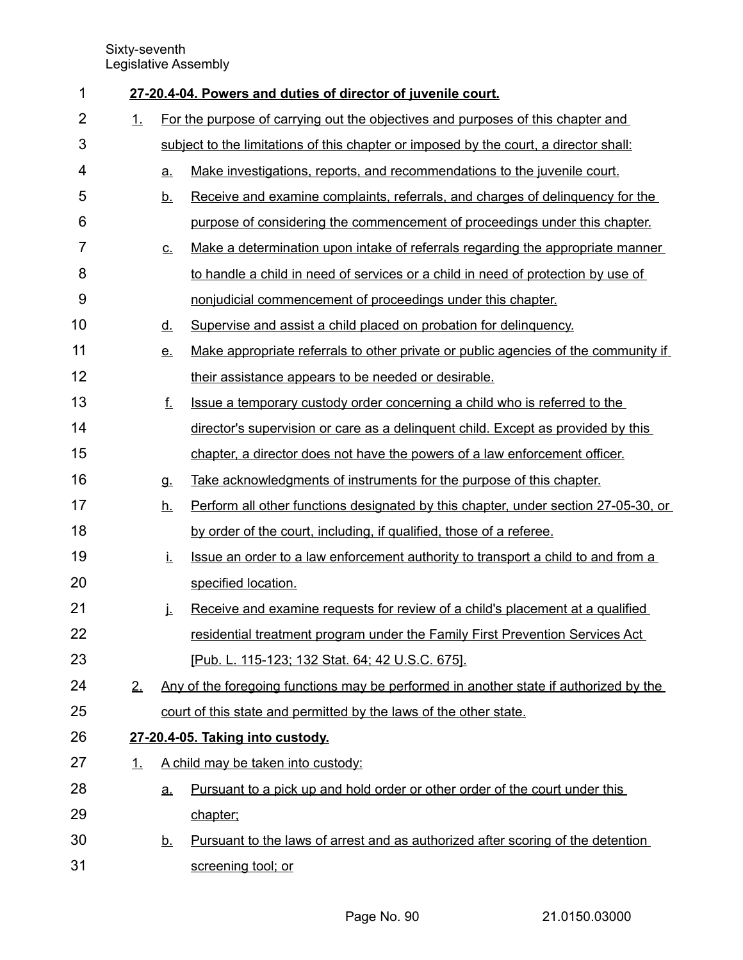| 1              |    |           | 27-20.4-04. Powers and duties of director of juvenile court.                          |
|----------------|----|-----------|---------------------------------------------------------------------------------------|
| $\overline{2}$ | 1. |           | For the purpose of carrying out the objectives and purposes of this chapter and       |
| 3              |    |           | subject to the limitations of this chapter or imposed by the court, a director shall: |
| 4              |    | <u>a.</u> | Make investigations, reports, and recommendations to the juvenile court.              |
| 5              |    | <u>b.</u> | Receive and examine complaints, referrals, and charges of delinguency for the         |
| 6              |    |           | purpose of considering the commencement of proceedings under this chapter.            |
| 7              |    | <u>c.</u> | Make a determination upon intake of referrals regarding the appropriate manner        |
| 8              |    |           | to handle a child in need of services or a child in need of protection by use of      |
| 9              |    |           | nonjudicial commencement of proceedings under this chapter.                           |
| 10             |    | <u>d.</u> | Supervise and assist a child placed on probation for delinquency.                     |
| 11             |    | <u>e.</u> | Make appropriate referrals to other private or public agencies of the community if    |
| 12             |    |           | their assistance appears to be needed or desirable.                                   |
| 13             |    | <u>f.</u> | Issue a temporary custody order concerning a child who is referred to the             |
| 14             |    |           | director's supervision or care as a delinguent child. Except as provided by this      |
| 15             |    |           | chapter, a director does not have the powers of a law enforcement officer.            |
| 16             |    | <b>g.</b> | Take acknowledgments of instruments for the purpose of this chapter.                  |
| 17             |    | <u>h.</u> | Perform all other functions designated by this chapter, under section 27-05-30, or    |
| 18             |    |           | by order of the court, including, if qualified, those of a referee.                   |
| 19             |    | İ.        | Issue an order to a law enforcement authority to transport a child to and from a      |
| 20             |    |           | specified location.                                                                   |
| 21             |    | j.        | Receive and examine requests for review of a child's placement at a qualified         |
| 22             |    |           | residential treatment program under the Family First Prevention Services Act          |
| 23             |    |           | [Pub. L. 115-123; 132 Stat. 64; 42 U.S.C. 675].                                       |
| 24             | 2. |           | Any of the foregoing functions may be performed in another state if authorized by the |
| 25             |    |           | court of this state and permitted by the laws of the other state.                     |
| 26             |    |           | 27-20.4-05. Taking into custody.                                                      |
| 27             | 1. |           | A child may be taken into custody:                                                    |
| 28             |    | <u>a.</u> | Pursuant to a pick up and hold order or other order of the court under this           |
| 29             |    |           | chapter;                                                                              |
| 30             |    | <u>b.</u> | Pursuant to the laws of arrest and as authorized after scoring of the detention       |
| 31             |    |           | screening tool; or                                                                    |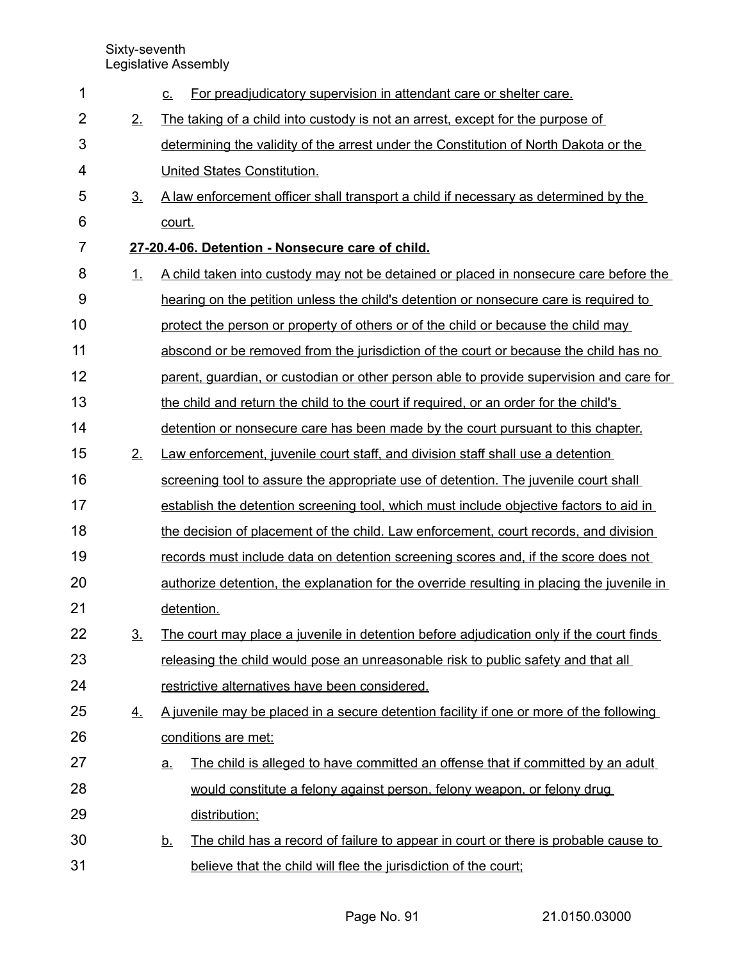| 1              |                                                  | For preadjudicatory supervision in attendant care or shelter care.<br>$C_{-}$                   |  |  |  |
|----------------|--------------------------------------------------|-------------------------------------------------------------------------------------------------|--|--|--|
| $\overline{2}$ | 2.                                               | The taking of a child into custody is not an arrest, except for the purpose of                  |  |  |  |
| 3              |                                                  | determining the validity of the arrest under the Constitution of North Dakota or the            |  |  |  |
| 4              |                                                  | United States Constitution.                                                                     |  |  |  |
| 5              | 3 <sub>1</sub>                                   | A law enforcement officer shall transport a child if necessary as determined by the             |  |  |  |
| 6              |                                                  | court.                                                                                          |  |  |  |
| $\overline{7}$ | 27-20.4-06. Detention - Nonsecure care of child. |                                                                                                 |  |  |  |
| 8              | 1.                                               | A child taken into custody may not be detained or placed in nonsecure care before the           |  |  |  |
| $9$            |                                                  | hearing on the petition unless the child's detention or nonsecure care is required to           |  |  |  |
| 10             |                                                  | protect the person or property of others or of the child or because the child may               |  |  |  |
| 11             |                                                  | abscond or be removed from the jurisdiction of the court or because the child has no            |  |  |  |
| 12             |                                                  | parent, guardian, or custodian or other person able to provide supervision and care for         |  |  |  |
| 13             |                                                  | the child and return the child to the court if required, or an order for the child's            |  |  |  |
| 14             |                                                  | detention or nonsecure care has been made by the court pursuant to this chapter.                |  |  |  |
| 15             | 2.                                               | Law enforcement, juvenile court staff, and division staff shall use a detention                 |  |  |  |
| 16             |                                                  | screening tool to assure the appropriate use of detention. The juvenile court shall             |  |  |  |
| 17             |                                                  | establish the detention screening tool, which must include objective factors to aid in          |  |  |  |
| 18             |                                                  | the decision of placement of the child. Law enforcement, court records, and division            |  |  |  |
| 19             |                                                  | records must include data on detention screening scores and, if the score does not              |  |  |  |
| 20             |                                                  | authorize detention, the explanation for the override resulting in placing the juvenile in      |  |  |  |
| 21             |                                                  | detention.                                                                                      |  |  |  |
| 22             | 3 <sub>1</sub>                                   | The court may place a juvenile in detention before adjudication only if the court finds         |  |  |  |
| 23             |                                                  | releasing the child would pose an unreasonable risk to public safety and that all               |  |  |  |
| 24             |                                                  | restrictive alternatives have been considered.                                                  |  |  |  |
| 25             | <u>4.</u>                                        | A juvenile may be placed in a secure detention facility if one or more of the following         |  |  |  |
| 26             |                                                  | conditions are met:                                                                             |  |  |  |
| 27             |                                                  | The child is alleged to have committed an offense that if committed by an adult<br>a.           |  |  |  |
| 28             |                                                  | would constitute a felony against person, felony weapon, or felony drug                         |  |  |  |
| 29             |                                                  | distribution;                                                                                   |  |  |  |
| 30             |                                                  | The child has a record of failure to appear in court or there is probable cause to<br><u>b.</u> |  |  |  |
| 31             |                                                  | believe that the child will flee the jurisdiction of the court;                                 |  |  |  |
|                |                                                  |                                                                                                 |  |  |  |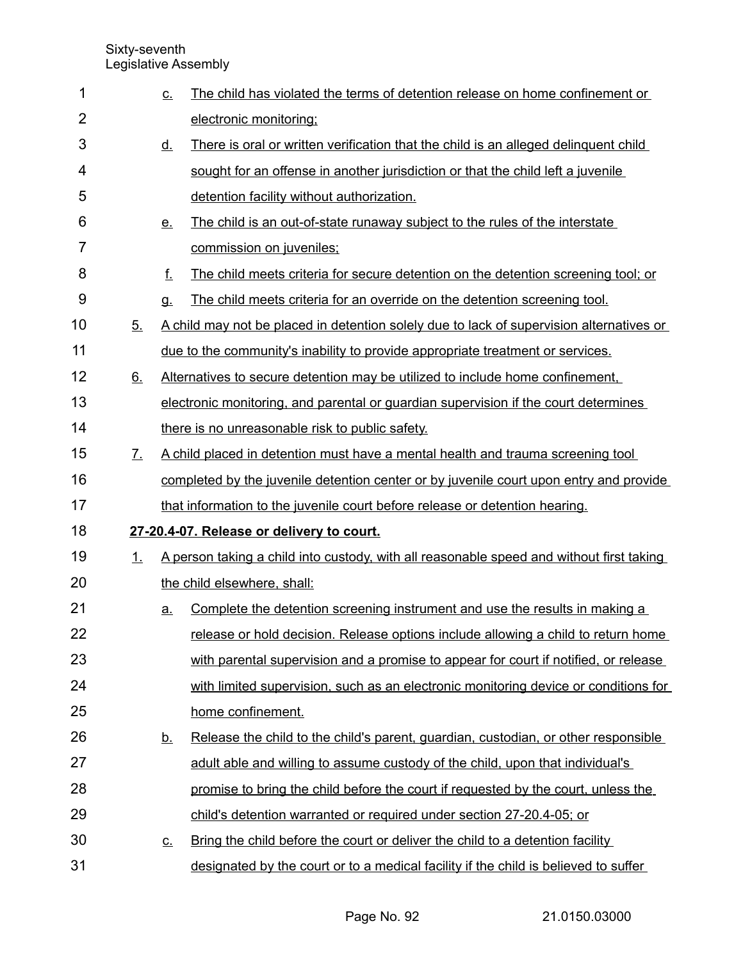| 1              |                | <u>c.</u> | The child has violated the terms of detention release on home confinement or             |
|----------------|----------------|-----------|------------------------------------------------------------------------------------------|
| $\overline{2}$ |                |           | electronic monitoring;                                                                   |
| 3              |                | <u>d.</u> | There is oral or written verification that the child is an alleged delinguent child      |
| 4              |                |           | sought for an offense in another jurisdiction or that the child left a juvenile          |
| 5              |                |           | detention facility without authorization.                                                |
| 6              |                | <u>e.</u> | The child is an out-of-state runaway subject to the rules of the interstate              |
| 7              |                |           | commission on juveniles;                                                                 |
| 8              |                | f.        | The child meets criteria for secure detention on the detention screening tool; or        |
| 9              |                | g.        | The child meets criteria for an override on the detention screening tool.                |
| 10             | 5 <sub>1</sub> |           | A child may not be placed in detention solely due to lack of supervision alternatives or |
| 11             |                |           | due to the community's inability to provide appropriate treatment or services.           |
| 12             | 6.             |           | Alternatives to secure detention may be utilized to include home confinement.            |
| 13             |                |           | electronic monitoring, and parental or guardian supervision if the court determines      |
| 14             |                |           | there is no unreasonable risk to public safety.                                          |
| 15             | <u>Z.</u>      |           | A child placed in detention must have a mental health and trauma screening tool          |
| 16             |                |           | completed by the juvenile detention center or by juvenile court upon entry and provide   |
| 17             |                |           | that information to the juvenile court before release or detention hearing.              |
| 18             |                |           | 27-20.4-07. Release or delivery to court.                                                |
| 19             | 1.             |           | A person taking a child into custody, with all reasonable speed and without first taking |
| 20             |                |           | the child elsewhere, shall:                                                              |
| 21             |                | <u>a.</u> | Complete the detention screening instrument and use the results in making a              |
| 22             |                |           | release or hold decision. Release options include allowing a child to return home        |
| 23             |                |           | with parental supervision and a promise to appear for court if notified, or release      |
| 24             |                |           | with limited supervision, such as an electronic monitoring device or conditions for      |
| 25             |                |           | home confinement.                                                                        |
| 26             |                | <u>b.</u> | Release the child to the child's parent, guardian, custodian, or other responsible       |
| 27             |                |           | adult able and willing to assume custody of the child, upon that individual's            |
| 28             |                |           | promise to bring the child before the court if requested by the court, unless the        |
| 29             |                |           | child's detention warranted or required under section 27-20.4-05; or                     |
| 30             |                | <u>c.</u> | Bring the child before the court or deliver the child to a detention facility            |
| 31             |                |           | designated by the court or to a medical facility if the child is believed to suffer      |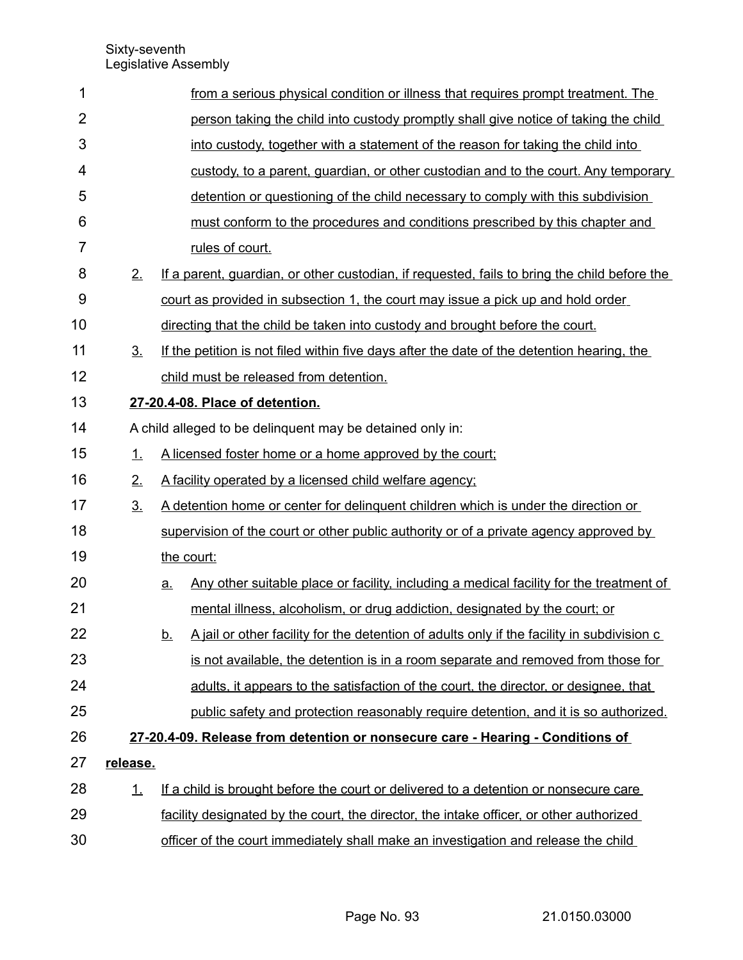| 1              |                | from a serious physical condition or illness that requires prompt treatment. The                        |  |  |
|----------------|----------------|---------------------------------------------------------------------------------------------------------|--|--|
| $\overline{2}$ |                | person taking the child into custody promptly shall give notice of taking the child                     |  |  |
| 3              |                | into custody, together with a statement of the reason for taking the child into                         |  |  |
| 4              |                | custody, to a parent, guardian, or other custodian and to the court. Any temporary                      |  |  |
| 5              |                | detention or questioning of the child necessary to comply with this subdivision                         |  |  |
| 6              |                | must conform to the procedures and conditions prescribed by this chapter and                            |  |  |
| $\overline{7}$ |                | rules of court.                                                                                         |  |  |
| 8              | 2.             | If a parent, quardian, or other custodian, if requested, fails to bring the child before the            |  |  |
| 9              |                | court as provided in subsection 1, the court may issue a pick up and hold order                         |  |  |
| 10             |                | directing that the child be taken into custody and brought before the court.                            |  |  |
| 11             | 3 <sub>1</sub> | If the petition is not filed within five days after the date of the detention hearing, the              |  |  |
| 12             |                | child must be released from detention.                                                                  |  |  |
| 13             |                | 27-20.4-08. Place of detention.                                                                         |  |  |
| 14             |                | A child alleged to be delinquent may be detained only in:                                               |  |  |
| 15             | 1.             | A licensed foster home or a home approved by the court;                                                 |  |  |
| 16             | 2.             | A facility operated by a licensed child welfare agency;                                                 |  |  |
| 17             | 3 <sub>1</sub> | A detention home or center for delinguent children which is under the direction or                      |  |  |
| 18             |                | supervision of the court or other public authority or of a private agency approved by                   |  |  |
| 19             |                | the court:                                                                                              |  |  |
| 20             |                | Any other suitable place or facility, including a medical facility for the treatment of<br><u>a</u>     |  |  |
| 21             |                | mental illness, alcoholism, or drug addiction, designated by the court; or                              |  |  |
| 22             |                | A jail or other facility for the detention of adults only if the facility in subdivision c<br><u>b.</u> |  |  |
| 23             |                | is not available, the detention is in a room separate and removed from those for                        |  |  |
| 24             |                | adults, it appears to the satisfaction of the court, the director, or designee, that                    |  |  |
| 25             |                | public safety and protection reasonably require detention, and it is so authorized.                     |  |  |
| 26             |                | 27-20.4-09. Release from detention or nonsecure care - Hearing - Conditions of                          |  |  |
| 27             | release.       |                                                                                                         |  |  |
| 28             | $\perp$        | If a child is brought before the court or delivered to a detention or nonsecure care                    |  |  |
| 29             |                | facility designated by the court, the director, the intake officer, or other authorized                 |  |  |
| 30             |                | officer of the court immediately shall make an investigation and release the child                      |  |  |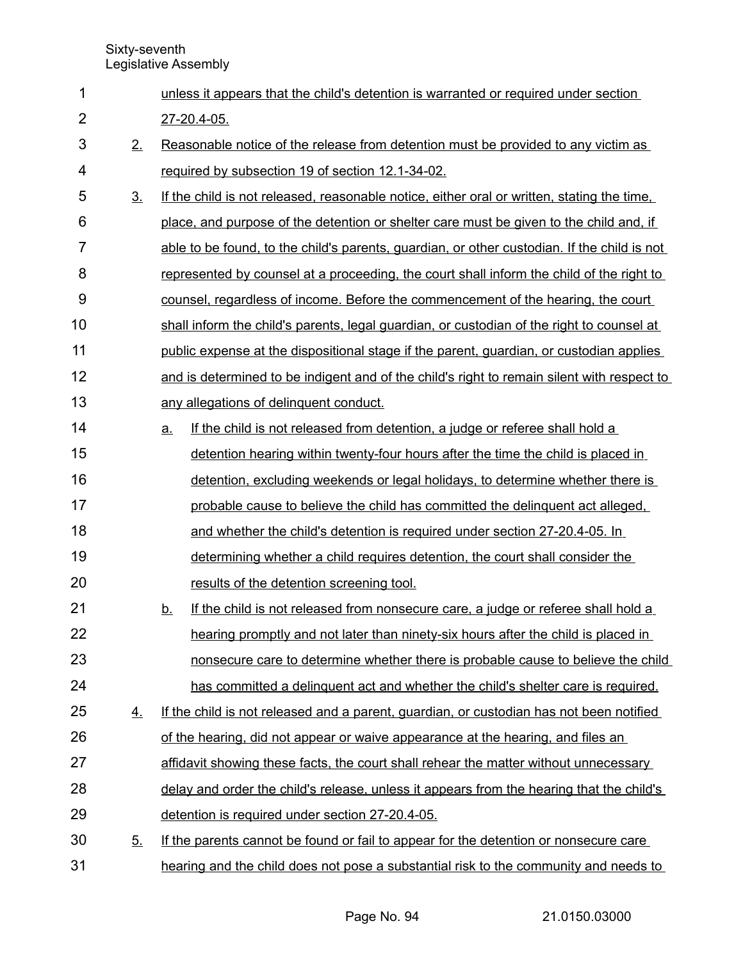| 1              |                | unless it appears that the child's detention is warranted or required under section            |
|----------------|----------------|------------------------------------------------------------------------------------------------|
| $\overline{2}$ |                | 27-20.4-05.                                                                                    |
| 3              | 2.             | Reasonable notice of the release from detention must be provided to any victim as              |
| 4              |                | required by subsection 19 of section 12.1-34-02.                                               |
| 5              | 3 <sub>1</sub> | If the child is not released, reasonable notice, either oral or written, stating the time,     |
| 6              |                | place, and purpose of the detention or shelter care must be given to the child and, if         |
| 7              |                | able to be found, to the child's parents, guardian, or other custodian. If the child is not    |
| 8              |                | represented by counsel at a proceeding, the court shall inform the child of the right to       |
| 9              |                | counsel, regardless of income. Before the commencement of the hearing, the court               |
| 10             |                | shall inform the child's parents, legal guardian, or custodian of the right to counsel at      |
| 11             |                | public expense at the dispositional stage if the parent, quardian, or custodian applies        |
| 12             |                | and is determined to be indigent and of the child's right to remain silent with respect to     |
| 13             |                | any allegations of delinquent conduct.                                                         |
| 14             |                | If the child is not released from detention, a judge or referee shall hold a<br>a.             |
| 15             |                | detention hearing within twenty-four hours after the time the child is placed in               |
| 16             |                | detention, excluding weekends or legal holidays, to determine whether there is                 |
| 17             |                | probable cause to believe the child has committed the delinguent act alleged.                  |
| 18             |                | and whether the child's detention is required under section 27-20.4-05. In                     |
| 19             |                | determining whether a child requires detention, the court shall consider the                   |
| 20             |                | results of the detention screening tool.                                                       |
| 21             |                | If the child is not released from nonsecure care, a judge or referee shall hold a<br><u>b.</u> |
| 22             |                | hearing promptly and not later than ninety-six hours after the child is placed in              |
| 23             |                | nonsecure care to determine whether there is probable cause to believe the child               |
| 24             |                | has committed a delinguent act and whether the child's shelter care is required.               |
| 25             | 4.             | If the child is not released and a parent, guardian, or custodian has not been notified        |
| 26             |                | of the hearing, did not appear or waive appearance at the hearing, and files an                |
| 27             |                | affidavit showing these facts, the court shall rehear the matter without unnecessary           |
| 28             |                | delay and order the child's release, unless it appears from the hearing that the child's       |
| 29             |                | detention is required under section 27-20.4-05.                                                |
| 30             | 5 <sub>1</sub> | If the parents cannot be found or fail to appear for the detention or nonsecure care           |
| 31             |                | hearing and the child does not pose a substantial risk to the community and needs to           |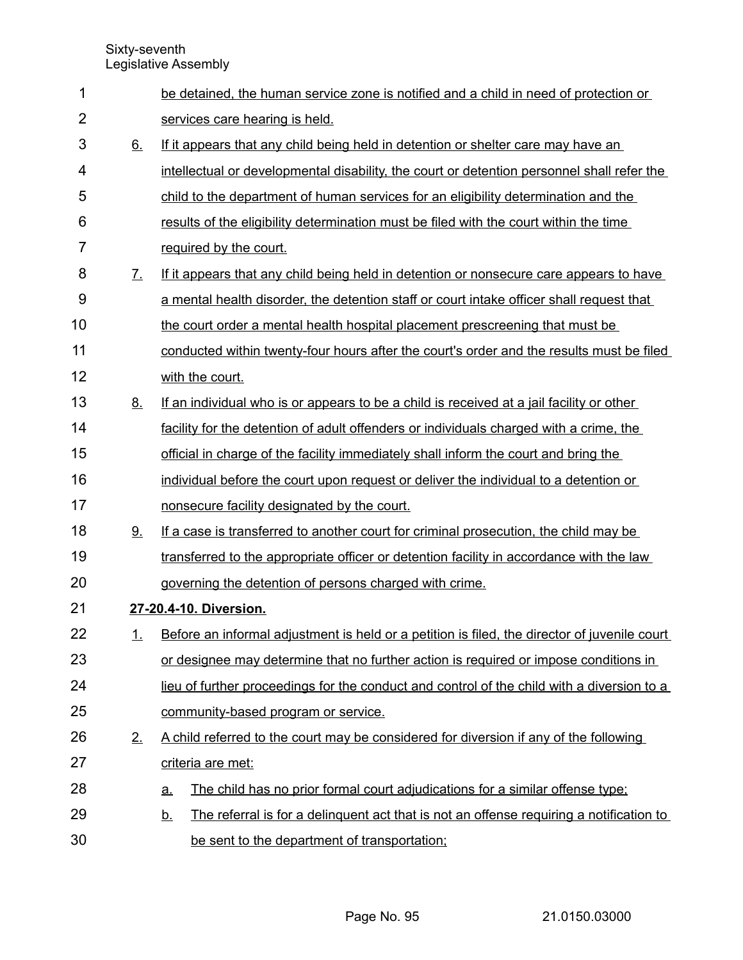| 1              |                   | be detained, the human service zone is notified and a child in need of protection or                 |
|----------------|-------------------|------------------------------------------------------------------------------------------------------|
| $\overline{2}$ |                   | services care hearing is held.                                                                       |
| 3              | 6.                | If it appears that any child being held in detention or shelter care may have an                     |
| 4              |                   | intellectual or developmental disability, the court or detention personnel shall refer the           |
| 5              |                   | child to the department of human services for an eligibility determination and the                   |
| 6              |                   | results of the eligibility determination must be filed with the court within the time                |
| 7              |                   |                                                                                                      |
|                |                   | required by the court.                                                                               |
| 8              | $\mathcal{I}_{-}$ | If it appears that any child being held in detention or nonsecure care appears to have               |
| 9              |                   | a mental health disorder, the detention staff or court intake officer shall request that             |
| 10             |                   | the court order a mental health hospital placement prescreening that must be                         |
| 11             |                   | conducted within twenty-four hours after the court's order and the results must be filed             |
| 12             |                   | with the court.                                                                                      |
| 13             | 8.                | If an individual who is or appears to be a child is received at a jail facility or other             |
| 14             |                   | facility for the detention of adult offenders or individuals charged with a crime, the               |
| 15             |                   | official in charge of the facility immediately shall inform the court and bring the                  |
| 16             |                   | individual before the court upon request or deliver the individual to a detention or                 |
| 17             |                   | nonsecure facility designated by the court.                                                          |
| 18             | 9.                | If a case is transferred to another court for criminal prosecution, the child may be                 |
| 19             |                   | transferred to the appropriate officer or detention facility in accordance with the law              |
| 20             |                   | governing the detention of persons charged with crime.                                               |
| 21             |                   | 27-20.4-10. Diversion.                                                                               |
| 22             | <u>1.</u>         | Before an informal adjustment is held or a petition is filed, the director of juvenile court         |
| 23             |                   | or designee may determine that no further action is required or impose conditions in                 |
| 24             |                   | lieu of further proceedings for the conduct and control of the child with a diversion to a           |
| 25             |                   | community-based program or service.                                                                  |
| 26             | 2.                | A child referred to the court may be considered for diversion if any of the following                |
| 27             |                   | criteria are met:                                                                                    |
| 28             |                   | The child has no prior formal court adjudications for a similar offense type;<br><u>a.</u>           |
| 29             |                   | The referral is for a delinguent act that is not an offense requiring a notification to<br><u>b.</u> |
| 30             |                   | be sent to the department of transportation;                                                         |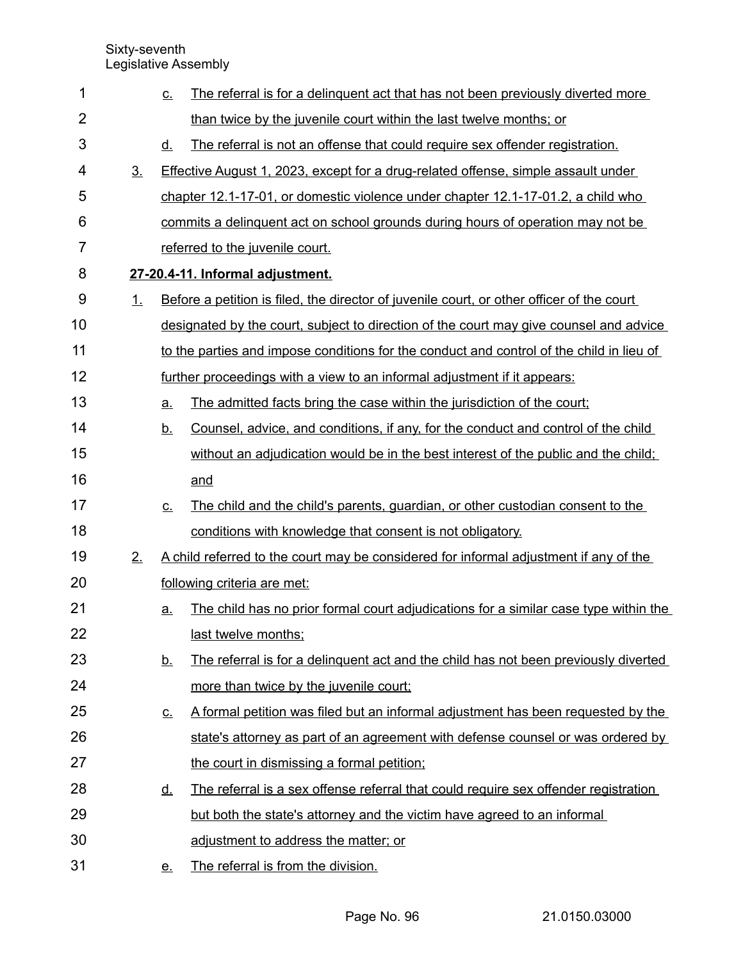| 1              |                | <u>C.</u> | The referral is for a delinguent act that has not been previously diverted more           |
|----------------|----------------|-----------|-------------------------------------------------------------------------------------------|
| $\overline{2}$ |                |           | than twice by the juvenile court within the last twelve months; or                        |
| 3              |                | <u>d.</u> | The referral is not an offense that could require sex offender registration.              |
| 4              | 3 <sub>1</sub> |           | <b>Effective August 1, 2023, except for a drug-related offense, simple assault under</b>  |
| 5              |                |           | chapter 12.1-17-01, or domestic violence under chapter 12.1-17-01.2, a child who          |
| 6              |                |           | commits a delinguent act on school grounds during hours of operation may not be           |
| $\overline{7}$ |                |           | referred to the juvenile court.                                                           |
| 8              |                |           | 27-20.4-11. Informal adjustment.                                                          |
| 9              | 1.             |           | Before a petition is filed, the director of juvenile court, or other officer of the court |
| 10             |                |           | designated by the court, subject to direction of the court may give counsel and advice    |
| 11             |                |           | to the parties and impose conditions for the conduct and control of the child in lieu of  |
| 12             |                |           | further proceedings with a view to an informal adjustment if it appears:                  |
| 13             |                | <u>a</u>  | The admitted facts bring the case within the jurisdiction of the court;                   |
| 14             |                | <u>b.</u> | Counsel, advice, and conditions, if any, for the conduct and control of the child         |
| 15             |                |           | without an adjudication would be in the best interest of the public and the child;        |
| 16             |                |           | and                                                                                       |
| 17             |                | <u>c.</u> | The child and the child's parents, guardian, or other custodian consent to the            |
| 18             |                |           | conditions with knowledge that consent is not obligatory.                                 |
| 19             | 2.             |           | A child referred to the court may be considered for informal adjustment if any of the     |
| 20             |                |           | following criteria are met:                                                               |
| 21             |                | <u>a.</u> | The child has no prior formal court adjudications for a similar case type within the      |
| 22             |                |           | last twelve months;                                                                       |
| 23             |                | <u>b.</u> | The referral is for a delinguent act and the child has not been previously diverted       |
| 24             |                |           | more than twice by the juvenile court;                                                    |
| 25             |                | <u>c.</u> | A formal petition was filed but an informal adjustment has been requested by the          |
| 26             |                |           | state's attorney as part of an agreement with defense counsel or was ordered by           |
| 27             |                |           | the court in dismissing a formal petition:                                                |
| 28             |                | <u>d.</u> | The referral is a sex offense referral that could require sex offender registration       |
| 29             |                |           | but both the state's attorney and the victim have agreed to an informal                   |
| 30             |                |           | adjustment to address the matter; or                                                      |
| 31             |                | <u>e.</u> | The referral is from the division.                                                        |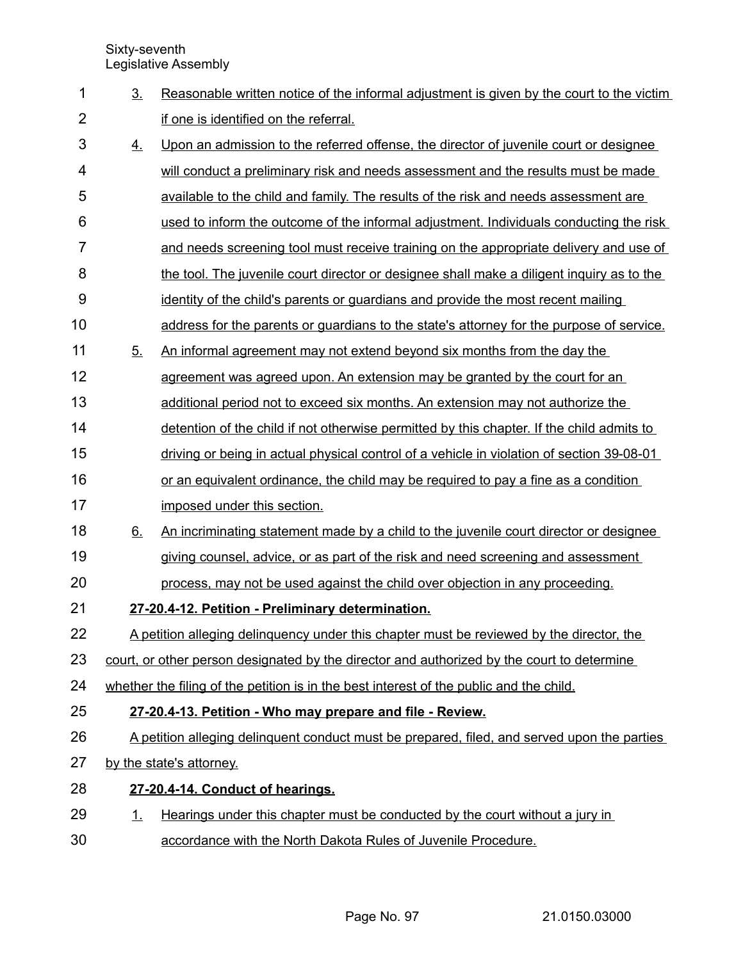| 1              | 3 <sub>1</sub> | Reasonable written notice of the informal adjustment is given by the court to the victim    |
|----------------|----------------|---------------------------------------------------------------------------------------------|
| $\overline{2}$ |                | if one is identified on the referral.                                                       |
| 3              | 4.             | Upon an admission to the referred offense, the director of juvenile court or designee       |
| 4              |                | will conduct a preliminary risk and needs assessment and the results must be made           |
| 5              |                | available to the child and family. The results of the risk and needs assessment are         |
| 6              |                | used to inform the outcome of the informal adjustment. Individuals conducting the risk      |
| $\overline{7}$ |                | and needs screening tool must receive training on the appropriate delivery and use of       |
| 8              |                | the tool. The juvenile court director or designee shall make a diligent inquiry as to the   |
| 9              |                | identity of the child's parents or guardians and provide the most recent mailing            |
| 10             |                | address for the parents or guardians to the state's attorney for the purpose of service.    |
| 11             | 5 <sub>1</sub> | An informal agreement may not extend beyond six months from the day the                     |
| 12             |                | agreement was agreed upon. An extension may be granted by the court for an                  |
| 13             |                | additional period not to exceed six months. An extension may not authorize the              |
| 14             |                | detention of the child if not otherwise permitted by this chapter. If the child admits to   |
| 15             |                | driving or being in actual physical control of a vehicle in violation of section 39-08-01   |
| 16             |                | or an equivalent ordinance, the child may be required to pay a fine as a condition          |
| 17             |                | imposed under this section.                                                                 |
| 18             | 6.             | An incriminating statement made by a child to the juvenile court director or designee       |
| 19             |                | giving counsel, advice, or as part of the risk and need screening and assessment            |
| 20             |                | process, may not be used against the child over objection in any proceeding.                |
| 21             |                | 27-20.4-12. Petition - Preliminary determination.                                           |
| 22             |                | A petition alleging delinguency under this chapter must be reviewed by the director, the    |
| 23             |                | court, or other person designated by the director and authorized by the court to determine  |
| 24             |                | whether the filing of the petition is in the best interest of the public and the child.     |
| 25             |                | 27-20.4-13. Petition - Who may prepare and file - Review.                                   |
| 26             |                | A petition alleging delinguent conduct must be prepared, filed, and served upon the parties |
| 27             |                | by the state's attorney.                                                                    |
| 28             |                | 27-20.4-14. Conduct of hearings.                                                            |
| 29             | <u>1.</u>      | Hearings under this chapter must be conducted by the court without a jury in                |
| 30             |                | accordance with the North Dakota Rules of Juvenile Procedure.                               |
|                |                |                                                                                             |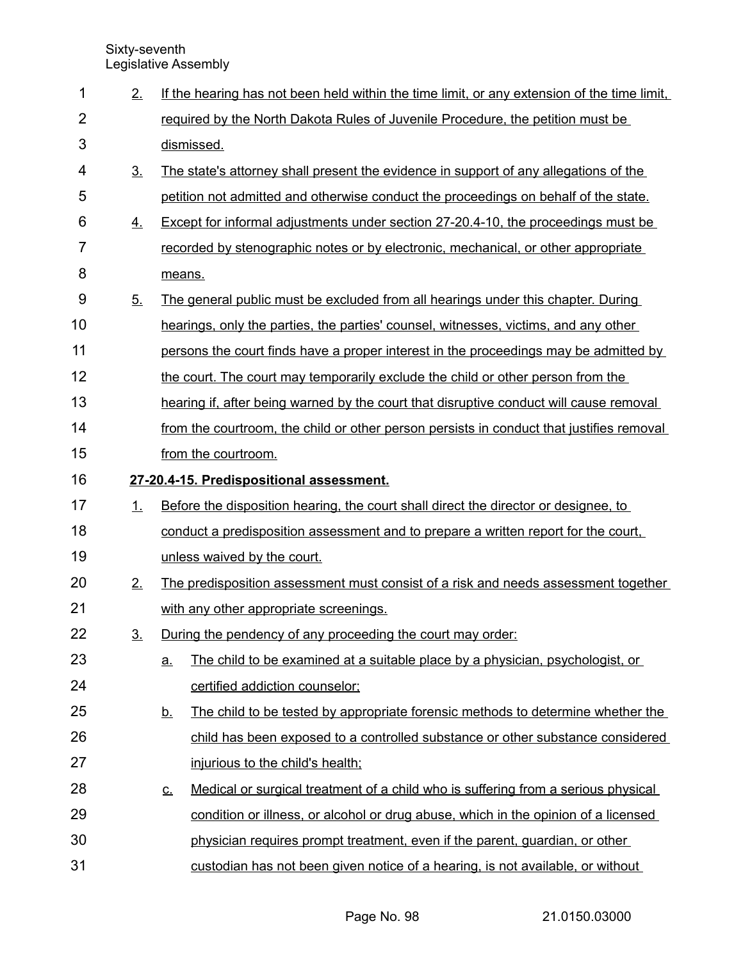| 1              | 2.             | If the hearing has not been held within the time limit, or any extension of the time limit,    |  |  |
|----------------|----------------|------------------------------------------------------------------------------------------------|--|--|
| $\overline{2}$ |                | required by the North Dakota Rules of Juvenile Procedure, the petition must be                 |  |  |
| 3              |                | dismissed.                                                                                     |  |  |
| 4              | 3 <sub>1</sub> | The state's attorney shall present the evidence in support of any allegations of the           |  |  |
| 5              |                | petition not admitted and otherwise conduct the proceedings on behalf of the state.            |  |  |
| 6              | <u>4.</u>      | <b>Except for informal adjustments under section 27-20.4-10, the proceedings must be</b>       |  |  |
| $\overline{7}$ |                | recorded by stenographic notes or by electronic, mechanical, or other appropriate              |  |  |
| 8              |                | means.                                                                                         |  |  |
| 9              | 5 <sub>1</sub> | The general public must be excluded from all hearings under this chapter. During               |  |  |
| 10             |                | hearings, only the parties, the parties' counsel, witnesses, victims, and any other            |  |  |
| 11             |                | persons the court finds have a proper interest in the proceedings may be admitted by           |  |  |
| 12             |                | the court. The court may temporarily exclude the child or other person from the                |  |  |
| 13             |                | hearing if, after being warned by the court that disruptive conduct will cause removal         |  |  |
| 14             |                | from the courtroom, the child or other person persists in conduct that justifies removal       |  |  |
| 15             |                | from the courtroom.                                                                            |  |  |
| 16             |                | 27-20.4-15. Predispositional assessment.                                                       |  |  |
| 17             | 1.             | Before the disposition hearing, the court shall direct the director or designee, to            |  |  |
| 18             |                | conduct a predisposition assessment and to prepare a written report for the court,             |  |  |
| 19             |                | unless waived by the court.                                                                    |  |  |
| 20             | 2.             | The predisposition assessment must consist of a risk and needs assessment together             |  |  |
| 21             |                | with any other appropriate screenings.                                                         |  |  |
| 22             | 3 <sub>1</sub> | During the pendency of any proceeding the court may order:                                     |  |  |
| 23             |                | The child to be examined at a suitable place by a physician, psychologist, or<br><u>a.</u>     |  |  |
| 24             |                | certified addiction counselor;                                                                 |  |  |
| 25             |                | The child to be tested by appropriate forensic methods to determine whether the<br><u>b.</u>   |  |  |
| 26             |                | child has been exposed to a controlled substance or other substance considered                 |  |  |
| 27             |                | injurious to the child's health;                                                               |  |  |
| 28             |                | Medical or surgical treatment of a child who is suffering from a serious physical<br><u>c.</u> |  |  |
| 29             |                | condition or illness, or alcohol or drug abuse, which in the opinion of a licensed             |  |  |
| 30             |                | physician requires prompt treatment, even if the parent, guardian, or other                    |  |  |
| 31             |                | custodian has not been given notice of a hearing, is not available, or without                 |  |  |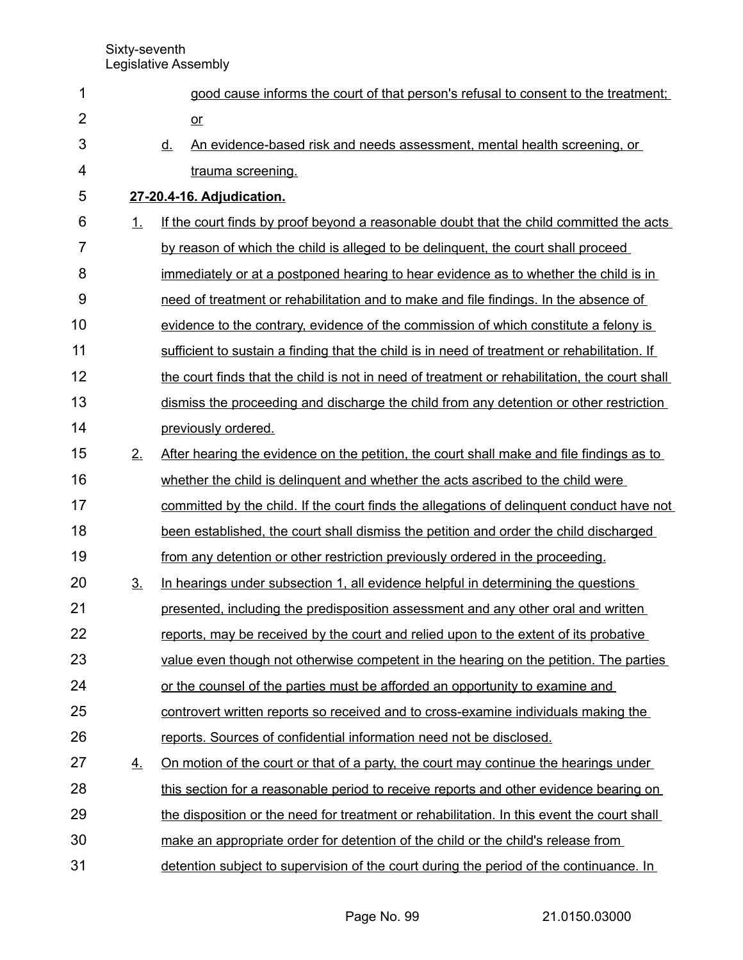| 1              |                | good cause informs the court of that person's refusal to consent to the treatment;            |
|----------------|----------------|-----------------------------------------------------------------------------------------------|
| $\overline{2}$ |                | $or$                                                                                          |
| 3              |                | An evidence-based risk and needs assessment, mental health screening, or<br><u>d.</u>         |
| 4              |                | trauma screening.                                                                             |
| 5              |                | 27-20.4-16. Adjudication.                                                                     |
| 6              | 1.             | If the court finds by proof beyond a reasonable doubt that the child committed the acts       |
| 7              |                | by reason of which the child is alleged to be delinguent, the court shall proceed             |
| 8              |                | immediately or at a postponed hearing to hear evidence as to whether the child is in          |
| 9              |                | need of treatment or rehabilitation and to make and file findings. In the absence of          |
| 10             |                | evidence to the contrary, evidence of the commission of which constitute a felony is          |
| 11             |                | sufficient to sustain a finding that the child is in need of treatment or rehabilitation. If  |
| 12             |                | the court finds that the child is not in need of treatment or rehabilitation, the court shall |
| 13             |                | dismiss the proceeding and discharge the child from any detention or other restriction        |
| 14             |                | previously ordered.                                                                           |
| 15             | 2.             | After hearing the evidence on the petition, the court shall make and file findings as to      |
| 16             |                | whether the child is delinguent and whether the acts ascribed to the child were               |
| 17             |                | committed by the child. If the court finds the allegations of delinguent conduct have not     |
| 18             |                | been established, the court shall dismiss the petition and order the child discharged         |
| 19             |                | from any detention or other restriction previously ordered in the proceeding.                 |
| 20             | 3 <sub>1</sub> | In hearings under subsection 1, all evidence helpful in determining the questions             |
| 21             |                | presented, including the predisposition assessment and any other oral and written             |
| 22             |                | reports, may be received by the court and relied upon to the extent of its probative          |
| 23             |                | value even though not otherwise competent in the hearing on the petition. The parties         |
| 24             |                | or the counsel of the parties must be afforded an opportunity to examine and                  |
| 25             |                | controvert written reports so received and to cross-examine individuals making the            |
| 26             |                | reports. Sources of confidential information need not be disclosed.                           |
| 27             | <u>4.</u>      | On motion of the court or that of a party, the court may continue the hearings under          |
| 28             |                | this section for a reasonable period to receive reports and other evidence bearing on         |
| 29             |                | the disposition or the need for treatment or rehabilitation. In this event the court shall    |
| 30             |                | make an appropriate order for detention of the child or the child's release from              |
| 31             |                | detention subject to supervision of the court during the period of the continuance. In        |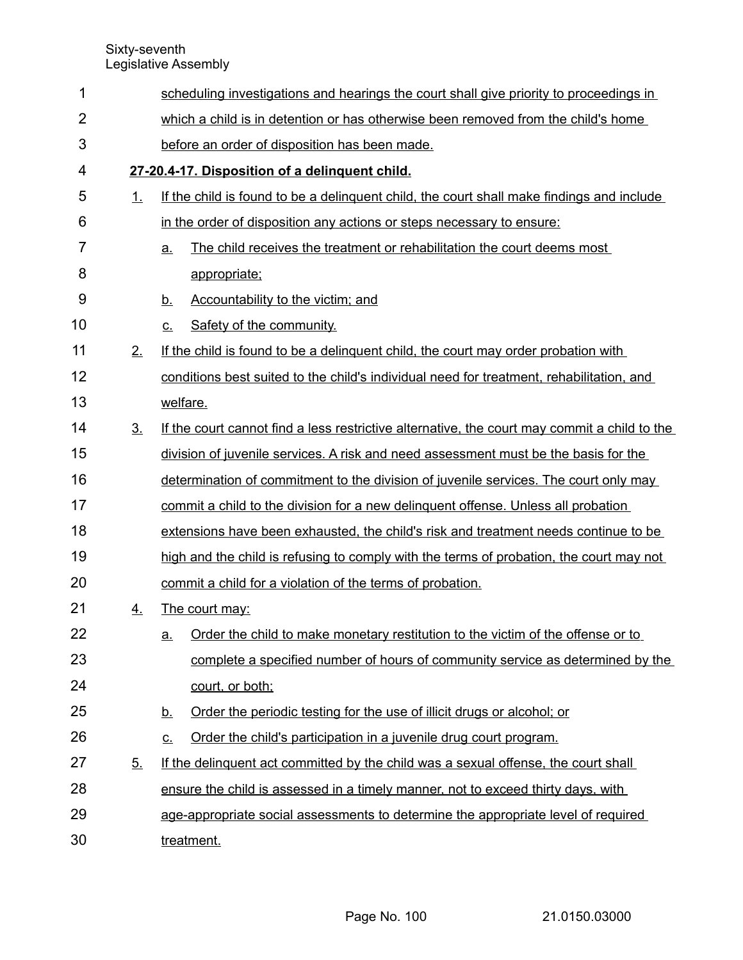| 1              |                | scheduling investigations and hearings the court shall give priority to proceedings in       |  |  |  |
|----------------|----------------|----------------------------------------------------------------------------------------------|--|--|--|
| $\overline{2}$ |                | which a child is in detention or has otherwise been removed from the child's home            |  |  |  |
| 3              |                | before an order of disposition has been made.                                                |  |  |  |
| 4              |                | 27-20.4-17. Disposition of a delinquent child.                                               |  |  |  |
| 5              | 1.             | If the child is found to be a delinguent child, the court shall make findings and include    |  |  |  |
| 6              |                | in the order of disposition any actions or steps necessary to ensure:                        |  |  |  |
| $\overline{7}$ |                | The child receives the treatment or rehabilitation the court deems most<br>a.                |  |  |  |
| 8              |                | appropriate;                                                                                 |  |  |  |
| 9              |                | <u>b.</u><br>Accountability to the victim; and                                               |  |  |  |
| 10             |                | Safety of the community.<br>$C_{\cdot}$                                                      |  |  |  |
| 11             | 2.             | If the child is found to be a delinguent child, the court may order probation with           |  |  |  |
| 12             |                | conditions best suited to the child's individual need for treatment, rehabilitation, and     |  |  |  |
| 13             |                | welfare.                                                                                     |  |  |  |
| 14             | 3 <sub>1</sub> | If the court cannot find a less restrictive alternative, the court may commit a child to the |  |  |  |
| 15             |                | division of juvenile services. A risk and need assessment must be the basis for the          |  |  |  |
| 16             |                | determination of commitment to the division of juvenile services. The court only may         |  |  |  |
| 17             |                | commit a child to the division for a new delinguent offense. Unless all probation            |  |  |  |
| 18             |                | extensions have been exhausted, the child's risk and treatment needs continue to be          |  |  |  |
| 19             |                | high and the child is refusing to comply with the terms of probation, the court may not      |  |  |  |
| 20             |                | commit a child for a violation of the terms of probation.                                    |  |  |  |
| 21             | 4.             | The court may:                                                                               |  |  |  |
| 22             |                | Order the child to make monetary restitution to the victim of the offense or to<br><u>a.</u> |  |  |  |
| 23             |                | complete a specified number of hours of community service as determined by the               |  |  |  |
| 24             |                | court, or both;                                                                              |  |  |  |
| 25             |                | Order the periodic testing for the use of illicit drugs or alcohol; or<br><u>b.</u>          |  |  |  |
| 26             |                | Order the child's participation in a juvenile drug court program.<br><u>c.</u>               |  |  |  |
| 27             | 5.             | If the delinguent act committed by the child was a sexual offense, the court shall           |  |  |  |
| 28             |                | ensure the child is assessed in a timely manner, not to exceed thirty days, with             |  |  |  |
| 29             |                | age-appropriate social assessments to determine the appropriate level of required            |  |  |  |
| 30             |                | treatment.                                                                                   |  |  |  |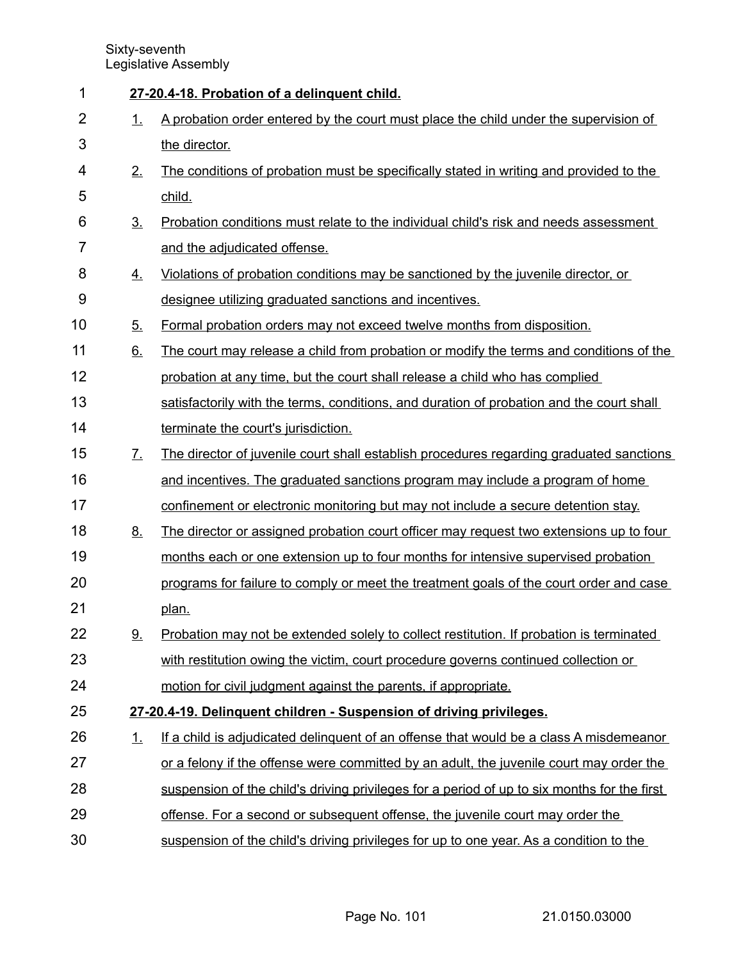| 1              |                       | 27-20.4-18. Probation of a delinquent child.                                                   |
|----------------|-----------------------|------------------------------------------------------------------------------------------------|
| $\overline{2}$ | 1.                    | A probation order entered by the court must place the child under the supervision of           |
| 3              |                       | the director.                                                                                  |
| 4              | 2.                    | The conditions of probation must be specifically stated in writing and provided to the         |
| 5              |                       | child.                                                                                         |
| 6              | 3 <sub>1</sub>        | Probation conditions must relate to the individual child's risk and needs assessment           |
| $\overline{7}$ |                       | and the adjudicated offense.                                                                   |
| 8              | 4.                    | Violations of probation conditions may be sanctioned by the juvenile director, or              |
| 9              |                       | designee utilizing graduated sanctions and incentives.                                         |
| 10             | 5.                    | Formal probation orders may not exceed twelve months from disposition.                         |
| 11             | 6.                    | The court may release a child from probation or modify the terms and conditions of the         |
| 12             |                       | probation at any time, but the court shall release a child who has complied                    |
| 13             |                       | satisfactorily with the terms, conditions, and duration of probation and the court shall       |
| 14             |                       | terminate the court's jurisdiction.                                                            |
| 15             | $\mathcal{I}_{\cdot}$ | <u>The director of juvenile court shall establish procedures regarding graduated sanctions</u> |
| 16             |                       | and incentives. The graduated sanctions program may include a program of home                  |
| 17             |                       | confinement or electronic monitoring but may not include a secure detention stay.              |
| 18             | <u>8.</u>             | The director or assigned probation court officer may request two extensions up to four         |
| 19             |                       | months each or one extension up to four months for intensive supervised probation              |
| 20             |                       | programs for failure to comply or meet the treatment goals of the court order and case         |
| 21             |                       | plan.                                                                                          |
| 22             | 9.                    | Probation may not be extended solely to collect restitution. If probation is terminated        |
| 23             |                       | with restitution owing the victim, court procedure governs continued collection or             |
| 24             |                       | motion for civil judgment against the parents, if appropriate.                                 |
| 25             |                       | 27-20.4-19. Delinquent children - Suspension of driving privileges.                            |
| 26             | 1.                    | If a child is adjudicated delinguent of an offense that would be a class A misdemeanor         |
| 27             |                       | or a felony if the offense were committed by an adult, the juvenile court may order the        |
| 28             |                       | suspension of the child's driving privileges for a period of up to six months for the first    |
| 29             |                       | offense. For a second or subsequent offense, the juvenile court may order the                  |
| 30             |                       | suspension of the child's driving privileges for up to one year. As a condition to the         |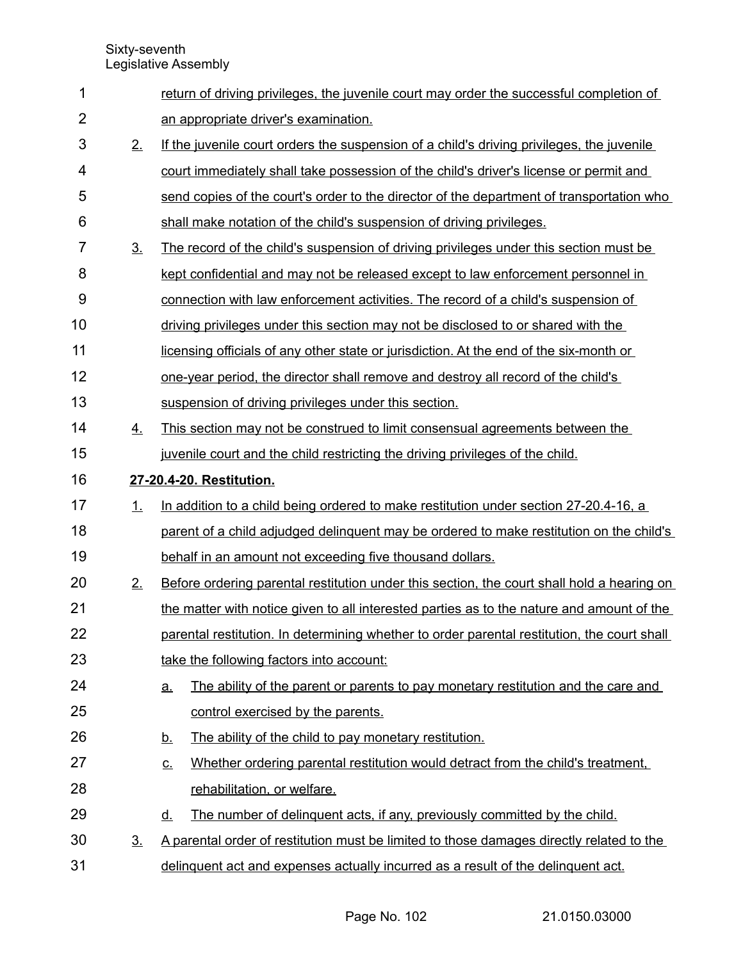| 1              |                   | return of driving privileges, the juvenile court may order the successful completion of        |  |  |  |
|----------------|-------------------|------------------------------------------------------------------------------------------------|--|--|--|
| $\overline{2}$ |                   | an appropriate driver's examination.                                                           |  |  |  |
| 3              | 2.                | If the juvenile court orders the suspension of a child's driving privileges, the juvenile      |  |  |  |
| 4              |                   | court immediately shall take possession of the child's driver's license or permit and          |  |  |  |
| 5              |                   | send copies of the court's order to the director of the department of transportation who       |  |  |  |
| 6              |                   | shall make notation of the child's suspension of driving privileges.                           |  |  |  |
| $\overline{7}$ | 3 <sub>1</sub>    | <u>The record of the child's suspension of driving privileges under this section must be</u>   |  |  |  |
| 8              |                   | kept confidential and may not be released except to law enforcement personnel in               |  |  |  |
| 9              |                   | connection with law enforcement activities. The record of a child's suspension of              |  |  |  |
| 10             |                   | driving privileges under this section may not be disclosed to or shared with the               |  |  |  |
| 11             |                   | licensing officials of any other state or jurisdiction. At the end of the six-month or         |  |  |  |
| 12             |                   | one-year period, the director shall remove and destroy all record of the child's               |  |  |  |
| 13             |                   | suspension of driving privileges under this section.                                           |  |  |  |
| 14             | 4.                | This section may not be construed to limit consensual agreements between the                   |  |  |  |
| 15             |                   | juvenile court and the child restricting the driving privileges of the child.                  |  |  |  |
| 16             |                   | 27-20.4-20. Restitution.                                                                       |  |  |  |
| 17             | 1.                | In addition to a child being ordered to make restitution under section 27-20.4-16, a           |  |  |  |
| 18             |                   | parent of a child adjudged delinguent may be ordered to make restitution on the child's        |  |  |  |
| 19             |                   | behalf in an amount not exceeding five thousand dollars.                                       |  |  |  |
| 20             | 2.                | Before ordering parental restitution under this section, the court shall hold a hearing on     |  |  |  |
| 21             |                   | the matter with notice given to all interested parties as to the nature and amount of the      |  |  |  |
| 22             |                   | parental restitution. In determining whether to order parental restitution, the court shall    |  |  |  |
| 23             |                   | take the following factors into account:                                                       |  |  |  |
| 24             |                   | The ability of the parent or parents to pay monetary restitution and the care and<br><u>a.</u> |  |  |  |
| 25             |                   | control exercised by the parents.                                                              |  |  |  |
| 26             |                   | The ability of the child to pay monetary restitution.<br><u>b.</u>                             |  |  |  |
| 27             |                   | Whether ordering parental restitution would detract from the child's treatment.<br><u>c.</u>   |  |  |  |
| 28             |                   | rehabilitation, or welfare.                                                                    |  |  |  |
| 29             |                   | The number of delinguent acts, if any, previously committed by the child.<br><u>d.</u>         |  |  |  |
| 30             | $\underline{3}$ . | A parental order of restitution must be limited to those damages directly related to the       |  |  |  |
| 31             |                   | delinguent act and expenses actually incurred as a result of the delinguent act.               |  |  |  |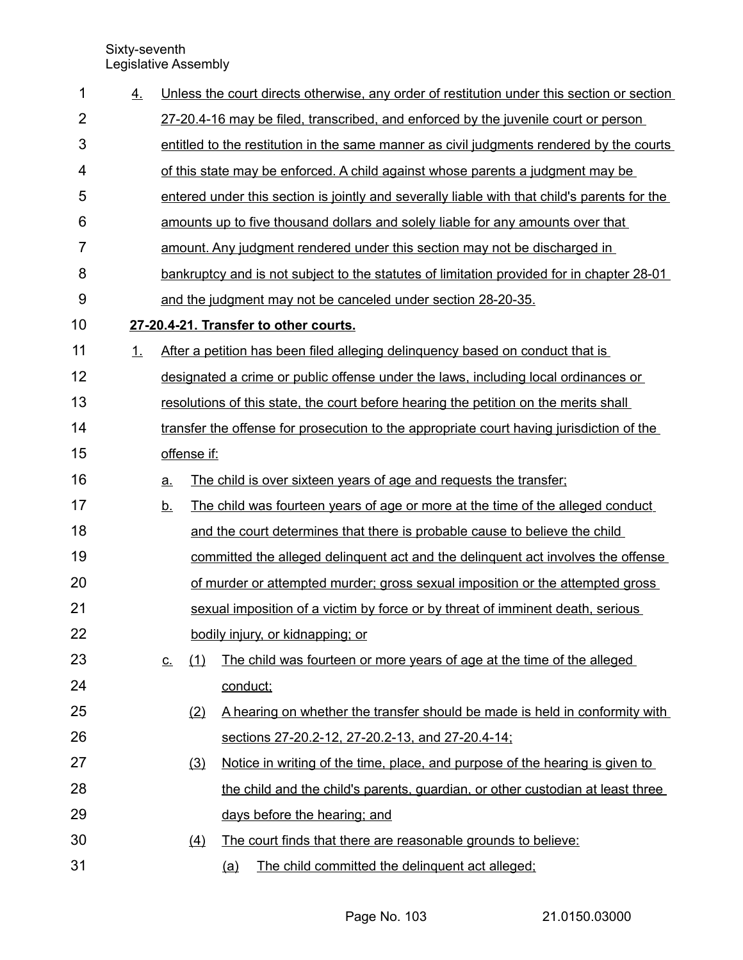| 1              | 4. |                   |                  | Unless the court directs otherwise, any order of restitution under this section or section   |
|----------------|----|-------------------|------------------|----------------------------------------------------------------------------------------------|
| $\overline{2}$ |    |                   |                  | 27-20.4-16 may be filed, transcribed, and enforced by the juvenile court or person           |
| 3              |    |                   |                  | entitled to the restitution in the same manner as civil judgments rendered by the courts     |
| 4              |    |                   |                  | of this state may be enforced. A child against whose parents a judgment may be               |
| 5              |    |                   |                  | entered under this section is jointly and severally liable with that child's parents for the |
| 6              |    |                   |                  | amounts up to five thousand dollars and solely liable for any amounts over that              |
| $\overline{7}$ |    |                   |                  | amount. Any judgment rendered under this section may not be discharged in                    |
| 8              |    |                   |                  | bankruptcy and is not subject to the statutes of limitation provided for in chapter 28-01    |
| $9$            |    |                   |                  | and the judgment may not be canceled under section 28-20-35.                                 |
| 10             |    |                   |                  | 27-20.4-21. Transfer to other courts.                                                        |
| 11             | 1. |                   |                  | After a petition has been filed alleging delinquency based on conduct that is                |
| 12             |    |                   |                  | designated a crime or public offense under the laws, including local ordinances or           |
| 13             |    |                   |                  | resolutions of this state, the court before hearing the petition on the merits shall         |
| 14             |    |                   |                  | transfer the offense for prosecution to the appropriate court having jurisdiction of the     |
| 15             |    |                   | offense if:      |                                                                                              |
| 16             |    | $\underline{a}$ . |                  | The child is over sixteen years of age and requests the transfer;                            |
| 17             |    | <u>b.</u>         |                  | The child was fourteen years of age or more at the time of the alleged conduct               |
| 18             |    |                   |                  | and the court determines that there is probable cause to believe the child                   |
| 19             |    |                   |                  | committed the alleged delinguent act and the delinguent act involves the offense             |
| 20             |    |                   |                  | of murder or attempted murder; gross sexual imposition or the attempted gross                |
| 21             |    |                   |                  | sexual imposition of a victim by force or by threat of imminent death, serious               |
| 22             |    |                   |                  | bodily injury, or kidnapping; or                                                             |
| 23             |    | <u>C.</u>         | (1)              | The child was fourteen or more years of age at the time of the alleged                       |
| 24             |    |                   |                  | conduct;                                                                                     |
| 25             |    |                   | (2)              | A hearing on whether the transfer should be made is held in conformity with                  |
| 26             |    |                   |                  | sections 27-20.2-12, 27-20.2-13, and 27-20.4-14;                                             |
| 27             |    |                   | (3)              | Notice in writing of the time, place, and purpose of the hearing is given to                 |
| 28             |    |                   |                  | the child and the child's parents, guardian, or other custodian at least three               |
| 29             |    |                   |                  | days before the hearing; and                                                                 |
| 30             |    |                   | $\left(4\right)$ | The court finds that there are reasonable grounds to believe:                                |
| 31             |    |                   |                  | The child committed the delinguent act alleged;<br><u>(a)</u>                                |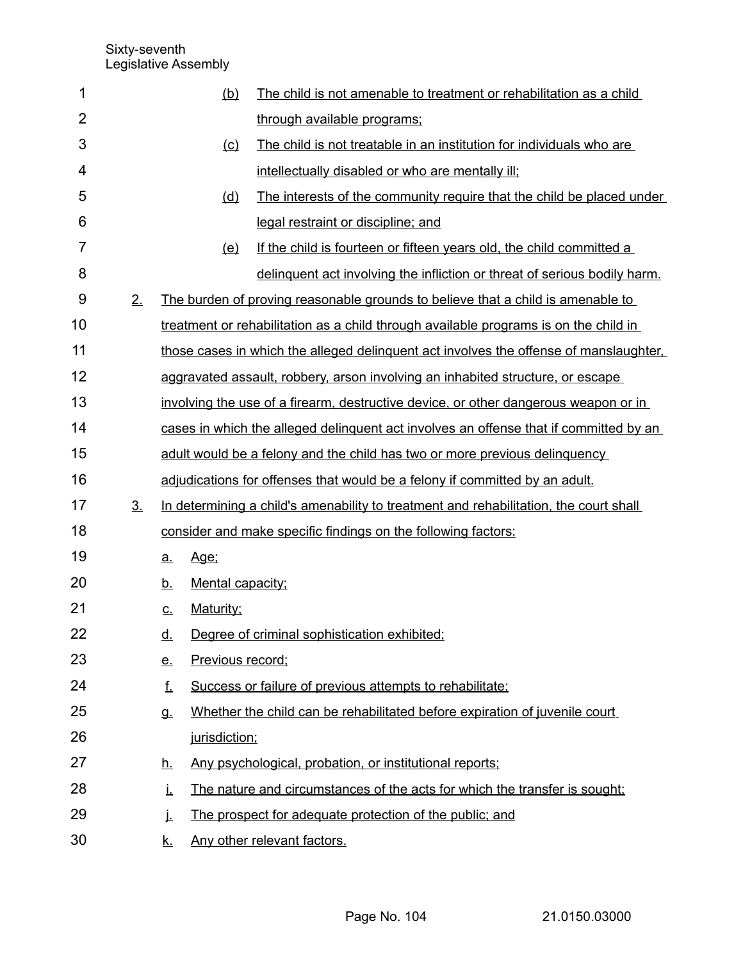| 1              |                |           | (b)              | The child is not amenable to treatment or rehabilitation as a child                   |
|----------------|----------------|-----------|------------------|---------------------------------------------------------------------------------------|
| $\overline{2}$ |                |           |                  | through available programs;                                                           |
| 3              |                |           | (c)              | The child is not treatable in an institution for individuals who are                  |
| 4              |                |           |                  | intellectually disabled or who are mentally ill;                                      |
| 5              |                |           | (d)              | The interests of the community require that the child be placed under                 |
| 6              |                |           |                  | legal restraint or discipline; and                                                    |
| $\overline{7}$ |                |           | (e)              | If the child is fourteen or fifteen years old, the child committed a                  |
| 8              |                |           |                  | delinquent act involving the infliction or threat of serious bodily harm.             |
| 9              | 2.             |           |                  | The burden of proving reasonable grounds to believe that a child is amenable to       |
| 10             |                |           |                  | treatment or rehabilitation as a child through available programs is on the child in  |
| 11             |                |           |                  | those cases in which the alleged delinguent act involves the offense of manslaughter. |
| 12             |                |           |                  | aggravated assault, robbery, arson involving an inhabited structure, or escape        |
| 13             |                |           |                  | involving the use of a firearm, destructive device, or other dangerous weapon or in   |
| 14             |                |           |                  | cases in which the alleged delinguent act involves an offense that if committed by an |
| 15             |                |           |                  | adult would be a felony and the child has two or more previous delinquency            |
| 16             |                |           |                  | adjudications for offenses that would be a felony if committed by an adult.           |
| 17             | 3 <sub>1</sub> |           |                  | In determining a child's amenability to treatment and rehabilitation, the court shall |
| 18             |                |           |                  | consider and make specific findings on the following factors:                         |
| 19             |                | <u>a.</u> | Age:             |                                                                                       |
| 20             |                | <u>b.</u> | Mental capacity: |                                                                                       |
| 21             |                | <u>c.</u> | Maturity;        |                                                                                       |
| 22             |                | <u>d.</u> |                  | Degree of criminal sophistication exhibited;                                          |
| 23             |                | <u>e.</u> | Previous record; |                                                                                       |
| 24             |                | f.        |                  | Success or failure of previous attempts to rehabilitate;                              |
| 25             |                | g.        |                  | Whether the child can be rehabilitated before expiration of juvenile court            |
| 26             |                |           | jurisdiction;    |                                                                                       |
| 27             |                | <u>h.</u> |                  | Any psychological, probation, or institutional reports;                               |
| 28             |                | Ĺ.        |                  | The nature and circumstances of the acts for which the transfer is sought;            |
| 29             |                | j.        |                  | The prospect for adequate protection of the public; and                               |
| 30             |                | <u>k.</u> |                  | Any other relevant factors.                                                           |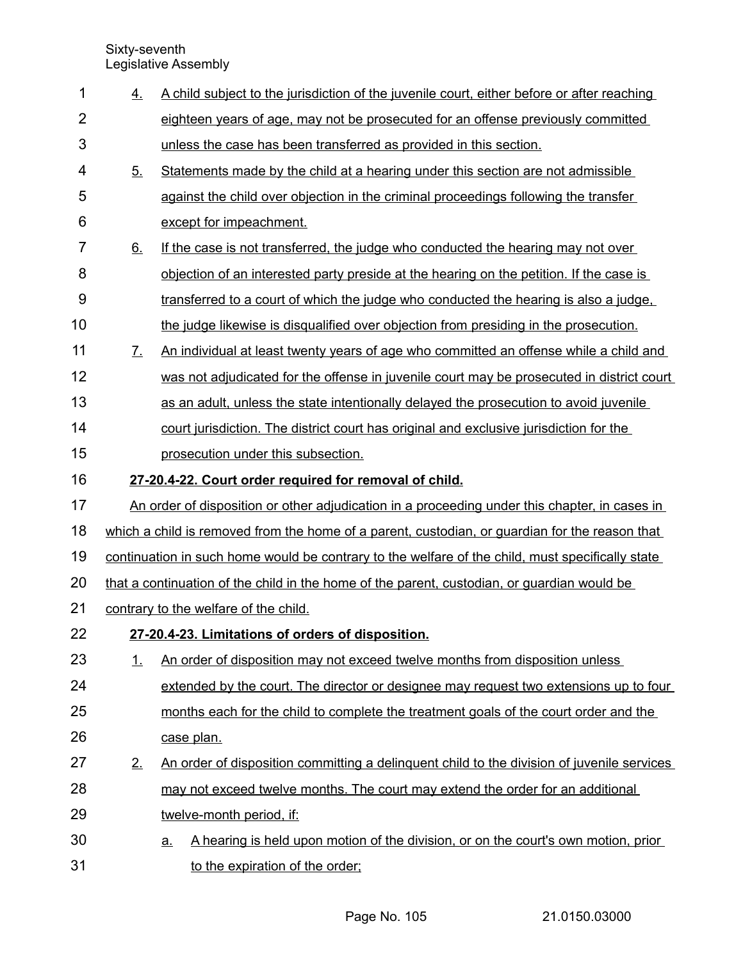| 1              | 4.                | A child subject to the jurisdiction of the juvenile court, either before or after reaching       |
|----------------|-------------------|--------------------------------------------------------------------------------------------------|
| $\overline{2}$ |                   | eighteen years of age, may not be prosecuted for an offense previously committed                 |
| 3              |                   | unless the case has been transferred as provided in this section.                                |
| 4              | 5.                | Statements made by the child at a hearing under this section are not admissible                  |
| 5              |                   | against the child over objection in the criminal proceedings following the transfer              |
| 6              |                   | except for impeachment.                                                                          |
| $\overline{7}$ | 6.                | If the case is not transferred, the judge who conducted the hearing may not over                 |
| 8              |                   | <u>objection of an interested party preside at the hearing on the petition. If the case is</u>   |
| 9              |                   | transferred to a court of which the judge who conducted the hearing is also a judge.             |
| 10             |                   | the judge likewise is disqualified over objection from presiding in the prosecution.             |
| 11             | $\mathcal{I}_{-}$ | An individual at least twenty years of age who committed an offense while a child and            |
| 12             |                   | was not adjudicated for the offense in juvenile court may be prosecuted in district court        |
| 13             |                   | as an adult, unless the state intentionally delayed the prosecution to avoid juvenile            |
| 14             |                   | court jurisdiction. The district court has original and exclusive jurisdiction for the           |
| 15             |                   | prosecution under this subsection.                                                               |
| 16             |                   | 27-20.4-22. Court order required for removal of child.                                           |
| 17             |                   | An order of disposition or other adjudication in a proceeding under this chapter, in cases in    |
| 18             |                   | which a child is removed from the home of a parent, custodian, or guardian for the reason that   |
| 19             |                   | continuation in such home would be contrary to the welfare of the child, must specifically state |
| 20             |                   | that a continuation of the child in the home of the parent, custodian, or guardian would be      |
| 21             |                   | contrary to the welfare of the child.                                                            |
| 22             |                   | 27-20.4-23. Limitations of orders of disposition.                                                |
| 23             | 1.                | An order of disposition may not exceed twelve months from disposition unless                     |
| 24             |                   | extended by the court. The director or designee may request two extensions up to four            |
| 25             |                   | months each for the child to complete the treatment goals of the court order and the             |
| 26             |                   | case plan.                                                                                       |
| 27             | 2.                | An order of disposition committing a delinguent child to the division of juvenile services       |
| 28             |                   | may not exceed twelve months. The court may extend the order for an additional                   |
| 29             |                   | twelve-month period, if:                                                                         |
| 30             |                   | A hearing is held upon motion of the division, or on the court's own motion, prior<br><u>a.</u>  |
| 31             |                   | to the expiration of the order;                                                                  |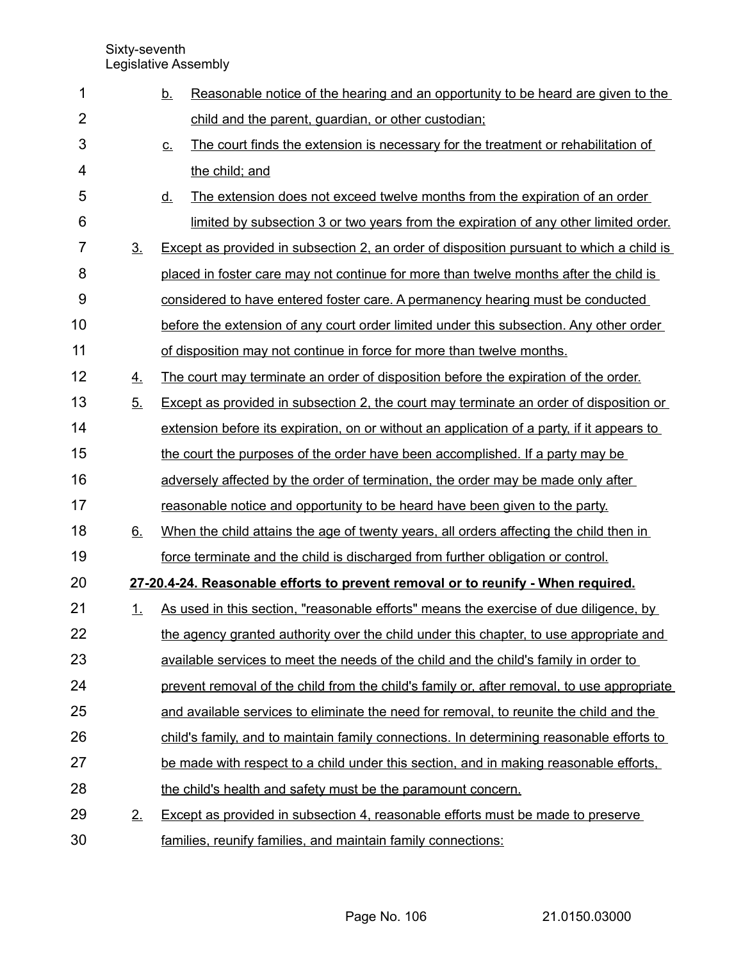| 1              |                | <u>b.</u>         | Reasonable notice of the hearing and an opportunity to be heard are given to the           |
|----------------|----------------|-------------------|--------------------------------------------------------------------------------------------|
| $\overline{2}$ |                |                   | child and the parent, quardian, or other custodian;                                        |
| 3              |                | $\underline{C}$ . | The court finds the extension is necessary for the treatment or rehabilitation of          |
| $\overline{4}$ |                |                   | the child; and                                                                             |
| 5              |                | <u>d.</u>         | The extension does not exceed twelve months from the expiration of an order                |
| 6              |                |                   | limited by subsection 3 or two years from the expiration of any other limited order.       |
| $\overline{7}$ | 3 <sub>1</sub> |                   | Except as provided in subsection 2, an order of disposition pursuant to which a child is   |
| 8              |                |                   | placed in foster care may not continue for more than twelve months after the child is      |
| 9              |                |                   | considered to have entered foster care. A permanency hearing must be conducted             |
| 10             |                |                   | before the extension of any court order limited under this subsection. Any other order     |
| 11             |                |                   | of disposition may not continue in force for more than twelve months.                      |
| 12             | 4.             |                   | The court may terminate an order of disposition before the expiration of the order.        |
| 13             | 5.             |                   | Except as provided in subsection 2, the court may terminate an order of disposition or     |
| 14             |                |                   | extension before its expiration, on or without an application of a party, if it appears to |
| 15             |                |                   | the court the purposes of the order have been accomplished. If a party may be              |
| 16             |                |                   | adversely affected by the order of termination, the order may be made only after           |
| 17             |                |                   | reasonable notice and opportunity to be heard have been given to the party.                |
| 18             | 6.             |                   | When the child attains the age of twenty years, all orders affecting the child then in     |
| 19             |                |                   | force terminate and the child is discharged from further obligation or control.            |
| 20             |                |                   | 27-20.4-24. Reasonable efforts to prevent removal or to reunify - When required.           |
| 21             | <u>1.</u>      |                   | As used in this section, "reasonable efforts" means the exercise of due diligence, by      |
| 22             |                |                   | the agency granted authority over the child under this chapter, to use appropriate and     |
| 23             |                |                   | available services to meet the needs of the child and the child's family in order to       |
| 24             |                |                   | prevent removal of the child from the child's family or, after removal, to use appropriate |
| 25             |                |                   | and available services to eliminate the need for removal, to reunite the child and the     |
| 26             |                |                   | child's family, and to maintain family connections. In determining reasonable efforts to   |
| 27             |                |                   | be made with respect to a child under this section, and in making reasonable efforts.      |
| 28             |                |                   | the child's health and safety must be the paramount concern.                               |
| 29             | 2.             |                   | Except as provided in subsection 4, reasonable efforts must be made to preserve            |
| 30             |                |                   | families, reunify families, and maintain family connections:                               |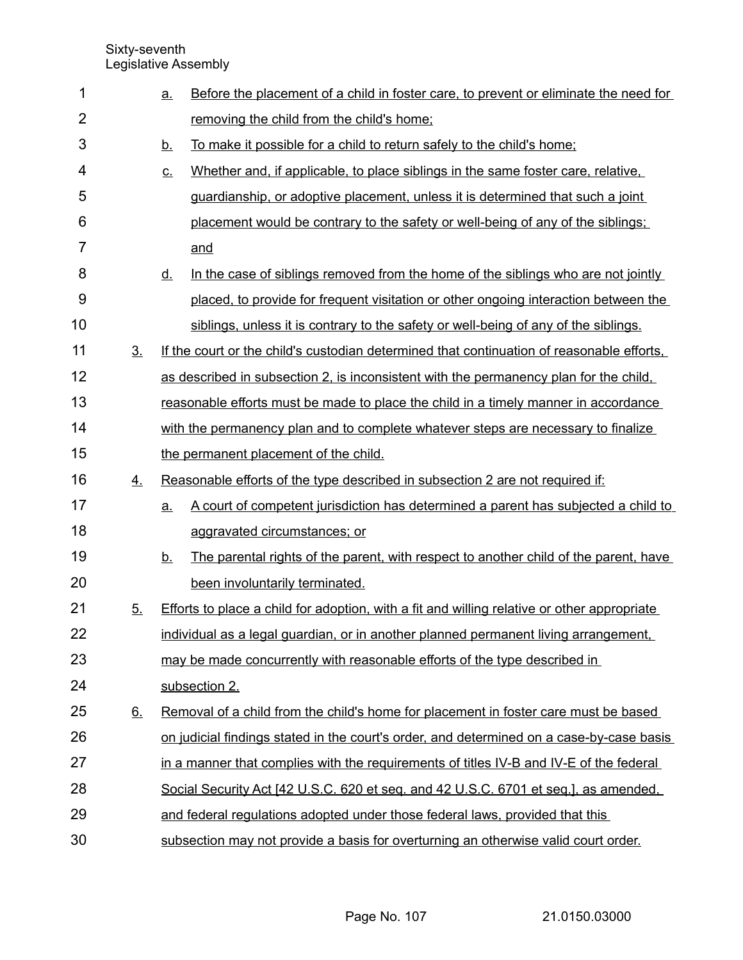| 1              |                | <u>a.</u> | Before the placement of a child in foster care, to prevent or eliminate the need for               |
|----------------|----------------|-----------|----------------------------------------------------------------------------------------------------|
| $\overline{2}$ |                |           | removing the child from the child's home;                                                          |
| 3              |                | <u>b.</u> | To make it possible for a child to return safely to the child's home;                              |
| 4              |                | <u>c.</u> | Whether and, if applicable, to place siblings in the same foster care, relative,                   |
| 5              |                |           | guardianship, or adoptive placement, unless it is determined that such a joint                     |
| 6              |                |           | placement would be contrary to the safety or well-being of any of the siblings;                    |
| 7              |                |           | and                                                                                                |
| 8              |                | <u>d.</u> | In the case of siblings removed from the home of the siblings who are not jointly                  |
| 9              |                |           | placed, to provide for frequent visitation or other ongoing interaction between the                |
| 10             |                |           | siblings, unless it is contrary to the safety or well-being of any of the siblings.                |
| 11             | 3 <sub>1</sub> |           | If the court or the child's custodian determined that continuation of reasonable efforts.          |
| 12             |                |           | as described in subsection 2, is inconsistent with the permanency plan for the child,              |
| 13             |                |           | reasonable efforts must be made to place the child in a timely manner in accordance                |
| 14             |                |           | with the permanency plan and to complete whatever steps are necessary to finalize                  |
| 15             |                |           | the permanent placement of the child.                                                              |
| 16             | 4.             |           | Reasonable efforts of the type described in subsection 2 are not required if:                      |
| 17             |                | a.        | A court of competent jurisdiction has determined a parent has subjected a child to                 |
| 18             |                |           | aggravated circumstances; or                                                                       |
| 19             |                | <u>b.</u> | The parental rights of the parent, with respect to another child of the parent, have               |
| 20             |                |           | been involuntarily terminated.                                                                     |
| 21             | 5 <sub>1</sub> |           | <b>Efforts to place a child for adoption, with a fit and willing relative or other appropriate</b> |
| 22             |                |           | individual as a legal guardian, or in another planned permanent living arrangement,                |
| 23             |                |           | may be made concurrently with reasonable efforts of the type described in                          |
| 24             |                |           | subsection 2.                                                                                      |
| 25             | 6.             |           | Removal of a child from the child's home for placement in foster care must be based                |
| 26             |                |           | on judicial findings stated in the court's order, and determined on a case-by-case basis           |
| 27             |                |           | in a manner that complies with the requirements of titles IV-B and IV-E of the federal             |
| 28             |                |           | Social Security Act [42 U.S.C. 620 et seq. and 42 U.S.C. 6701 et seq.], as amended,                |
| 29             |                |           | and federal regulations adopted under those federal laws, provided that this                       |
| 30             |                |           | subsection may not provide a basis for overturning an otherwise valid court order.                 |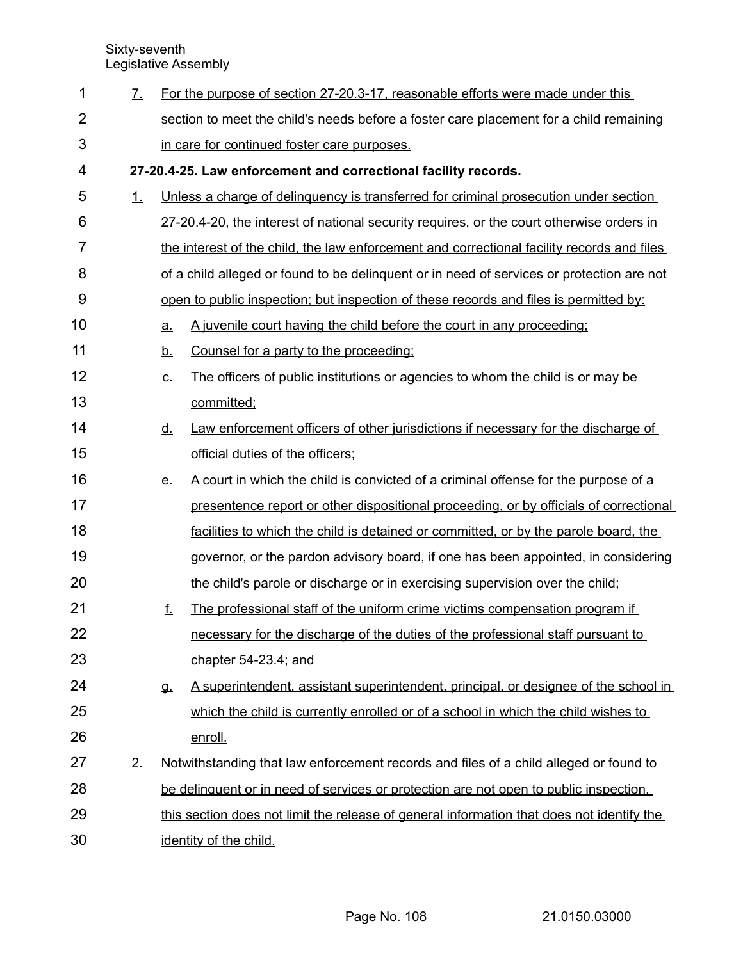| 1              | 7. |                                                                                            | For the purpose of section 27-20.3-17, reasonable efforts were made under this           |  |
|----------------|----|--------------------------------------------------------------------------------------------|------------------------------------------------------------------------------------------|--|
| $\overline{2}$ |    |                                                                                            | section to meet the child's needs before a foster care placement for a child remaining   |  |
| 3              |    |                                                                                            | in care for continued foster care purposes.                                              |  |
| 4              |    | 27-20.4-25. Law enforcement and correctional facility records.                             |                                                                                          |  |
| 5              | 1. |                                                                                            | Unless a charge of delinquency is transferred for criminal prosecution under section     |  |
| 6              |    |                                                                                            | 27-20.4-20, the interest of national security requires, or the court otherwise orders in |  |
| 7              |    | the interest of the child, the law enforcement and correctional facility records and files |                                                                                          |  |
| 8              |    | of a child alleged or found to be delinguent or in need of services or protection are not  |                                                                                          |  |
| 9              |    |                                                                                            | open to public inspection; but inspection of these records and files is permitted by:    |  |
| 10             |    | a.                                                                                         | A juvenile court having the child before the court in any proceeding;                    |  |
| 11             |    | <u>b.</u>                                                                                  | Counsel for a party to the proceeding:                                                   |  |
| 12             |    | $\underline{\mathsf{C}}$ .                                                                 | The officers of public institutions or agencies to whom the child is or may be           |  |
| 13             |    |                                                                                            | committed;                                                                               |  |
| 14             |    | <u>d.</u>                                                                                  | Law enforcement officers of other jurisdictions if necessary for the discharge of        |  |
| 15             |    |                                                                                            | official duties of the officers;                                                         |  |
| 16             |    | <u>e.</u>                                                                                  | A court in which the child is convicted of a criminal offense for the purpose of a       |  |
| 17             |    |                                                                                            | presentence report or other dispositional proceeding, or by officials of correctional    |  |
| 18             |    |                                                                                            | facilities to which the child is detained or committed, or by the parole board, the      |  |
| 19             |    |                                                                                            | governor, or the pardon advisory board, if one has been appointed, in considering        |  |
| 20             |    |                                                                                            | the child's parole or discharge or in exercising supervision over the child;             |  |
| 21             |    | f.                                                                                         | The professional staff of the uniform crime victims compensation program if              |  |
| 22             |    |                                                                                            | necessary for the discharge of the duties of the professional staff pursuant to          |  |
| 23             |    |                                                                                            | chapter 54-23.4; and                                                                     |  |
| 24             |    | <b>g</b>                                                                                   | A superintendent, assistant superintendent, principal, or designee of the school in      |  |
| 25             |    |                                                                                            | which the child is currently enrolled or of a school in which the child wishes to        |  |
| 26             |    |                                                                                            | enroll.                                                                                  |  |
| 27             | 2. | Notwithstanding that law enforcement records and files of a child alleged or found to      |                                                                                          |  |
| 28             |    | be delinguent or in need of services or protection are not open to public inspection.      |                                                                                          |  |
| 29             |    | this section does not limit the release of general information that does not identify the  |                                                                                          |  |
| 30             |    | identity of the child.                                                                     |                                                                                          |  |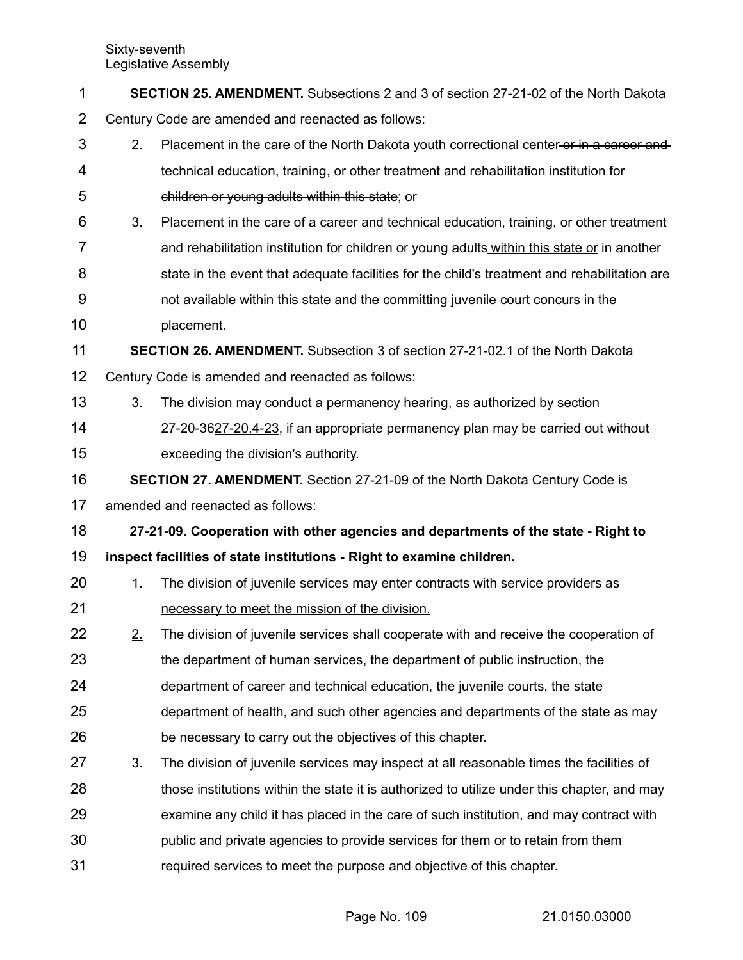| 1              | SECTION 25. AMENDMENT. Subsections 2 and 3 of section 27-21-02 of the North Dakota   |                                                                                              |  |  |  |  |
|----------------|--------------------------------------------------------------------------------------|----------------------------------------------------------------------------------------------|--|--|--|--|
| $\overline{2}$ | Century Code are amended and reenacted as follows:                                   |                                                                                              |  |  |  |  |
| 3              | 2.                                                                                   | Placement in the care of the North Dakota youth correctional center-or in a career and-      |  |  |  |  |
| 4              |                                                                                      | technical education, training, or other treatment and rehabilitation institution for         |  |  |  |  |
| 5              |                                                                                      | children or young adults within this state; or                                               |  |  |  |  |
| 6              | 3.                                                                                   | Placement in the care of a career and technical education, training, or other treatment      |  |  |  |  |
| 7              |                                                                                      | and rehabilitation institution for children or young adults within this state or in another  |  |  |  |  |
| 8              |                                                                                      | state in the event that adequate facilities for the child's treatment and rehabilitation are |  |  |  |  |
| 9              |                                                                                      | not available within this state and the committing juvenile court concurs in the             |  |  |  |  |
| 10             |                                                                                      | placement.                                                                                   |  |  |  |  |
| 11             | <b>SECTION 26. AMENDMENT.</b> Subsection 3 of section 27-21-02.1 of the North Dakota |                                                                                              |  |  |  |  |
| 12             |                                                                                      | Century Code is amended and reenacted as follows:                                            |  |  |  |  |
| 13             | 3.                                                                                   | The division may conduct a permanency hearing, as authorized by section                      |  |  |  |  |
| 14             |                                                                                      | 27-20-3627-20.4-23, if an appropriate permanency plan may be carried out without             |  |  |  |  |
| 15             |                                                                                      | exceeding the division's authority.                                                          |  |  |  |  |
| 16             | SECTION 27. AMENDMENT. Section 27-21-09 of the North Dakota Century Code is          |                                                                                              |  |  |  |  |
| 17             |                                                                                      | amended and reenacted as follows:                                                            |  |  |  |  |
| 18             |                                                                                      | 27-21-09. Cooperation with other agencies and departments of the state - Right to            |  |  |  |  |
| 19             |                                                                                      | inspect facilities of state institutions - Right to examine children.                        |  |  |  |  |
| 20             | 1.                                                                                   | The division of juvenile services may enter contracts with service providers as              |  |  |  |  |
| 21             |                                                                                      | necessary to meet the mission of the division.                                               |  |  |  |  |
| 22             | 2.                                                                                   | The division of juvenile services shall cooperate with and receive the cooperation of        |  |  |  |  |
| 23             |                                                                                      | the department of human services, the department of public instruction, the                  |  |  |  |  |
| 24             |                                                                                      | department of career and technical education, the juvenile courts, the state                 |  |  |  |  |
| 25             |                                                                                      | department of health, and such other agencies and departments of the state as may            |  |  |  |  |
| 26             |                                                                                      | be necessary to carry out the objectives of this chapter.                                    |  |  |  |  |
| 27             | 3 <sub>1</sub>                                                                       | The division of juvenile services may inspect at all reasonable times the facilities of      |  |  |  |  |
| 28             |                                                                                      | those institutions within the state it is authorized to utilize under this chapter, and may  |  |  |  |  |
| 29             |                                                                                      | examine any child it has placed in the care of such institution, and may contract with       |  |  |  |  |
| 30             |                                                                                      | public and private agencies to provide services for them or to retain from them              |  |  |  |  |
| 31             |                                                                                      | required services to meet the purpose and objective of this chapter.                         |  |  |  |  |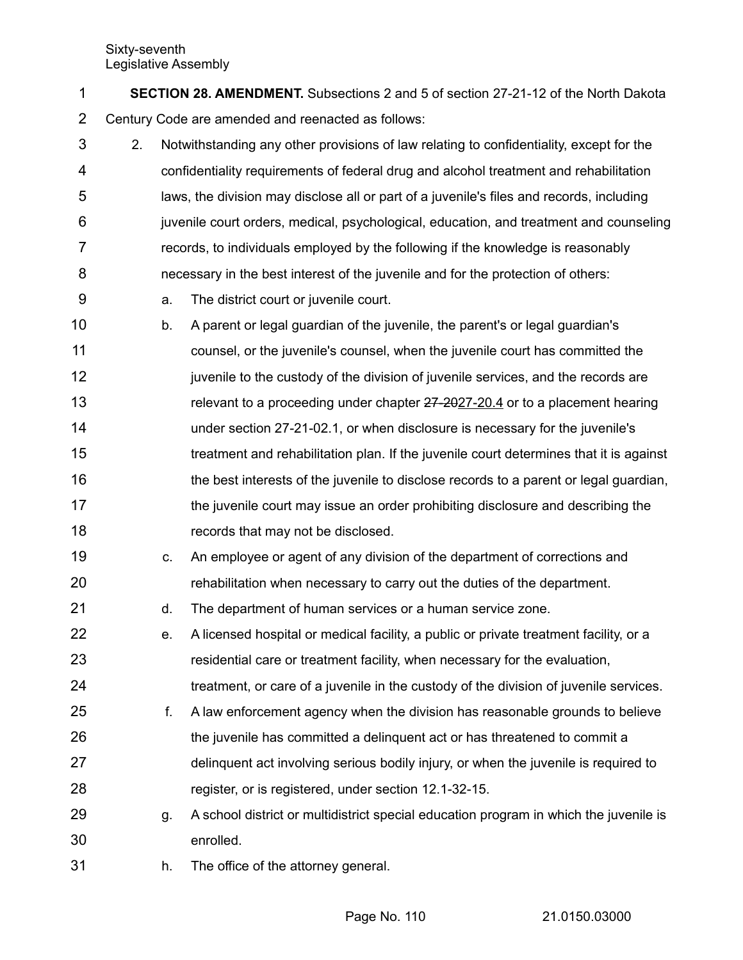**SECTION 28. AMENDMENT.** Subsections 2 and 5 of section 27-21-12 of the North Dakota Century Code are amended and reenacted as follows: 1 2

- 2. Notwithstanding any other provisions of law relating to confidentiality, except for the confidentiality requirements of federal drug and alcohol treatment and rehabilitation laws, the division may disclose all or part of a juvenile's files and records, including juvenile court orders, medical, psychological, education, and treatment and counseling records, to individuals employed by the following if the knowledge is reasonably necessary in the best interest of the juvenile and for the protection of others: 3 4 5 6 7 8
- a. The district court or juvenile court. 9
- b. A parent or legal guardian of the juvenile, the parent's or legal guardian's counsel, or the juvenile's counsel, when the juvenile court has committed the juvenile to the custody of the division of juvenile services, and the records are relevant to a proceeding under chapter  $27-202-20.4$  or to a placement hearing under section 27-21-02.1, or when disclosure is necessary for the juvenile's treatment and rehabilitation plan. If the juvenile court determines that it is against the best interests of the juvenile to disclose records to a parent or legal guardian, the juvenile court may issue an order prohibiting disclosure and describing the records that may not be disclosed. 10 11 12 13 14 15 16 17 18
- c. An employee or agent of any division of the department of corrections and rehabilitation when necessary to carry out the duties of the department. 19 20
- d. The department of human services or a human service zone. 21
- e. A licensed hospital or medical facility, a public or private treatment facility, or a residential care or treatment facility, when necessary for the evaluation, treatment, or care of a juvenile in the custody of the division of juvenile services. 22 23 24
- f. A law enforcement agency when the division has reasonable grounds to believe the juvenile has committed a delinquent act or has threatened to commit a delinquent act involving serious bodily injury, or when the juvenile is required to register, or is registered, under section 12.1-32-15. 25 26 27 28
- g. A school district or multidistrict special education program in which the juvenile is enrolled. 29 30
- h. The office of the attorney general. 31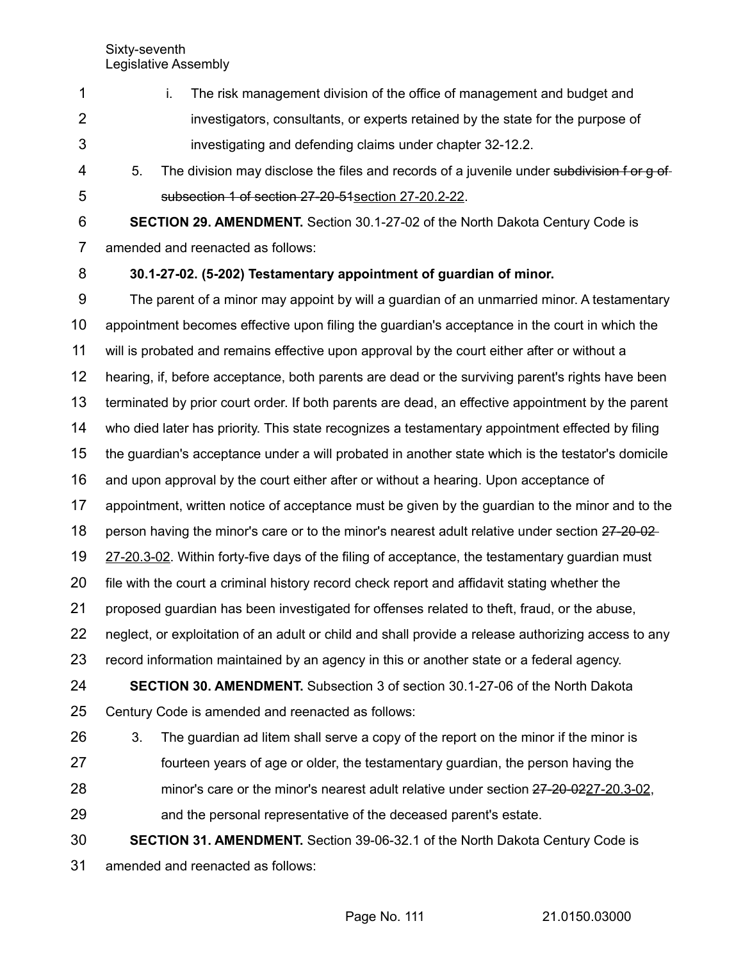- i. The risk management division of the office of management and budget and investigators, consultants, or experts retained by the state for the purpose of investigating and defending claims under chapter 32-12.2. 1 2 3
- 5. The division may disclose the files and records of a juvenile under subdivision f or g of subsection 1 of section 27-20-51 section 27-20.2-22. 4 5

**SECTION 29. AMENDMENT.** Section 30.1-27-02 of the North Dakota Century Code is amended and reenacted as follows: 6 7

**30.1-27-02. (5-202) Testamentary appointment of guardian of minor.** 8

The parent of a minor may appoint by will a guardian of an unmarried minor. A testamentary appointment becomes effective upon filing the guardian's acceptance in the court in which the will is probated and remains effective upon approval by the court either after or without a hearing, if, before acceptance, both parents are dead or the surviving parent's rights have been terminated by prior court order. If both parents are dead, an effective appointment by the parent who died later has priority. This state recognizes a testamentary appointment effected by filing the guardian's acceptance under a will probated in another state which is the testator's domicile and upon approval by the court either after or without a hearing. Upon acceptance of appointment, written notice of acceptance must be given by the guardian to the minor and to the person having the minor's care or to the minor's nearest adult relative under section 27-20-02 27-20.3-02. Within forty-five days of the filing of acceptance, the testamentary quardian must file with the court a criminal history record check report and affidavit stating whether the proposed guardian has been investigated for offenses related to theft, fraud, or the abuse, neglect, or exploitation of an adult or child and shall provide a release authorizing access to any record information maintained by an agency in this or another state or a federal agency. **SECTION 30. AMENDMENT.** Subsection 3 of section 30.1-27-06 of the North Dakota Century Code is amended and reenacted as follows: 3. The guardian ad litem shall serve a copy of the report on the minor if the minor is fourteen years of age or older, the testamentary guardian, the person having the minor's care or the minor's nearest adult relative under section 27-20-0227-20.3-02, and the personal representative of the deceased parent's estate. **SECTION 31. AMENDMENT.** Section 39-06-32.1 of the North Dakota Century Code is amended and reenacted as follows: 9 10 11 12 13 14 15 16 17 18 19 20 21 22 23 24 25 26 27 28 29 30 31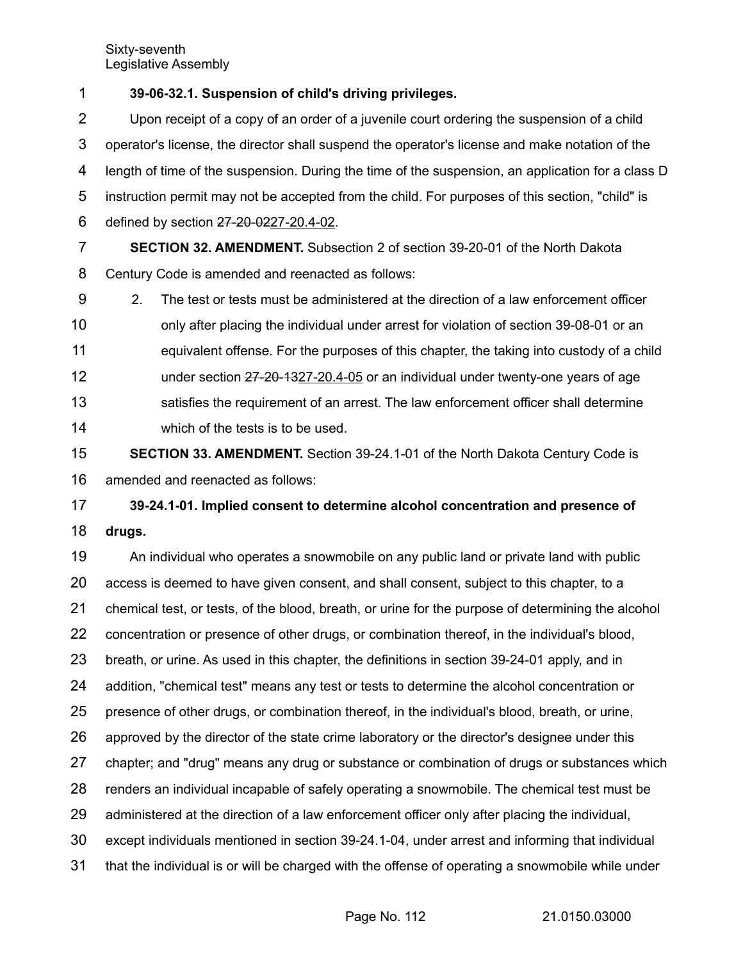**39-06-32.1. Suspension of child's driving privileges.** 1

Upon receipt of a copy of an order of a juvenile court ordering the suspension of a child operator's license, the director shall suspend the operator's license and make notation of the length of time of the suspension. During the time of the suspension, an application for a class D instruction permit may not be accepted from the child. For purposes of this section, "child" is defined by section 27-20-0227-20.4-02. 2 3 4 5 6

**SECTION 32. AMENDMENT.** Subsection 2 of section 39-20-01 of the North Dakota Century Code is amended and reenacted as follows: 7 8

2. The test or tests must be administered at the direction of a law enforcement officer only after placing the individual under arrest for violation of section 39-08-01 or an equivalent offense. For the purposes of this chapter, the taking into custody of a child under section 27-20-1327-20.4-05 or an individual under twenty-one years of age satisfies the requirement of an arrest. The law enforcement officer shall determine which of the tests is to be used. 9 10 11 12 13 14

**SECTION 33. AMENDMENT.** Section 39-24.1-01 of the North Dakota Century Code is amended and reenacted as follows: 15 16

**39-24.1-01. Implied consent to determine alcohol concentration and presence of drugs.** 17 18

An individual who operates a snowmobile on any public land or private land with public access is deemed to have given consent, and shall consent, subject to this chapter, to a chemical test, or tests, of the blood, breath, or urine for the purpose of determining the alcohol concentration or presence of other drugs, or combination thereof, in the individual's blood, breath, or urine. As used in this chapter, the definitions in section 39-24-01 apply, and in addition, "chemical test" means any test or tests to determine the alcohol concentration or presence of other drugs, or combination thereof, in the individual's blood, breath, or urine, approved by the director of the state crime laboratory or the director's designee under this chapter; and "drug" means any drug or substance or combination of drugs or substances which renders an individual incapable of safely operating a snowmobile. The chemical test must be administered at the direction of a law enforcement officer only after placing the individual, except individuals mentioned in section 39-24.1-04, under arrest and informing that individual that the individual is or will be charged with the offense of operating a snowmobile while under 19 20 21 22 23 24 25 26 27 28 29 30 31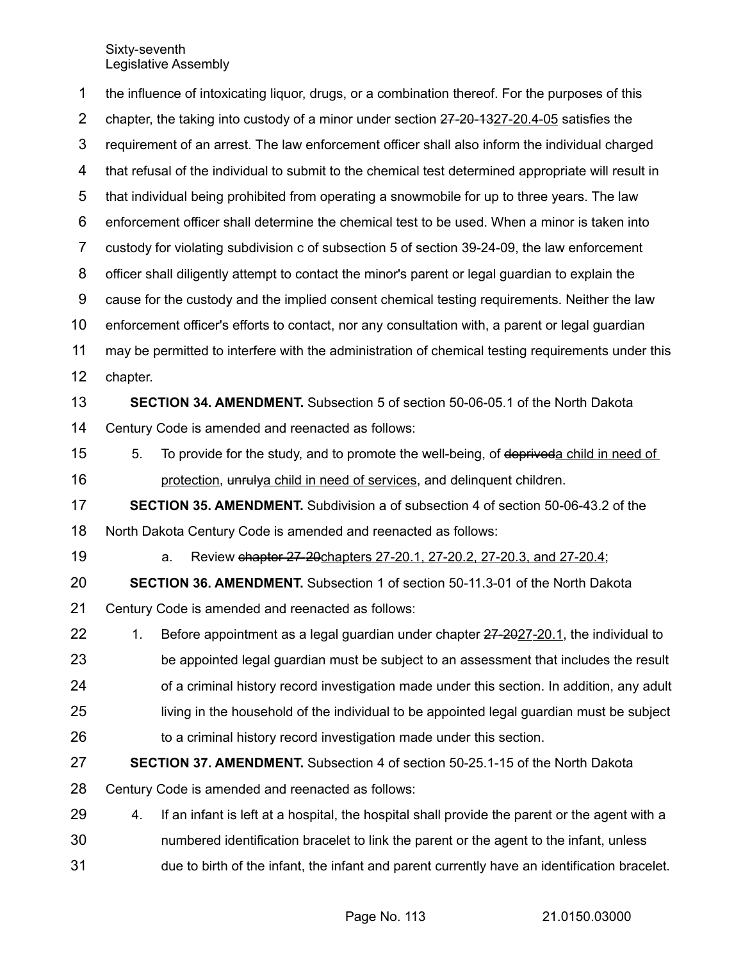the influence of intoxicating liquor, drugs, or a combination thereof. For the purposes of this chapter, the taking into custody of a minor under section  $27-20-1327-20.4-05$  satisfies the requirement of an arrest. The law enforcement officer shall also inform the individual charged that refusal of the individual to submit to the chemical test determined appropriate will result in that individual being prohibited from operating a snowmobile for up to three years. The law enforcement officer shall determine the chemical test to be used. When a minor is taken into custody for violating subdivision c of subsection 5 of section 39-24-09, the law enforcement officer shall diligently attempt to contact the minor's parent or legal guardian to explain the cause for the custody and the implied consent chemical testing requirements. Neither the law enforcement officer's efforts to contact, nor any consultation with, a parent or legal guardian may be permitted to interfere with the administration of chemical testing requirements under this chapter. **SECTION 34. AMENDMENT.** Subsection 5 of section 50-06-05.1 of the North Dakota Century Code is amended and reenacted as follows: 5. To provide for the study, and to promote the well-being, of depriveda child in need of protection, unrulya child in need of services, and delinquent children. **SECTION 35. AMENDMENT.** Subdivision a of subsection 4 of section 50-06-43.2 of the North Dakota Century Code is amended and reenacted as follows: a. Review chapter 27-20 chapters 27-20.1, 27-20.2, 27-20.3, and 27-20.4; **SECTION 36. AMENDMENT.** Subsection 1 of section 50-11.3-01 of the North Dakota Century Code is amended and reenacted as follows: 1. Before appointment as a legal guardian under chapter 27-2027-20.1, the individual to be appointed legal guardian must be subject to an assessment that includes the result of a criminal history record investigation made under this section. In addition, any adult living in the household of the individual to be appointed legal guardian must be subject to a criminal history record investigation made under this section. **SECTION 37. AMENDMENT.** Subsection 4 of section 50-25.1-15 of the North Dakota Century Code is amended and reenacted as follows: 4. If an infant is left at a hospital, the hospital shall provide the parent or the agent with a numbered identification bracelet to link the parent or the agent to the infant, unless due to birth of the infant, the infant and parent currently have an identification bracelet. 1 2 3 4 5 6 7 8 9 10 11 12 13 14 15 16 17 18 19 20 21 22 23 24 25 26 27 28 29 30 31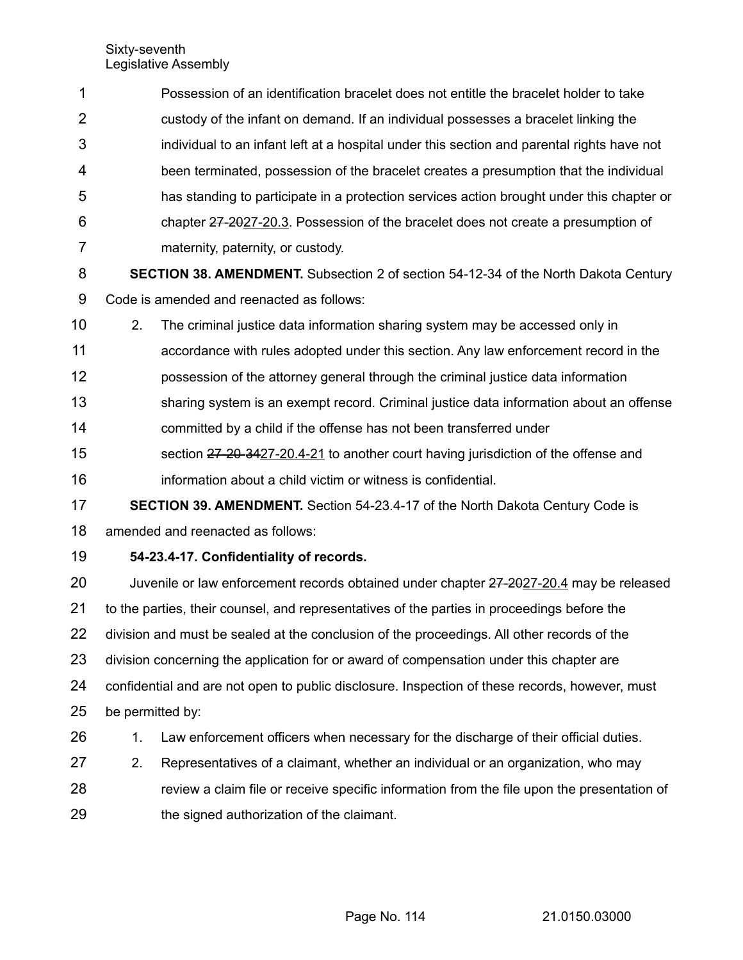| 1              | Possession of an identification bracelet does not entitle the bracelet holder to take          |                                                                                            |  |  |  |  |
|----------------|------------------------------------------------------------------------------------------------|--------------------------------------------------------------------------------------------|--|--|--|--|
| 2              |                                                                                                | custody of the infant on demand. If an individual possesses a bracelet linking the         |  |  |  |  |
| 3              | individual to an infant left at a hospital under this section and parental rights have not     |                                                                                            |  |  |  |  |
| 4              |                                                                                                | been terminated, possession of the bracelet creates a presumption that the individual      |  |  |  |  |
| 5              | has standing to participate in a protection services action brought under this chapter or      |                                                                                            |  |  |  |  |
| 6              | chapter 27-2027-20.3. Possession of the bracelet does not create a presumption of              |                                                                                            |  |  |  |  |
| $\overline{7}$ | maternity, paternity, or custody.                                                              |                                                                                            |  |  |  |  |
| 8              | SECTION 38. AMENDMENT. Subsection 2 of section 54-12-34 of the North Dakota Century            |                                                                                            |  |  |  |  |
| 9              |                                                                                                | Code is amended and reenacted as follows:                                                  |  |  |  |  |
| 10             | 2.                                                                                             | The criminal justice data information sharing system may be accessed only in               |  |  |  |  |
| 11             |                                                                                                | accordance with rules adopted under this section. Any law enforcement record in the        |  |  |  |  |
| 12             |                                                                                                | possession of the attorney general through the criminal justice data information           |  |  |  |  |
| 13             |                                                                                                | sharing system is an exempt record. Criminal justice data information about an offense     |  |  |  |  |
| 14             |                                                                                                | committed by a child if the offense has not been transferred under                         |  |  |  |  |
| 15             |                                                                                                | section 27-20-3427-20.4-21 to another court having jurisdiction of the offense and         |  |  |  |  |
| 16             |                                                                                                | information about a child victim or witness is confidential.                               |  |  |  |  |
| 17             |                                                                                                | <b>SECTION 39. AMENDMENT.</b> Section 54-23.4-17 of the North Dakota Century Code is       |  |  |  |  |
| 18             | amended and reenacted as follows:                                                              |                                                                                            |  |  |  |  |
| 19             | 54-23.4-17. Confidentiality of records.                                                        |                                                                                            |  |  |  |  |
| 20             | Juvenile or law enforcement records obtained under chapter 27-2027-20.4 may be released        |                                                                                            |  |  |  |  |
| 21             | to the parties, their counsel, and representatives of the parties in proceedings before the    |                                                                                            |  |  |  |  |
| 22             | division and must be sealed at the conclusion of the proceedings. All other records of the     |                                                                                            |  |  |  |  |
| 23             | division concerning the application for or award of compensation under this chapter are        |                                                                                            |  |  |  |  |
| 24             | confidential and are not open to public disclosure. Inspection of these records, however, must |                                                                                            |  |  |  |  |
| 25             | be permitted by:                                                                               |                                                                                            |  |  |  |  |
| 26             | 1.                                                                                             | Law enforcement officers when necessary for the discharge of their official duties.        |  |  |  |  |
| 27             | 2.                                                                                             | Representatives of a claimant, whether an individual or an organization, who may           |  |  |  |  |
| 28             |                                                                                                | review a claim file or receive specific information from the file upon the presentation of |  |  |  |  |
| 29             |                                                                                                | the signed authorization of the claimant.                                                  |  |  |  |  |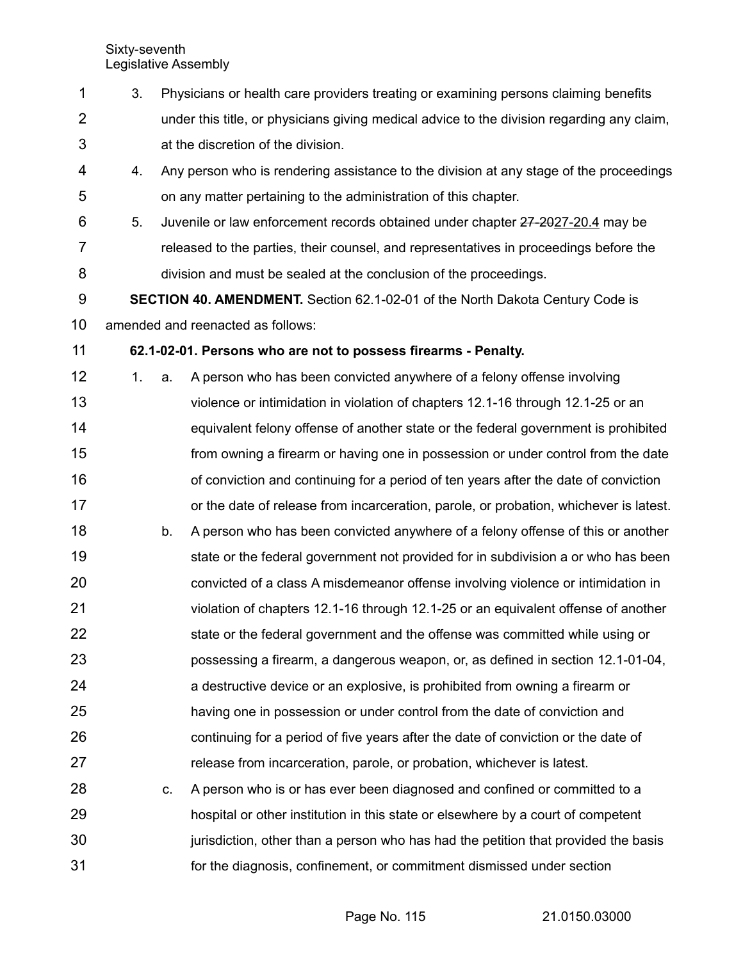- 3. Physicians or health care providers treating or examining persons claiming benefits under this title, or physicians giving medical advice to the division regarding any claim, at the discretion of the division. 4. Any person who is rendering assistance to the division at any stage of the proceedings on any matter pertaining to the administration of this chapter. 5. Juvenile or law enforcement records obtained under chapter 27-2027-20.4 may be released to the parties, their counsel, and representatives in proceedings before the division and must be sealed at the conclusion of the proceedings. **SECTION 40. AMENDMENT.** Section 62.1-02-01 of the North Dakota Century Code is amended and reenacted as follows: **62.1-02-01. Persons who are not to possess firearms - Penalty.** 1 2 3 4 5 6 7 8 9 10 11
- 1. a. A person who has been convicted anywhere of a felony offense involving violence or intimidation in violation of chapters 12.1-16 through 12.1-25 or an equivalent felony offense of another state or the federal government is prohibited from owning a firearm or having one in possession or under control from the date of conviction and continuing for a period of ten years after the date of conviction or the date of release from incarceration, parole, or probation, whichever is latest. b. A person who has been convicted anywhere of a felony offense of this or another state or the federal government not provided for in subdivision a or who has been convicted of a class A misdemeanor offense involving violence or intimidation in violation of chapters 12.1-16 through 12.1-25 or an equivalent offense of another state or the federal government and the offense was committed while using or possessing a firearm, a dangerous weapon, or, as defined in section 12.1-01-04, a destructive device or an explosive, is prohibited from owning a firearm or having one in possession or under control from the date of conviction and continuing for a period of five years after the date of conviction or the date of release from incarceration, parole, or probation, whichever is latest. 12 13 14 15 16 17 18 19 20 21 22 23 24 25 26 27
- c. A person who is or has ever been diagnosed and confined or committed to a hospital or other institution in this state or elsewhere by a court of competent jurisdiction, other than a person who has had the petition that provided the basis for the diagnosis, confinement, or commitment dismissed under section 28 29 30 31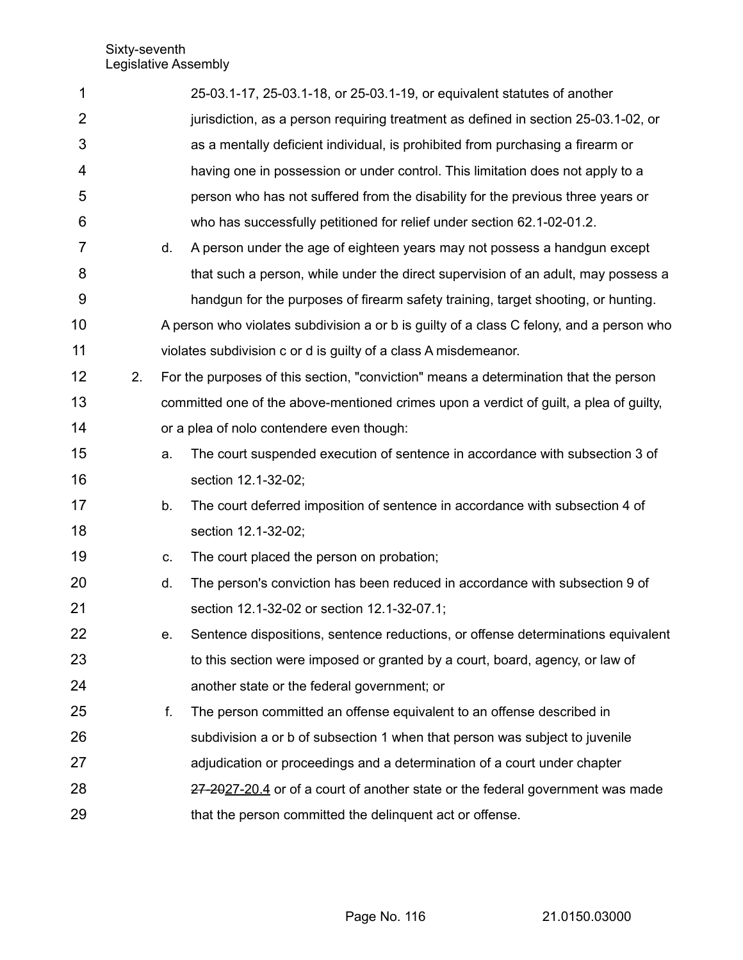| 1              |    |                                                                                      | 25-03.1-17, 25-03.1-18, or 25-03.1-19, or equivalent statutes of another                 |  |  |
|----------------|----|--------------------------------------------------------------------------------------|------------------------------------------------------------------------------------------|--|--|
| $\overline{2}$ |    |                                                                                      | jurisdiction, as a person requiring treatment as defined in section 25-03.1-02, or       |  |  |
| 3              |    |                                                                                      | as a mentally deficient individual, is prohibited from purchasing a firearm or           |  |  |
| 4              |    |                                                                                      | having one in possession or under control. This limitation does not apply to a           |  |  |
| 5              |    |                                                                                      | person who has not suffered from the disability for the previous three years or          |  |  |
| 6              |    |                                                                                      | who has successfully petitioned for relief under section 62.1-02-01.2.                   |  |  |
| $\overline{7}$ |    | d.                                                                                   | A person under the age of eighteen years may not possess a handgun except                |  |  |
| 8              |    |                                                                                      | that such a person, while under the direct supervision of an adult, may possess a        |  |  |
| 9              |    |                                                                                      | handgun for the purposes of firearm safety training, target shooting, or hunting.        |  |  |
| 10             |    |                                                                                      | A person who violates subdivision a or b is guilty of a class C felony, and a person who |  |  |
| 11             |    |                                                                                      | violates subdivision c or d is guilty of a class A misdemeanor.                          |  |  |
| 12             | 2. | For the purposes of this section, "conviction" means a determination that the person |                                                                                          |  |  |
| 13             |    |                                                                                      | committed one of the above-mentioned crimes upon a verdict of guilt, a plea of guilty,   |  |  |
| 14             |    | or a plea of nolo contendere even though:                                            |                                                                                          |  |  |
| 15             |    | a.                                                                                   | The court suspended execution of sentence in accordance with subsection 3 of             |  |  |
| 16             |    |                                                                                      | section 12.1-32-02;                                                                      |  |  |
| 17             |    | b.                                                                                   | The court deferred imposition of sentence in accordance with subsection 4 of             |  |  |
| 18             |    |                                                                                      | section 12.1-32-02;                                                                      |  |  |
| 19             |    | C.                                                                                   | The court placed the person on probation;                                                |  |  |
| 20             |    | d.                                                                                   | The person's conviction has been reduced in accordance with subsection 9 of              |  |  |
| 21             |    |                                                                                      | section 12.1-32-02 or section 12.1-32-07.1;                                              |  |  |
| 22             |    | е.                                                                                   | Sentence dispositions, sentence reductions, or offense determinations equivalent         |  |  |
| 23             |    |                                                                                      | to this section were imposed or granted by a court, board, agency, or law of             |  |  |
| 24             |    |                                                                                      | another state or the federal government; or                                              |  |  |
| 25             |    | f.                                                                                   | The person committed an offense equivalent to an offense described in                    |  |  |
| 26             |    |                                                                                      | subdivision a or b of subsection 1 when that person was subject to juvenile              |  |  |
| 27             |    |                                                                                      | adjudication or proceedings and a determination of a court under chapter                 |  |  |
| 28             |    |                                                                                      | 27-2027-20.4 or of a court of another state or the federal government was made           |  |  |
| 29             |    |                                                                                      | that the person committed the delinquent act or offense.                                 |  |  |